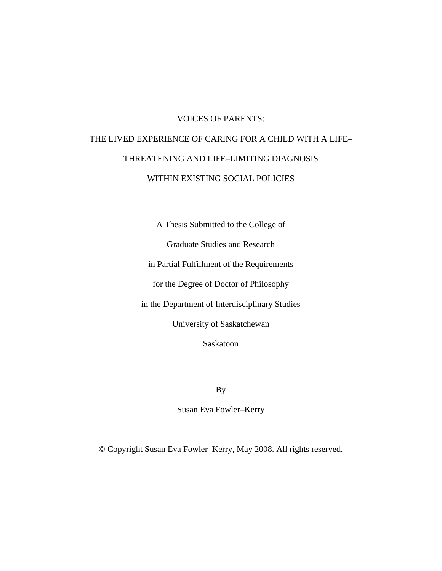# VOICES OF PARENTS: THE LIVED EXPERIENCE OF CARING FOR A CHILD WITH A LIFE– THREATENING AND LIFE–LIMITING DIAGNOSIS WITHIN EXISTING SOCIAL POLICIES

A Thesis Submitted to the College of Graduate Studies and Research in Partial Fulfillment of the Requirements for the Degree of Doctor of Philosophy in the Department of Interdisciplinary Studies University of Saskatchewan

Saskatoon

By

Susan Eva Fowler–Kerry

© Copyright Susan Eva Fowler–Kerry, May 2008. All rights reserved.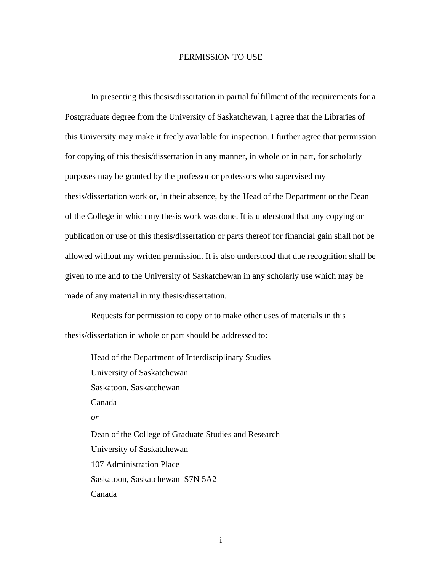# PERMISSION TO USE

<span id="page-1-0"></span>In presenting this thesis/dissertation in partial fulfillment of the requirements for a Postgraduate degree from the University of Saskatchewan, I agree that the Libraries of this University may make it freely available for inspection. I further agree that permission for copying of this thesis/dissertation in any manner, in whole or in part, for scholarly purposes may be granted by the professor or professors who supervised my thesis/dissertation work or, in their absence, by the Head of the Department or the Dean of the College in which my thesis work was done. It is understood that any copying or publication or use of this thesis/dissertation or parts thereof for financial gain shall not be allowed without my written permission. It is also understood that due recognition shall be given to me and to the University of Saskatchewan in any scholarly use which may be made of any material in my thesis/dissertation.

Requests for permission to copy or to make other uses of materials in this thesis/dissertation in whole or part should be addressed to:

 Head of the Department of Interdisciplinary Studies University of Saskatchewan Saskatoon, Saskatchewan Canada *or*  Dean of the College of Graduate Studies and Research University of Saskatchewan 107 Administration Place Saskatoon, Saskatchewan S7N 5A2 Canada

i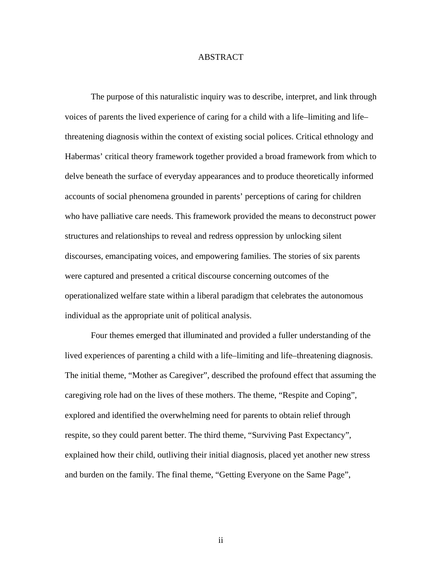# ABSTRACT

<span id="page-2-0"></span> The purpose of this naturalistic inquiry was to describe, interpret, and link through voices of parents the lived experience of caring for a child with a life–limiting and life– threatening diagnosis within the context of existing social polices. Critical ethnology and Habermas' critical theory framework together provided a broad framework from which to delve beneath the surface of everyday appearances and to produce theoretically informed accounts of social phenomena grounded in parents' perceptions of caring for children who have palliative care needs. This framework provided the means to deconstruct power structures and relationships to reveal and redress oppression by unlocking silent discourses, emancipating voices, and empowering families. The stories of six parents were captured and presented a critical discourse concerning outcomes of the operationalized welfare state within a liberal paradigm that celebrates the autonomous individual as the appropriate unit of political analysis.

 Four themes emerged that illuminated and provided a fuller understanding of the lived experiences of parenting a child with a life–limiting and life–threatening diagnosis. The initial theme, "Mother as Caregiver", described the profound effect that assuming the caregiving role had on the lives of these mothers. The theme, "Respite and Coping", explored and identified the overwhelming need for parents to obtain relief through respite, so they could parent better. The third theme, "Surviving Past Expectancy", explained how their child, outliving their initial diagnosis, placed yet another new stress and burden on the family. The final theme, "Getting Everyone on the Same Page",

ii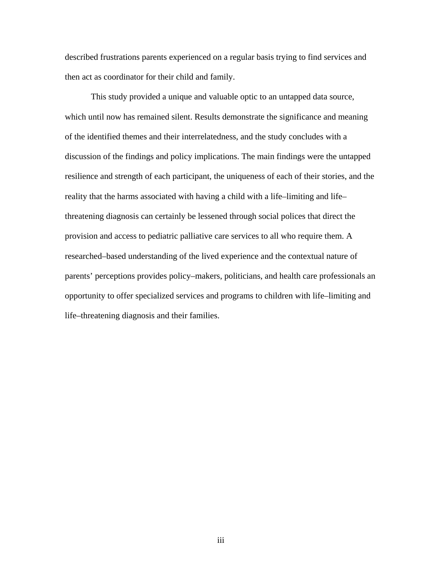described frustrations parents experienced on a regular basis trying to find services and then act as coordinator for their child and family.

 This study provided a unique and valuable optic to an untapped data source, which until now has remained silent. Results demonstrate the significance and meaning of the identified themes and their interrelatedness, and the study concludes with a discussion of the findings and policy implications. The main findings were the untapped resilience and strength of each participant, the uniqueness of each of their stories, and the reality that the harms associated with having a child with a life–limiting and life– threatening diagnosis can certainly be lessened through social polices that direct the provision and access to pediatric palliative care services to all who require them. A researched–based understanding of the lived experience and the contextual nature of parents' perceptions provides policy–makers, politicians, and health care professionals an opportunity to offer specialized services and programs to children with life–limiting and life–threatening diagnosis and their families.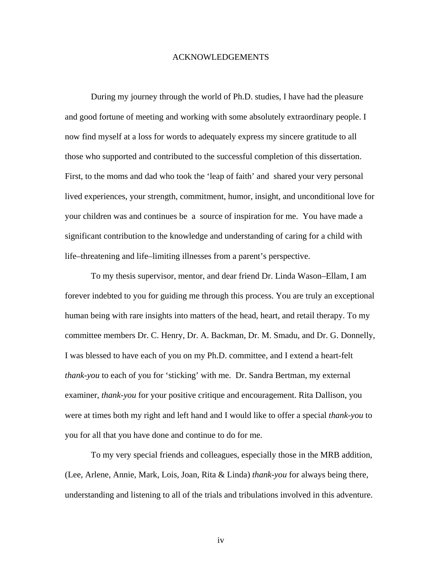# ACKNOWLEDGEMENTS

<span id="page-4-0"></span> During my journey through the world of Ph.D. studies, I have had the pleasure and good fortune of meeting and working with some absolutely extraordinary people. I now find myself at a loss for words to adequately express my sincere gratitude to all those who supported and contributed to the successful completion of this dissertation. First, to the moms and dad who took the 'leap of faith' and shared your very personal lived experiences, your strength, commitment, humor, insight, and unconditional love for your children was and continues be a source of inspiration for me. You have made a significant contribution to the knowledge and understanding of caring for a child with life–threatening and life–limiting illnesses from a parent's perspective.

 To my thesis supervisor, mentor, and dear friend Dr. Linda Wason–Ellam, I am forever indebted to you for guiding me through this process. You are truly an exceptional human being with rare insights into matters of the head, heart, and retail therapy. To my committee members Dr. C. Henry, Dr. A. Backman, Dr. M. Smadu, and Dr. G. Donnelly, I was blessed to have each of you on my Ph.D. committee, and I extend a heart-felt *thank-you* to each of you for 'sticking' with me. Dr. Sandra Bertman, my external examiner, *thank-you* for your positive critique and encouragement. Rita Dallison, you were at times both my right and left hand and I would like to offer a special *thank-you* to you for all that you have done and continue to do for me.

 To my very special friends and colleagues, especially those in the MRB addition, (Lee, Arlene, Annie, Mark, Lois, Joan, Rita & Linda) *thank-you* for always being there, understanding and listening to all of the trials and tribulations involved in this adventure.

iv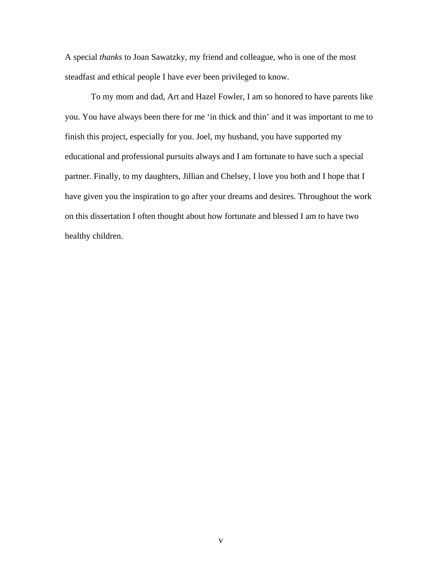A special *thanks* to Joan Sawatzky, my friend and colleague, who is one of the most steadfast and ethical people I have ever been privileged to know.

 To my mom and dad, Art and Hazel Fowler, I am so honored to have parents like you. You have always been there for me 'in thick and thin' and it was important to me to finish this project, especially for you. Joel, my husband, you have supported my educational and professional pursuits always and I am fortunate to have such a special partner. Finally, to my daughters, Jillian and Chelsey, I love you both and I hope that I have given you the inspiration to go after your dreams and desires. Throughout the work on this dissertation I often thought about how fortunate and blessed I am to have two healthy children.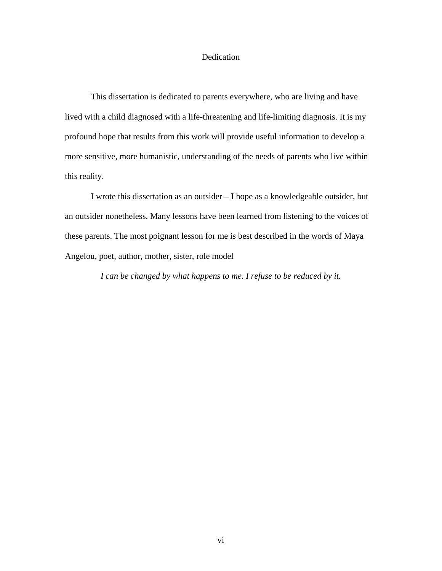# Dedication

This dissertation is dedicated to parents everywhere, who are living and have lived with a child diagnosed with a life-threatening and life-limiting diagnosis. It is my profound hope that results from this work will provide useful information to develop a more sensitive, more humanistic, understanding of the needs of parents who live within this reality.

I wrote this dissertation as an outsider – I hope as a knowledgeable outsider, but an outsider nonetheless. Many lessons have been learned from listening to the voices of these parents. The most poignant lesson for me is best described in the words of Maya Angelou, poet, author, mother, sister, role model

*I can be changed by what happens to me. I refuse to be reduced by it.*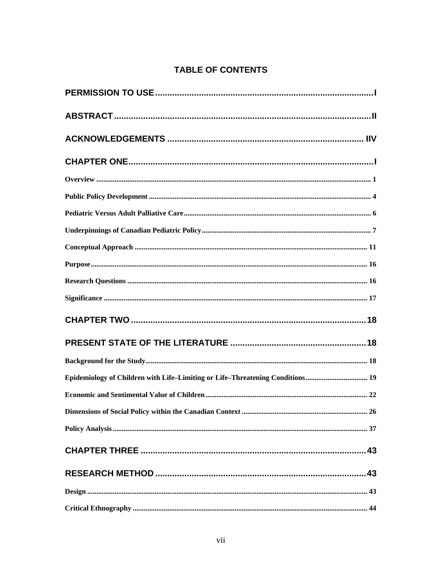# **TABLE OF CONTENTS**

| Epidemiology of Children with Life-Limiting or Life-Threatening Conditions 19 |  |
|-------------------------------------------------------------------------------|--|
|                                                                               |  |
|                                                                               |  |
|                                                                               |  |
|                                                                               |  |
|                                                                               |  |
|                                                                               |  |
|                                                                               |  |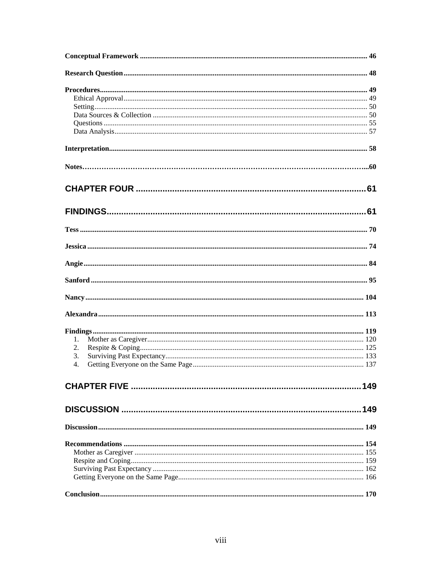| 1. |  |
|----|--|
| 2. |  |
| 3. |  |
| 4. |  |
|    |  |
|    |  |
|    |  |
|    |  |
|    |  |
|    |  |
|    |  |
|    |  |
|    |  |
|    |  |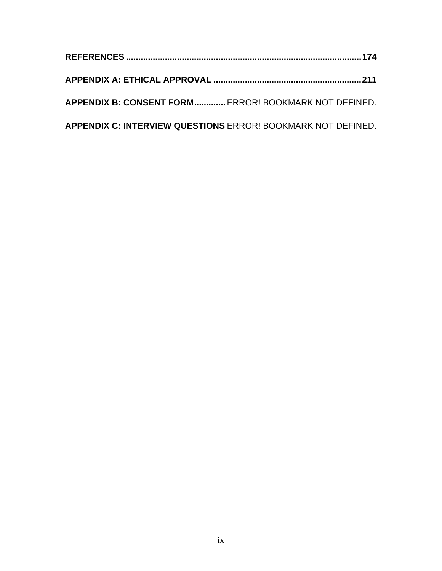| APPENDIX B: CONSENT FORM ERROR! BOOKMARK NOT DEFINED.        |
|--------------------------------------------------------------|
| APPENDIX C: INTERVIEW QUESTIONS ERROR! BOOKMARK NOT DEFINED. |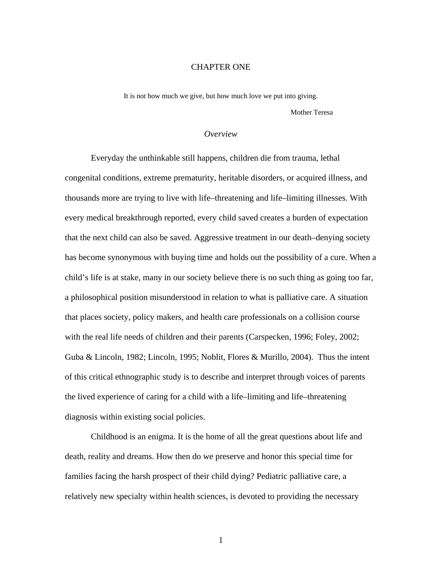### CHAPTER ONE

<span id="page-10-0"></span>It is not how much we give, but how much love we put into giving. Mother Teresa

# *Overview*

Everyday the unthinkable still happens, children die from trauma, lethal congenital conditions, extreme prematurity, heritable disorders, or acquired illness, and thousands more are trying to live with life–threatening and life–limiting illnesses. With every medical breakthrough reported, every child saved creates a burden of expectation that the next child can also be saved. Aggressive treatment in our death–denying society has become synonymous with buying time and holds out the possibility of a cure. When a child's life is at stake, many in our society believe there is no such thing as going too far, a philosophical position misunderstood in relation to what is palliative care. A situation that places society, policy makers, and health care professionals on a collision course with the real life needs of children and their parents (Carspecken, 1996; Foley, 2002; Guba & Lincoln, 1982; Lincoln, 1995; Noblit, Flores & Murillo, 2004). Thus the intent of this critical ethnographic study is to describe and interpret through voices of parents the lived experience of caring for a child with a life–limiting and life–threatening diagnosis within existing social policies.

Childhood is an enigma. It is the home of all the great questions about life and death, reality and dreams. How then do we preserve and honor this special time for families facing the harsh prospect of their child dying? Pediatric palliative care, a relatively new specialty within health sciences, is devoted to providing the necessary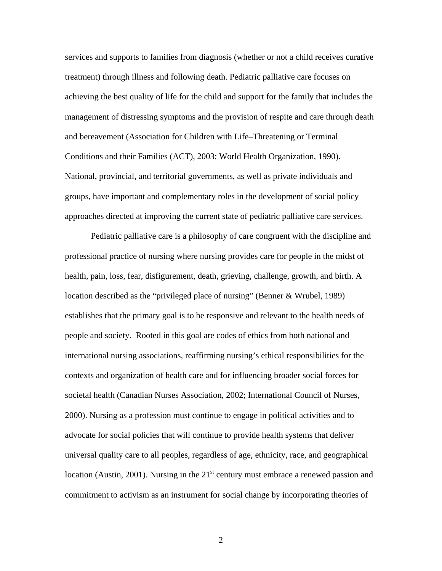services and supports to families from diagnosis (whether or not a child receives curative treatment) through illness and following death. Pediatric palliative care focuses on achieving the best quality of life for the child and support for the family that includes the management of distressing symptoms and the provision of respite and care through death and bereavement (Association for Children with Life–Threatening or Terminal Conditions and their Families (ACT), 2003; World Health Organization, 1990). National, provincial, and territorial governments, as well as private individuals and groups, have important and complementary roles in the development of social policy approaches directed at improving the current state of pediatric palliative care services.

Pediatric palliative care is a philosophy of care congruent with the discipline and professional practice of nursing where nursing provides care for people in the midst of health, pain, loss, fear, disfigurement, death, grieving, challenge, growth, and birth. A location described as the "privileged place of nursing" (Benner & Wrubel, 1989) establishes that the primary goal is to be responsive and relevant to the health needs of people and society. Rooted in this goal are codes of ethics from both national and international nursing associations, reaffirming nursing's ethical responsibilities for the contexts and organization of health care and for influencing broader social forces for societal health (Canadian Nurses Association, 2002; International Council of Nurses, 2000). Nursing as a profession must continue to engage in political activities and to advocate for social policies that will continue to provide health systems that deliver universal quality care to all peoples, regardless of age, ethnicity, race, and geographical location (Austin, 2001). Nursing in the  $21<sup>st</sup>$  century must embrace a renewed passion and commitment to activism as an instrument for social change by incorporating theories of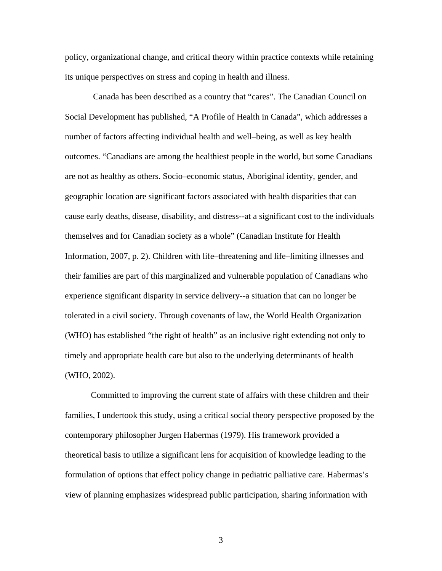policy, organizational change, and critical theory within practice contexts while retaining its unique perspectives on stress and coping in health and illness.

 Canada has been described as a country that "cares". The Canadian Council on Social Development has published, "A Profile of Health in Canada"*,* which addresses a number of factors affecting individual health and well–being, as well as key health outcomes. "Canadians are among the healthiest people in the world, but some Canadians are not as healthy as others. Socio–economic status, Aboriginal identity, gender, and geographic location are significant factors associated with health disparities that can cause early deaths, disease, disability, and distress--at a significant cost to the individuals themselves and for Canadian society as a whole" (Canadian Institute for Health Information, 2007, p. 2). Children with life–threatening and life–limiting illnesses and their families are part of this marginalized and vulnerable population of Canadians who experience significant disparity in service delivery--a situation that can no longer be tolerated in a civil society. Through covenants of law, the World Health Organization (WHO) has established "the right of health" as an inclusive right extending not only to timely and appropriate health care but also to the underlying determinants of health (WHO, 2002).

Committed to improving the current state of affairs with these children and their families, I undertook this study, using a critical social theory perspective proposed by the contemporary philosopher Jurgen Habermas (1979). His framework provided a theoretical basis to utilize a significant lens for acquisition of knowledge leading to the formulation of options that effect policy change in pediatric palliative care. Habermas's view of planning emphasizes widespread public participation, sharing information with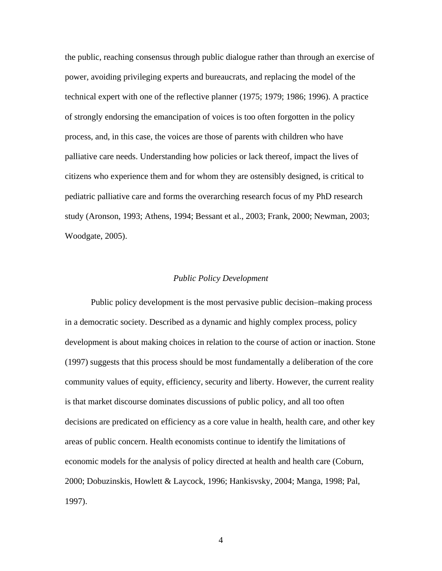<span id="page-13-0"></span>the public, reaching consensus through public dialogue rather than through an exercise of power, avoiding privileging experts and bureaucrats, and replacing the model of the technical expert with one of the reflective planner (1975; 1979; 1986; 1996). A practice of strongly endorsing the emancipation of voices is too often forgotten in the policy process, and, in this case, the voices are those of parents with children who have palliative care needs. Understanding how policies or lack thereof, impact the lives of citizens who experience them and for whom they are ostensibly designed, is critical to pediatric palliative care and forms the overarching research focus of my PhD research study (Aronson, 1993; Athens, 1994; Bessant et al., 2003; Frank, 2000; Newman, 2003; Woodgate, 2005).

# *Public Policy Development*

Public policy development is the most pervasive public decision–making process in a democratic society. Described as a dynamic and highly complex process, policy development is about making choices in relation to the course of action or inaction. Stone (1997) suggests that this process should be most fundamentally a deliberation of the core community values of equity, efficiency, security and liberty. However, the current reality is that market discourse dominates discussions of public policy, and all too often decisions are predicated on efficiency as a core value in health, health care, and other key areas of public concern. Health economists continue to identify the limitations of economic models for the analysis of policy directed at health and health care (Coburn, 2000; Dobuzinskis, Howlett & Laycock, 1996; Hankisvsky, 2004; Manga, 1998; Pal, 1997).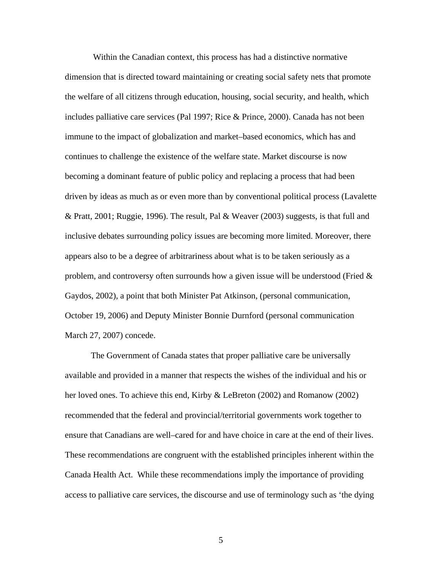Within the Canadian context, this process has had a distinctive normative dimension that is directed toward maintaining or creating social safety nets that promote the welfare of all citizens through education, housing, social security, and health, which includes palliative care services (Pal 1997; Rice & Prince, 2000). Canada has not been immune to the impact of globalization and market–based economics, which has and continues to challenge the existence of the welfare state. Market discourse is now becoming a dominant feature of public policy and replacing a process that had been driven by ideas as much as or even more than by conventional political process (Lavalette & Pratt, 2001; Ruggie, 1996). The result, Pal & Weaver (2003) suggests, is that full and inclusive debates surrounding policy issues are becoming more limited. Moreover, there appears also to be a degree of arbitrariness about what is to be taken seriously as a problem, and controversy often surrounds how a given issue will be understood (Fried  $\&$ Gaydos, 2002), a point that both Minister Pat Atkinson, (personal communication, October 19, 2006) and Deputy Minister Bonnie Durnford (personal communication March 27, 2007) concede.

The Government of Canada states that proper palliative care be universally available and provided in a manner that respects the wishes of the individual and his or her loved ones. To achieve this end, Kirby & LeBreton (2002) and Romanow (2002) recommended that the federal and provincial/territorial governments work together to ensure that Canadians are well–cared for and have choice in care at the end of their lives. These recommendations are congruent with the established principles inherent within the Canada Health Act. While these recommendations imply the importance of providing access to palliative care services, the discourse and use of terminology such as 'the dying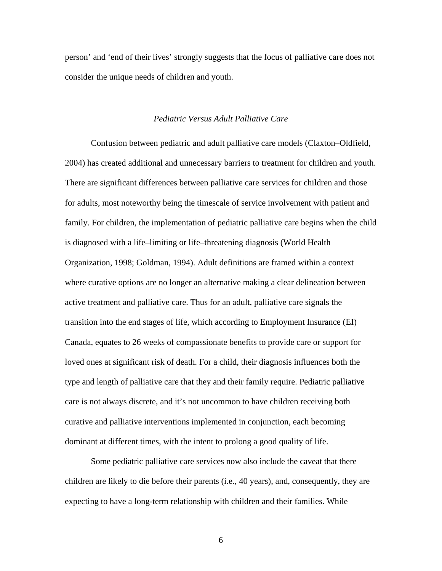<span id="page-15-0"></span>person' and 'end of their lives' strongly suggests that the focus of palliative care does not consider the unique needs of children and youth.

# *Pediatric Versus Adult Palliative Care*

Confusion between pediatric and adult palliative care models (Claxton–Oldfield, 2004) has created additional and unnecessary barriers to treatment for children and youth. There are significant differences between palliative care services for children and those for adults, most noteworthy being the timescale of service involvement with patient and family. For children, the implementation of pediatric palliative care begins when the child is diagnosed with a life–limiting or life–threatening diagnosis (World Health Organization, 1998; Goldman, 1994). Adult definitions are framed within a context where curative options are no longer an alternative making a clear delineation between active treatment and palliative care. Thus for an adult, palliative care signals the transition into the end stages of life, which according to Employment Insurance (EI) Canada, equates to 26 weeks of compassionate benefits to provide care or support for loved ones at significant risk of death. For a child, their diagnosis influences both the type and length of palliative care that they and their family require. Pediatric palliative care is not always discrete, and it's not uncommon to have children receiving both curative and palliative interventions implemented in conjunction, each becoming dominant at different times, with the intent to prolong a good quality of life.

Some pediatric palliative care services now also include the caveat that there children are likely to die before their parents (i.e., 40 years), and, consequently, they are expecting to have a long-term relationship with children and their families. While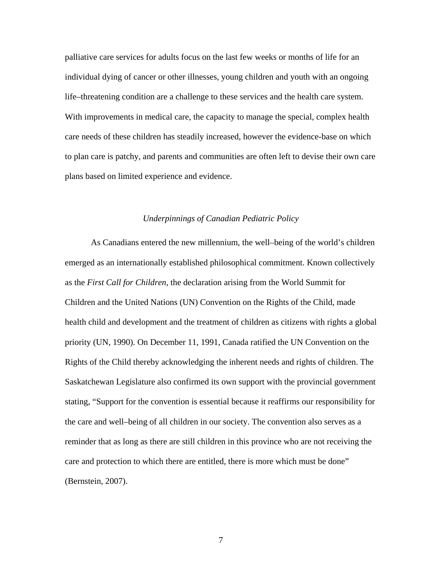<span id="page-16-0"></span>palliative care services for adults focus on the last few weeks or months of life for an individual dying of cancer or other illnesses, young children and youth with an ongoing life–threatening condition are a challenge to these services and the health care system. With improvements in medical care, the capacity to manage the special, complex health care needs of these children has steadily increased, however the evidence-base on which to plan care is patchy, and parents and communities are often left to devise their own care plans based on limited experience and evidence.

# *Underpinnings of Canadian Pediatric Policy*

As Canadians entered the new millennium, the well–being of the world's children emerged as an internationally established philosophical commitment. Known collectively as the *First Call for Children*, the declaration arising from the World Summit for Children and the United Nations (UN) Convention on the Rights of the Child, made health child and development and the treatment of children as citizens with rights a global priority (UN, 1990). On December 11, 1991, Canada ratified the UN Convention on the Rights of the Child thereby acknowledging the inherent needs and rights of children. The Saskatchewan Legislature also confirmed its own support with the provincial government stating, "Support for the convention is essential because it reaffirms our responsibility for the care and well–being of all children in our society. The convention also serves as a reminder that as long as there are still children in this province who are not receiving the care and protection to which there are entitled, there is more which must be done" (Bernstein, 2007).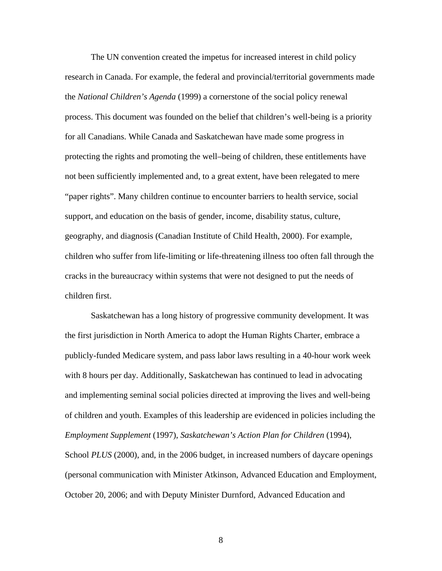The UN convention created the impetus for increased interest in child policy research in Canada. For example, the federal and provincial/territorial governments made the *National Children's Agenda* (1999) a cornerstone of the social policy renewal process. This document was founded on the belief that children's well-being is a priority for all Canadians. While Canada and Saskatchewan have made some progress in protecting the rights and promoting the well–being of children, these entitlements have not been sufficiently implemented and, to a great extent, have been relegated to mere "paper rights". Many children continue to encounter barriers to health service, social support, and education on the basis of gender, income, disability status, culture, geography, and diagnosis (Canadian Institute of Child Health, 2000). For example, children who suffer from life-limiting or life-threatening illness too often fall through the cracks in the bureaucracy within systems that were not designed to put the needs of children first.

Saskatchewan has a long history of progressive community development. It was the first jurisdiction in North America to adopt the Human Rights Charter, embrace a publicly-funded Medicare system, and pass labor laws resulting in a 40-hour work week with 8 hours per day. Additionally, Saskatchewan has continued to lead in advocating and implementing seminal social policies directed at improving the lives and well-being of children and youth. Examples of this leadership are evidenced in policies including the *Employment Supplement* (1997), *Saskatchewan's Action Plan for Children* (1994), School *PLUS* (2000), and, in the 2006 budget, in increased numbers of daycare openings (personal communication with Minister Atkinson, Advanced Education and Employment, October 20, 2006; and with Deputy Minister Durnford, Advanced Education and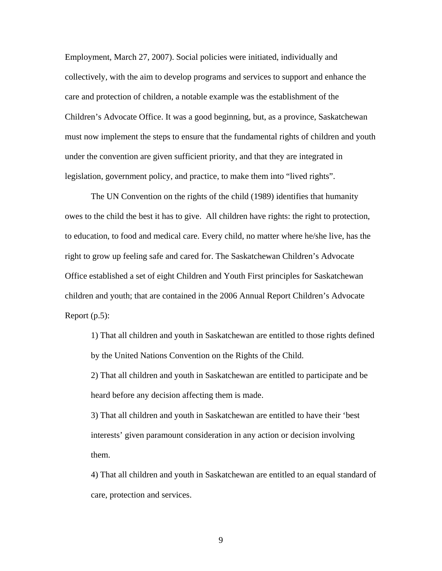Employment, March 27, 2007). Social policies were initiated, individually and collectively, with the aim to develop programs and services to support and enhance the care and protection of children, a notable example was the establishment of the Children's Advocate Office. It was a good beginning, but, as a province, Saskatchewan must now implement the steps to ensure that the fundamental rights of children and youth under the convention are given sufficient priority, and that they are integrated in legislation, government policy, and practice, to make them into "lived rights".

The UN Convention on the rights of the child (1989) identifies that humanity owes to the child the best it has to give. All children have rights: the right to protection, to education, to food and medical care. Every child, no matter where he/she live, has the right to grow up feeling safe and cared for. The Saskatchewan Children's Advocate Office established a set of eight Children and Youth First principles for Saskatchewan children and youth; that are contained in the 2006 Annual Report Children's Advocate Report (p.5):

1) That all children and youth in Saskatchewan are entitled to those rights defined by the United Nations Convention on the Rights of the Child.

2) That all children and youth in Saskatchewan are entitled to participate and be heard before any decision affecting them is made.

3) That all children and youth in Saskatchewan are entitled to have their 'best interests' given paramount consideration in any action or decision involving them.

4) That all children and youth in Saskatchewan are entitled to an equal standard of care, protection and services.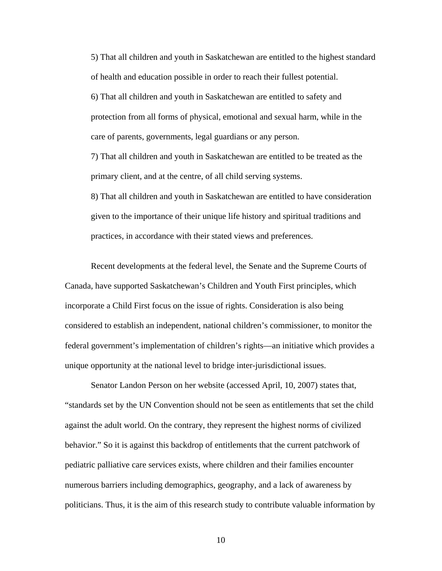5) That all children and youth in Saskatchewan are entitled to the highest standard of health and education possible in order to reach their fullest potential. 6) That all children and youth in Saskatchewan are entitled to safety and protection from all forms of physical, emotional and sexual harm, while in the care of parents, governments, legal guardians or any person. 7) That all children and youth in Saskatchewan are entitled to be treated as the

primary client, and at the centre, of all child serving systems.

8) That all children and youth in Saskatchewan are entitled to have consideration given to the importance of their unique life history and spiritual traditions and practices, in accordance with their stated views and preferences.

Recent developments at the federal level, the Senate and the Supreme Courts of Canada, have supported Saskatchewan's Children and Youth First principles, which incorporate a Child First focus on the issue of rights. Consideration is also being considered to establish an independent, national children's commissioner, to monitor the federal government's implementation of children's rights—an initiative which provides a unique opportunity at the national level to bridge inter-jurisdictional issues.

Senator Landon Person on her website (accessed April, 10, 2007) states that, "standards set by the UN Convention should not be seen as entitlements that set the child against the adult world. On the contrary, they represent the highest norms of civilized behavior." So it is against this backdrop of entitlements that the current patchwork of pediatric palliative care services exists, where children and their families encounter numerous barriers including demographics, geography, and a lack of awareness by politicians. Thus, it is the aim of this research study to contribute valuable information by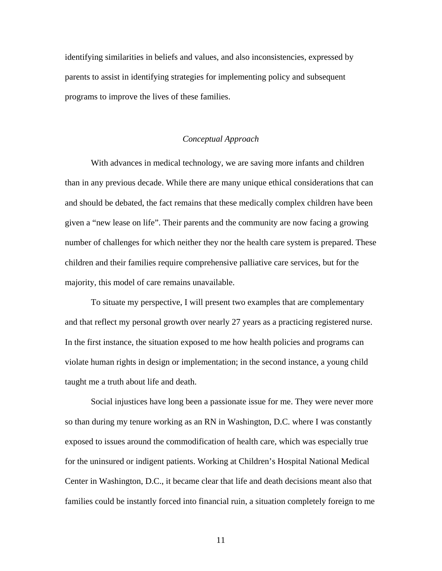<span id="page-20-0"></span>identifying similarities in beliefs and values, and also inconsistencies, expressed by parents to assist in identifying strategies for implementing policy and subsequent programs to improve the lives of these families.

# *Conceptual Approach*

 With advances in medical technology, we are saving more infants and children than in any previous decade. While there are many unique ethical considerations that can and should be debated, the fact remains that these medically complex children have been given a "new lease on life". Their parents and the community are now facing a growing number of challenges for which neither they nor the health care system is prepared. These children and their families require comprehensive palliative care services, but for the majority, this model of care remains unavailable.

 To situate my perspective, I will present two examples that are complementary and that reflect my personal growth over nearly 27 years as a practicing registered nurse. In the first instance, the situation exposed to me how health policies and programs can violate human rights in design or implementation; in the second instance, a young child taught me a truth about life and death.

Social injustices have long been a passionate issue for me. They were never more so than during my tenure working as an RN in Washington, D.C. where I was constantly exposed to issues around the commodification of health care, which was especially true for the uninsured or indigent patients. Working at Children's Hospital National Medical Center in Washington, D.C., it became clear that life and death decisions meant also that families could be instantly forced into financial ruin, a situation completely foreign to me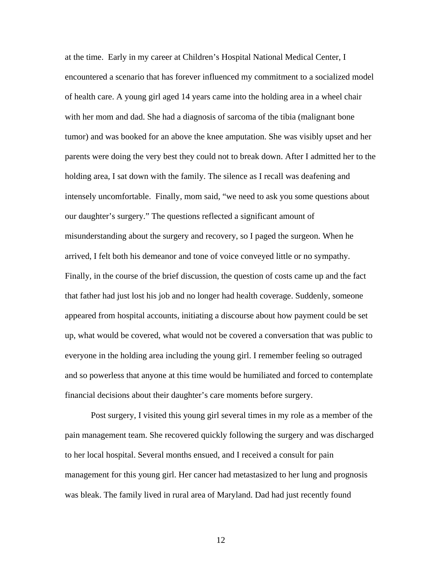at the time. Early in my career at Children's Hospital National Medical Center, I encountered a scenario that has forever influenced my commitment to a socialized model of health care. A young girl aged 14 years came into the holding area in a wheel chair with her mom and dad. She had a diagnosis of sarcoma of the tibia (malignant bone tumor) and was booked for an above the knee amputation. She was visibly upset and her parents were doing the very best they could not to break down. After I admitted her to the holding area, I sat down with the family. The silence as I recall was deafening and intensely uncomfortable. Finally, mom said, "we need to ask you some questions about our daughter's surgery." The questions reflected a significant amount of misunderstanding about the surgery and recovery, so I paged the surgeon. When he arrived, I felt both his demeanor and tone of voice conveyed little or no sympathy. Finally, in the course of the brief discussion, the question of costs came up and the fact that father had just lost his job and no longer had health coverage. Suddenly, someone appeared from hospital accounts, initiating a discourse about how payment could be set up, what would be covered, what would not be covered a conversation that was public to everyone in the holding area including the young girl. I remember feeling so outraged and so powerless that anyone at this time would be humiliated and forced to contemplate financial decisions about their daughter's care moments before surgery.

Post surgery, I visited this young girl several times in my role as a member of the pain management team. She recovered quickly following the surgery and was discharged to her local hospital. Several months ensued, and I received a consult for pain management for this young girl. Her cancer had metastasized to her lung and prognosis was bleak. The family lived in rural area of Maryland. Dad had just recently found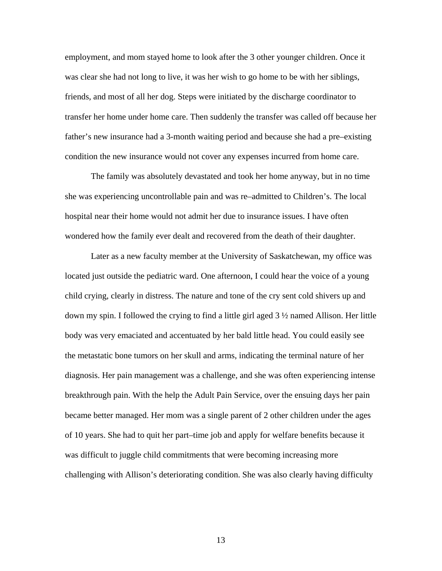employment, and mom stayed home to look after the 3 other younger children. Once it was clear she had not long to live, it was her wish to go home to be with her siblings, friends, and most of all her dog. Steps were initiated by the discharge coordinator to transfer her home under home care. Then suddenly the transfer was called off because her father's new insurance had a 3-month waiting period and because she had a pre–existing condition the new insurance would not cover any expenses incurred from home care.

 The family was absolutely devastated and took her home anyway, but in no time she was experiencing uncontrollable pain and was re–admitted to Children's. The local hospital near their home would not admit her due to insurance issues. I have often wondered how the family ever dealt and recovered from the death of their daughter.

 Later as a new faculty member at the University of Saskatchewan, my office was located just outside the pediatric ward. One afternoon, I could hear the voice of a young child crying, clearly in distress. The nature and tone of the cry sent cold shivers up and down my spin. I followed the crying to find a little girl aged 3 ½ named Allison. Her little body was very emaciated and accentuated by her bald little head. You could easily see the metastatic bone tumors on her skull and arms, indicating the terminal nature of her diagnosis. Her pain management was a challenge, and she was often experiencing intense breakthrough pain. With the help the Adult Pain Service, over the ensuing days her pain became better managed. Her mom was a single parent of 2 other children under the ages of 10 years. She had to quit her part–time job and apply for welfare benefits because it was difficult to juggle child commitments that were becoming increasing more challenging with Allison's deteriorating condition. She was also clearly having difficulty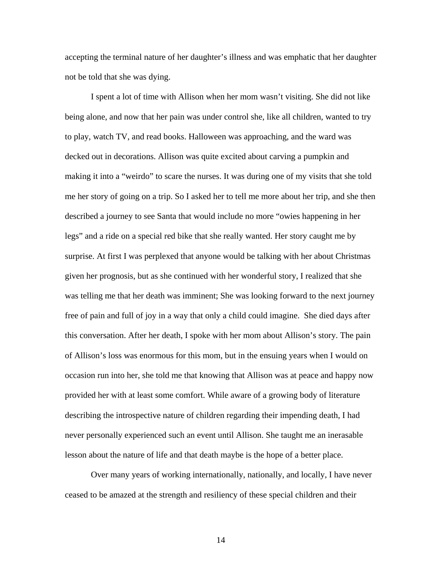accepting the terminal nature of her daughter's illness and was emphatic that her daughter not be told that she was dying.

I spent a lot of time with Allison when her mom wasn't visiting. She did not like being alone, and now that her pain was under control she, like all children, wanted to try to play, watch TV, and read books. Halloween was approaching, and the ward was decked out in decorations. Allison was quite excited about carving a pumpkin and making it into a "weirdo" to scare the nurses. It was during one of my visits that she told me her story of going on a trip. So I asked her to tell me more about her trip, and she then described a journey to see Santa that would include no more "owies happening in her legs" and a ride on a special red bike that she really wanted. Her story caught me by surprise. At first I was perplexed that anyone would be talking with her about Christmas given her prognosis, but as she continued with her wonderful story, I realized that she was telling me that her death was imminent; She was looking forward to the next journey free of pain and full of joy in a way that only a child could imagine. She died days after this conversation. After her death, I spoke with her mom about Allison's story. The pain of Allison's loss was enormous for this mom, but in the ensuing years when I would on occasion run into her, she told me that knowing that Allison was at peace and happy now provided her with at least some comfort. While aware of a growing body of literature describing the introspective nature of children regarding their impending death, I had never personally experienced such an event until Allison. She taught me an inerasable lesson about the nature of life and that death maybe is the hope of a better place.

Over many years of working internationally, nationally, and locally, I have never ceased to be amazed at the strength and resiliency of these special children and their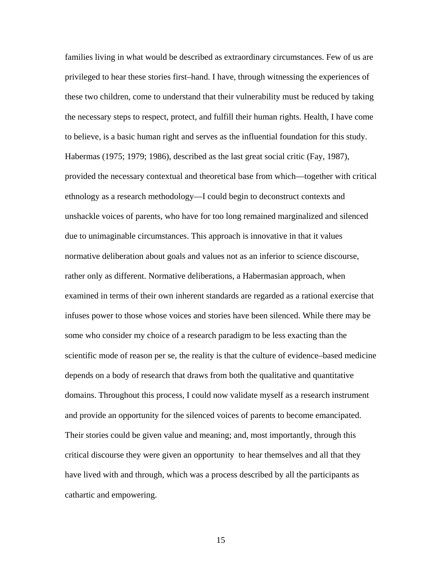families living in what would be described as extraordinary circumstances. Few of us are privileged to hear these stories first–hand. I have, through witnessing the experiences of these two children, come to understand that their vulnerability must be reduced by taking the necessary steps to respect, protect, and fulfill their human rights. Health, I have come to believe, is a basic human right and serves as the influential foundation for this study. Habermas (1975; 1979; 1986), described as the last great social critic (Fay, 1987), provided the necessary contextual and theoretical base from which—together with critical ethnology as a research methodology—I could begin to deconstruct contexts and unshackle voices of parents, who have for too long remained marginalized and silenced due to unimaginable circumstances. This approach is innovative in that it values normative deliberation about goals and values not as an inferior to science discourse, rather only as different. Normative deliberations, a Habermasian approach, when examined in terms of their own inherent standards are regarded as a rational exercise that infuses power to those whose voices and stories have been silenced. While there may be some who consider my choice of a research paradigm to be less exacting than the scientific mode of reason per se, the reality is that the culture of evidence–based medicine depends on a body of research that draws from both the qualitative and quantitative domains. Throughout this process, I could now validate myself as a research instrument and provide an opportunity for the silenced voices of parents to become emancipated. Their stories could be given value and meaning; and, most importantly, through this critical discourse they were given an opportunity to hear themselves and all that they have lived with and through, which was a process described by all the participants as cathartic and empowering.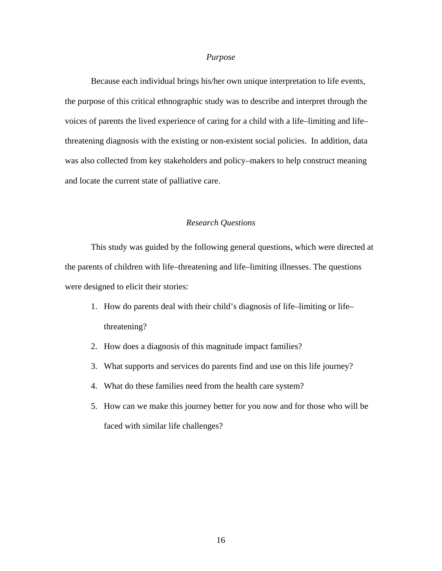# *Purpose*

<span id="page-25-0"></span>Because each individual brings his/her own unique interpretation to life events, the purpose of this critical ethnographic study was to describe and interpret through the voices of parents the lived experience of caring for a child with a life–limiting and life– threatening diagnosis with the existing or non-existent social policies. In addition, data was also collected from key stakeholders and policy–makers to help construct meaning and locate the current state of palliative care.

# *Research Questions*

This study was guided by the following general questions, which were directed at the parents of children with life–threatening and life–limiting illnesses. The questions were designed to elicit their stories:

- 1. How do parents deal with their child's diagnosis of life–limiting or life– threatening?
- 2. How does a diagnosis of this magnitude impact families?
- 3. What supports and services do parents find and use on this life journey?
- 4. What do these families need from the health care system?
- 5. How can we make this journey better for you now and for those who will be faced with similar life challenges?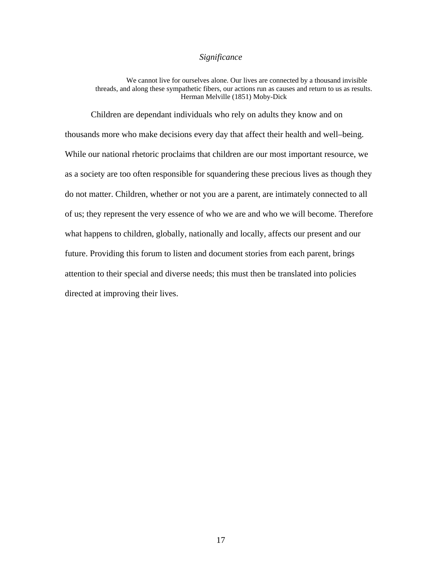# *Significance*

<span id="page-26-0"></span>We cannot live for ourselves alone. Our lives are connected by a thousand invisible threads, and along these sympathetic fibers, our actions run as causes and return to us as results. Herman Melville (1851) Moby-Dick

 Children are dependant individuals who rely on adults they know and on thousands more who make decisions every day that affect their health and well–being. While our national rhetoric proclaims that children are our most important resource, we as a society are too often responsible for squandering these precious lives as though they do not matter. Children, whether or not you are a parent, are intimately connected to all of us; they represent the very essence of who we are and who we will become. Therefore what happens to children, globally, nationally and locally, affects our present and our future. Providing this forum to listen and document stories from each parent, brings attention to their special and diverse needs; this must then be translated into policies directed at improving their lives.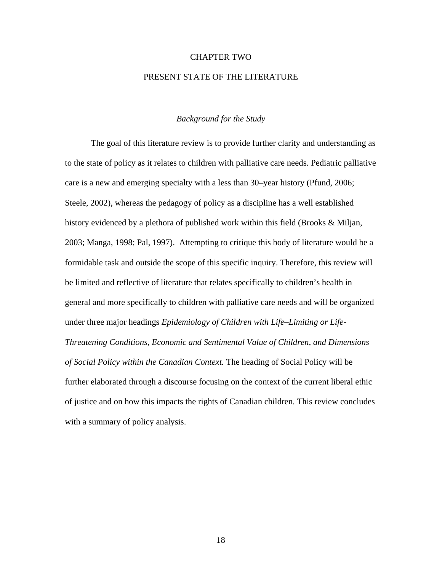#### CHAPTER TWO

# PRESENT STATE OF THE LITERATURE

# *Background for the Study*

<span id="page-27-0"></span> The goal of this literature review is to provide further clarity and understanding as to the state of policy as it relates to children with palliative care needs. Pediatric palliative care is a new and emerging specialty with a less than 30–year history (Pfund, 2006; Steele, 2002), whereas the pedagogy of policy as a discipline has a well established history evidenced by a plethora of published work within this field (Brooks & Miljan, 2003; Manga, 1998; Pal, 1997). Attempting to critique this body of literature would be a formidable task and outside the scope of this specific inquiry. Therefore, this review will be limited and reflective of literature that relates specifically to children's health in general and more specifically to children with palliative care needs and will be organized under three major headings *Epidemiology of Children with Life–Limiting or Life-Threatening Conditions, Economic and Sentimental Value of Children, and Dimensions of Social Policy within the Canadian Context.* The heading of Social Policy will be further elaborated through a discourse focusing on the context of the current liberal ethic of justice and on how this impacts the rights of Canadian children. This review concludes with a summary of policy analysis.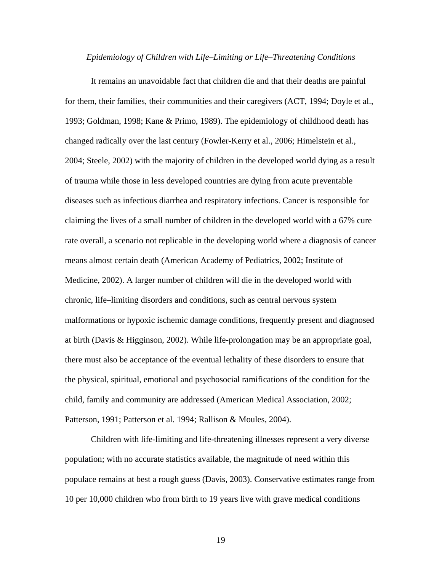#### *Epidemiology of Children with Life–Limiting or Life–Threatening Conditions*

<span id="page-28-0"></span>It remains an unavoidable fact that children die and that their deaths are painful for them, their families, their communities and their caregivers (ACT, 1994; Doyle et al., 1993; Goldman, 1998; Kane & Primo, 1989). The epidemiology of childhood death has changed radically over the last century (Fowler-Kerry et al., 2006; Himelstein et al., 2004; Steele, 2002) with the majority of children in the developed world dying as a result of trauma while those in less developed countries are dying from acute preventable diseases such as infectious diarrhea and respiratory infections. Cancer is responsible for claiming the lives of a small number of children in the developed world with a 67% cure rate overall, a scenario not replicable in the developing world where a diagnosis of cancer means almost certain death (American Academy of Pediatrics, 2002; Institute of Medicine, 2002). A larger number of children will die in the developed world with chronic, life–limiting disorders and conditions, such as central nervous system malformations or hypoxic ischemic damage conditions, frequently present and diagnosed at birth (Davis & Higginson, 2002). While life-prolongation may be an appropriate goal, there must also be acceptance of the eventual lethality of these disorders to ensure that the physical, spiritual, emotional and psychosocial ramifications of the condition for the child, family and community are addressed (American Medical Association, 2002; Patterson, 1991; Patterson et al. 1994; Rallison & Moules, 2004).

 Children with life-limiting and life-threatening illnesses represent a very diverse population; with no accurate statistics available, the magnitude of need within this populace remains at best a rough guess (Davis, 2003). Conservative estimates range from 10 per 10,000 children who from birth to 19 years live with grave medical conditions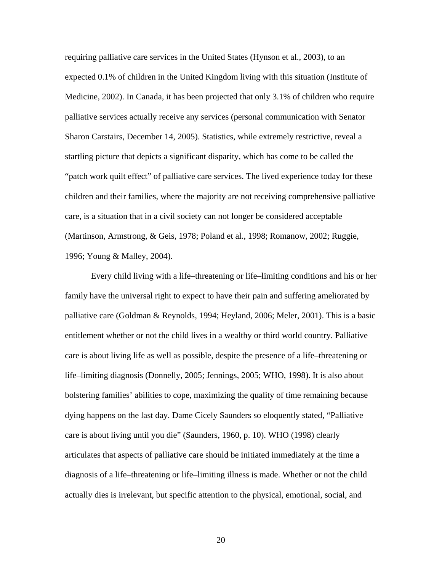requiring palliative care services in the United States (Hynson et al., 2003), to an expected 0.1% of children in the United Kingdom living with this situation (Institute of Medicine, 2002). In Canada, it has been projected that only 3.1% of children who require palliative services actually receive any services (personal communication with Senator Sharon Carstairs, December 14, 2005). Statistics, while extremely restrictive, reveal a startling picture that depicts a significant disparity, which has come to be called the "patch work quilt effect" of palliative care services. The lived experience today for these children and their families, where the majority are not receiving comprehensive palliative care, is a situation that in a civil society can not longer be considered acceptable (Martinson, Armstrong, & Geis, 1978; Poland et al., 1998; Romanow, 2002; Ruggie, 1996; Young & Malley, 2004).

 Every child living with a life–threatening or life–limiting conditions and his or her family have the universal right to expect to have their pain and suffering ameliorated by palliative care (Goldman & Reynolds, 1994; Heyland, 2006; Meler, 2001). This is a basic entitlement whether or not the child lives in a wealthy or third world country. Palliative care is about living life as well as possible, despite the presence of a life–threatening or life–limiting diagnosis (Donnelly, 2005; Jennings, 2005; WHO, 1998). It is also about bolstering families' abilities to cope, maximizing the quality of time remaining because dying happens on the last day. Dame Cicely Saunders so eloquently stated, "Palliative care is about living until you die" (Saunders, 1960, p. 10). WHO (1998) clearly articulates that aspects of palliative care should be initiated immediately at the time a diagnosis of a life–threatening or life–limiting illness is made. Whether or not the child actually dies is irrelevant, but specific attention to the physical, emotional, social, and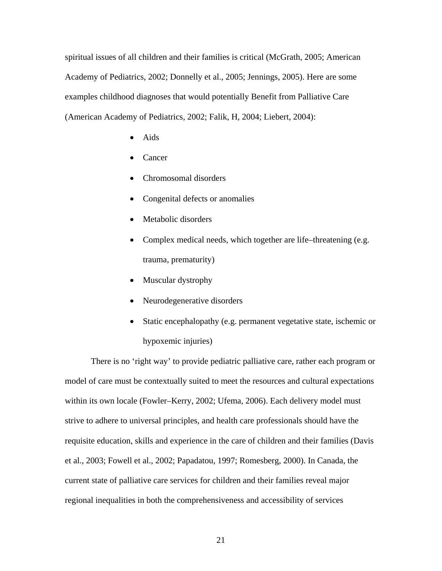spiritual issues of all children and their families is critical (McGrath, 2005; American Academy of Pediatrics, 2002; Donnelly et al., 2005; Jennings, 2005). Here are some examples childhood diagnoses that would potentially Benefit from Palliative Care (American Academy of Pediatrics, 2002; Falik, H, 2004; Liebert, 2004):

- Aids
- Cancer
- Chromosomal disorders
- Congenital defects or anomalies
- Metabolic disorders
- Complex medical needs, which together are life–threatening (e.g. trauma, prematurity)
- Muscular dystrophy
- Neurodegenerative disorders
- Static encephalopathy (e.g. permanent vegetative state, ischemic or hypoxemic injuries)

 There is no 'right way' to provide pediatric palliative care, rather each program or model of care must be contextually suited to meet the resources and cultural expectations within its own locale (Fowler–Kerry, 2002; Ufema, 2006). Each delivery model must strive to adhere to universal principles, and health care professionals should have the requisite education, skills and experience in the care of children and their families (Davis et al., 2003; Fowell et al., 2002; Papadatou, 1997; Romesberg, 2000). In Canada, the current state of palliative care services for children and their families reveal major regional inequalities in both the comprehensiveness and accessibility of services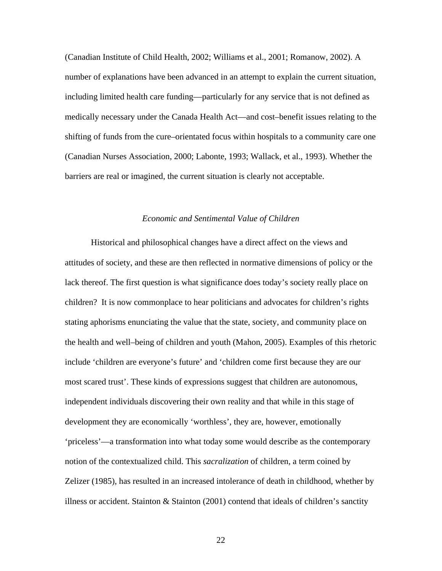<span id="page-31-0"></span>(Canadian Institute of Child Health, 2002; Williams et al., 2001; Romanow, 2002). A number of explanations have been advanced in an attempt to explain the current situation, including limited health care funding—particularly for any service that is not defined as medically necessary under the Canada Health Act—and cost–benefit issues relating to the shifting of funds from the cure–orientated focus within hospitals to a community care one (Canadian Nurses Association, 2000; Labonte, 1993; Wallack, et al., 1993). Whether the barriers are real or imagined, the current situation is clearly not acceptable.

# *Economic and Sentimental Value of Children*

Historical and philosophical changes have a direct affect on the views and attitudes of society, and these are then reflected in normative dimensions of policy or the lack thereof. The first question is what significance does today's society really place on children? It is now commonplace to hear politicians and advocates for children's rights stating aphorisms enunciating the value that the state, society, and community place on the health and well–being of children and youth (Mahon, 2005). Examples of this rhetoric include 'children are everyone's future' and 'children come first because they are our most scared trust'. These kinds of expressions suggest that children are autonomous, independent individuals discovering their own reality and that while in this stage of development they are economically 'worthless', they are, however, emotionally 'priceless'—a transformation into what today some would describe as the contemporary notion of the contextualized child. This *sacralization* of children, a term coined by Zelizer (1985), has resulted in an increased intolerance of death in childhood, whether by illness or accident. Stainton & Stainton (2001) contend that ideals of children's sanctity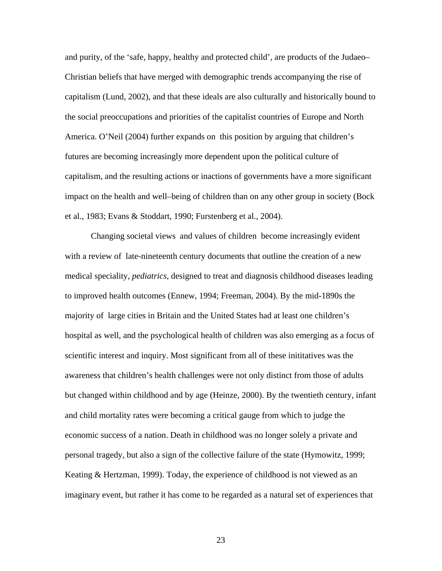and purity, of the 'safe, happy, healthy and protected child', are products of the Judaeo– Christian beliefs that have merged with demographic trends accompanying the rise of capitalism (Lund, 2002), and that these ideals are also culturally and historically bound to the social preoccupations and priorities of the capitalist countries of Europe and North America. O'Neil (2004) further expands on this position by arguing that children's futures are becoming increasingly more dependent upon the political culture of capitalism, and the resulting actions or inactions of governments have a more significant impact on the health and well–being of children than on any other group in society (Bock et al., 1983; Evans & Stoddart, 1990; Furstenberg et al., 2004).

 Changing societal views and values of children become increasingly evident with a review of late-nineteenth century documents that outline the creation of a new medical speciality, *pediatrics*, designed to treat and diagnosis childhood diseases leading to improved health outcomes (Ennew, 1994; Freeman, 2004). By the mid-1890s the majority of large cities in Britain and the United States had at least one children's hospital as well, and the psychological health of children was also emerging as a focus of scientific interest and inquiry. Most significant from all of these inititatives was the awareness that children's health challenges were not only distinct from those of adults but changed within childhood and by age (Heinze, 2000). By the twentieth century, infant and child mortality rates were becoming a critical gauge from which to judge the economic success of a nation. Death in childhood was no longer solely a private and personal tragedy, but also a sign of the collective failure of the state (Hymowitz, 1999; Keating & Hertzman, 1999). Today, the experience of childhood is not viewed as an imaginary event, but rather it has come to be regarded as a natural set of experiences that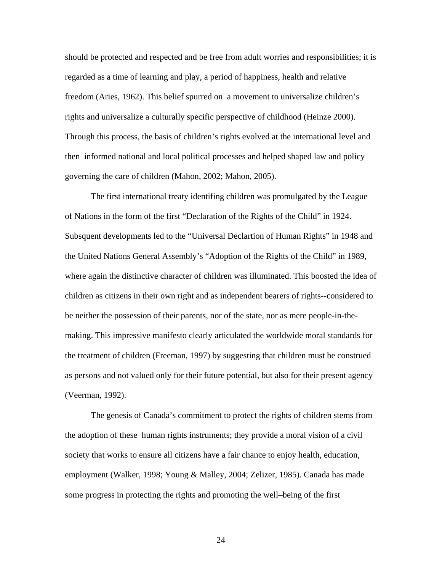should be protected and respected and be free from adult worries and responsibilities; it is regarded as a time of learning and play, a period of happiness, health and relative freedom (Aries, 1962). This belief spurred on a movement to universalize children's rights and universalize a culturally specific perspective of childhood (Heinze 2000). Through this process, the basis of children's rights evolved at the international level and then informed national and local political processes and helped shaped law and policy governing the care of children (Mahon, 2002; Mahon, 2005).

The first international treaty identifing children was promulgated by the League of Nations in the form of the first "Declaration of the Rights of the Child" in 1924. Subsquent developments led to the "Universal Declartion of Human Rights" in 1948 and the United Nations General Assembly's "Adoption of the Rights of the Child" in 1989, where again the distinctive character of children was illuminated. This boosted the idea of children as citizens in their own right and as independent bearers of rights--considered to be neither the possession of their parents, nor of the state, nor as mere people-in-themaking. This impressive manifesto clearly articulated the worldwide moral standards for the treatment of children (Freeman, 1997) by suggesting that children must be construed as persons and not valued only for their future potential, but also for their present agency (Veerman, 1992).

 The genesis of Canada's commitment to protect the rights of children stems from the adoption of these human rights instruments; they provide a moral vision of a civil society that works to ensure all citizens have a fair chance to enjoy health, education, employment (Walker, 1998; Young & Malley, 2004; Zelizer, 1985). Canada has made some progress in protecting the rights and promoting the well–being of the first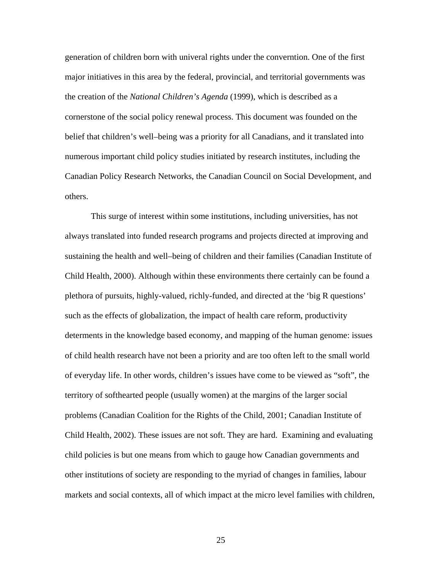generation of children born with univeral rights under the converntion. One of the first major initiatives in this area by the federal, provincial, and territorial governments was the creation of the *National Children's Agenda* (1999), which is described as a cornerstone of the social policy renewal process. This document was founded on the belief that children's well–being was a priority for all Canadians, and it translated into numerous important child policy studies initiated by research institutes, including the Canadian Policy Research Networks, the Canadian Council on Social Development, and others.

 This surge of interest within some institutions, including universities, has not always translated into funded research programs and projects directed at improving and sustaining the health and well–being of children and their families (Canadian Institute of Child Health, 2000). Although within these environments there certainly can be found a plethora of pursuits, highly-valued, richly-funded, and directed at the 'big R questions' such as the effects of globalization, the impact of health care reform, productivity determents in the knowledge based economy, and mapping of the human genome: issues of child health research have not been a priority and are too often left to the small world of everyday life. In other words, children's issues have come to be viewed as "soft", the territory of softhearted people (usually women) at the margins of the larger social problems (Canadian Coalition for the Rights of the Child, 2001; Canadian Institute of Child Health, 2002). These issues are not soft. They are hard. Examining and evaluating child policies is but one means from which to gauge how Canadian governments and other institutions of society are responding to the myriad of changes in families, labour markets and social contexts, all of which impact at the micro level families with children,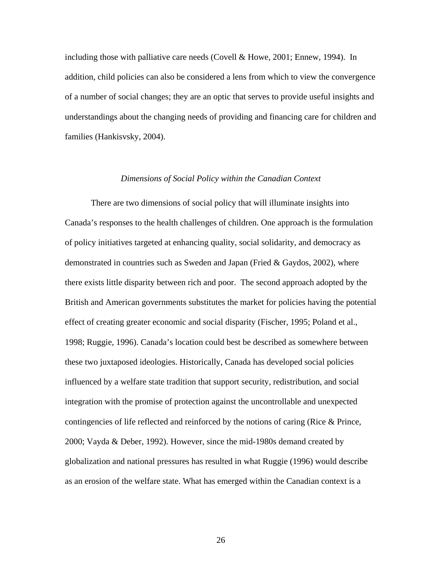<span id="page-35-0"></span>including those with palliative care needs (Covell & Howe, 2001; Ennew, 1994). In addition, child policies can also be considered a lens from which to view the convergence of a number of social changes; they are an optic that serves to provide useful insights and understandings about the changing needs of providing and financing care for children and families (Hankisvsky, 2004).

# *Dimensions of Social Policy within the Canadian Context*

There are two dimensions of social policy that will illuminate insights into Canada's responses to the health challenges of children. One approach is the formulation of policy initiatives targeted at enhancing quality, social solidarity, and democracy as demonstrated in countries such as Sweden and Japan (Fried & Gaydos, 2002), where there exists little disparity between rich and poor. The second approach adopted by the British and American governments substitutes the market for policies having the potential effect of creating greater economic and social disparity (Fischer, 1995; Poland et al., 1998; Ruggie, 1996). Canada's location could best be described as somewhere between these two juxtaposed ideologies. Historically, Canada has developed social policies influenced by a welfare state tradition that support security, redistribution, and social integration with the promise of protection against the uncontrollable and unexpected contingencies of life reflected and reinforced by the notions of caring (Rice & Prince, 2000; Vayda & Deber, 1992). However, since the mid-1980s demand created by globalization and national pressures has resulted in what Ruggie (1996) would describe as an erosion of the welfare state. What has emerged within the Canadian context is a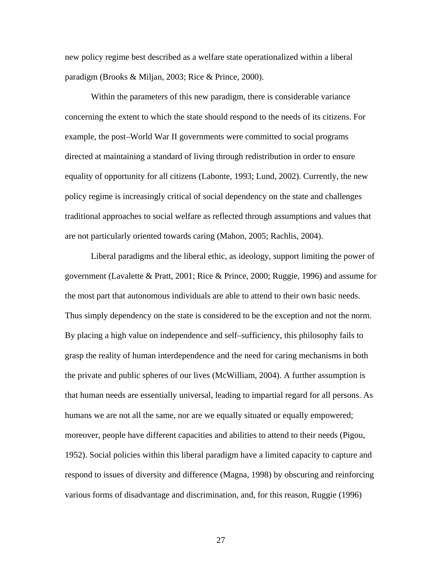new policy regime best described as a welfare state operationalized within a liberal paradigm (Brooks & Miljan, 2003; Rice & Prince, 2000).

 Within the parameters of this new paradigm, there is considerable variance concerning the extent to which the state should respond to the needs of its citizens. For example, the post–World War II governments were committed to social programs directed at maintaining a standard of living through redistribution in order to ensure equality of opportunity for all citizens (Labonte, 1993; Lund, 2002). Currently, the new policy regime is increasingly critical of social dependency on the state and challenges traditional approaches to social welfare as reflected through assumptions and values that are not particularly oriented towards caring (Mahon, 2005; Rachlis, 2004).

Liberal paradigms and the liberal ethic, as ideology, support limiting the power of government (Lavalette & Pratt, 2001; Rice & Prince, 2000; Ruggie, 1996) and assume for the most part that autonomous individuals are able to attend to their own basic needs. Thus simply dependency on the state is considered to be the exception and not the norm. By placing a high value on independence and self–sufficiency, this philosophy fails to grasp the reality of human interdependence and the need for caring mechanisms in both the private and public spheres of our lives (McWilliam, 2004). A further assumption is that human needs are essentially universal, leading to impartial regard for all persons. As humans we are not all the same, nor are we equally situated or equally empowered; moreover, people have different capacities and abilities to attend to their needs (Pigou, 1952). Social policies within this liberal paradigm have a limited capacity to capture and respond to issues of diversity and difference (Magna, 1998) by obscuring and reinforcing various forms of disadvantage and discrimination, and, for this reason, Ruggie (1996)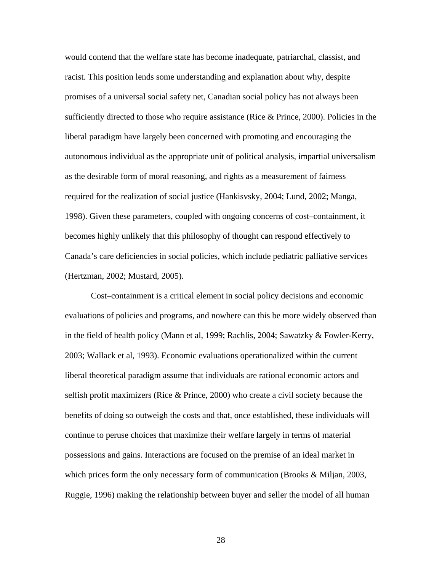would contend that the welfare state has become inadequate, patriarchal, classist, and racist. This position lends some understanding and explanation about why, despite promises of a universal social safety net, Canadian social policy has not always been sufficiently directed to those who require assistance (Rice & Prince, 2000). Policies in the liberal paradigm have largely been concerned with promoting and encouraging the autonomous individual as the appropriate unit of political analysis, impartial universalism as the desirable form of moral reasoning, and rights as a measurement of fairness required for the realization of social justice (Hankisvsky, 2004; Lund, 2002; Manga, 1998). Given these parameters, coupled with ongoing concerns of cost–containment, it becomes highly unlikely that this philosophy of thought can respond effectively to Canada's care deficiencies in social policies, which include pediatric palliative services (Hertzman, 2002; Mustard, 2005).

Cost–containment is a critical element in social policy decisions and economic evaluations of policies and programs, and nowhere can this be more widely observed than in the field of health policy (Mann et al, 1999; Rachlis, 2004; Sawatzky & Fowler-Kerry, 2003; Wallack et al, 1993). Economic evaluations operationalized within the current liberal theoretical paradigm assume that individuals are rational economic actors and selfish profit maximizers (Rice & Prince, 2000) who create a civil society because the benefits of doing so outweigh the costs and that, once established, these individuals will continue to peruse choices that maximize their welfare largely in terms of material possessions and gains. Interactions are focused on the premise of an ideal market in which prices form the only necessary form of communication (Brooks & Miljan, 2003, Ruggie, 1996) making the relationship between buyer and seller the model of all human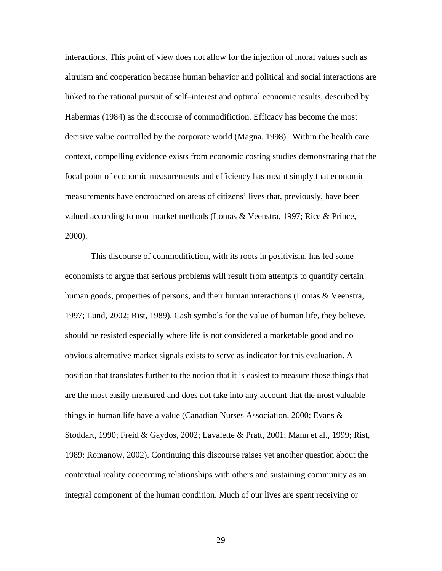interactions. This point of view does not allow for the injection of moral values such as altruism and cooperation because human behavior and political and social interactions are linked to the rational pursuit of self–interest and optimal economic results, described by Habermas (1984) as the discourse of commodifiction. Efficacy has become the most decisive value controlled by the corporate world (Magna, 1998). Within the health care context, compelling evidence exists from economic costing studies demonstrating that the focal point of economic measurements and efficiency has meant simply that economic measurements have encroached on areas of citizens' lives that, previously, have been valued according to non–market methods (Lomas & Veenstra, 1997; Rice & Prince, 2000).

This discourse of commodifiction, with its roots in positivism, has led some economists to argue that serious problems will result from attempts to quantify certain human goods, properties of persons, and their human interactions (Lomas & Veenstra, 1997; Lund, 2002; Rist, 1989). Cash symbols for the value of human life, they believe, should be resisted especially where life is not considered a marketable good and no obvious alternative market signals exists to serve as indicator for this evaluation. A position that translates further to the notion that it is easiest to measure those things that are the most easily measured and does not take into any account that the most valuable things in human life have a value (Canadian Nurses Association, 2000; Evans & Stoddart, 1990; Freid & Gaydos, 2002; Lavalette & Pratt, 2001; Mann et al., 1999; Rist, 1989; Romanow, 2002). Continuing this discourse raises yet another question about the contextual reality concerning relationships with others and sustaining community as an integral component of the human condition. Much of our lives are spent receiving or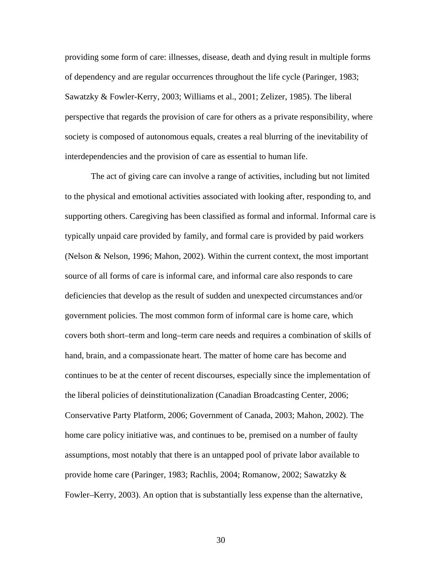providing some form of care: illnesses, disease, death and dying result in multiple forms of dependency and are regular occurrences throughout the life cycle (Paringer, 1983; Sawatzky & Fowler-Kerry, 2003; Williams et al., 2001; Zelizer, 1985). The liberal perspective that regards the provision of care for others as a private responsibility, where society is composed of autonomous equals, creates a real blurring of the inevitability of interdependencies and the provision of care as essential to human life.

The act of giving care can involve a range of activities, including but not limited to the physical and emotional activities associated with looking after, responding to, and supporting others. Caregiving has been classified as formal and informal. Informal care is typically unpaid care provided by family, and formal care is provided by paid workers (Nelson & Nelson, 1996; Mahon, 2002). Within the current context, the most important source of all forms of care is informal care, and informal care also responds to care deficiencies that develop as the result of sudden and unexpected circumstances and/or government policies. The most common form of informal care is home care, which covers both short–term and long–term care needs and requires a combination of skills of hand, brain, and a compassionate heart. The matter of home care has become and continues to be at the center of recent discourses, especially since the implementation of the liberal policies of deinstitutionalization (Canadian Broadcasting Center, 2006; Conservative Party Platform, 2006; Government of Canada, 2003; Mahon, 2002). The home care policy initiative was, and continues to be, premised on a number of faulty assumptions, most notably that there is an untapped pool of private labor available to provide home care (Paringer, 1983; Rachlis, 2004; Romanow, 2002; Sawatzky & Fowler–Kerry, 2003). An option that is substantially less expense than the alternative,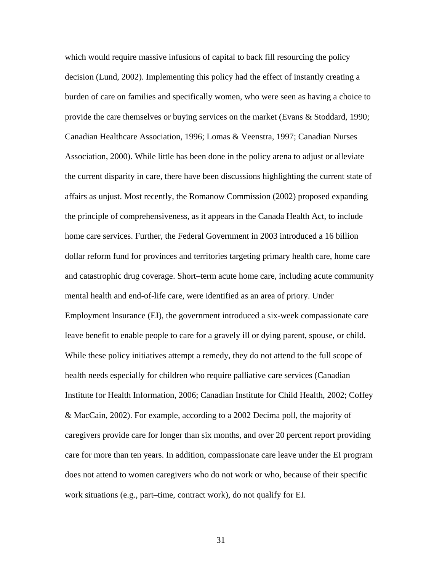which would require massive infusions of capital to back fill resourcing the policy decision (Lund, 2002). Implementing this policy had the effect of instantly creating a burden of care on families and specifically women, who were seen as having a choice to provide the care themselves or buying services on the market (Evans & Stoddard, 1990; Canadian Healthcare Association, 1996; Lomas & Veenstra, 1997; Canadian Nurses Association, 2000). While little has been done in the policy arena to adjust or alleviate the current disparity in care, there have been discussions highlighting the current state of affairs as unjust. Most recently, the Romanow Commission (2002) proposed expanding the principle of comprehensiveness, as it appears in the Canada Health Act, to include home care services. Further, the Federal Government in 2003 introduced a 16 billion dollar reform fund for provinces and territories targeting primary health care, home care and catastrophic drug coverage. Short–term acute home care, including acute community mental health and end-of-life care, were identified as an area of priory. Under Employment Insurance (EI), the government introduced a six-week compassionate care leave benefit to enable people to care for a gravely ill or dying parent, spouse, or child. While these policy initiatives attempt a remedy, they do not attend to the full scope of health needs especially for children who require palliative care services (Canadian Institute for Health Information, 2006; Canadian Institute for Child Health, 2002; Coffey & MacCain, 2002). For example, according to a 2002 Decima poll, the majority of caregivers provide care for longer than six months, and over 20 percent report providing care for more than ten years. In addition, compassionate care leave under the EI program does not attend to women caregivers who do not work or who, because of their specific work situations (e.g., part–time, contract work), do not qualify for EI.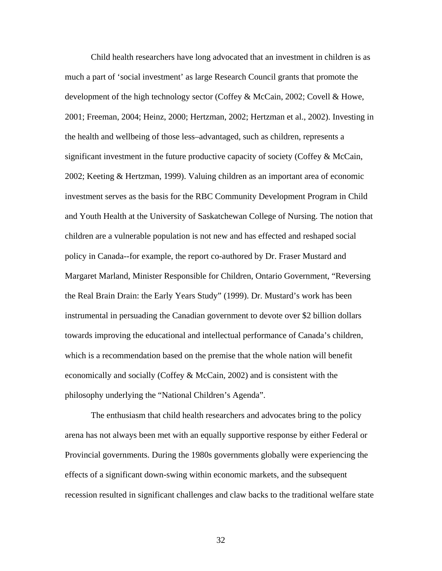Child health researchers have long advocated that an investment in children is as much a part of 'social investment' as large Research Council grants that promote the development of the high technology sector (Coffey & McCain, 2002; Covell & Howe, 2001; Freeman, 2004; Heinz, 2000; Hertzman, 2002; Hertzman et al., 2002). Investing in the health and wellbeing of those less–advantaged, such as children, represents a significant investment in the future productive capacity of society (Coffey  $\&$  McCain, 2002; Keeting & Hertzman, 1999). Valuing children as an important area of economic investment serves as the basis for the RBC Community Development Program in Child and Youth Health at the University of Saskatchewan College of Nursing. The notion that children are a vulnerable population is not new and has effected and reshaped social policy in Canada--for example, the report co-authored by Dr. Fraser Mustard and Margaret Marland, Minister Responsible for Children, Ontario Government, "Reversing the Real Brain Drain: the Early Years Study" (1999). Dr. Mustard's work has been instrumental in persuading the Canadian government to devote over \$2 billion dollars towards improving the educational and intellectual performance of Canada's children, which is a recommendation based on the premise that the whole nation will benefit economically and socially (Coffey  $\&$  McCain, 2002) and is consistent with the philosophy underlying the "National Children's Agenda".

 The enthusiasm that child health researchers and advocates bring to the policy arena has not always been met with an equally supportive response by either Federal or Provincial governments. During the 1980s governments globally were experiencing the effects of a significant down-swing within economic markets, and the subsequent recession resulted in significant challenges and claw backs to the traditional welfare state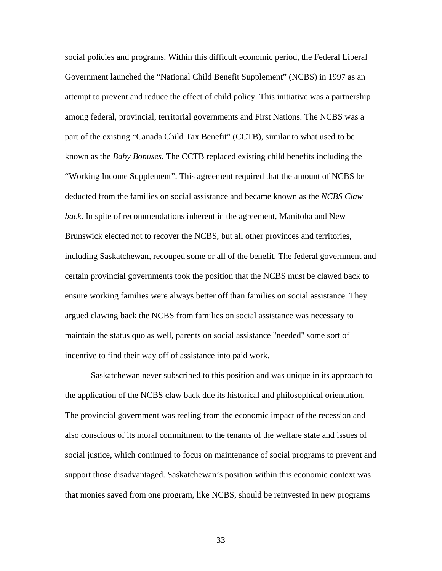social policies and programs. Within this difficult economic period, the Federal Liberal Government launched the "National Child Benefit Supplement" (NCBS) in 1997 as an attempt to prevent and reduce the effect of child policy. This initiative was a partnership among federal, provincial, territorial governments and First Nations. The NCBS was a part of the existing "Canada Child Tax Benefit" (CCTB), similar to what used to be known as the *Baby Bonuses*. The CCTB replaced existing child benefits including the "Working Income Supplement". This agreement required that the amount of NCBS be deducted from the families on social assistance and became known as the *NCBS Claw back*. In spite of recommendations inherent in the agreement, Manitoba and New Brunswick elected not to recover the NCBS, but all other provinces and territories, including Saskatchewan, recouped some or all of the benefit. The federal government and certain provincial governments took the position that the NCBS must be clawed back to ensure working families were always better off than families on social assistance. They argued clawing back the NCBS from families on social assistance was necessary to maintain the status quo as well, parents on social assistance "needed" some sort of incentive to find their way off of assistance into paid work.

 Saskatchewan never subscribed to this position and was unique in its approach to the application of the NCBS claw back due its historical and philosophical orientation. The provincial government was reeling from the economic impact of the recession and also conscious of its moral commitment to the tenants of the welfare state and issues of social justice, which continued to focus on maintenance of social programs to prevent and support those disadvantaged. Saskatchewan's position within this economic context was that monies saved from one program, like NCBS, should be reinvested in new programs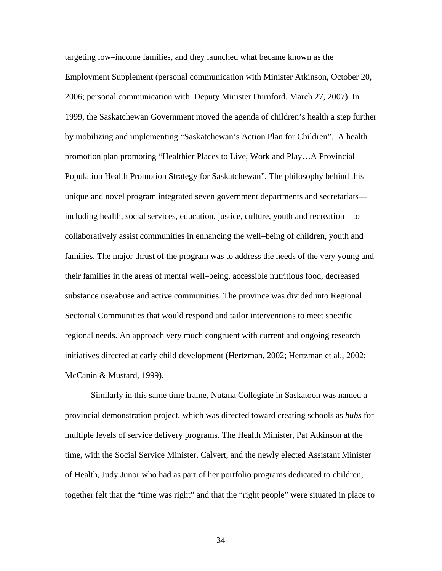targeting low–income families, and they launched what became known as the Employment Supplement (personal communication with Minister Atkinson, October 20, 2006; personal communication with Deputy Minister Durnford, March 27, 2007). In 1999, the Saskatchewan Government moved the agenda of children's health a step further by mobilizing and implementing "Saskatchewan's Action Plan for Children"*.* A health promotion plan promoting "Healthier Places to Live, Work and Play…A Provincial Population Health Promotion Strategy for Saskatchewan"*.* The philosophy behind this unique and novel program integrated seven government departments and secretariats including health, social services, education, justice, culture, youth and recreation—to collaboratively assist communities in enhancing the well–being of children, youth and families. The major thrust of the program was to address the needs of the very young and their families in the areas of mental well–being, accessible nutritious food, decreased substance use/abuse and active communities. The province was divided into Regional Sectorial Communities that would respond and tailor interventions to meet specific regional needs. An approach very much congruent with current and ongoing research initiatives directed at early child development (Hertzman, 2002; Hertzman et al., 2002; McCanin & Mustard, 1999).

 Similarly in this same time frame, Nutana Collegiate in Saskatoon was named a provincial demonstration project, which was directed toward creating schools as *hubs* for multiple levels of service delivery programs. The Health Minister, Pat Atkinson at the time, with the Social Service Minister, Calvert, and the newly elected Assistant Minister of Health, Judy Junor who had as part of her portfolio programs dedicated to children, together felt that the "time was right" and that the "right people" were situated in place to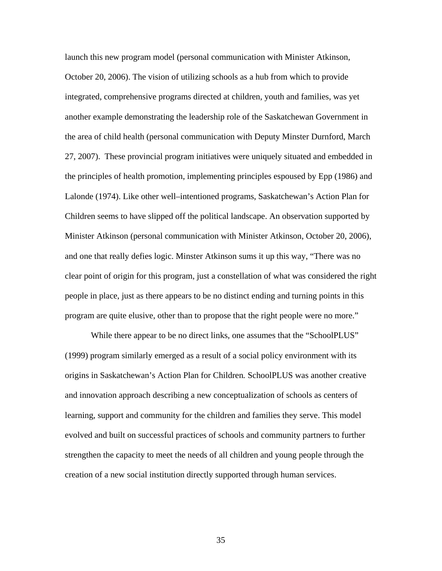launch this new program model (personal communication with Minister Atkinson, October 20, 2006). The vision of utilizing schools as a hub from which to provide integrated, comprehensive programs directed at children, youth and families, was yet another example demonstrating the leadership role of the Saskatchewan Government in the area of child health (personal communication with Deputy Minster Durnford, March 27, 2007). These provincial program initiatives were uniquely situated and embedded in the principles of health promotion, implementing principles espoused by Epp (1986) and Lalonde (1974). Like other well–intentioned programs, Saskatchewan's Action Plan for Children seems to have slipped off the political landscape. An observation supported by Minister Atkinson (personal communication with Minister Atkinson, October 20, 2006), and one that really defies logic. Minster Atkinson sums it up this way, "There was no clear point of origin for this program, just a constellation of what was considered the right people in place, just as there appears to be no distinct ending and turning points in this program are quite elusive, other than to propose that the right people were no more."

 While there appear to be no direct links, one assumes that the "SchoolPLUS" (1999) program similarly emerged as a result of a social policy environment with its origins in Saskatchewan's Action Plan for Children*.* SchoolPLUS was another creative and innovation approach describing a new conceptualization of schools as centers of learning, support and community for the children and families they serve. This model evolved and built on successful practices of schools and community partners to further strengthen the capacity to meet the needs of all children and young people through the creation of a new social institution directly supported through human services.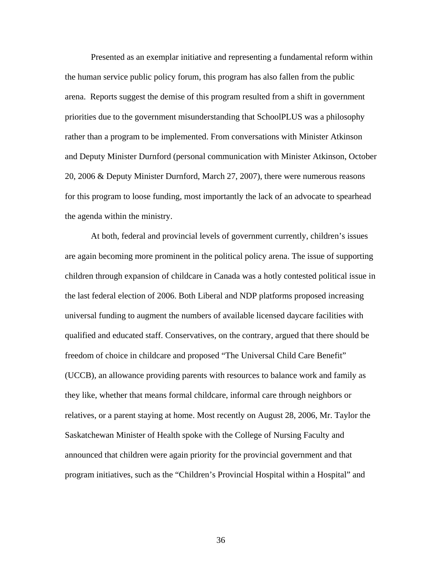Presented as an exemplar initiative and representing a fundamental reform within the human service public policy forum, this program has also fallen from the public arena. Reports suggest the demise of this program resulted from a shift in government priorities due to the government misunderstanding that SchoolPLUS was a philosophy rather than a program to be implemented. From conversations with Minister Atkinson and Deputy Minister Durnford (personal communication with Minister Atkinson, October 20, 2006 & Deputy Minister Durnford, March 27, 2007), there were numerous reasons for this program to loose funding, most importantly the lack of an advocate to spearhead the agenda within the ministry.

 At both, federal and provincial levels of government currently, children's issues are again becoming more prominent in the political policy arena. The issue of supporting children through expansion of childcare in Canada was a hotly contested political issue in the last federal election of 2006. Both Liberal and NDP platforms proposed increasing universal funding to augment the numbers of available licensed daycare facilities with qualified and educated staff. Conservatives, on the contrary, argued that there should be freedom of choice in childcare and proposed "The Universal Child Care Benefit" (UCCB)*,* an allowance providing parents with resources to balance work and family as they like, whether that means formal childcare, informal care through neighbors or relatives, or a parent staying at home. Most recently on August 28, 2006, Mr. Taylor the Saskatchewan Minister of Health spoke with the College of Nursing Faculty and announced that children were again priority for the provincial government and that program initiatives, such as the "Children's Provincial Hospital within a Hospital" and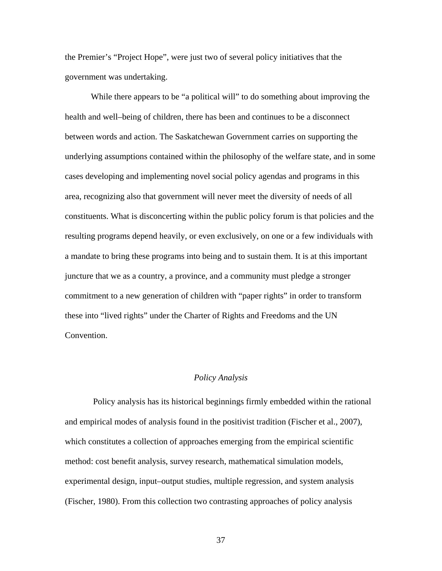the Premier's "Project Hope", were just two of several policy initiatives that the government was undertaking.

While there appears to be "a political will" to do something about improving the health and well–being of children, there has been and continues to be a disconnect between words and action. The Saskatchewan Government carries on supporting the underlying assumptions contained within the philosophy of the welfare state, and in some cases developing and implementing novel social policy agendas and programs in this area, recognizing also that government will never meet the diversity of needs of all constituents. What is disconcerting within the public policy forum is that policies and the resulting programs depend heavily, or even exclusively, on one or a few individuals with a mandate to bring these programs into being and to sustain them. It is at this important juncture that we as a country, a province, and a community must pledge a stronger commitment to a new generation of children with "paper rights" in order to transform these into "lived rights" under the Charter of Rights and Freedoms and the UN Convention.

# *Policy Analysis*

Policy analysis has its historical beginnings firmly embedded within the rational and empirical modes of analysis found in the positivist tradition (Fischer et al., 2007), which constitutes a collection of approaches emerging from the empirical scientific method: cost benefit analysis, survey research, mathematical simulation models, experimental design, input–output studies, multiple regression, and system analysis (Fischer, 1980). From this collection two contrasting approaches of policy analysis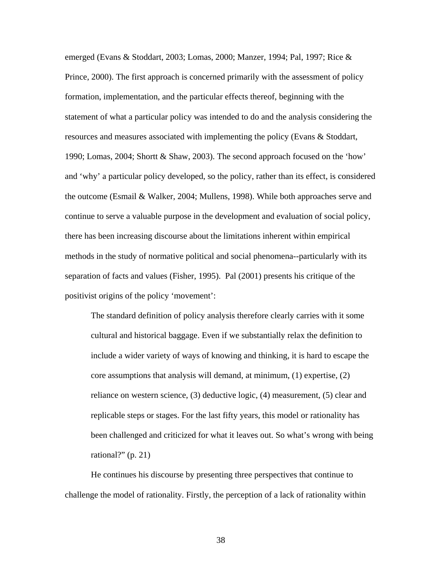emerged (Evans & Stoddart, 2003; Lomas, 2000; Manzer, 1994; Pal, 1997; Rice & Prince, 2000). The first approach is concerned primarily with the assessment of policy formation, implementation, and the particular effects thereof, beginning with the statement of what a particular policy was intended to do and the analysis considering the resources and measures associated with implementing the policy (Evans & Stoddart, 1990; Lomas, 2004; Shortt & Shaw, 2003). The second approach focused on the 'how' and 'why' a particular policy developed, so the policy, rather than its effect, is considered the outcome (Esmail & Walker, 2004; Mullens, 1998). While both approaches serve and continue to serve a valuable purpose in the development and evaluation of social policy, there has been increasing discourse about the limitations inherent within empirical methods in the study of normative political and social phenomena--particularly with its separation of facts and values (Fisher, 1995). Pal (2001) presents his critique of the positivist origins of the policy 'movement':

The standard definition of policy analysis therefore clearly carries with it some cultural and historical baggage. Even if we substantially relax the definition to include a wider variety of ways of knowing and thinking, it is hard to escape the core assumptions that analysis will demand, at minimum, (1) expertise, (2) reliance on western science, (3) deductive logic, (4) measurement, (5) clear and replicable steps or stages. For the last fifty years, this model or rationality has been challenged and criticized for what it leaves out. So what's wrong with being rational?" (p. 21)

 He continues his discourse by presenting three perspectives that continue to challenge the model of rationality. Firstly, the perception of a lack of rationality within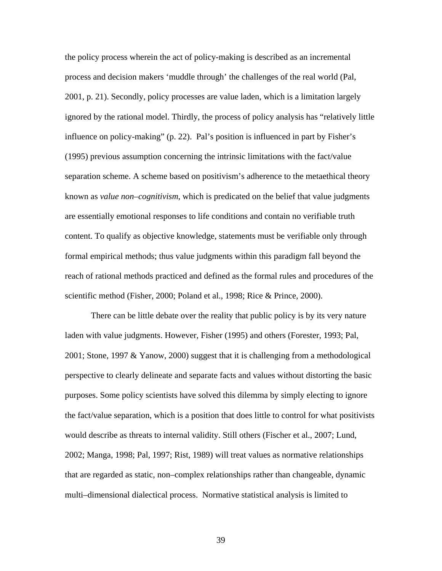the policy process wherein the act of policy-making is described as an incremental process and decision makers 'muddle through' the challenges of the real world (Pal, 2001, p. 21). Secondly, policy processes are value laden, which is a limitation largely ignored by the rational model. Thirdly, the process of policy analysis has "relatively little influence on policy-making" (p. 22). Pal's position is influenced in part by Fisher's (1995) previous assumption concerning the intrinsic limitations with the fact/value separation scheme. A scheme based on positivism's adherence to the metaethical theory known as *value non–cognitivism*, which is predicated on the belief that value judgments are essentially emotional responses to life conditions and contain no verifiable truth content. To qualify as objective knowledge, statements must be verifiable only through formal empirical methods; thus value judgments within this paradigm fall beyond the reach of rational methods practiced and defined as the formal rules and procedures of the scientific method (Fisher, 2000; Poland et al., 1998; Rice & Prince, 2000).

 There can be little debate over the reality that public policy is by its very nature laden with value judgments. However, Fisher (1995) and others (Forester, 1993; Pal, 2001; Stone, 1997 & Yanow, 2000) suggest that it is challenging from a methodological perspective to clearly delineate and separate facts and values without distorting the basic purposes. Some policy scientists have solved this dilemma by simply electing to ignore the fact/value separation, which is a position that does little to control for what positivists would describe as threats to internal validity. Still others (Fischer et al., 2007; Lund, 2002; Manga, 1998; Pal, 1997; Rist, 1989) will treat values as normative relationships that are regarded as static, non–complex relationships rather than changeable, dynamic multi–dimensional dialectical process. Normative statistical analysis is limited to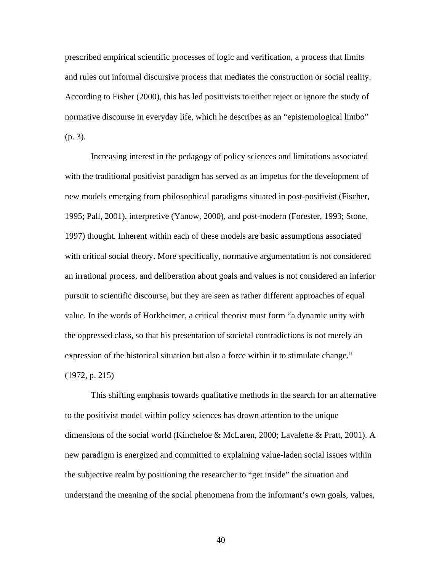prescribed empirical scientific processes of logic and verification, a process that limits and rules out informal discursive process that mediates the construction or social reality. According to Fisher (2000), this has led positivists to either reject or ignore the study of normative discourse in everyday life, which he describes as an "epistemological limbo" (p. 3).

 Increasing interest in the pedagogy of policy sciences and limitations associated with the traditional positivist paradigm has served as an impetus for the development of new models emerging from philosophical paradigms situated in post-positivist (Fischer, 1995; Pall, 2001), interpretive (Yanow, 2000), and post-modern (Forester, 1993; Stone, 1997) thought. Inherent within each of these models are basic assumptions associated with critical social theory. More specifically, normative argumentation is not considered an irrational process, and deliberation about goals and values is not considered an inferior pursuit to scientific discourse, but they are seen as rather different approaches of equal value. In the words of Horkheimer, a critical theorist must form "a dynamic unity with the oppressed class, so that his presentation of societal contradictions is not merely an expression of the historical situation but also a force within it to stimulate change." (1972, p. 215)

 This shifting emphasis towards qualitative methods in the search for an alternative to the positivist model within policy sciences has drawn attention to the unique dimensions of the social world (Kincheloe & McLaren, 2000; Lavalette & Pratt, 2001). A new paradigm is energized and committed to explaining value-laden social issues within the subjective realm by positioning the researcher to "get inside" the situation and understand the meaning of the social phenomena from the informant's own goals, values,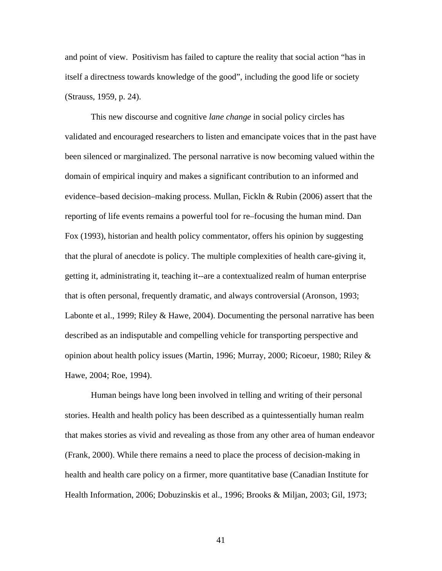and point of view. Positivism has failed to capture the reality that social action "has in itself a directness towards knowledge of the good", including the good life or society (Strauss, 1959, p. 24).

This new discourse and cognitive *lane change* in social policy circles has validated and encouraged researchers to listen and emancipate voices that in the past have been silenced or marginalized. The personal narrative is now becoming valued within the domain of empirical inquiry and makes a significant contribution to an informed and evidence–based decision–making process. Mullan, Fickln & Rubin (2006) assert that the reporting of life events remains a powerful tool for re–focusing the human mind. Dan Fox (1993), historian and health policy commentator, offers his opinion by suggesting that the plural of anecdote is policy. The multiple complexities of health care-giving it, getting it, administrating it, teaching it--are a contextualized realm of human enterprise that is often personal, frequently dramatic, and always controversial (Aronson, 1993; Labonte et al., 1999; Riley & Hawe, 2004). Documenting the personal narrative has been described as an indisputable and compelling vehicle for transporting perspective and opinion about health policy issues (Martin, 1996; Murray, 2000; Ricoeur, 1980; Riley & Hawe, 2004; Roe, 1994).

 Human beings have long been involved in telling and writing of their personal stories. Health and health policy has been described as a quintessentially human realm that makes stories as vivid and revealing as those from any other area of human endeavor (Frank, 2000). While there remains a need to place the process of decision-making in health and health care policy on a firmer, more quantitative base (Canadian Institute for Health Information, 2006; Dobuzinskis et al., 1996; Brooks & Miljan, 2003; Gil, 1973;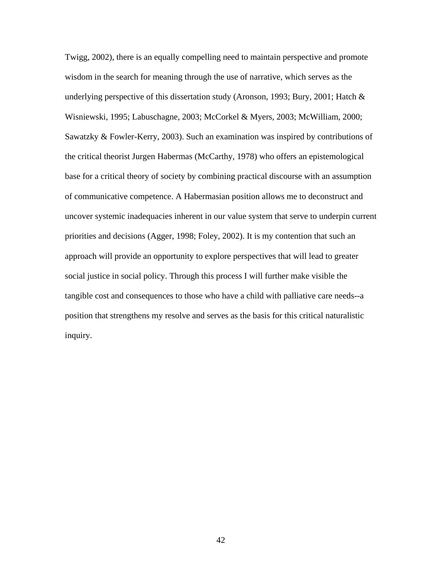Twigg, 2002), there is an equally compelling need to maintain perspective and promote wisdom in the search for meaning through the use of narrative, which serves as the underlying perspective of this dissertation study (Aronson, 1993; Bury, 2001; Hatch & Wisniewski, 1995; Labuschagne, 2003; McCorkel & Myers, 2003; McWilliam, 2000; Sawatzky & Fowler-Kerry, 2003). Such an examination was inspired by contributions of the critical theorist Jurgen Habermas (McCarthy, 1978) who offers an epistemological base for a critical theory of society by combining practical discourse with an assumption of communicative competence. A Habermasian position allows me to deconstruct and uncover systemic inadequacies inherent in our value system that serve to underpin current priorities and decisions (Agger, 1998; Foley, 2002). It is my contention that such an approach will provide an opportunity to explore perspectives that will lead to greater social justice in social policy. Through this process I will further make visible the tangible cost and consequences to those who have a child with palliative care needs--a position that strengthens my resolve and serves as the basis for this critical naturalistic inquiry.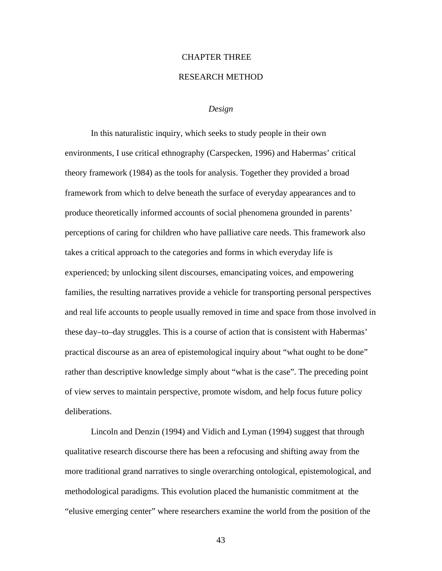# CHAPTER THREE

## RESEARCH METHOD

## *Design*

In this naturalistic inquiry, which seeks to study people in their own environments, I use critical ethnography (Carspecken, 1996) and Habermas' critical theory framework (1984) as the tools for analysis. Together they provided a broad framework from which to delve beneath the surface of everyday appearances and to produce theoretically informed accounts of social phenomena grounded in parents' perceptions of caring for children who have palliative care needs. This framework also takes a critical approach to the categories and forms in which everyday life is experienced; by unlocking silent discourses, emancipating voices, and empowering families, the resulting narratives provide a vehicle for transporting personal perspectives and real life accounts to people usually removed in time and space from those involved in these day–to–day struggles. This is a course of action that is consistent with Habermas' practical discourse as an area of epistemological inquiry about "what ought to be done" rather than descriptive knowledge simply about "what is the case". The preceding point of view serves to maintain perspective, promote wisdom, and help focus future policy deliberations.

Lincoln and Denzin (1994) and Vidich and Lyman (1994) suggest that through qualitative research discourse there has been a refocusing and shifting away from the more traditional grand narratives to single overarching ontological, epistemological, and methodological paradigms. This evolution placed the humanistic commitment at the "elusive emerging center" where researchers examine the world from the position of the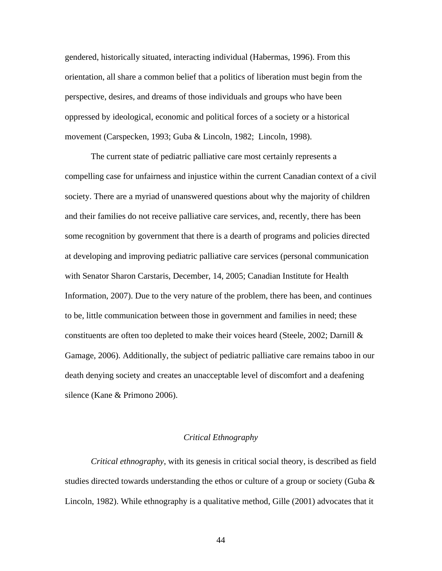gendered, historically situated, interacting individual (Habermas, 1996). From this orientation, all share a common belief that a politics of liberation must begin from the perspective, desires, and dreams of those individuals and groups who have been oppressed by ideological, economic and political forces of a society or a historical movement (Carspecken, 1993; Guba & Lincoln, 1982; Lincoln, 1998).

The current state of pediatric palliative care most certainly represents a compelling case for unfairness and injustice within the current Canadian context of a civil society. There are a myriad of unanswered questions about why the majority of children and their families do not receive palliative care services, and, recently, there has been some recognition by government that there is a dearth of programs and policies directed at developing and improving pediatric palliative care services (personal communication with Senator Sharon Carstaris, December, 14, 2005; Canadian Institute for Health Information, 2007). Due to the very nature of the problem, there has been, and continues to be, little communication between those in government and families in need; these constituents are often too depleted to make their voices heard (Steele, 2002; Darnill & Gamage, 2006). Additionally, the subject of pediatric palliative care remains taboo in our death denying society and creates an unacceptable level of discomfort and a deafening silence (Kane & Primono 2006).

# *Critical Ethnography*

*Critical ethnography*, with its genesis in critical social theory, is described as field studies directed towards understanding the ethos or culture of a group or society (Guba  $\&$ Lincoln, 1982). While ethnography is a qualitative method, Gille (2001) advocates that it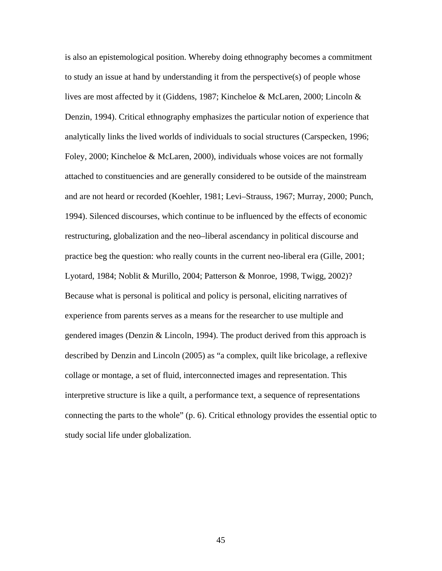is also an epistemological position. Whereby doing ethnography becomes a commitment to study an issue at hand by understanding it from the perspective(s) of people whose lives are most affected by it (Giddens, 1987; Kincheloe & McLaren, 2000; Lincoln & Denzin, 1994). Critical ethnography emphasizes the particular notion of experience that analytically links the lived worlds of individuals to social structures (Carspecken, 1996; Foley, 2000; Kincheloe & McLaren, 2000), individuals whose voices are not formally attached to constituencies and are generally considered to be outside of the mainstream and are not heard or recorded (Koehler, 1981; Levi–Strauss, 1967; Murray, 2000; Punch, 1994). Silenced discourses, which continue to be influenced by the effects of economic restructuring, globalization and the neo–liberal ascendancy in political discourse and practice beg the question: who really counts in the current neo-liberal era (Gille, 2001; Lyotard, 1984; Noblit & Murillo, 2004; Patterson & Monroe, 1998, Twigg, 2002)? Because what is personal is political and policy is personal, eliciting narratives of experience from parents serves as a means for the researcher to use multiple and gendered images (Denzin & Lincoln, 1994). The product derived from this approach is described by Denzin and Lincoln (2005) as "a complex, quilt like bricolage, a reflexive collage or montage, a set of fluid, interconnected images and representation. This interpretive structure is like a quilt, a performance text, a sequence of representations connecting the parts to the whole" (p. 6). Critical ethnology provides the essential optic to study social life under globalization.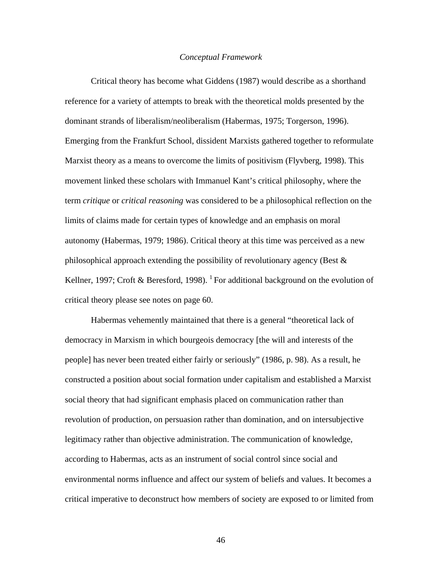#### *Conceptual Framework*

 Critical theory has become what Giddens (1987) would describe as a shorthand reference for a variety of attempts to break with the theoretical molds presented by the dominant strands of liberalism/neoliberalism (Habermas, 1975; Torgerson, 1996). Emerging from the Frankfurt School, dissident Marxists gathered together to reformulate Marxist theory as a means to overcome the limits of positivism (Flyvberg, 1998). This movement linked these scholars with Immanuel Kant's critical philosophy, where the term *critique* or *critical reasoning* was considered to be a philosophical reflection on the limits of claims made for certain types of knowledge and an emphasis on moral autonomy (Habermas, 1979; 1986). Critical theory at this time was perceived as a new philosophical approach extending the possibility of revolutionary agency (Best & Kellner, 1997; Croft & Beresford, 1998). <sup>1</sup> For additional background on the evolution of critical theory please see notes on page 60.

 Habermas vehemently maintained that there is a general "theoretical lack of democracy in Marxism in which bourgeois democracy [the will and interests of the people] has never been treated either fairly or seriously" (1986, p. 98). As a result, he constructed a position about social formation under capitalism and established a Marxist social theory that had significant emphasis placed on communication rather than revolution of production, on persuasion rather than domination, and on intersubjective legitimacy rather than objective administration. The communication of knowledge, according to Habermas, acts as an instrument of social control since social and environmental norms influence and affect our system of beliefs and values. It becomes a critical imperative to deconstruct how members of society are exposed to or limited from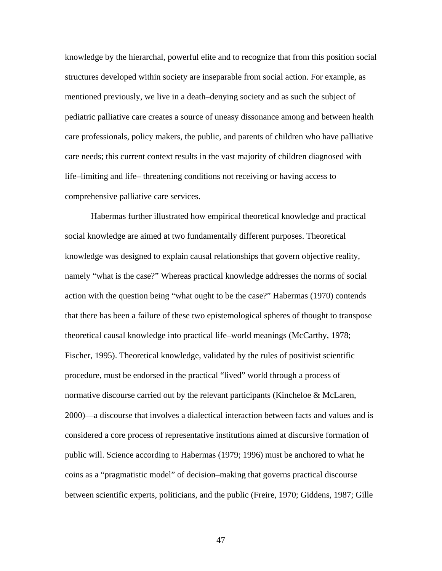knowledge by the hierarchal, powerful elite and to recognize that from this position social structures developed within society are inseparable from social action. For example, as mentioned previously, we live in a death–denying society and as such the subject of pediatric palliative care creates a source of uneasy dissonance among and between health care professionals, policy makers, the public, and parents of children who have palliative care needs; this current context results in the vast majority of children diagnosed with life–limiting and life– threatening conditions not receiving or having access to comprehensive palliative care services.

 Habermas further illustrated how empirical theoretical knowledge and practical social knowledge are aimed at two fundamentally different purposes. Theoretical knowledge was designed to explain causal relationships that govern objective reality, namely "what is the case?" Whereas practical knowledge addresses the norms of social action with the question being "what ought to be the case?" Habermas (1970) contends that there has been a failure of these two epistemological spheres of thought to transpose theoretical causal knowledge into practical life–world meanings (McCarthy, 1978; Fischer, 1995). Theoretical knowledge, validated by the rules of positivist scientific procedure, must be endorsed in the practical "lived" world through a process of normative discourse carried out by the relevant participants (Kincheloe & McLaren, 2000)—a discourse that involves a dialectical interaction between facts and values and is considered a core process of representative institutions aimed at discursive formation of public will. Science according to Habermas (1979; 1996) must be anchored to what he coins as a "pragmatistic model" of decision–making that governs practical discourse between scientific experts, politicians, and the public (Freire, 1970; Giddens, 1987; Gille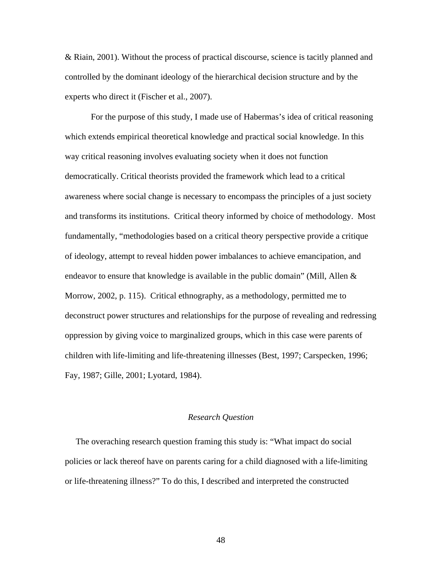& Riain, 2001). Without the process of practical discourse, science is tacitly planned and controlled by the dominant ideology of the hierarchical decision structure and by the experts who direct it (Fischer et al., 2007).

 For the purpose of this study, I made use of Habermas's idea of critical reasoning which extends empirical theoretical knowledge and practical social knowledge. In this way critical reasoning involves evaluating society when it does not function democratically. Critical theorists provided the framework which lead to a critical awareness where social change is necessary to encompass the principles of a just society and transforms its institutions. Critical theory informed by choice of methodology. Most fundamentally, "methodologies based on a critical theory perspective provide a critique of ideology, attempt to reveal hidden power imbalances to achieve emancipation, and endeavor to ensure that knowledge is available in the public domain" (Mill, Allen  $\&$ Morrow, 2002, p. 115). Critical ethnography, as a methodology, permitted me to deconstruct power structures and relationships for the purpose of revealing and redressing oppression by giving voice to marginalized groups, which in this case were parents of children with life-limiting and life-threatening illnesses (Best, 1997; Carspecken, 1996; Fay, 1987; Gille, 2001; Lyotard, 1984).

# *Research Question*

 The overaching research question framing this study is: "What impact do social policies or lack thereof have on parents caring for a child diagnosed with a life-limiting or life-threatening illness?" To do this, I described and interpreted the constructed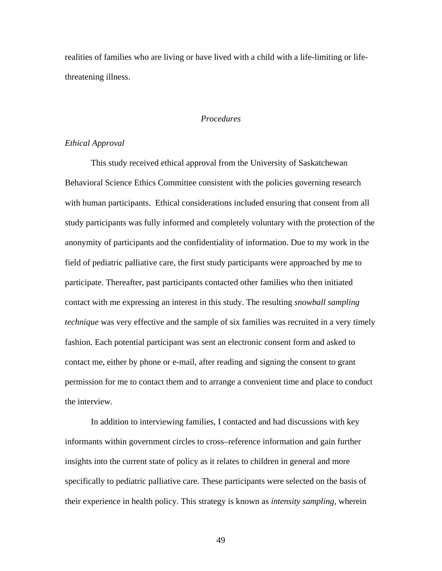realities of families who are living or have lived with a child with a life-limiting or lifethreatening illness.

# *Procedures*

# *Ethical Approval*

 This study received ethical approval from the University of Saskatchewan Behavioral Science Ethics Committee consistent with the policies governing research with human participants. Ethical considerations included ensuring that consent from all study participants was fully informed and completely voluntary with the protection of the anonymity of participants and the confidentiality of information. Due to my work in the field of pediatric palliative care, the first study participants were approached by me to participate. Thereafter, past participants contacted other families who then initiated contact with me expressing an interest in this study. The resulting *snowball sampling technique* was very effective and the sample of six families was recruited in a very timely fashion. Each potential participant was sent an electronic consent form and asked to contact me, either by phone or e-mail, after reading and signing the consent to grant permission for me to contact them and to arrange a convenient time and place to conduct the interview.

 In addition to interviewing families, I contacted and had discussions with key informants within government circles to cross–reference information and gain further insights into the current state of policy as it relates to children in general and more specifically to pediatric palliative care. These participants were selected on the basis of their experience in health policy. This strategy is known as *intensity sampling*, wherein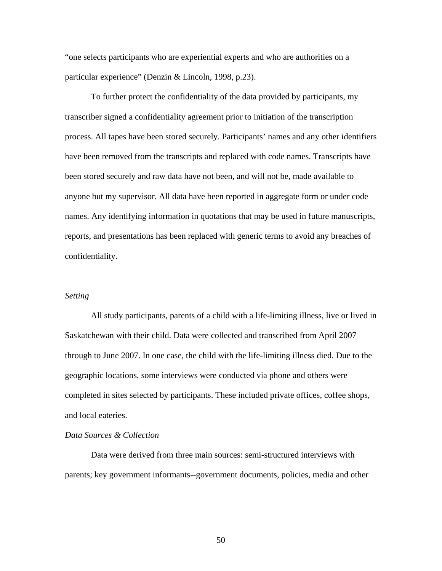"one selects participants who are experiential experts and who are authorities on a particular experience" (Denzin & Lincoln, 1998, p.23).

To further protect the confidentiality of the data provided by participants, my transcriber signed a confidentiality agreement prior to initiation of the transcription process. All tapes have been stored securely. Participants' names and any other identifiers have been removed from the transcripts and replaced with code names. Transcripts have been stored securely and raw data have not been, and will not be, made available to anyone but my supervisor. All data have been reported in aggregate form or under code names. Any identifying information in quotations that may be used in future manuscripts, reports, and presentations has been replaced with generic terms to avoid any breaches of confidentiality.

## *Setting*

All study participants, parents of a child with a life-limiting illness, live or lived in Saskatchewan with their child. Data were collected and transcribed from April 2007 through to June 2007. In one case, the child with the life-limiting illness died. Due to the geographic locations, some interviews were conducted via phone and others were completed in sites selected by participants. These included private offices, coffee shops, and local eateries.

## *Data Sources & Collection*

Data were derived from three main sources: semi-structured interviews with parents; key government informants--government documents, policies, media and other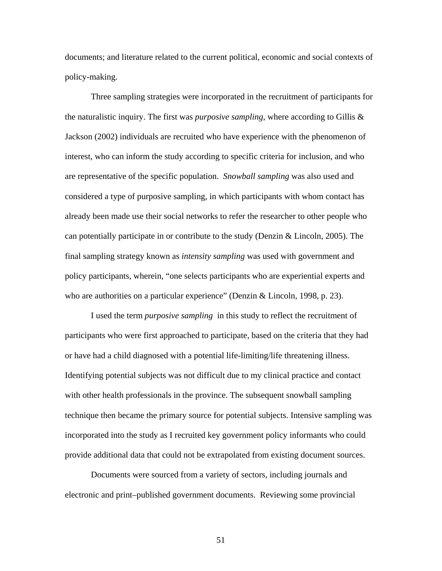documents; and literature related to the current political, economic and social contexts of policy-making.

Three sampling strategies were incorporated in the recruitment of participants for the naturalistic inquiry. The first was *purposive sampling*, where according to Gillis & Jackson (2002) individuals are recruited who have experience with the phenomenon of interest, who can inform the study according to specific criteria for inclusion, and who are representative of the specific population. *Snowball sampling* was also used and considered a type of purposive sampling, in which participants with whom contact has already been made use their social networks to refer the researcher to other people who can potentially participate in or contribute to the study (Denzin  $& Lincoln, 2005$ ). The final sampling strategy known as *intensity sampling* was used with government and policy participants, wherein, "one selects participants who are experiential experts and who are authorities on a particular experience" (Denzin & Lincoln, 1998, p. 23).

I used the term *purposive sampling* in this study to reflect the recruitment of participants who were first approached to participate, based on the criteria that they had or have had a child diagnosed with a potential life-limiting/life threatening illness. Identifying potential subjects was not difficult due to my clinical practice and contact with other health professionals in the province. The subsequent snowball sampling technique then became the primary source for potential subjects. Intensive sampling was incorporated into the study as I recruited key government policy informants who could provide additional data that could not be extrapolated from existing document sources.

Documents were sourced from a variety of sectors, including journals and electronic and print–published government documents. Reviewing some provincial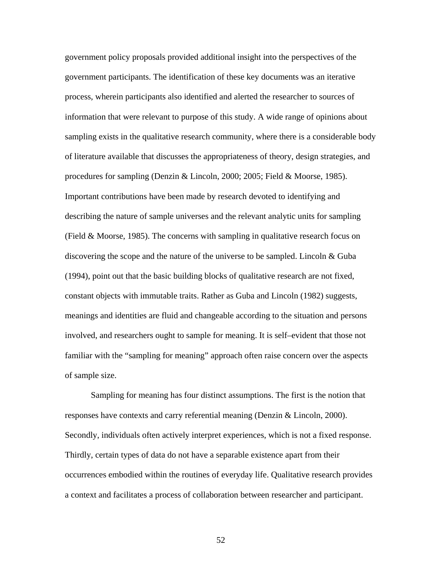government policy proposals provided additional insight into the perspectives of the government participants. The identification of these key documents was an iterative process, wherein participants also identified and alerted the researcher to sources of information that were relevant to purpose of this study. A wide range of opinions about sampling exists in the qualitative research community, where there is a considerable body of literature available that discusses the appropriateness of theory, design strategies, and procedures for sampling (Denzin & Lincoln, 2000; 2005; Field & Moorse, 1985). Important contributions have been made by research devoted to identifying and describing the nature of sample universes and the relevant analytic units for sampling (Field & Moorse, 1985). The concerns with sampling in qualitative research focus on discovering the scope and the nature of the universe to be sampled. Lincoln  $& Guba$ (1994), point out that the basic building blocks of qualitative research are not fixed, constant objects with immutable traits. Rather as Guba and Lincoln (1982) suggests, meanings and identities are fluid and changeable according to the situation and persons involved, and researchers ought to sample for meaning. It is self–evident that those not familiar with the "sampling for meaning" approach often raise concern over the aspects of sample size.

Sampling for meaning has four distinct assumptions. The first is the notion that responses have contexts and carry referential meaning (Denzin & Lincoln, 2000). Secondly, individuals often actively interpret experiences, which is not a fixed response. Thirdly, certain types of data do not have a separable existence apart from their occurrences embodied within the routines of everyday life. Qualitative research provides a context and facilitates a process of collaboration between researcher and participant.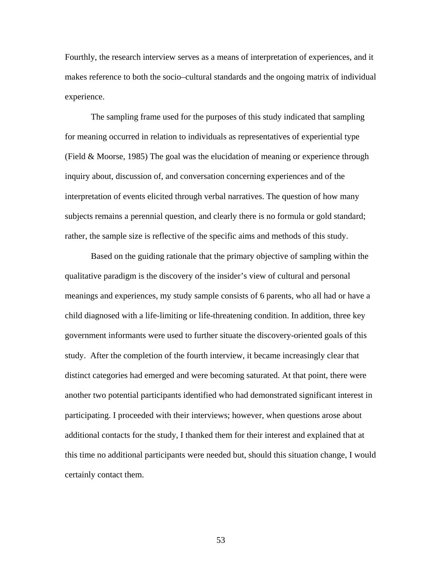Fourthly, the research interview serves as a means of interpretation of experiences, and it makes reference to both the socio–cultural standards and the ongoing matrix of individual experience.

The sampling frame used for the purposes of this study indicated that sampling for meaning occurred in relation to individuals as representatives of experiential type (Field & Moorse, 1985) The goal was the elucidation of meaning or experience through inquiry about, discussion of, and conversation concerning experiences and of the interpretation of events elicited through verbal narratives. The question of how many subjects remains a perennial question, and clearly there is no formula or gold standard; rather, the sample size is reflective of the specific aims and methods of this study.

Based on the guiding rationale that the primary objective of sampling within the qualitative paradigm is the discovery of the insider's view of cultural and personal meanings and experiences, my study sample consists of 6 parents, who all had or have a child diagnosed with a life-limiting or life-threatening condition. In addition, three key government informants were used to further situate the discovery-oriented goals of this study. After the completion of the fourth interview, it became increasingly clear that distinct categories had emerged and were becoming saturated. At that point, there were another two potential participants identified who had demonstrated significant interest in participating. I proceeded with their interviews; however, when questions arose about additional contacts for the study, I thanked them for their interest and explained that at this time no additional participants were needed but, should this situation change, I would certainly contact them.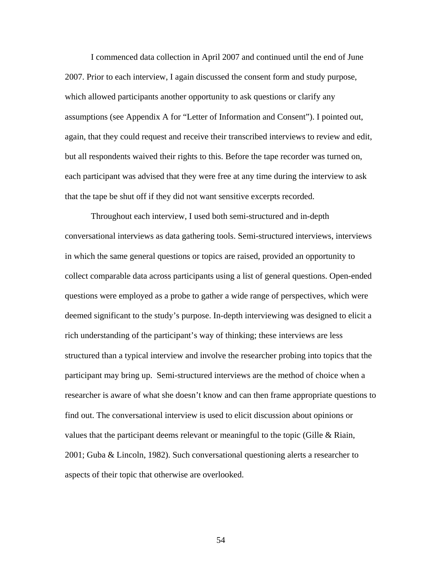I commenced data collection in April 2007 and continued until the end of June 2007. Prior to each interview, I again discussed the consent form and study purpose, which allowed participants another opportunity to ask questions or clarify any assumptions (see Appendix A for "Letter of Information and Consent"). I pointed out, again, that they could request and receive their transcribed interviews to review and edit, but all respondents waived their rights to this. Before the tape recorder was turned on, each participant was advised that they were free at any time during the interview to ask that the tape be shut off if they did not want sensitive excerpts recorded.

Throughout each interview, I used both semi-structured and in-depth conversational interviews as data gathering tools. Semi-structured interviews, interviews in which the same general questions or topics are raised, provided an opportunity to collect comparable data across participants using a list of general questions. Open-ended questions were employed as a probe to gather a wide range of perspectives, which were deemed significant to the study's purpose. In-depth interviewing was designed to elicit a rich understanding of the participant's way of thinking; these interviews are less structured than a typical interview and involve the researcher probing into topics that the participant may bring up. Semi-structured interviews are the method of choice when a researcher is aware of what she doesn't know and can then frame appropriate questions to find out. The conversational interview is used to elicit discussion about opinions or values that the participant deems relevant or meaningful to the topic (Gille & Riain, 2001; Guba & Lincoln, 1982). Such conversational questioning alerts a researcher to aspects of their topic that otherwise are overlooked.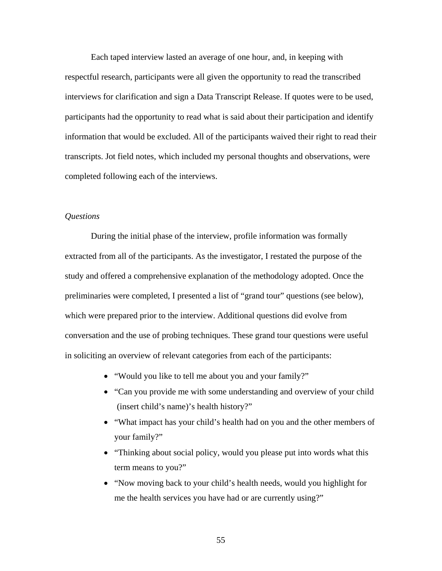Each taped interview lasted an average of one hour, and, in keeping with respectful research, participants were all given the opportunity to read the transcribed interviews for clarification and sign a Data Transcript Release. If quotes were to be used, participants had the opportunity to read what is said about their participation and identify information that would be excluded. All of the participants waived their right to read their transcripts. Jot field notes, which included my personal thoughts and observations, were completed following each of the interviews.

## *Questions*

During the initial phase of the interview, profile information was formally extracted from all of the participants. As the investigator, I restated the purpose of the study and offered a comprehensive explanation of the methodology adopted. Once the preliminaries were completed, I presented a list of "grand tour" questions (see below), which were prepared prior to the interview. Additional questions did evolve from conversation and the use of probing techniques. These grand tour questions were useful in soliciting an overview of relevant categories from each of the participants:

- "Would you like to tell me about you and your family?"
- "Can you provide me with some understanding and overview of your child (insert child's name)'s health history?"
- "What impact has your child's health had on you and the other members of your family?"
- "Thinking about social policy, would you please put into words what this term means to you?"
- "Now moving back to your child's health needs, would you highlight for me the health services you have had or are currently using?"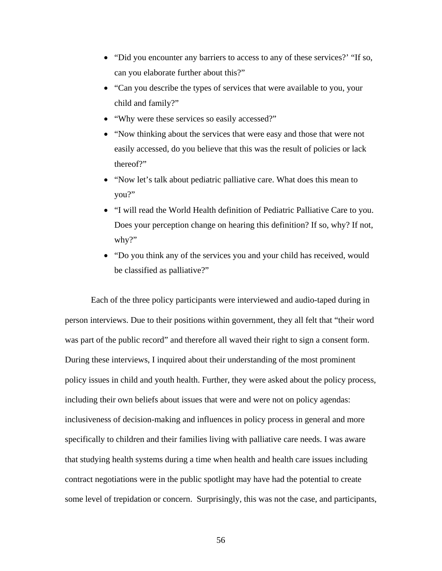- "Did you encounter any barriers to access to any of these services?' "If so, can you elaborate further about this?"
- "Can you describe the types of services that were available to you, your child and family?"
- "Why were these services so easily accessed?"
- "Now thinking about the services that were easy and those that were not easily accessed, do you believe that this was the result of policies or lack thereof?"
- "Now let's talk about pediatric palliative care. What does this mean to you?"
- "I will read the World Health definition of Pediatric Palliative Care to you. Does your perception change on hearing this definition? If so, why? If not, why?"
- "Do you think any of the services you and your child has received, would be classified as palliative?"

Each of the three policy participants were interviewed and audio-taped during in person interviews. Due to their positions within government, they all felt that "their word was part of the public record" and therefore all waved their right to sign a consent form. During these interviews, I inquired about their understanding of the most prominent policy issues in child and youth health. Further, they were asked about the policy process, including their own beliefs about issues that were and were not on policy agendas: inclusiveness of decision-making and influences in policy process in general and more specifically to children and their families living with palliative care needs. I was aware that studying health systems during a time when health and health care issues including contract negotiations were in the public spotlight may have had the potential to create some level of trepidation or concern. Surprisingly, this was not the case, and participants,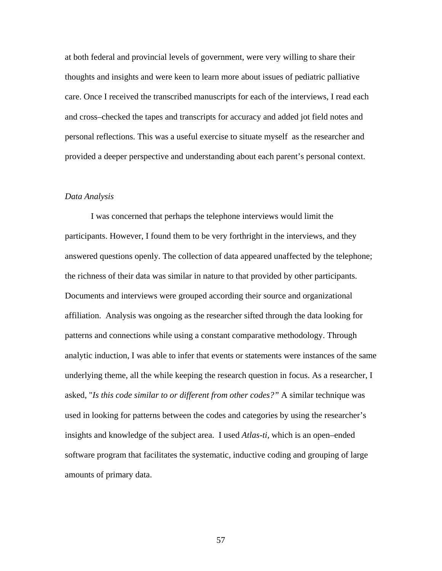at both federal and provincial levels of government, were very willing to share their thoughts and insights and were keen to learn more about issues of pediatric palliative care. Once I received the transcribed manuscripts for each of the interviews, I read each and cross–checked the tapes and transcripts for accuracy and added jot field notes and personal reflections. This was a useful exercise to situate myself as the researcher and provided a deeper perspective and understanding about each parent's personal context.

#### *Data Analysis*

I was concerned that perhaps the telephone interviews would limit the participants. However, I found them to be very forthright in the interviews, and they answered questions openly. The collection of data appeared unaffected by the telephone; the richness of their data was similar in nature to that provided by other participants. Documents and interviews were grouped according their source and organizational affiliation. Analysis was ongoing as the researcher sifted through the data looking for patterns and connections while using a constant comparative methodology. Through analytic induction, I was able to infer that events or statements were instances of the same underlying theme, all the while keeping the research question in focus. As a researcher, I asked, "*Is this code similar to or different from other codes?"* A similar technique was used in looking for patterns between the codes and categories by using the researcher's insights and knowledge of the subject area. I used *Atlas-ti,* which is an open–ended software program that facilitates the systematic, inductive coding and grouping of large amounts of primary data.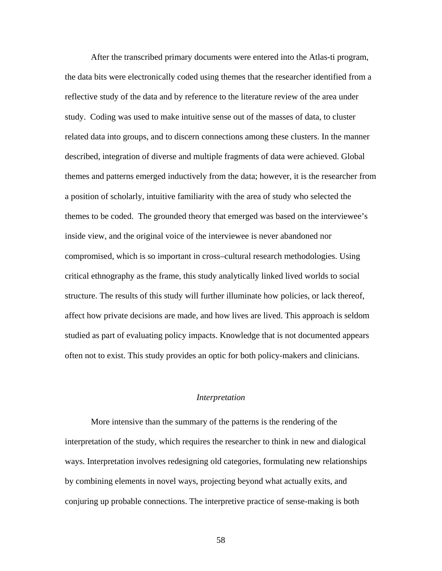After the transcribed primary documents were entered into the Atlas-ti program, the data bits were electronically coded using themes that the researcher identified from a reflective study of the data and by reference to the literature review of the area under study. Coding was used to make intuitive sense out of the masses of data, to cluster related data into groups, and to discern connections among these clusters. In the manner described, integration of diverse and multiple fragments of data were achieved. Global themes and patterns emerged inductively from the data; however, it is the researcher from a position of scholarly, intuitive familiarity with the area of study who selected the themes to be coded. The grounded theory that emerged was based on the interviewee's inside view, and the original voice of the interviewee is never abandoned nor compromised, which is so important in cross–cultural research methodologies. Using critical ethnography as the frame, this study analytically linked lived worlds to social structure. The results of this study will further illuminate how policies, or lack thereof, affect how private decisions are made, and how lives are lived. This approach is seldom studied as part of evaluating policy impacts. Knowledge that is not documented appears often not to exist. This study provides an optic for both policy-makers and clinicians.

## *Interpretation*

 More intensive than the summary of the patterns is the rendering of the interpretation of the study, which requires the researcher to think in new and dialogical ways. Interpretation involves redesigning old categories, formulating new relationships by combining elements in novel ways, projecting beyond what actually exits, and conjuring up probable connections. The interpretive practice of sense-making is both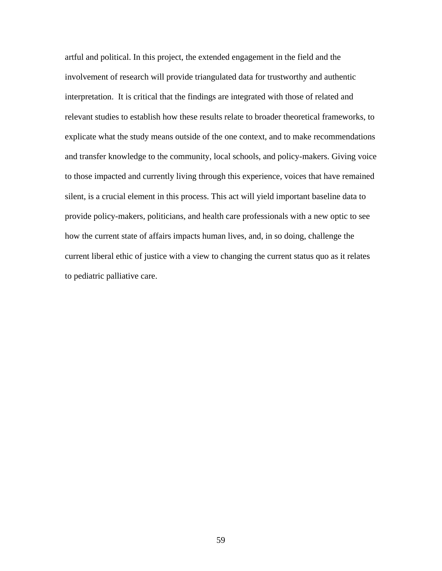artful and political. In this project, the extended engagement in the field and the involvement of research will provide triangulated data for trustworthy and authentic interpretation. It is critical that the findings are integrated with those of related and relevant studies to establish how these results relate to broader theoretical frameworks, to explicate what the study means outside of the one context, and to make recommendations and transfer knowledge to the community, local schools, and policy-makers. Giving voice to those impacted and currently living through this experience, voices that have remained silent, is a crucial element in this process. This act will yield important baseline data to provide policy-makers, politicians, and health care professionals with a new optic to see how the current state of affairs impacts human lives, and, in so doing, challenge the current liberal ethic of justice with a view to changing the current status quo as it relates to pediatric palliative care.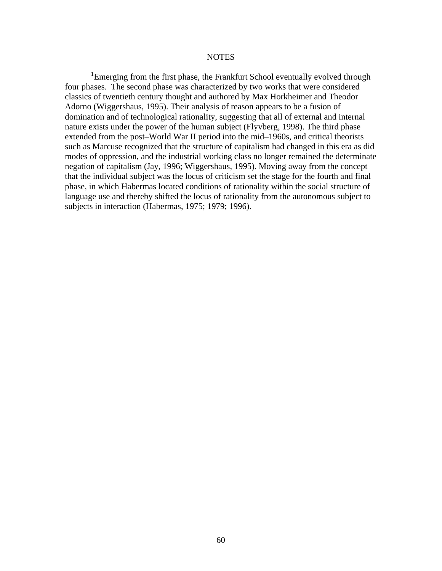### NOTES

<sup>1</sup>Emerging from the first phase, the Frankfurt School eventually evolved through four phases. The second phase was characterized by two works that were considered classics of twentieth century thought and authored by Max Horkheimer and Theodor Adorno (Wiggershaus, 1995). Their analysis of reason appears to be a fusion of domination and of technological rationality, suggesting that all of external and internal nature exists under the power of the human subject (Flyvberg, 1998). The third phase extended from the post–World War II period into the mid–1960s, and critical theorists such as Marcuse recognized that the structure of capitalism had changed in this era as did modes of oppression, and the industrial working class no longer remained the determinate negation of capitalism (Jay, 1996; Wiggershaus, 1995). Moving away from the concept that the individual subject was the locus of criticism set the stage for the fourth and final phase, in which Habermas located conditions of rationality within the social structure of language use and thereby shifted the locus of rationality from the autonomous subject to subjects in interaction (Habermas, 1975; 1979; 1996).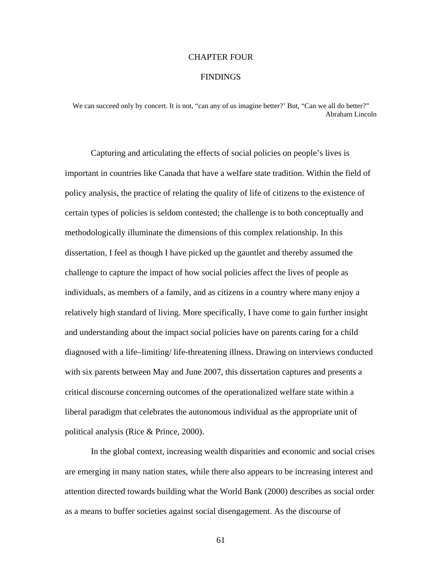### CHAPTER FOUR

### **FINDINGS**

We can succeed only by concert. It is not, "can any of us imagine better?" But, "Can we all do better?" Abraham Lincoln

 Capturing and articulating the effects of social policies on people's lives is important in countries like Canada that have a welfare state tradition. Within the field of policy analysis, the practice of relating the quality of life of citizens to the existence of certain types of policies is seldom contested; the challenge is to both conceptually and methodologically illuminate the dimensions of this complex relationship. In this dissertation, I feel as though I have picked up the gauntlet and thereby assumed the challenge to capture the impact of how social policies affect the lives of people as individuals, as members of a family, and as citizens in a country where many enjoy a relatively high standard of living. More specifically, I have come to gain further insight and understanding about the impact social policies have on parents caring for a child diagnosed with a life–limiting/ life-threatening illness. Drawing on interviews conducted with six parents between May and June 2007, this dissertation captures and presents a critical discourse concerning outcomes of the operationalized welfare state within a liberal paradigm that celebrates the autonomous individual as the appropriate unit of political analysis (Rice & Prince, 2000).

 In the global context, increasing wealth disparities and economic and social crises are emerging in many nation states, while there also appears to be increasing interest and attention directed towards building what the World Bank (2000) describes as social order as a means to buffer societies against social disengagement. As the discourse of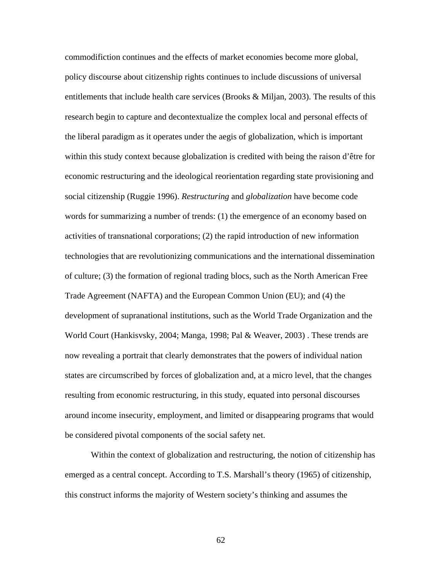commodifiction continues and the effects of market economies become more global, policy discourse about citizenship rights continues to include discussions of universal entitlements that include health care services (Brooks  $\&$  Miljan, 2003). The results of this research begin to capture and decontextualize the complex local and personal effects of the liberal paradigm as it operates under the aegis of globalization, which is important within this study context because globalization is credited with being the raison d'être for economic restructuring and the ideological reorientation regarding state provisioning and social citizenship (Ruggie 1996). *Restructuring* and *globalization* have become code words for summarizing a number of trends: (1) the emergence of an economy based on activities of transnational corporations; (2) the rapid introduction of new information technologies that are revolutionizing communications and the international dissemination of culture; (3) the formation of regional trading blocs, such as the North American Free Trade Agreement (NAFTA) and the European Common Union (EU); and (4) the development of supranational institutions, such as the World Trade Organization and the World Court (Hankisvsky, 2004; Manga, 1998; Pal & Weaver, 2003) . These trends are now revealing a portrait that clearly demonstrates that the powers of individual nation states are circumscribed by forces of globalization and, at a micro level, that the changes resulting from economic restructuring, in this study, equated into personal discourses around income insecurity, employment, and limited or disappearing programs that would be considered pivotal components of the social safety net.

 Within the context of globalization and restructuring, the notion of citizenship has emerged as a central concept. According to T.S. Marshall's theory (1965) of citizenship, this construct informs the majority of Western society's thinking and assumes the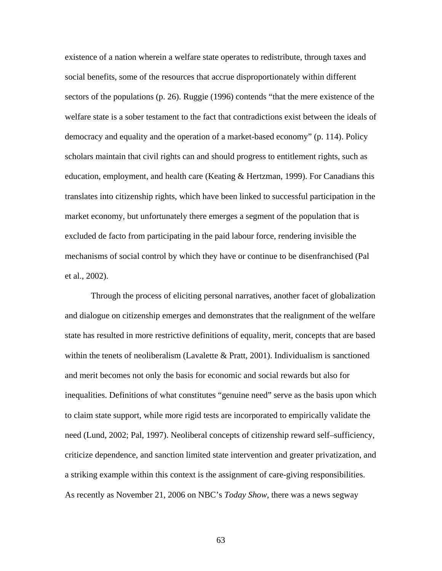existence of a nation wherein a welfare state operates to redistribute, through taxes and social benefits, some of the resources that accrue disproportionately within different sectors of the populations (p. 26). Ruggie (1996) contends "that the mere existence of the welfare state is a sober testament to the fact that contradictions exist between the ideals of democracy and equality and the operation of a market-based economy" (p. 114). Policy scholars maintain that civil rights can and should progress to entitlement rights, such as education, employment, and health care (Keating  $\&$  Hertzman, 1999). For Canadians this translates into citizenship rights, which have been linked to successful participation in the market economy, but unfortunately there emerges a segment of the population that is excluded de facto from participating in the paid labour force, rendering invisible the mechanisms of social control by which they have or continue to be disenfranchised (Pal et al., 2002).

 Through the process of eliciting personal narratives, another facet of globalization and dialogue on citizenship emerges and demonstrates that the realignment of the welfare state has resulted in more restrictive definitions of equality, merit, concepts that are based within the tenets of neoliberalism (Lavalette  $\&$  Pratt, 2001). Individualism is sanctioned and merit becomes not only the basis for economic and social rewards but also for inequalities. Definitions of what constitutes "genuine need" serve as the basis upon which to claim state support, while more rigid tests are incorporated to empirically validate the need (Lund, 2002; Pal, 1997). Neoliberal concepts of citizenship reward self–sufficiency, criticize dependence, and sanction limited state intervention and greater privatization, and a striking example within this context is the assignment of care-giving responsibilities. As recently as November 21, 2006 on NBC's *Today Show*, there was a news segway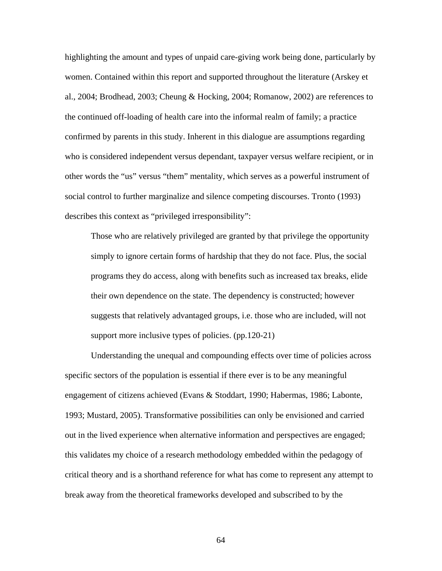highlighting the amount and types of unpaid care-giving work being done, particularly by women. Contained within this report and supported throughout the literature (Arskey et al., 2004; Brodhead, 2003; Cheung & Hocking, 2004; Romanow, 2002) are references to the continued off-loading of health care into the informal realm of family; a practice confirmed by parents in this study. Inherent in this dialogue are assumptions regarding who is considered independent versus dependant, taxpayer versus welfare recipient, or in other words the "us" versus "them" mentality, which serves as a powerful instrument of social control to further marginalize and silence competing discourses. Tronto (1993) describes this context as "privileged irresponsibility":

Those who are relatively privileged are granted by that privilege the opportunity simply to ignore certain forms of hardship that they do not face. Plus, the social programs they do access, along with benefits such as increased tax breaks, elide their own dependence on the state. The dependency is constructed; however suggests that relatively advantaged groups, i.e. those who are included, will not support more inclusive types of policies. (pp.120-21)

Understanding the unequal and compounding effects over time of policies across specific sectors of the population is essential if there ever is to be any meaningful engagement of citizens achieved (Evans & Stoddart, 1990; Habermas, 1986; Labonte, 1993; Mustard, 2005). Transformative possibilities can only be envisioned and carried out in the lived experience when alternative information and perspectives are engaged; this validates my choice of a research methodology embedded within the pedagogy of critical theory and is a shorthand reference for what has come to represent any attempt to break away from the theoretical frameworks developed and subscribed to by the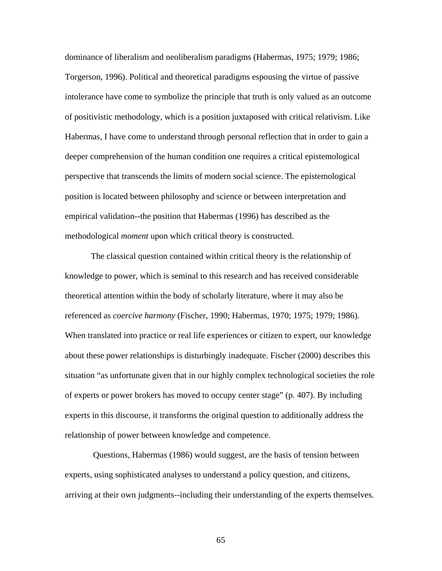dominance of liberalism and neoliberalism paradigms (Habermas, 1975; 1979; 1986; Torgerson, 1996). Political and theoretical paradigms espousing the virtue of passive intolerance have come to symbolize the principle that truth is only valued as an outcome of positivistic methodology, which is a position juxtaposed with critical relativism. Like Habermas, I have come to understand through personal reflection that in order to gain a deeper comprehension of the human condition one requires a critical epistemological perspective that transcends the limits of modern social science. The epistemological position is located between philosophy and science or between interpretation and empirical validation--the position that Habermas (1996) has described as the methodological *moment* upon which critical theory is constructed.

The classical question contained within critical theory is the relationship of knowledge to power, which is seminal to this research and has received considerable theoretical attention within the body of scholarly literature, where it may also be referenced as *coercive harmony* (Fischer, 1990; Habermas, 1970; 1975; 1979; 1986). When translated into practice or real life experiences or citizen to expert, our knowledge about these power relationships is disturbingly inadequate. Fischer (2000) describes this situation "as unfortunate given that in our highly complex technological societies the role of experts or power brokers has moved to occupy center stage" (p. 407). By including experts in this discourse, it transforms the original question to additionally address the relationship of power between knowledge and competence.

 Questions, Habermas (1986) would suggest, are the basis of tension between experts, using sophisticated analyses to understand a policy question, and citizens, arriving at their own judgments--including their understanding of the experts themselves.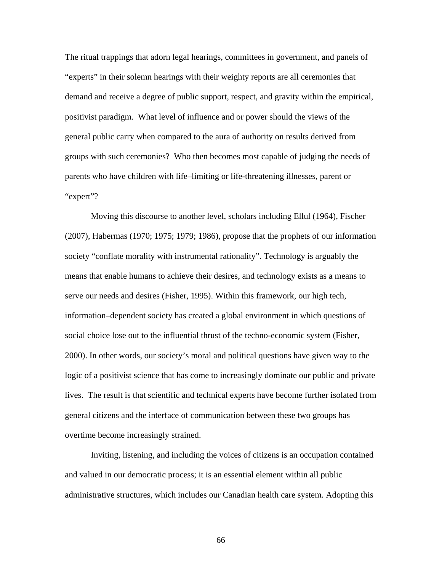The ritual trappings that adorn legal hearings, committees in government, and panels of "experts" in their solemn hearings with their weighty reports are all ceremonies that demand and receive a degree of public support, respect, and gravity within the empirical, positivist paradigm. What level of influence and or power should the views of the general public carry when compared to the aura of authority on results derived from groups with such ceremonies? Who then becomes most capable of judging the needs of parents who have children with life–limiting or life-threatening illnesses, parent or "expert"?

 Moving this discourse to another level, scholars including Ellul (1964), Fischer (2007), Habermas (1970; 1975; 1979; 1986), propose that the prophets of our information society "conflate morality with instrumental rationality". Technology is arguably the means that enable humans to achieve their desires, and technology exists as a means to serve our needs and desires (Fisher, 1995). Within this framework, our high tech, information–dependent society has created a global environment in which questions of social choice lose out to the influential thrust of the techno-economic system (Fisher, 2000). In other words, our society's moral and political questions have given way to the logic of a positivist science that has come to increasingly dominate our public and private lives. The result is that scientific and technical experts have become further isolated from general citizens and the interface of communication between these two groups has overtime become increasingly strained.

 Inviting, listening, and including the voices of citizens is an occupation contained and valued in our democratic process; it is an essential element within all public administrative structures, which includes our Canadian health care system. Adopting this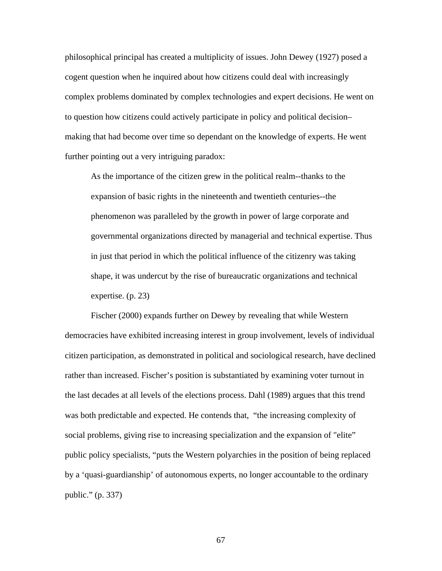philosophical principal has created a multiplicity of issues. John Dewey (1927) posed a cogent question when he inquired about how citizens could deal with increasingly complex problems dominated by complex technologies and expert decisions. He went on to question how citizens could actively participate in policy and political decision– making that had become over time so dependant on the knowledge of experts. He went further pointing out a very intriguing paradox:

As the importance of the citizen grew in the political realm--thanks to the expansion of basic rights in the nineteenth and twentieth centuries--the phenomenon was paralleled by the growth in power of large corporate and governmental organizations directed by managerial and technical expertise. Thus in just that period in which the political influence of the citizenry was taking shape, it was undercut by the rise of bureaucratic organizations and technical expertise. (p. 23)

 Fischer (2000) expands further on Dewey by revealing that while Western democracies have exhibited increasing interest in group involvement, levels of individual citizen participation, as demonstrated in political and sociological research, have declined rather than increased. Fischer's position is substantiated by examining voter turnout in the last decades at all levels of the elections process. Dahl (1989) argues that this trend was both predictable and expected. He contends that, "the increasing complexity of social problems, giving rise to increasing specialization and the expansion of "elite" public policy specialists, "puts the Western polyarchies in the position of being replaced by a 'quasi-guardianship' of autonomous experts, no longer accountable to the ordinary public." (p. 337)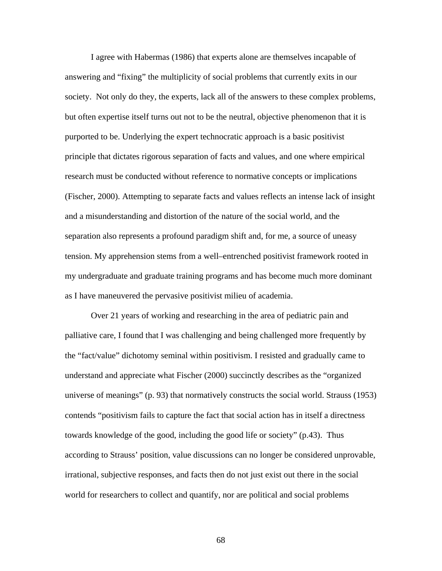I agree with Habermas (1986) that experts alone are themselves incapable of answering and "fixing" the multiplicity of social problems that currently exits in our society. Not only do they, the experts, lack all of the answers to these complex problems, but often expertise itself turns out not to be the neutral, objective phenomenon that it is purported to be. Underlying the expert technocratic approach is a basic positivist principle that dictates rigorous separation of facts and values, and one where empirical research must be conducted without reference to normative concepts or implications (Fischer, 2000). Attempting to separate facts and values reflects an intense lack of insight and a misunderstanding and distortion of the nature of the social world, and the separation also represents a profound paradigm shift and, for me, a source of uneasy tension. My apprehension stems from a well–entrenched positivist framework rooted in my undergraduate and graduate training programs and has become much more dominant as I have maneuvered the pervasive positivist milieu of academia.

 Over 21 years of working and researching in the area of pediatric pain and palliative care, I found that I was challenging and being challenged more frequently by the "fact/value" dichotomy seminal within positivism. I resisted and gradually came to understand and appreciate what Fischer (2000) succinctly describes as the "organized universe of meanings" (p. 93) that normatively constructs the social world. Strauss (1953) contends "positivism fails to capture the fact that social action has in itself a directness towards knowledge of the good, including the good life or society" (p.43). Thus according to Strauss' position, value discussions can no longer be considered unprovable, irrational, subjective responses, and facts then do not just exist out there in the social world for researchers to collect and quantify, nor are political and social problems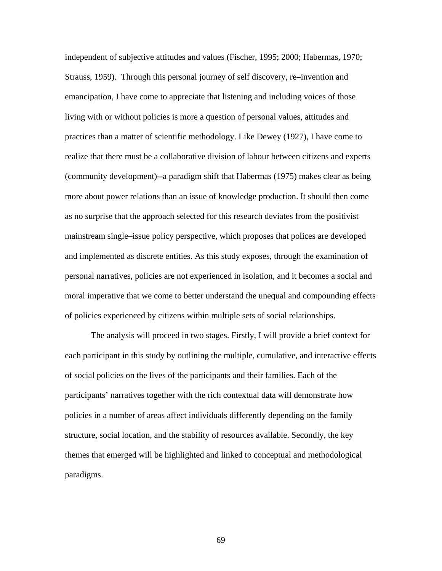independent of subjective attitudes and values (Fischer, 1995; 2000; Habermas, 1970; Strauss, 1959). Through this personal journey of self discovery, re–invention and emancipation, I have come to appreciate that listening and including voices of those living with or without policies is more a question of personal values, attitudes and practices than a matter of scientific methodology. Like Dewey (1927), I have come to realize that there must be a collaborative division of labour between citizens and experts (community development)--a paradigm shift that Habermas (1975) makes clear as being more about power relations than an issue of knowledge production. It should then come as no surprise that the approach selected for this research deviates from the positivist mainstream single–issue policy perspective, which proposes that polices are developed and implemented as discrete entities. As this study exposes, through the examination of personal narratives, policies are not experienced in isolation, and it becomes a social and moral imperative that we come to better understand the unequal and compounding effects of policies experienced by citizens within multiple sets of social relationships.

 The analysis will proceed in two stages. Firstly, I will provide a brief context for each participant in this study by outlining the multiple, cumulative, and interactive effects of social policies on the lives of the participants and their families. Each of the participants' narratives together with the rich contextual data will demonstrate how policies in a number of areas affect individuals differently depending on the family structure, social location, and the stability of resources available. Secondly, the key themes that emerged will be highlighted and linked to conceptual and methodological paradigms.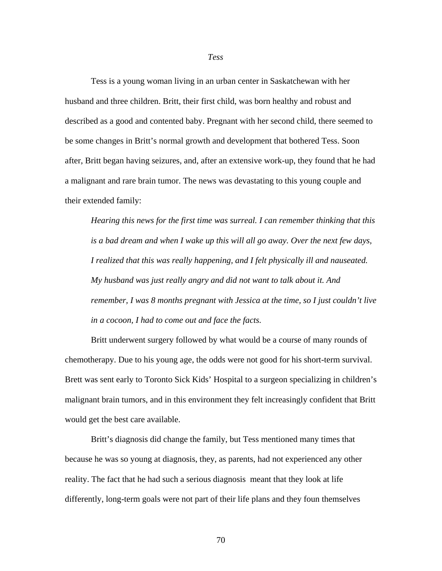Tess is a young woman living in an urban center in Saskatchewan with her husband and three children. Britt, their first child, was born healthy and robust and described as a good and contented baby. Pregnant with her second child, there seemed to be some changes in Britt's normal growth and development that bothered Tess. Soon after, Britt began having seizures, and, after an extensive work-up, they found that he had a malignant and rare brain tumor. The news was devastating to this young couple and their extended family:

*Hearing this news for the first time was surreal. I can remember thinking that this is a bad dream and when I wake up this will all go away. Over the next few days, I realized that this was really happening, and I felt physically ill and nauseated. My husband was just really angry and did not want to talk about it. And remember, I was 8 months pregnant with Jessica at the time, so I just couldn't live in a cocoon, I had to come out and face the facts.* 

 Britt underwent surgery followed by what would be a course of many rounds of chemotherapy. Due to his young age, the odds were not good for his short-term survival. Brett was sent early to Toronto Sick Kids' Hospital to a surgeon specializing in children's malignant brain tumors, and in this environment they felt increasingly confident that Britt would get the best care available.

 Britt's diagnosis did change the family, but Tess mentioned many times that because he was so young at diagnosis, they, as parents, had not experienced any other reality. The fact that he had such a serious diagnosis meant that they look at life differently, long-term goals were not part of their life plans and they foun themselves

## *Tess*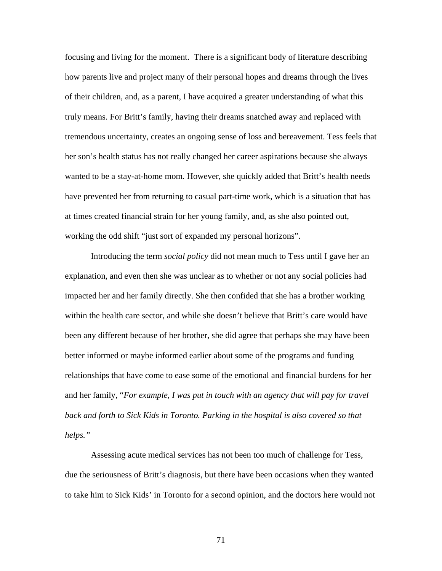focusing and living for the moment. There is a significant body of literature describing how parents live and project many of their personal hopes and dreams through the lives of their children, and, as a parent, I have acquired a greater understanding of what this truly means. For Britt's family, having their dreams snatched away and replaced with tremendous uncertainty, creates an ongoing sense of loss and bereavement. Tess feels that her son's health status has not really changed her career aspirations because she always wanted to be a stay-at-home mom. However, she quickly added that Britt's health needs have prevented her from returning to casual part-time work, which is a situation that has at times created financial strain for her young family, and, as she also pointed out, working the odd shift "just sort of expanded my personal horizons".

Introducing the term *social policy* did not mean much to Tess until I gave her an explanation, and even then she was unclear as to whether or not any social policies had impacted her and her family directly. She then confided that she has a brother working within the health care sector, and while she doesn't believe that Britt's care would have been any different because of her brother, she did agree that perhaps she may have been better informed or maybe informed earlier about some of the programs and funding relationships that have come to ease some of the emotional and financial burdens for her and her family, "*For example*, *I was put in touch with an agency that will pay for travel back and forth to Sick Kids in Toronto. Parking in the hospital is also covered so that helps."* 

 Assessing acute medical services has not been too much of challenge for Tess, due the seriousness of Britt's diagnosis, but there have been occasions when they wanted to take him to Sick Kids' in Toronto for a second opinion, and the doctors here would not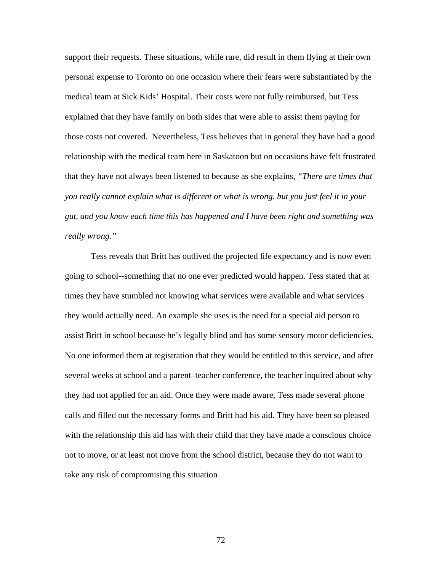support their requests. These situations, while rare, did result in them flying at their own personal expense to Toronto on one occasion where their fears were substantiated by the medical team at Sick Kids' Hospital. Their costs were not fully reimbursed, but Tess explained that they have family on both sides that were able to assist them paying for those costs not covered. Nevertheless, Tess believes that in general they have had a good relationship with the medical team here in Saskatoon but on occasions have felt frustrated that they have not always been listened to because as she explains, *"There are times that you really cannot explain what is different or what is wrong, but you just feel it in your gut, and you know each time this has happened and I have been right and something was really wrong."* 

Tess reveals that Britt has outlived the projected life expectancy and is now even going to school--something that no one ever predicted would happen. Tess stated that at times they have stumbled not knowing what services were available and what services they would actually need. An example she uses is the need for a special aid person to assist Britt in school because he's legally blind and has some sensory motor deficiencies. No one informed them at registration that they would be entitled to this service, and after several weeks at school and a parent–teacher conference, the teacher inquired about why they had not applied for an aid. Once they were made aware, Tess made several phone calls and filled out the necessary forms and Britt had his aid. They have been so pleased with the relationship this aid has with their child that they have made a conscious choice not to move, or at least not move from the school district, because they do not want to take any risk of compromising this situation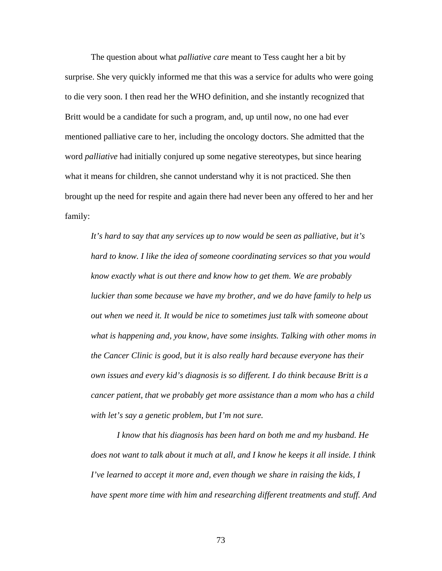The question about what *palliative care* meant to Tess caught her a bit by surprise. She very quickly informed me that this was a service for adults who were going to die very soon. I then read her the WHO definition, and she instantly recognized that Britt would be a candidate for such a program, and, up until now, no one had ever mentioned palliative care to her, including the oncology doctors. She admitted that the word *palliative* had initially conjured up some negative stereotypes, but since hearing what it means for children, she cannot understand why it is not practiced. She then brought up the need for respite and again there had never been any offered to her and her family:

*It's hard to say that any services up to now would be seen as palliative, but it's hard to know. I like the idea of someone coordinating services so that you would know exactly what is out there and know how to get them. We are probably luckier than some because we have my brother, and we do have family to help us out when we need it. It would be nice to sometimes just talk with someone about what is happening and, you know, have some insights. Talking with other moms in the Cancer Clinic is good, but it is also really hard because everyone has their own issues and every kid's diagnosis is so different. I do think because Britt is a cancer patient, that we probably get more assistance than a mom who has a child with let's say a genetic problem, but I'm not sure.* 

*I know that his diagnosis has been hard on both me and my husband. He does not want to talk about it much at all, and I know he keeps it all inside. I think I've learned to accept it more and, even though we share in raising the kids, I have spent more time with him and researching different treatments and stuff. And*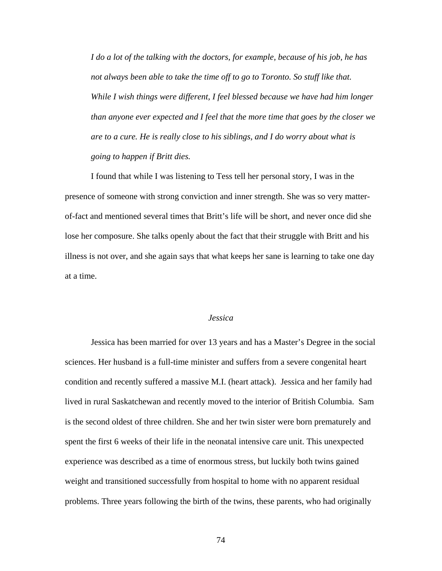*I do a lot of the talking with the doctors, for example, because of his job, he has not always been able to take the time off to go to Toronto. So stuff like that. While I wish things were different, I feel blessed because we have had him longer than anyone ever expected and I feel that the more time that goes by the closer we are to a cure. He is really close to his siblings, and I do worry about what is going to happen if Britt dies.* 

I found that while I was listening to Tess tell her personal story, I was in the presence of someone with strong conviction and inner strength. She was so very matterof-fact and mentioned several times that Britt's life will be short, and never once did she lose her composure. She talks openly about the fact that their struggle with Britt and his illness is not over, and she again says that what keeps her sane is learning to take one day at a time.

## *Jessica*

Jessica has been married for over 13 years and has a Master's Degree in the social sciences. Her husband is a full-time minister and suffers from a severe congenital heart condition and recently suffered a massive M.I. (heart attack). Jessica and her family had lived in rural Saskatchewan and recently moved to the interior of British Columbia. Sam is the second oldest of three children. She and her twin sister were born prematurely and spent the first 6 weeks of their life in the neonatal intensive care unit. This unexpected experience was described as a time of enormous stress, but luckily both twins gained weight and transitioned successfully from hospital to home with no apparent residual problems. Three years following the birth of the twins, these parents, who had originally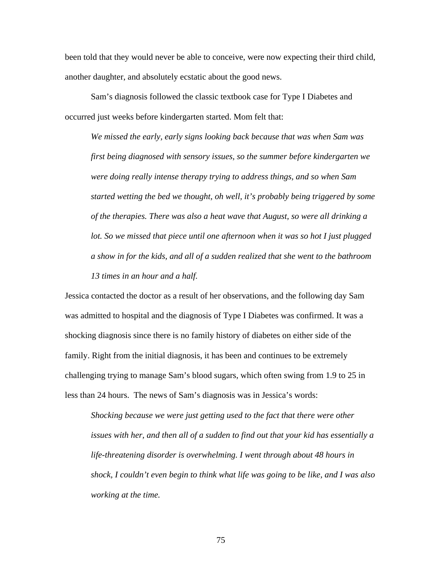been told that they would never be able to conceive, were now expecting their third child, another daughter, and absolutely ecstatic about the good news.

Sam's diagnosis followed the classic textbook case for Type I Diabetes and occurred just weeks before kindergarten started. Mom felt that:

*We missed the early, early signs looking back because that was when Sam was first being diagnosed with sensory issues, so the summer before kindergarten we were doing really intense therapy trying to address things, and so when Sam started wetting the bed we thought, oh well, it's probably being triggered by some of the therapies. There was also a heat wave that August, so were all drinking a lot. So we missed that piece until one afternoon when it was so hot I just plugged a show in for the kids, and all of a sudden realized that she went to the bathroom 13 times in an hour and a half.* 

Jessica contacted the doctor as a result of her observations, and the following day Sam was admitted to hospital and the diagnosis of Type I Diabetes was confirmed. It was a shocking diagnosis since there is no family history of diabetes on either side of the family. Right from the initial diagnosis, it has been and continues to be extremely challenging trying to manage Sam's blood sugars, which often swing from 1.9 to 25 in less than 24 hours. The news of Sam's diagnosis was in Jessica's words:

*Shocking because we were just getting used to the fact that there were other issues with her, and then all of a sudden to find out that your kid has essentially a life-threatening disorder is overwhelming. I went through about 48 hours in shock, I couldn't even begin to think what life was going to be like, and I was also working at the time.*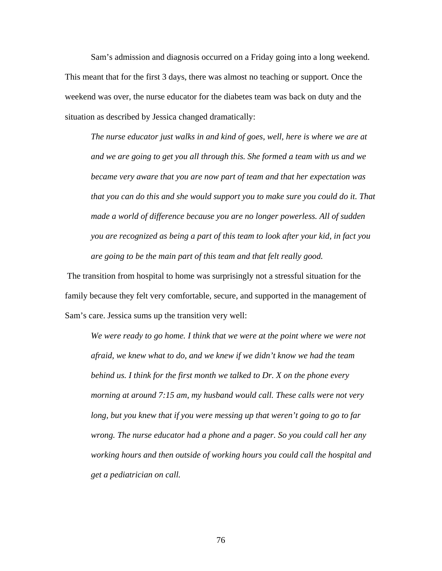Sam's admission and diagnosis occurred on a Friday going into a long weekend. This meant that for the first 3 days, there was almost no teaching or support*.* Once the weekend was over, the nurse educator for the diabetes team was back on duty and the situation as described by Jessica changed dramatically:

*The nurse educator just walks in and kind of goes, well, here is where we are at and we are going to get you all through this. She formed a team with us and we became very aware that you are now part of team and that her expectation was that you can do this and she would support you to make sure you could do it. That made a world of difference because you are no longer powerless. All of sudden you are recognized as being a part of this team to look after your kid, in fact you are going to be the main part of this team and that felt really good.* 

 The transition from hospital to home was surprisingly not a stressful situation for the family because they felt very comfortable, secure, and supported in the management of Sam's care. Jessica sums up the transition very well:

*We were ready to go home. I think that we were at the point where we were not afraid, we knew what to do, and we knew if we didn't know we had the team behind us. I think for the first month we talked to Dr. X on the phone every morning at around 7:15 am, my husband would call. These calls were not very long, but you knew that if you were messing up that weren't going to go to far wrong. The nurse educator had a phone and a pager. So you could call her any working hours and then outside of working hours you could call the hospital and get a pediatrician on call.*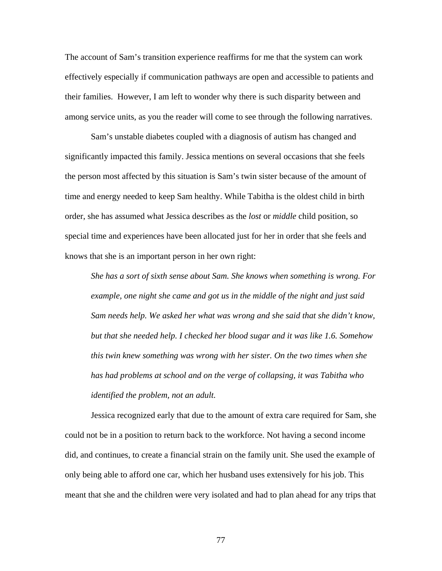The account of Sam's transition experience reaffirms for me that the system can work effectively especially if communication pathways are open and accessible to patients and their families. However, I am left to wonder why there is such disparity between and among service units, as you the reader will come to see through the following narratives.

Sam's unstable diabetes coupled with a diagnosis of autism has changed and significantly impacted this family. Jessica mentions on several occasions that she feels the person most affected by this situation is Sam's twin sister because of the amount of time and energy needed to keep Sam healthy. While Tabitha is the oldest child in birth order, she has assumed what Jessica describes as the *lost* or *middle* child position, so special time and experiences have been allocated just for her in order that she feels and knows that she is an important person in her own right:

*She has a sort of sixth sense about Sam. She knows when something is wrong. For example, one night she came and got us in the middle of the night and just said Sam needs help. We asked her what was wrong and she said that she didn't know, but that she needed help. I checked her blood sugar and it was like 1.6. Somehow this twin knew something was wrong with her sister. On the two times when she has had problems at school and on the verge of collapsing, it was Tabitha who identified the problem, not an adult.* 

Jessica recognized early that due to the amount of extra care required for Sam, she could not be in a position to return back to the workforce. Not having a second income did, and continues, to create a financial strain on the family unit. She used the example of only being able to afford one car, which her husband uses extensively for his job. This meant that she and the children were very isolated and had to plan ahead for any trips that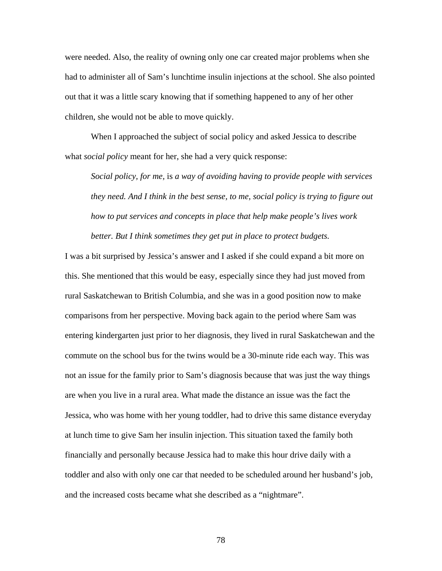were needed. Also, the reality of owning only one car created major problems when she had to administer all of Sam's lunchtime insulin injections at the school. She also pointed out that it was a little scary knowing that if something happened to any of her other children, she would not be able to move quickly.

When I approached the subject of social policy and asked Jessica to describe what *social policy* meant for her, she had a very quick response:

*Social policy, for me,* is *a way of avoiding having to provide people with services they need. And I think in the best sense, to me, social policy is trying to figure out how to put services and concepts in place that help make people's lives work better. But I think sometimes they get put in place to protect budgets.* 

I was a bit surprised by Jessica's answer and I asked if she could expand a bit more on this. She mentioned that this would be easy, especially since they had just moved from rural Saskatchewan to British Columbia, and she was in a good position now to make comparisons from her perspective. Moving back again to the period where Sam was entering kindergarten just prior to her diagnosis, they lived in rural Saskatchewan and the commute on the school bus for the twins would be a 30-minute ride each way. This was not an issue for the family prior to Sam's diagnosis because that was just the way things are when you live in a rural area. What made the distance an issue was the fact the Jessica, who was home with her young toddler, had to drive this same distance everyday at lunch time to give Sam her insulin injection. This situation taxed the family both financially and personally because Jessica had to make this hour drive daily with a toddler and also with only one car that needed to be scheduled around her husband's job, and the increased costs became what she described as a "nightmare".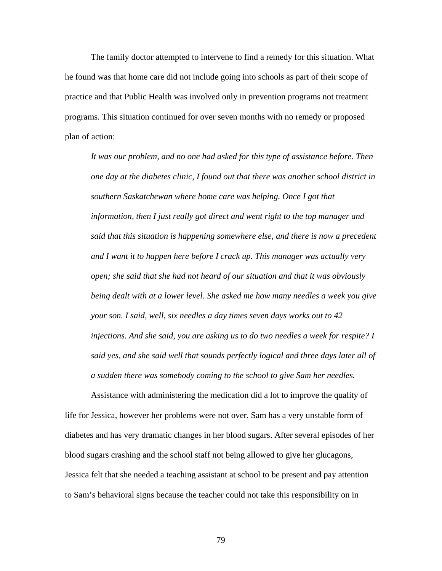The family doctor attempted to intervene to find a remedy for this situation. What he found was that home care did not include going into schools as part of their scope of practice and that Public Health was involved only in prevention programs not treatment programs. This situation continued for over seven months with no remedy or proposed plan of action:

*It was our problem, and no one had asked for this type of assistance before. Then one day at the diabetes clinic, I found out that there was another school district in southern Saskatchewan where home care was helping. Once I got that information, then I just really got direct and went right to the top manager and said that this situation is happening somewhere else, and there is now a precedent and I want it to happen here before I crack up. This manager was actually very open; she said that she had not heard of our situation and that it was obviously being dealt with at a lower level. She asked me how many needles a week you give your son. I said, well, six needles a day times seven days works out to 42 injections. And she said, you are asking us to do two needles a week for respite? I said yes, and she said well that sounds perfectly logical and three days later all of a sudden there was somebody coming to the school to give Sam her needles.* 

 Assistance with administering the medication did a lot to improve the quality of life for Jessica, however her problems were not over. Sam has a very unstable form of diabetes and has very dramatic changes in her blood sugars. After several episodes of her blood sugars crashing and the school staff not being allowed to give her glucagons, Jessica felt that she needed a teaching assistant at school to be present and pay attention to Sam's behavioral signs because the teacher could not take this responsibility on in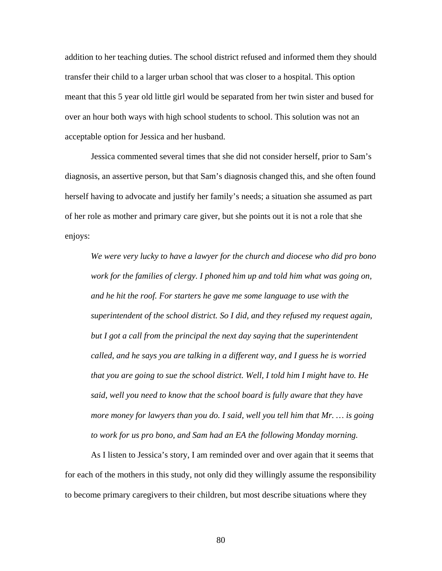addition to her teaching duties. The school district refused and informed them they should transfer their child to a larger urban school that was closer to a hospital. This option meant that this 5 year old little girl would be separated from her twin sister and bused for over an hour both ways with high school students to school. This solution was not an acceptable option for Jessica and her husband.

 Jessica commented several times that she did not consider herself, prior to Sam's diagnosis, an assertive person, but that Sam's diagnosis changed this, and she often found herself having to advocate and justify her family's needs; a situation she assumed as part of her role as mother and primary care giver, but she points out it is not a role that she enjoys:

*We were very lucky to have a lawyer for the church and diocese who did pro bono work for the families of clergy. I phoned him up and told him what was going on, and he hit the roof. For starters he gave me some language to use with the superintendent of the school district. So I did, and they refused my request again, but I got a call from the principal the next day saying that the superintendent called, and he says you are talking in a different way, and I guess he is worried that you are going to sue the school district. Well, I told him I might have to. He said, well you need to know that the school board is fully aware that they have more money for lawyers than you do. I said, well you tell him that Mr. … is going to work for us pro bono, and Sam had an EA the following Monday morning.* 

 As I listen to Jessica's story, I am reminded over and over again that it seems that for each of the mothers in this study, not only did they willingly assume the responsibility to become primary caregivers to their children, but most describe situations where they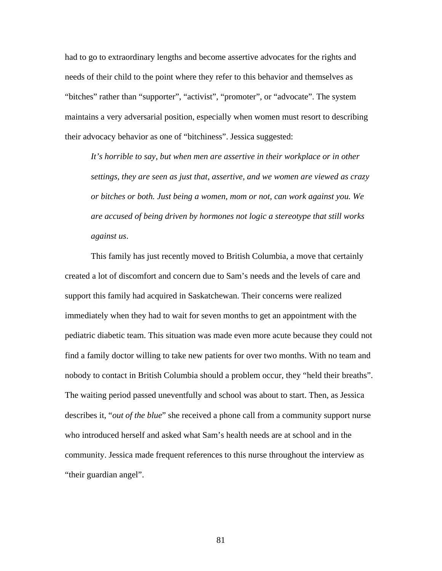had to go to extraordinary lengths and become assertive advocates for the rights and needs of their child to the point where they refer to this behavior and themselves as "bitches" rather than "supporter", "activist", "promoter", or "advocate". The system maintains a very adversarial position, especially when women must resort to describing their advocacy behavior as one of "bitchiness". Jessica suggested:

*It's horrible to say, but when men are assertive in their workplace or in other settings, they are seen as just that, assertive, and we women are viewed as crazy or bitches or both. Just being a women, mom or not, can work against you. We are accused of being driven by hormones not logic a stereotype that still works against us*.

This family has just recently moved to British Columbia, a move that certainly created a lot of discomfort and concern due to Sam's needs and the levels of care and support this family had acquired in Saskatchewan. Their concerns were realized immediately when they had to wait for seven months to get an appointment with the pediatric diabetic team. This situation was made even more acute because they could not find a family doctor willing to take new patients for over two months. With no team and nobody to contact in British Columbia should a problem occur, they "held their breaths". The waiting period passed uneventfully and school was about to start. Then, as Jessica describes it, "*out of the blue*" she received a phone call from a community support nurse who introduced herself and asked what Sam's health needs are at school and in the community. Jessica made frequent references to this nurse throughout the interview as "their guardian angel".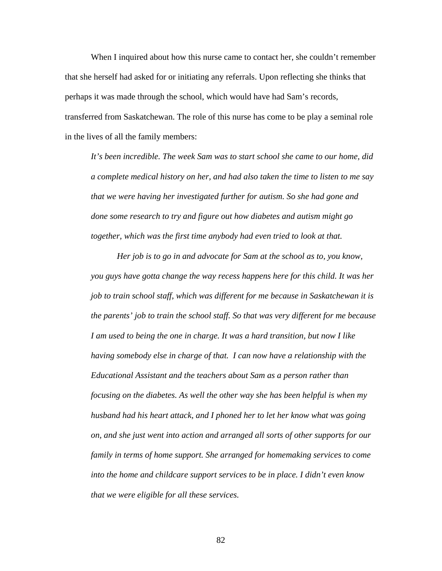When I inquired about how this nurse came to contact her, she couldn't remember that she herself had asked for or initiating any referrals. Upon reflecting she thinks that perhaps it was made through the school, which would have had Sam's records, transferred from Saskatchewan. The role of this nurse has come to be play a seminal role in the lives of all the family members:

*It's been incredible. The week Sam was to start school she came to our home, did a complete medical history on her, and had also taken the time to listen to me say that we were having her investigated further for autism. So she had gone and done some research to try and figure out how diabetes and autism might go together, which was the first time anybody had even tried to look at that.* 

 *Her job is to go in and advocate for Sam at the school as to, you know, you guys have gotta change the way recess happens here for this child. It was her job to train school staff, which was different for me because in Saskatchewan it is the parents' job to train the school staff. So that was very different for me because I am used to being the one in charge. It was a hard transition, but now I like having somebody else in charge of that. I can now have a relationship with the Educational Assistant and the teachers about Sam as a person rather than focusing on the diabetes. As well the other way she has been helpful is when my husband had his heart attack, and I phoned her to let her know what was going on, and she just went into action and arranged all sorts of other supports for our family in terms of home support. She arranged for homemaking services to come into the home and childcare support services to be in place. I didn't even know that we were eligible for all these services.*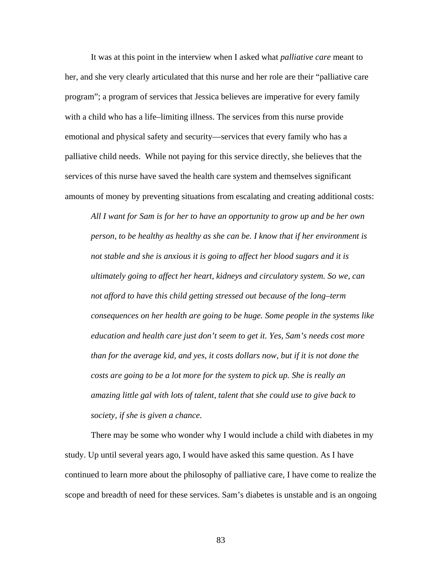It was at this point in the interview when I asked what *palliative care* meant to her, and she very clearly articulated that this nurse and her role are their "palliative care program"; a program of services that Jessica believes are imperative for every family with a child who has a life–limiting illness. The services from this nurse provide emotional and physical safety and security—services that every family who has a palliative child needs. While not paying for this service directly, she believes that the services of this nurse have saved the health care system and themselves significant amounts of money by preventing situations from escalating and creating additional costs:

*All I want for Sam is for her to have an opportunity to grow up and be her own person, to be healthy as healthy as she can be. I know that if her environment is not stable and she is anxious it is going to affect her blood sugars and it is ultimately going to affect her heart, kidneys and circulatory system. So we, can not afford to have this child getting stressed out because of the long–term consequences on her health are going to be huge. Some people in the systems like education and health care just don't seem to get it. Yes, Sam's needs cost more than for the average kid, and yes, it costs dollars now, but if it is not done the costs are going to be a lot more for the system to pick up. She is really an amazing little gal with lots of talent, talent that she could use to give back to society, if she is given a chance.* 

There may be some who wonder why I would include a child with diabetes in my study. Up until several years ago, I would have asked this same question. As I have continued to learn more about the philosophy of palliative care, I have come to realize the scope and breadth of need for these services. Sam's diabetes is unstable and is an ongoing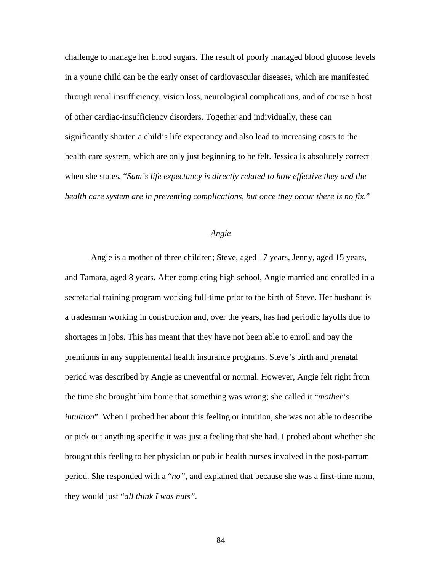challenge to manage her blood sugars. The result of poorly managed blood glucose levels in a young child can be the early onset of cardiovascular diseases, which are manifested through renal insufficiency, vision loss, neurological complications, and of course a host of other cardiac-insufficiency disorders. Together and individually, these can significantly shorten a child's life expectancy and also lead to increasing costs to the health care system, which are only just beginning to be felt. Jessica is absolutely correct when she states, "*Sam's life expectancy is directly related to how effective they and the health care system are in preventing complications, but once they occur there is no fix*."

## *Angie*

Angie is a mother of three children; Steve, aged 17 years, Jenny, aged 15 years, and Tamara, aged 8 years. After completing high school, Angie married and enrolled in a secretarial training program working full-time prior to the birth of Steve. Her husband is a tradesman working in construction and, over the years, has had periodic layoffs due to shortages in jobs. This has meant that they have not been able to enroll and pay the premiums in any supplemental health insurance programs. Steve's birth and prenatal period was described by Angie as uneventful or normal. However, Angie felt right from the time she brought him home that something was wrong; she called it "*mother's intuition*". When I probed her about this feeling or intuition, she was not able to describe or pick out anything specific it was just a feeling that she had. I probed about whether she brought this feeling to her physician or public health nurses involved in the post-partum period. She responded with a "*no"*, and explained that because she was a first-time mom, they would just "*all think I was nuts".*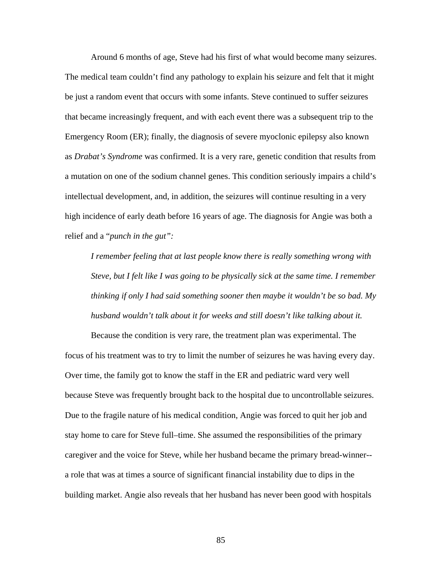Around 6 months of age, Steve had his first of what would become many seizures. The medical team couldn't find any pathology to explain his seizure and felt that it might be just a random event that occurs with some infants. Steve continued to suffer seizures that became increasingly frequent, and with each event there was a subsequent trip to the Emergency Room (ER); finally, the diagnosis of severe myoclonic epilepsy also known as *Drabat's Syndrome* was confirmed. It is a very rare, genetic condition that results from a mutation on one of the sodium channel genes. This condition seriously impairs a child's intellectual development, and, in addition, the seizures will continue resulting in a very high incidence of early death before 16 years of age. The diagnosis for Angie was both a relief and a "*punch in the gut":* 

*I remember feeling that at last people know there is really something wrong with Steve, but I felt like I was going to be physically sick at the same time. I remember thinking if only I had said something sooner then maybe it wouldn't be so bad. My husband wouldn't talk about it for weeks and still doesn't like talking about it.* 

 Because the condition is very rare, the treatment plan was experimental. The focus of his treatment was to try to limit the number of seizures he was having every day. Over time, the family got to know the staff in the ER and pediatric ward very well because Steve was frequently brought back to the hospital due to uncontrollable seizures. Due to the fragile nature of his medical condition, Angie was forced to quit her job and stay home to care for Steve full–time. She assumed the responsibilities of the primary caregiver and the voice for Steve, while her husband became the primary bread-winner- a role that was at times a source of significant financial instability due to dips in the building market. Angie also reveals that her husband has never been good with hospitals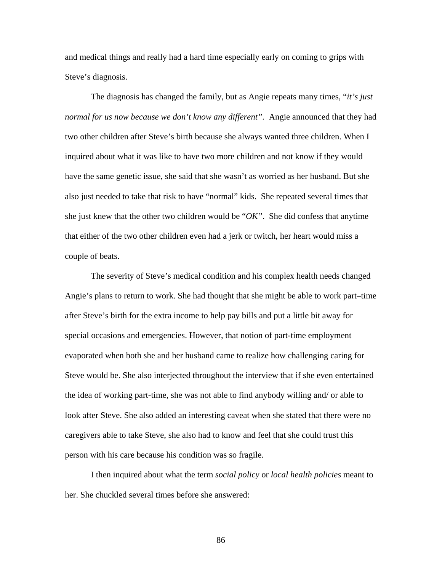and medical things and really had a hard time especially early on coming to grips with Steve's diagnosis.

 The diagnosis has changed the family, but as Angie repeats many times, "*it's just normal for us now because we don't know any different".* Angie announced that they had two other children after Steve's birth because she always wanted three children. When I inquired about what it was like to have two more children and not know if they would have the same genetic issue, she said that she wasn't as worried as her husband. But she also just needed to take that risk to have "normal" kids. She repeated several times that she just knew that the other two children would be "*OK"*. She did confess that anytime that either of the two other children even had a jerk or twitch, her heart would miss a couple of beats.

 The severity of Steve's medical condition and his complex health needs changed Angie's plans to return to work. She had thought that she might be able to work part–time after Steve's birth for the extra income to help pay bills and put a little bit away for special occasions and emergencies. However, that notion of part-time employment evaporated when both she and her husband came to realize how challenging caring for Steve would be. She also interjected throughout the interview that if she even entertained the idea of working part-time, she was not able to find anybody willing and/ or able to look after Steve. She also added an interesting caveat when she stated that there were no caregivers able to take Steve, she also had to know and feel that she could trust this person with his care because his condition was so fragile.

 I then inquired about what the term *social policy* or *local health policies* meant to her. She chuckled several times before she answered: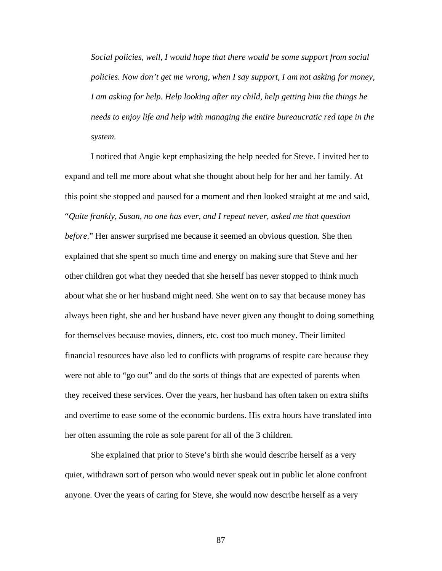*Social policies, well, I would hope that there would be some support from social policies. Now don't get me wrong, when I say support, I am not asking for money, I am asking for help. Help looking after my child, help getting him the things he needs to enjoy life and help with managing the entire bureaucratic red tape in the system.* 

 I noticed that Angie kept emphasizing the help needed for Steve. I invited her to expand and tell me more about what she thought about help for her and her family. At this point she stopped and paused for a moment and then looked straight at me and said, "*Quite frankly, Susan, no one has ever, and I repeat never, asked me that question before*." Her answer surprised me because it seemed an obvious question. She then explained that she spent so much time and energy on making sure that Steve and her other children got what they needed that she herself has never stopped to think much about what she or her husband might need. She went on to say that because money has always been tight, she and her husband have never given any thought to doing something for themselves because movies, dinners, etc. cost too much money. Their limited financial resources have also led to conflicts with programs of respite care because they were not able to "go out" and do the sorts of things that are expected of parents when they received these services. Over the years, her husband has often taken on extra shifts and overtime to ease some of the economic burdens. His extra hours have translated into her often assuming the role as sole parent for all of the 3 children.

She explained that prior to Steve's birth she would describe herself as a very quiet, withdrawn sort of person who would never speak out in public let alone confront anyone. Over the years of caring for Steve, she would now describe herself as a very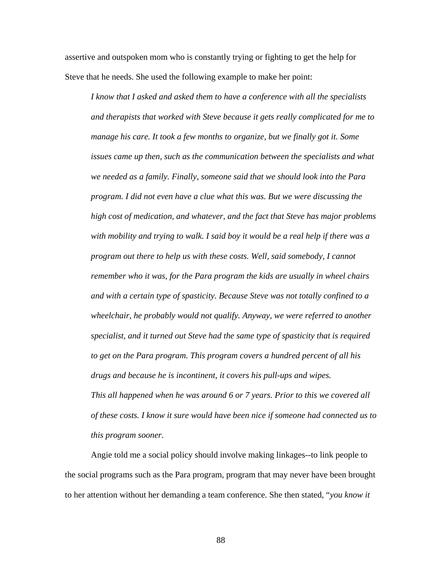assertive and outspoken mom who is constantly trying or fighting to get the help for Steve that he needs. She used the following example to make her point:

*I know that I asked and asked them to have a conference with all the specialists and therapists that worked with Steve because it gets really complicated for me to manage his care. It took a few months to organize, but we finally got it. Some issues came up then, such as the communication between the specialists and what we needed as a family. Finally, someone said that we should look into the Para program. I did not even have a clue what this was. But we were discussing the high cost of medication, and whatever, and the fact that Steve has major problems with mobility and trying to walk. I said boy it would be a real help if there was a program out there to help us with these costs. Well, said somebody, I cannot remember who it was, for the Para program the kids are usually in wheel chairs and with a certain type of spasticity. Because Steve was not totally confined to a wheelchair, he probably would not qualify. Anyway, we were referred to another specialist, and it turned out Steve had the same type of spasticity that is required to get on the Para program. This program covers a hundred percent of all his drugs and because he is incontinent, it covers his pull-ups and wipes. This all happened when he was around 6 or 7 years. Prior to this we covered all of these costs. I know it sure would have been nice if someone had connected us to this program sooner.* 

Angie told me a social policy should involve making linkages--to link people to the social programs such as the Para program, program that may never have been brought to her attention without her demanding a team conference. She then stated, "*you know it*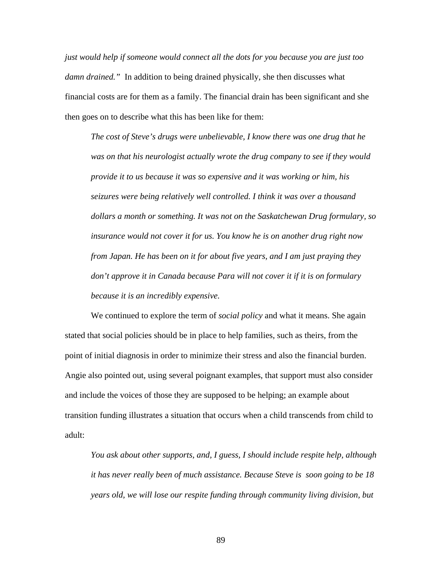*just would help if someone would connect all the dots for you because you are just too damn drained."* In addition to being drained physically, she then discusses what financial costs are for them as a family. The financial drain has been significant and she then goes on to describe what this has been like for them:

*The cost of Steve's drugs were unbelievable, I know there was one drug that he was on that his neurologist actually wrote the drug company to see if they would provide it to us because it was so expensive and it was working or him, his seizures were being relatively well controlled. I think it was over a thousand dollars a month or something. It was not on the Saskatchewan Drug formulary, so insurance would not cover it for us. You know he is on another drug right now from Japan. He has been on it for about five years, and I am just praying they don't approve it in Canada because Para will not cover it if it is on formulary because it is an incredibly expensive.* 

 We continued to explore the term of *social policy* and what it means. She again stated that social policies should be in place to help families, such as theirs, from the point of initial diagnosis in order to minimize their stress and also the financial burden. Angie also pointed out, using several poignant examples, that support must also consider and include the voices of those they are supposed to be helping; an example about transition funding illustrates a situation that occurs when a child transcends from child to adult:

*You ask about other supports, and, I guess, I should include respite help, although it has never really been of much assistance. Because Steve is soon going to be 18 years old, we will lose our respite funding through community living division, but*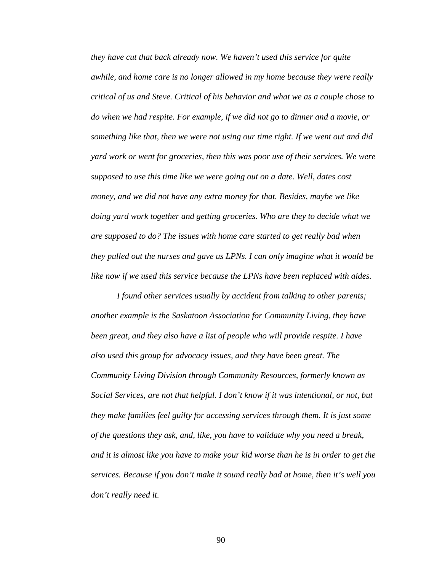*they have cut that back already now. We haven't used this service for quite awhile, and home care is no longer allowed in my home because they were really critical of us and Steve. Critical of his behavior and what we as a couple chose to do when we had respite. For example, if we did not go to dinner and a movie, or something like that, then we were not using our time right. If we went out and did yard work or went for groceries, then this was poor use of their services. We were supposed to use this time like we were going out on a date. Well, dates cost money, and we did not have any extra money for that. Besides, maybe we like doing yard work together and getting groceries. Who are they to decide what we are supposed to do? The issues with home care started to get really bad when they pulled out the nurses and gave us LPNs. I can only imagine what it would be like now if we used this service because the LPNs have been replaced with aides.* 

*I found other services usually by accident from talking to other parents; another example is the Saskatoon Association for Community Living, they have been great, and they also have a list of people who will provide respite. I have also used this group for advocacy issues, and they have been great. The Community Living Division through Community Resources, formerly known as Social Services, are not that helpful. I don't know if it was intentional, or not, but they make families feel guilty for accessing services through them. It is just some of the questions they ask, and, like, you have to validate why you need a break, and it is almost like you have to make your kid worse than he is in order to get the services. Because if you don't make it sound really bad at home, then it's well you don't really need it.*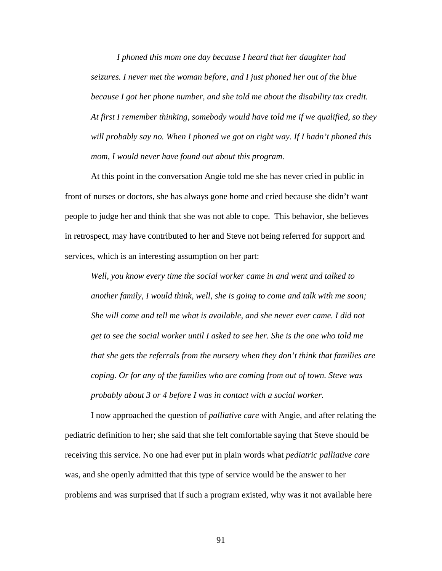*I phoned this mom one day because I heard that her daughter had seizures. I never met the woman before, and I just phoned her out of the blue because I got her phone number, and she told me about the disability tax credit. At first I remember thinking, somebody would have told me if we qualified, so they will probably say no. When I phoned we got on right way. If I hadn't phoned this mom, I would never have found out about this program.* 

 At this point in the conversation Angie told me she has never cried in public in front of nurses or doctors, she has always gone home and cried because she didn't want people to judge her and think that she was not able to cope. This behavior, she believes in retrospect, may have contributed to her and Steve not being referred for support and services, which is an interesting assumption on her part:

*Well, you know every time the social worker came in and went and talked to another family, I would think, well, she is going to come and talk with me soon; She will come and tell me what is available, and she never ever came. I did not get to see the social worker until I asked to see her. She is the one who told me that she gets the referrals from the nursery when they don't think that families are coping. Or for any of the families who are coming from out of town. Steve was probably about 3 or 4 before I was in contact with a social worker.* 

 I now approached the question of *palliative care* with Angie, and after relating the pediatric definition to her; she said that she felt comfortable saying that Steve should be receiving this service. No one had ever put in plain words what *pediatric palliative care* was, and she openly admitted that this type of service would be the answer to her problems and was surprised that if such a program existed, why was it not available here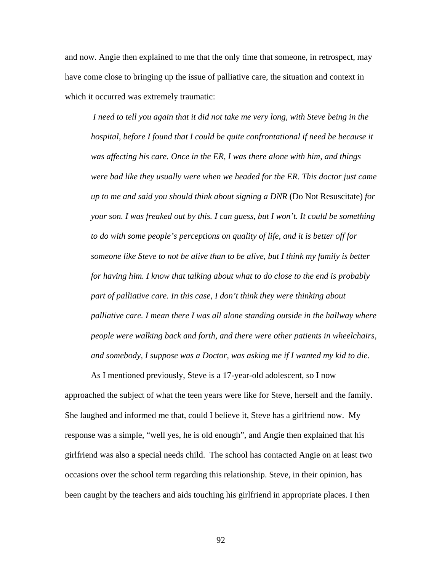and now. Angie then explained to me that the only time that someone, in retrospect, may have come close to bringing up the issue of palliative care, the situation and context in which it occurred was extremely traumatic:

 *I need to tell you again that it did not take me very long, with Steve being in the hospital, before I found that I could be quite confrontational if need be because it was affecting his care. Once in the ER, I was there alone with him, and things were bad like they usually were when we headed for the ER. This doctor just came up to me and said you should think about signing a DNR* (Do Not Resuscitate) *for your son. I was freaked out by this. I can guess, but I won't. It could be something to do with some people's perceptions on quality of life, and it is better off for someone like Steve to not be alive than to be alive, but I think my family is better for having him. I know that talking about what to do close to the end is probably part of palliative care. In this case, I don't think they were thinking about palliative care. I mean there I was all alone standing outside in the hallway where people were walking back and forth, and there were other patients in wheelchairs, and somebody, I suppose was a Doctor, was asking me if I wanted my kid to die.* 

 As I mentioned previously, Steve is a 17-year-old adolescent, so I now approached the subject of what the teen years were like for Steve, herself and the family. She laughed and informed me that, could I believe it, Steve has a girlfriend now. My response was a simple, "well yes, he is old enough", and Angie then explained that his girlfriend was also a special needs child. The school has contacted Angie on at least two occasions over the school term regarding this relationship. Steve, in their opinion, has been caught by the teachers and aids touching his girlfriend in appropriate places. I then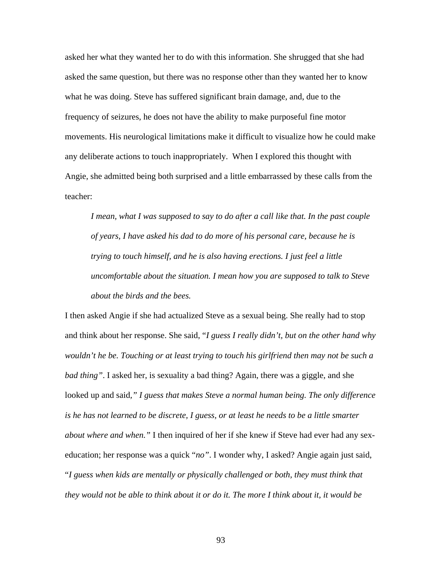asked her what they wanted her to do with this information. She shrugged that she had asked the same question, but there was no response other than they wanted her to know what he was doing. Steve has suffered significant brain damage, and, due to the frequency of seizures, he does not have the ability to make purposeful fine motor movements. His neurological limitations make it difficult to visualize how he could make any deliberate actions to touch inappropriately. When I explored this thought with Angie, she admitted being both surprised and a little embarrassed by these calls from the teacher:

*I mean, what I was supposed to say to do after a call like that. In the past couple of years, I have asked his dad to do more of his personal care, because he is trying to touch himself, and he is also having erections. I just feel a little uncomfortable about the situation. I mean how you are supposed to talk to Steve about the birds and the bees.* 

I then asked Angie if she had actualized Steve as a sexual being. She really had to stop and think about her response. She said, "*I guess I really didn't, but on the other hand why wouldn't he be. Touching or at least trying to touch his girlfriend then may not be such a bad thing"*. I asked her, is sexuality a bad thing? Again, there was a giggle, and she looked up and said*," I guess that makes Steve a normal human being. The only difference is he has not learned to be discrete, I guess, or at least he needs to be a little smarter about where and when."* I then inquired of her if she knew if Steve had ever had any sexeducation; her response was a quick "*no"*. I wonder why, I asked? Angie again just said, "*I guess when kids are mentally or physically challenged or both, they must think that they would not be able to think about it or do it. The more I think about it, it would be*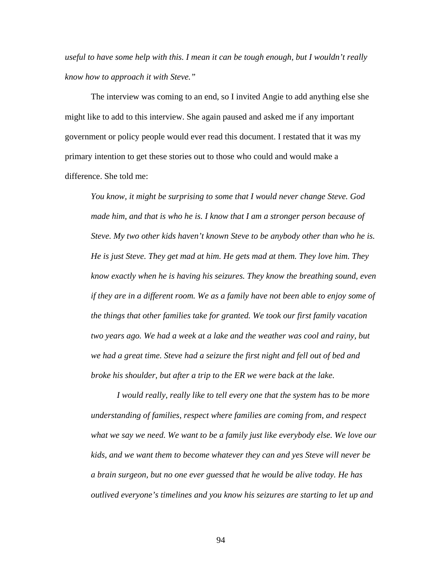*useful to have some help with this. I mean it can be tough enough, but I wouldn't really know how to approach it with Steve."*

The interview was coming to an end, so I invited Angie to add anything else she might like to add to this interview. She again paused and asked me if any important government or policy people would ever read this document. I restated that it was my primary intention to get these stories out to those who could and would make a difference. She told me:

*You know, it might be surprising to some that I would never change Steve. God made him, and that is who he is. I know that I am a stronger person because of Steve. My two other kids haven't known Steve to be anybody other than who he is. He is just Steve. They get mad at him. He gets mad at them. They love him. They know exactly when he is having his seizures. They know the breathing sound, even if they are in a different room. We as a family have not been able to enjoy some of the things that other families take for granted. We took our first family vacation two years ago. We had a week at a lake and the weather was cool and rainy, but we had a great time. Steve had a seizure the first night and fell out of bed and broke his shoulder, but after a trip to the ER we were back at the lake.* 

 *I would really, really like to tell every one that the system has to be more understanding of families, respect where families are coming from, and respect what we say we need. We want to be a family just like everybody else. We love our kids, and we want them to become whatever they can and yes Steve will never be a brain surgeon, but no one ever guessed that he would be alive today. He has outlived everyone's timelines and you know his seizures are starting to let up and*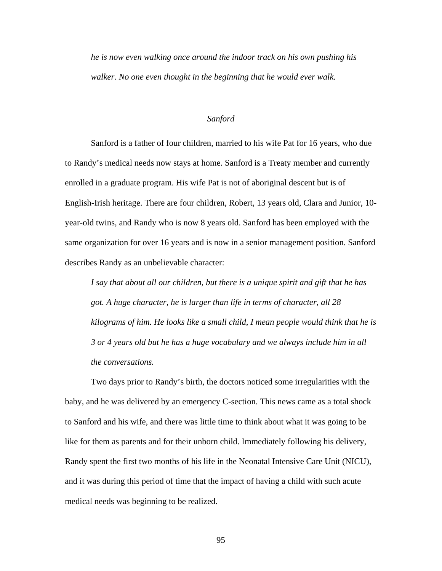*he is now even walking once around the indoor track on his own pushing his walker. No one even thought in the beginning that he would ever walk.* 

## *Sanford*

Sanford is a father of four children, married to his wife Pat for 16 years, who due to Randy's medical needs now stays at home. Sanford is a Treaty member and currently enrolled in a graduate program. His wife Pat is not of aboriginal descent but is of English-Irish heritage. There are four children, Robert, 13 years old, Clara and Junior, 10 year-old twins, and Randy who is now 8 years old. Sanford has been employed with the same organization for over 16 years and is now in a senior management position. Sanford describes Randy as an unbelievable character:

*I say that about all our children, but there is a unique spirit and gift that he has got. A huge character, he is larger than life in terms of character, all 28 kilograms of him. He looks like a small child, I mean people would think that he is 3 or 4 years old but he has a huge vocabulary and we always include him in all the conversations.* 

Two days prior to Randy's birth, the doctors noticed some irregularities with the baby, and he was delivered by an emergency C-section. This news came as a total shock to Sanford and his wife, and there was little time to think about what it was going to be like for them as parents and for their unborn child. Immediately following his delivery, Randy spent the first two months of his life in the Neonatal Intensive Care Unit (NICU), and it was during this period of time that the impact of having a child with such acute medical needs was beginning to be realized.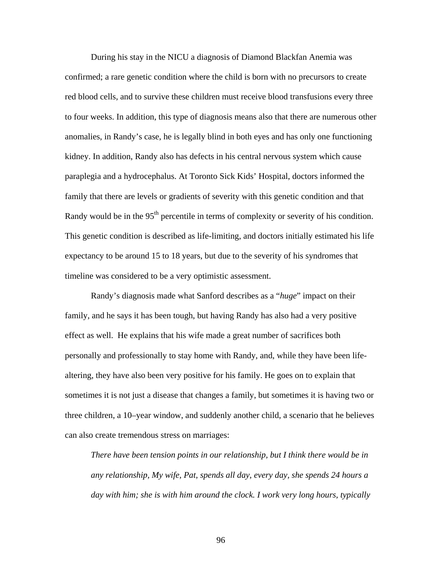During his stay in the NICU a diagnosis of Diamond Blackfan Anemia was confirmed; a rare genetic condition where the child is born with no precursors to create red blood cells, and to survive these children must receive blood transfusions every three to four weeks. In addition, this type of diagnosis means also that there are numerous other anomalies, in Randy's case, he is legally blind in both eyes and has only one functioning kidney. In addition, Randy also has defects in his central nervous system which cause paraplegia and a hydrocephalus. At Toronto Sick Kids' Hospital, doctors informed the family that there are levels or gradients of severity with this genetic condition and that Randy would be in the 95<sup>th</sup> percentile in terms of complexity or severity of his condition. This genetic condition is described as life-limiting, and doctors initially estimated his life expectancy to be around 15 to 18 years, but due to the severity of his syndromes that timeline was considered to be a very optimistic assessment.

Randy's diagnosis made what Sanford describes as a "*huge*" impact on their family, and he says it has been tough, but having Randy has also had a very positive effect as well. He explains that his wife made a great number of sacrifices both personally and professionally to stay home with Randy, and, while they have been lifealtering, they have also been very positive for his family. He goes on to explain that sometimes it is not just a disease that changes a family, but sometimes it is having two or three children, a 10–year window, and suddenly another child, a scenario that he believes can also create tremendous stress on marriages:

*There have been tension points in our relationship, but I think there would be in any relationship, My wife, Pat, spends all day, every day, she spends 24 hours a day with him; she is with him around the clock. I work very long hours, typically*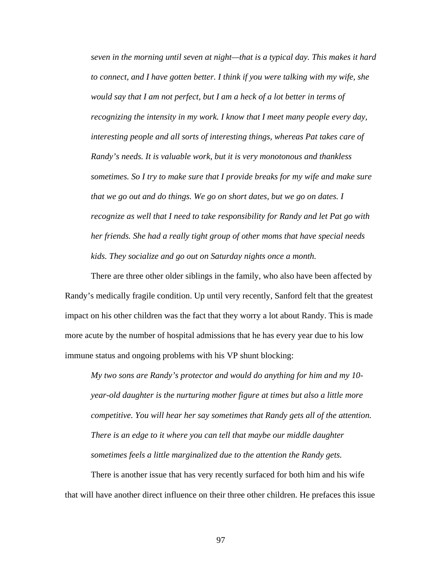*seven in the morning until seven at night—that is a typical day. This makes it hard to connect, and I have gotten better. I think if you were talking with my wife, she would say that I am not perfect, but I am a heck of a lot better in terms of recognizing the intensity in my work. I know that I meet many people every day, interesting people and all sorts of interesting things, whereas Pat takes care of Randy's needs. It is valuable work, but it is very monotonous and thankless sometimes. So I try to make sure that I provide breaks for my wife and make sure that we go out and do things. We go on short dates, but we go on dates. I recognize as well that I need to take responsibility for Randy and let Pat go with her friends. She had a really tight group of other moms that have special needs kids. They socialize and go out on Saturday nights once a month.* 

There are three other older siblings in the family, who also have been affected by Randy's medically fragile condition. Up until very recently, Sanford felt that the greatest impact on his other children was the fact that they worry a lot about Randy. This is made more acute by the number of hospital admissions that he has every year due to his low immune status and ongoing problems with his VP shunt blocking:

*My two sons are Randy's protector and would do anything for him and my 10 year-old daughter is the nurturing mother figure at times but also a little more competitive. You will hear her say sometimes that Randy gets all of the attention. There is an edge to it where you can tell that maybe our middle daughter sometimes feels a little marginalized due to the attention the Randy gets.* 

 There is another issue that has very recently surfaced for both him and his wife that will have another direct influence on their three other children. He prefaces this issue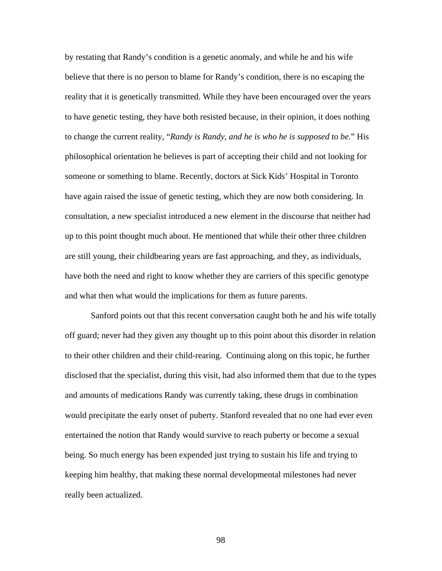by restating that Randy's condition is a genetic anomaly, and while he and his wife believe that there is no person to blame for Randy's condition, there is no escaping the reality that it is genetically transmitted. While they have been encouraged over the years to have genetic testing, they have both resisted because, in their opinion, it does nothing to change the current reality, "*Randy is Randy, and he is who he is supposed to be.*" His philosophical orientation he believes is part of accepting their child and not looking for someone or something to blame. Recently, doctors at Sick Kids' Hospital in Toronto have again raised the issue of genetic testing, which they are now both considering. In consultation, a new specialist introduced a new element in the discourse that neither had up to this point thought much about. He mentioned that while their other three children are still young, their childbearing years are fast approaching, and they, as individuals, have both the need and right to know whether they are carriers of this specific genotype and what then what would the implications for them as future parents.

 Sanford points out that this recent conversation caught both he and his wife totally off guard; never had they given any thought up to this point about this disorder in relation to their other children and their child-rearing. Continuing along on this topic, he further disclosed that the specialist, during this visit, had also informed them that due to the types and amounts of medications Randy was currently taking, these drugs in combination would precipitate the early onset of puberty. Stanford revealed that no one had ever even entertained the notion that Randy would survive to reach puberty or become a sexual being. So much energy has been expended just trying to sustain his life and trying to keeping him healthy, that making these normal developmental milestones had never really been actualized.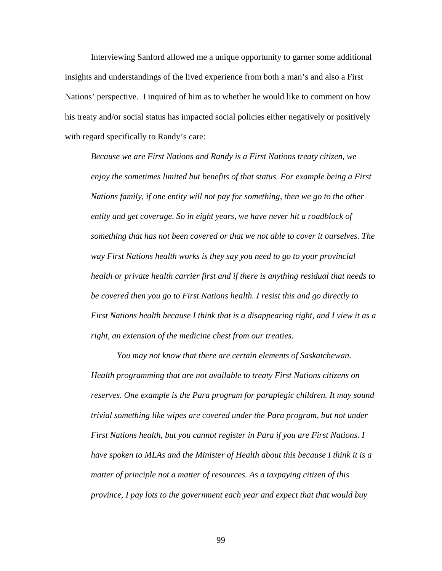Interviewing Sanford allowed me a unique opportunity to garner some additional insights and understandings of the lived experience from both a man's and also a First Nations' perspective. I inquired of him as to whether he would like to comment on how his treaty and/or social status has impacted social policies either negatively or positively with regard specifically to Randy's care:

*Because we are First Nations and Randy is a First Nations treaty citizen, we enjoy the sometimes limited but benefits of that status. For example being a First Nations family, if one entity will not pay for something, then we go to the other entity and get coverage. So in eight years, we have never hit a roadblock of something that has not been covered or that we not able to cover it ourselves. The way First Nations health works is they say you need to go to your provincial health or private health carrier first and if there is anything residual that needs to be covered then you go to First Nations health. I resist this and go directly to First Nations health because I think that is a disappearing right, and I view it as a right, an extension of the medicine chest from our treaties.* 

 *You may not know that there are certain elements of Saskatchewan. Health programming that are not available to treaty First Nations citizens on reserves. One example is the Para program for paraplegic children. It may sound trivial something like wipes are covered under the Para program, but not under First Nations health, but you cannot register in Para if you are First Nations. I have spoken to MLAs and the Minister of Health about this because I think it is a matter of principle not a matter of resources. As a taxpaying citizen of this province, I pay lots to the government each year and expect that that would buy*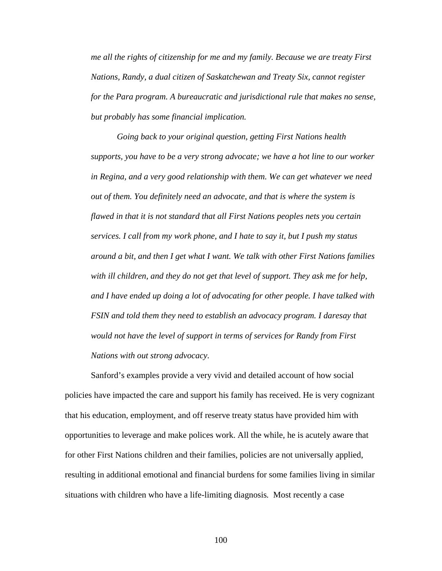*me all the rights of citizenship for me and my family. Because we are treaty First Nations, Randy, a dual citizen of Saskatchewan and Treaty Six, cannot register for the Para program. A bureaucratic and jurisdictional rule that makes no sense, but probably has some financial implication.* 

*Going back to your original question, getting First Nations health supports, you have to be a very strong advocate; we have a hot line to our worker in Regina, and a very good relationship with them. We can get whatever we need out of them. You definitely need an advocate, and that is where the system is flawed in that it is not standard that all First Nations peoples nets you certain services. I call from my work phone, and I hate to say it, but I push my status around a bit, and then I get what I want. We talk with other First Nations families with ill children, and they do not get that level of support. They ask me for help, and I have ended up doing a lot of advocating for other people. I have talked with FSIN and told them they need to establish an advocacy program. I daresay that would not have the level of support in terms of services for Randy from First Nations with out strong advocacy.* 

Sanford's examples provide a very vivid and detailed account of how social policies have impacted the care and support his family has received. He is very cognizant that his education, employment, and off reserve treaty status have provided him with opportunities to leverage and make polices work. All the while, he is acutely aware that for other First Nations children and their families, policies are not universally applied, resulting in additional emotional and financial burdens for some families living in similar situations with children who have a life-limiting diagnosis*.* Most recently a case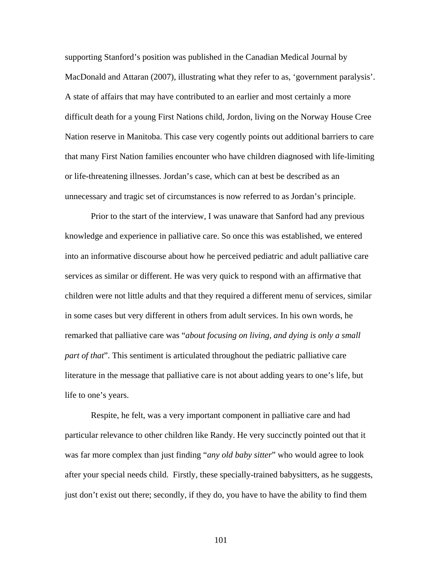supporting Stanford's position was published in the Canadian Medical Journal by MacDonald and Attaran (2007), illustrating what they refer to as, 'government paralysis'. A state of affairs that may have contributed to an earlier and most certainly a more difficult death for a young First Nations child, Jordon, living on the Norway House Cree Nation reserve in Manitoba. This case very cogently points out additional barriers to care that many First Nation families encounter who have children diagnosed with life-limiting or life-threatening illnesses. Jordan's case, which can at best be described as an unnecessary and tragic set of circumstances is now referred to as Jordan's principle.

Prior to the start of the interview, I was unaware that Sanford had any previous knowledge and experience in palliative care. So once this was established, we entered into an informative discourse about how he perceived pediatric and adult palliative care services as similar or different. He was very quick to respond with an affirmative that children were not little adults and that they required a different menu of services, similar in some cases but very different in others from adult services. In his own words, he remarked that palliative care was "*about focusing on living, and dying is only a small part of that*". This sentiment is articulated throughout the pediatric palliative care literature in the message that palliative care is not about adding years to one's life, but life to one's years.

Respite, he felt, was a very important component in palliative care and had particular relevance to other children like Randy. He very succinctly pointed out that it was far more complex than just finding "*any old baby sitter*" who would agree to look after your special needs child. Firstly, these specially-trained babysitters, as he suggests, just don't exist out there; secondly, if they do, you have to have the ability to find them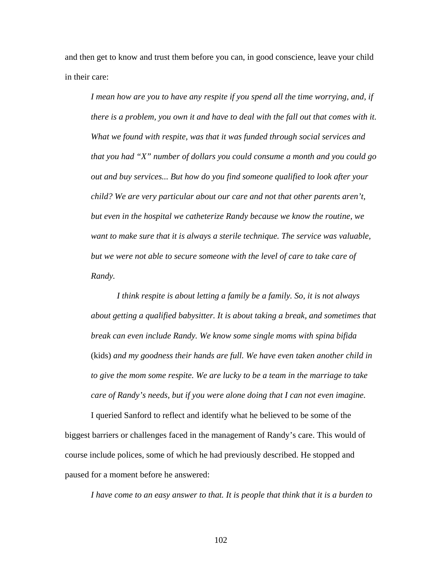and then get to know and trust them before you can, in good conscience, leave your child in their care:

*I mean how are you to have any respite if you spend all the time worrying, and, if there is a problem, you own it and have to deal with the fall out that comes with it. What we found with respite, was that it was funded through social services and that you had "X" number of dollars you could consume a month and you could go out and buy services... But how do you find someone qualified to look after your child? We are very particular about our care and not that other parents aren't, but even in the hospital we catheterize Randy because we know the routine, we*  want to make sure that it is always a sterile technique. The service was valuable, *but we were not able to secure someone with the level of care to take care of Randy.* 

 *I think respite is about letting a family be a family. So, it is not always about getting a qualified babysitter. It is about taking a break, and sometimes that break can even include Randy. We know some single moms with spina bifida*  (kids) *and my goodness their hands are full. We have even taken another child in to give the mom some respite. We are lucky to be a team in the marriage to take care of Randy's needs, but if you were alone doing that I can not even imagine.* 

I queried Sanford to reflect and identify what he believed to be some of the biggest barriers or challenges faced in the management of Randy's care. This would of course include polices, some of which he had previously described. He stopped and paused for a moment before he answered:

*I have come to an easy answer to that. It is people that think that it is a burden to*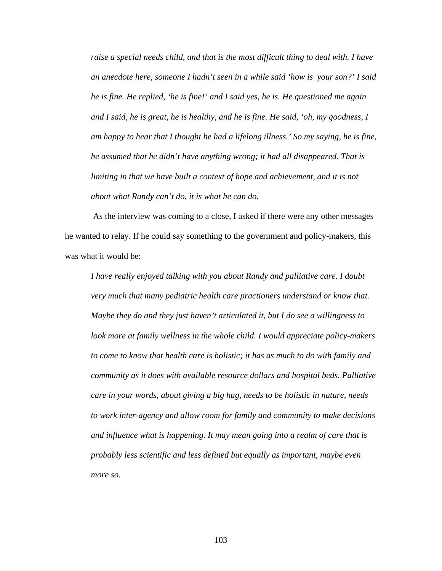*raise a special needs child, and that is the most difficult thing to deal with. I have an anecdote here, someone I hadn't seen in a while said 'how is your son?' I said he is fine. He replied, 'he is fine!' and I said yes, he is. He questioned me again and I said, he is great, he is healthy, and he is fine. He said, 'oh, my goodness, I am happy to hear that I thought he had a lifelong illness.' So my saying, he is fine, he assumed that he didn't have anything wrong; it had all disappeared. That is*  limiting in that we have built a context of hope and achievement, and it is not *about what Randy can't do, it is what he can do.* 

As the interview was coming to a close, I asked if there were any other messages he wanted to relay. If he could say something to the government and policy-makers, this was what it would be:

*I have really enjoyed talking with you about Randy and palliative care. I doubt very much that many pediatric health care practioners understand or know that. Maybe they do and they just haven't articulated it, but I do see a willingness to look more at family wellness in the whole child. I would appreciate policy-makers to come to know that health care is holistic; it has as much to do with family and community as it does with available resource dollars and hospital beds. Palliative care in your words, about giving a big hug, needs to be holistic in nature, needs to work inter-agency and allow room for family and community to make decisions and influence what is happening. It may mean going into a realm of care that is probably less scientific and less defined but equally as important, maybe even more so.*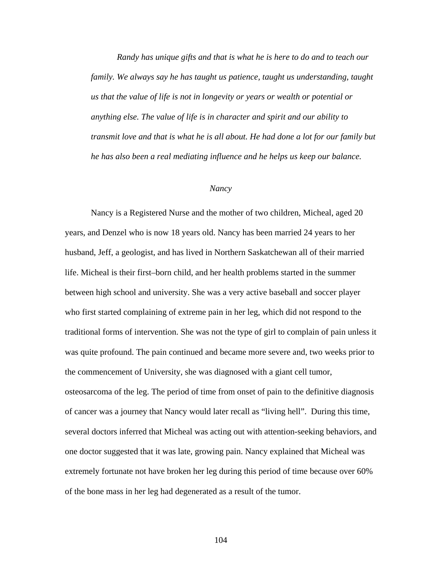*Randy has unique gifts and that is what he is here to do and to teach our family. We always say he has taught us patience, taught us understanding, taught us that the value of life is not in longevity or years or wealth or potential or anything else. The value of life is in character and spirit and our ability to transmit love and that is what he is all about. He had done a lot for our family but he has also been a real mediating influence and he helps us keep our balance.* 

#### *Nancy*

Nancy is a Registered Nurse and the mother of two children, Micheal, aged 20 years, and Denzel who is now 18 years old. Nancy has been married 24 years to her husband, Jeff, a geologist, and has lived in Northern Saskatchewan all of their married life. Micheal is their first–born child, and her health problems started in the summer between high school and university. She was a very active baseball and soccer player who first started complaining of extreme pain in her leg, which did not respond to the traditional forms of intervention. She was not the type of girl to complain of pain unless it was quite profound. The pain continued and became more severe and, two weeks prior to the commencement of University, she was diagnosed with a giant cell tumor, osteosarcoma of the leg. The period of time from onset of pain to the definitive diagnosis of cancer was a journey that Nancy would later recall as "living hell". During this time, several doctors inferred that Micheal was acting out with attention-seeking behaviors, and one doctor suggested that it was late, growing pain. Nancy explained that Micheal was extremely fortunate not have broken her leg during this period of time because over 60% of the bone mass in her leg had degenerated as a result of the tumor.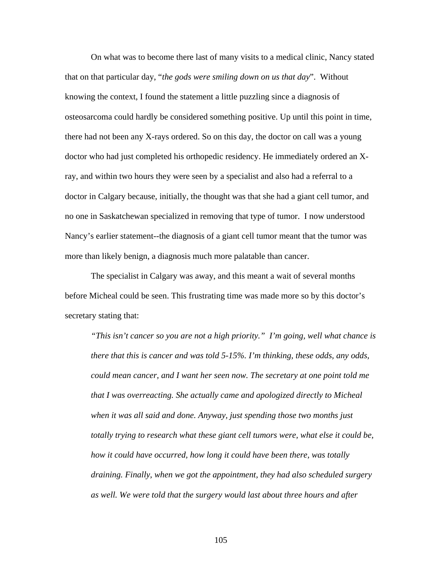On what was to become there last of many visits to a medical clinic, Nancy stated that on that particular day, "*the gods were smiling down on us that day*". Without knowing the context, I found the statement a little puzzling since a diagnosis of osteosarcoma could hardly be considered something positive. Up until this point in time, there had not been any X-rays ordered. So on this day, the doctor on call was a young doctor who had just completed his orthopedic residency. He immediately ordered an Xray, and within two hours they were seen by a specialist and also had a referral to a doctor in Calgary because, initially, the thought was that she had a giant cell tumor, and no one in Saskatchewan specialized in removing that type of tumor. I now understood Nancy's earlier statement--the diagnosis of a giant cell tumor meant that the tumor was more than likely benign, a diagnosis much more palatable than cancer.

The specialist in Calgary was away, and this meant a wait of several months before Micheal could be seen. This frustrating time was made more so by this doctor's secretary stating that:

*"This isn't cancer so you are not a high priority." I'm going, well what chance is there that this is cancer and was told 5-15%. I'm thinking, these odds, any odds, could mean cancer, and I want her seen now. The secretary at one point told me that I was overreacting. She actually came and apologized directly to Micheal when it was all said and done. Anyway, just spending those two months just totally trying to research what these giant cell tumors were, what else it could be, how it could have occurred, how long it could have been there, was totally draining. Finally, when we got the appointment, they had also scheduled surgery as well. We were told that the surgery would last about three hours and after*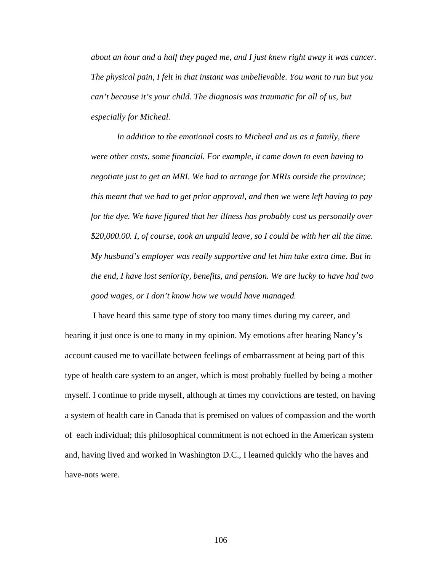*about an hour and a half they paged me, and I just knew right away it was cancer. The physical pain, I felt in that instant was unbelievable. You want to run but you can't because it's your child. The diagnosis was traumatic for all of us, but especially for Micheal.* 

 *In addition to the emotional costs to Micheal and us as a family, there were other costs, some financial. For example, it came down to even having to negotiate just to get an MRI. We had to arrange for MRIs outside the province; this meant that we had to get prior approval, and then we were left having to pay for the dye. We have figured that her illness has probably cost us personally over \$20,000.00. I, of course, took an unpaid leave, so I could be with her all the time. My husband's employer was really supportive and let him take extra time. But in the end, I have lost seniority, benefits, and pension. We are lucky to have had two good wages, or I don't know how we would have managed.* 

 I have heard this same type of story too many times during my career, and hearing it just once is one to many in my opinion. My emotions after hearing Nancy's account caused me to vacillate between feelings of embarrassment at being part of this type of health care system to an anger, which is most probably fuelled by being a mother myself. I continue to pride myself, although at times my convictions are tested, on having a system of health care in Canada that is premised on values of compassion and the worth of each individual; this philosophical commitment is not echoed in the American system and, having lived and worked in Washington D.C., I learned quickly who the haves and have-nots were.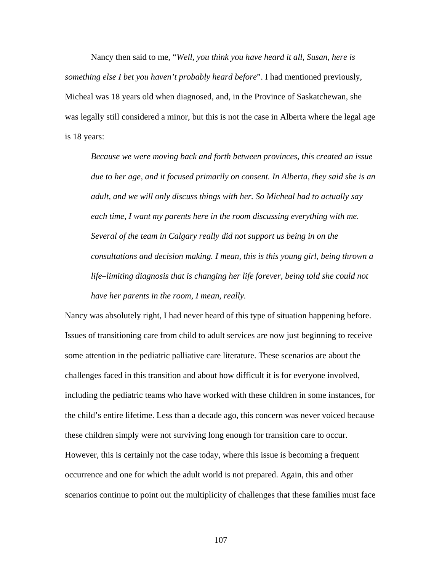Nancy then said to me, "*Well, you think you have heard it all, Susan, here is something else I bet you haven't probably heard before*". I had mentioned previously, Micheal was 18 years old when diagnosed, and, in the Province of Saskatchewan, she was legally still considered a minor, but this is not the case in Alberta where the legal age is 18 years:

*Because we were moving back and forth between provinces, this created an issue due to her age, and it focused primarily on consent. In Alberta, they said she is an adult, and we will only discuss things with her. So Micheal had to actually say each time, I want my parents here in the room discussing everything with me. Several of the team in Calgary really did not support us being in on the consultations and decision making. I mean, this is this young girl, being thrown a life–limiting diagnosis that is changing her life forever, being told she could not have her parents in the room, I mean, really.* 

Nancy was absolutely right, I had never heard of this type of situation happening before. Issues of transitioning care from child to adult services are now just beginning to receive some attention in the pediatric palliative care literature. These scenarios are about the challenges faced in this transition and about how difficult it is for everyone involved, including the pediatric teams who have worked with these children in some instances, for the child's entire lifetime. Less than a decade ago, this concern was never voiced because these children simply were not surviving long enough for transition care to occur. However, this is certainly not the case today, where this issue is becoming a frequent occurrence and one for which the adult world is not prepared. Again, this and other scenarios continue to point out the multiplicity of challenges that these families must face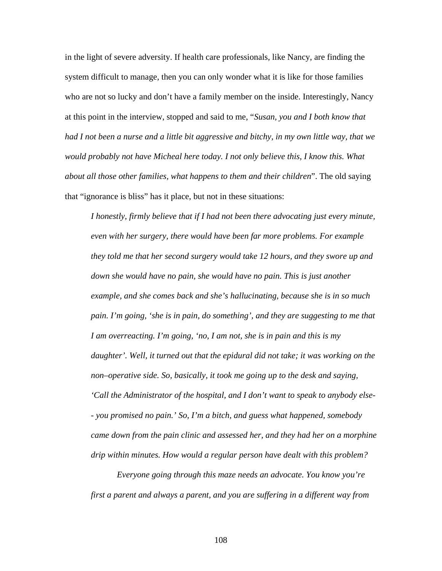in the light of severe adversity. If health care professionals, like Nancy, are finding the system difficult to manage, then you can only wonder what it is like for those families who are not so lucky and don't have a family member on the inside. Interestingly, Nancy at this point in the interview, stopped and said to me, "*Susan, you and I both know that had I not been a nurse and a little bit aggressive and bitchy, in my own little way, that we would probably not have Micheal here today. I not only believe this, I know this. What about all those other families, what happens to them and their children*". The old saying that "ignorance is bliss" has it place, but not in these situations:

*I honestly, firmly believe that if I had not been there advocating just every minute, even with her surgery, there would have been far more problems. For example they told me that her second surgery would take 12 hours, and they swore up and down she would have no pain, she would have no pain. This is just another example, and she comes back and she's hallucinating, because she is in so much pain. I'm going, 'she is in pain, do something', and they are suggesting to me that I am overreacting. I'm going, 'no, I am not, she is in pain and this is my daughter'. Well, it turned out that the epidural did not take; it was working on the non–operative side. So, basically, it took me going up to the desk and saying, 'Call the Administrator of the hospital, and I don't want to speak to anybody else- - you promised no pain.' So, I'm a bitch, and guess what happened, somebody came down from the pain clinic and assessed her, and they had her on a morphine drip within minutes. How would a regular person have dealt with this problem?* 

 *Everyone going through this maze needs an advocate. You know you're first a parent and always a parent, and you are suffering in a different way from*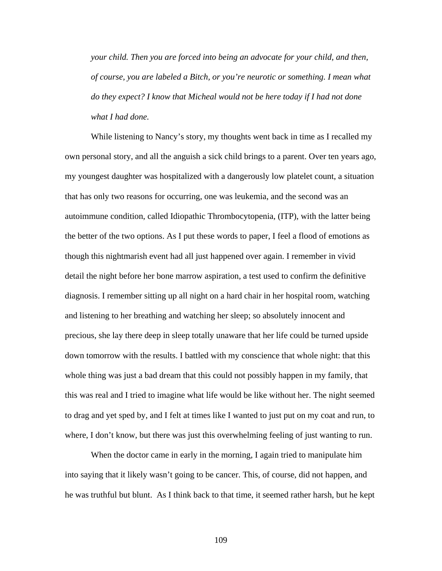*your child. Then you are forced into being an advocate for your child, and then, of course, you are labeled a Bitch, or you're neurotic or something. I mean what do they expect? I know that Micheal would not be here today if I had not done what I had done.* 

 While listening to Nancy's story, my thoughts went back in time as I recalled my own personal story, and all the anguish a sick child brings to a parent. Over ten years ago, my youngest daughter was hospitalized with a dangerously low platelet count, a situation that has only two reasons for occurring, one was leukemia, and the second was an autoimmune condition, called Idiopathic Thrombocytopenia, (ITP), with the latter being the better of the two options. As I put these words to paper, I feel a flood of emotions as though this nightmarish event had all just happened over again. I remember in vivid detail the night before her bone marrow aspiration, a test used to confirm the definitive diagnosis. I remember sitting up all night on a hard chair in her hospital room, watching and listening to her breathing and watching her sleep; so absolutely innocent and precious, she lay there deep in sleep totally unaware that her life could be turned upside down tomorrow with the results. I battled with my conscience that whole night: that this whole thing was just a bad dream that this could not possibly happen in my family, that this was real and I tried to imagine what life would be like without her. The night seemed to drag and yet sped by, and I felt at times like I wanted to just put on my coat and run, to where, I don't know, but there was just this overwhelming feeling of just wanting to run.

 When the doctor came in early in the morning, I again tried to manipulate him into saying that it likely wasn't going to be cancer. This, of course, did not happen, and he was truthful but blunt. As I think back to that time, it seemed rather harsh, but he kept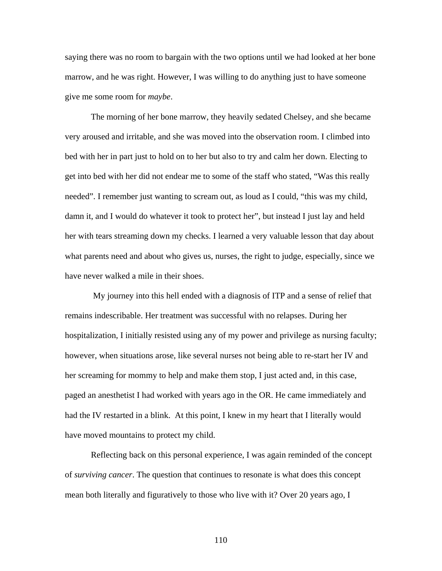saying there was no room to bargain with the two options until we had looked at her bone marrow, and he was right. However, I was willing to do anything just to have someone give me some room for *maybe*.

The morning of her bone marrow, they heavily sedated Chelsey, and she became very aroused and irritable, and she was moved into the observation room. I climbed into bed with her in part just to hold on to her but also to try and calm her down. Electing to get into bed with her did not endear me to some of the staff who stated, "Was this really needed". I remember just wanting to scream out, as loud as I could, "this was my child, damn it, and I would do whatever it took to protect her", but instead I just lay and held her with tears streaming down my checks. I learned a very valuable lesson that day about what parents need and about who gives us, nurses, the right to judge, especially, since we have never walked a mile in their shoes.

 My journey into this hell ended with a diagnosis of ITP and a sense of relief that remains indescribable. Her treatment was successful with no relapses. During her hospitalization, I initially resisted using any of my power and privilege as nursing faculty; however, when situations arose, like several nurses not being able to re-start her IV and her screaming for mommy to help and make them stop, I just acted and, in this case, paged an anesthetist I had worked with years ago in the OR. He came immediately and had the IV restarted in a blink. At this point, I knew in my heart that I literally would have moved mountains to protect my child.

Reflecting back on this personal experience, I was again reminded of the concept of *surviving cancer*. The question that continues to resonate is what does this concept mean both literally and figuratively to those who live with it? Over 20 years ago, I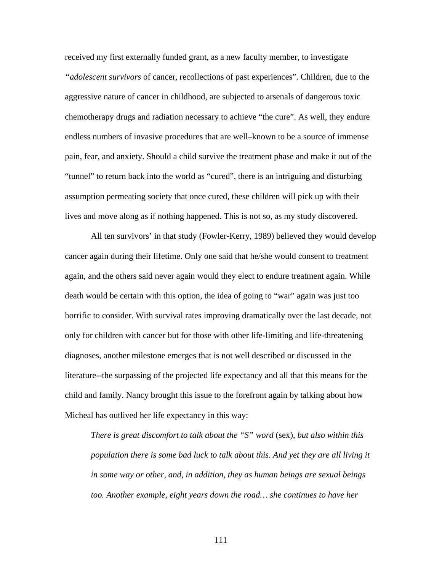received my first externally funded grant, as a new faculty member, to investigate *"adolescent survivors* of cancer, recollections of past experiences". Children, due to the aggressive nature of cancer in childhood, are subjected to arsenals of dangerous toxic chemotherapy drugs and radiation necessary to achieve "the cure". As well, they endure endless numbers of invasive procedures that are well–known to be a source of immense pain, fear, and anxiety. Should a child survive the treatment phase and make it out of the "tunnel" to return back into the world as "cured", there is an intriguing and disturbing assumption permeating society that once cured, these children will pick up with their lives and move along as if nothing happened. This is not so, as my study discovered.

All ten survivors' in that study (Fowler-Kerry, 1989) believed they would develop cancer again during their lifetime. Only one said that he/she would consent to treatment again, and the others said never again would they elect to endure treatment again. While death would be certain with this option, the idea of going to "war" again was just too horrific to consider. With survival rates improving dramatically over the last decade, not only for children with cancer but for those with other life-limiting and life-threatening diagnoses, another milestone emerges that is not well described or discussed in the literature--the surpassing of the projected life expectancy and all that this means for the child and family. Nancy brought this issue to the forefront again by talking about how Micheal has outlived her life expectancy in this way:

*There is great discomfort to talk about the "S" word* (sex)*, but also within this population there is some bad luck to talk about this. And yet they are all living it in some way or other, and, in addition, they as human beings are sexual beings too. Another example, eight years down the road… she continues to have her*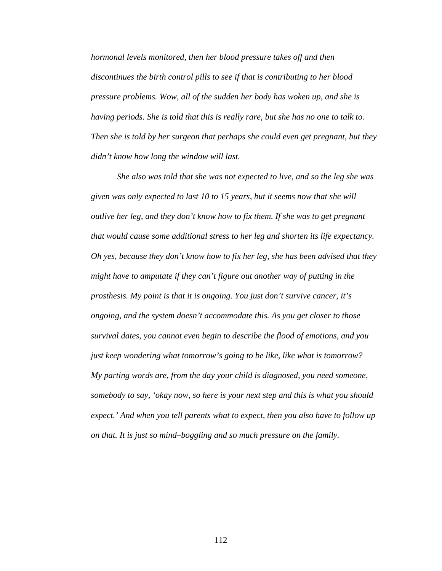*hormonal levels monitored, then her blood pressure takes off and then discontinues the birth control pills to see if that is contributing to her blood pressure problems. Wow, all of the sudden her body has woken up, and she is having periods. She is told that this is really rare, but she has no one to talk to. Then she is told by her surgeon that perhaps she could even get pregnant, but they didn't know how long the window will last.* 

 *She also was told that she was not expected to live, and so the leg she was given was only expected to last 10 to 15 years, but it seems now that she will outlive her leg, and they don't know how to fix them. If she was to get pregnant that would cause some additional stress to her leg and shorten its life expectancy. Oh yes, because they don't know how to fix her leg, she has been advised that they might have to amputate if they can't figure out another way of putting in the prosthesis. My point is that it is ongoing. You just don't survive cancer, it's ongoing, and the system doesn't accommodate this. As you get closer to those survival dates, you cannot even begin to describe the flood of emotions, and you just keep wondering what tomorrow's going to be like, like what is tomorrow? My parting words are, from the day your child is diagnosed, you need someone, somebody to say, 'okay now, so here is your next step and this is what you should expect.' And when you tell parents what to expect, then you also have to follow up on that. It is just so mind–boggling and so much pressure on the family.*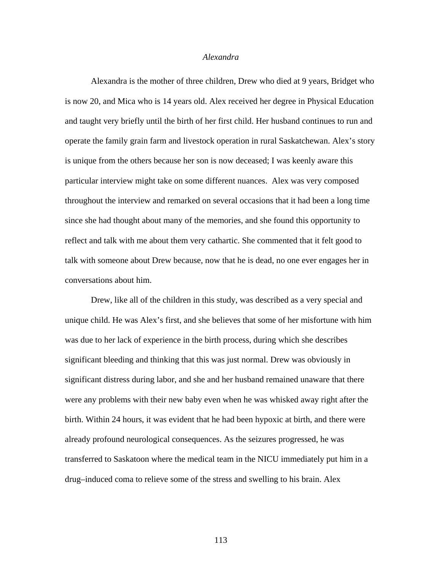# *Alexandra*

Alexandra is the mother of three children, Drew who died at 9 years, Bridget who is now 20, and Mica who is 14 years old. Alex received her degree in Physical Education and taught very briefly until the birth of her first child. Her husband continues to run and operate the family grain farm and livestock operation in rural Saskatchewan. Alex's story is unique from the others because her son is now deceased; I was keenly aware this particular interview might take on some different nuances. Alex was very composed throughout the interview and remarked on several occasions that it had been a long time since she had thought about many of the memories, and she found this opportunity to reflect and talk with me about them very cathartic. She commented that it felt good to talk with someone about Drew because, now that he is dead, no one ever engages her in conversations about him.

Drew, like all of the children in this study, was described as a very special and unique child. He was Alex's first, and she believes that some of her misfortune with him was due to her lack of experience in the birth process, during which she describes significant bleeding and thinking that this was just normal. Drew was obviously in significant distress during labor, and she and her husband remained unaware that there were any problems with their new baby even when he was whisked away right after the birth. Within 24 hours, it was evident that he had been hypoxic at birth, and there were already profound neurological consequences. As the seizures progressed, he was transferred to Saskatoon where the medical team in the NICU immediately put him in a drug–induced coma to relieve some of the stress and swelling to his brain. Alex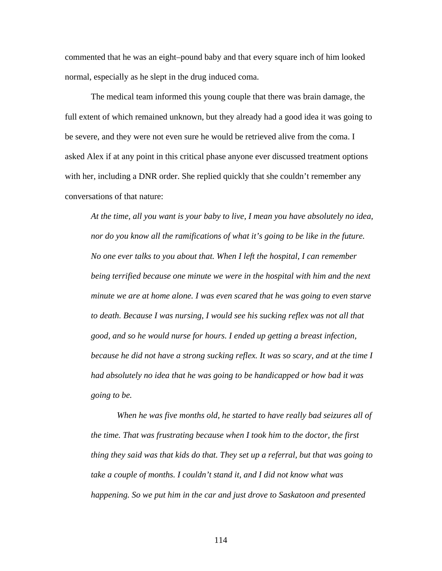commented that he was an eight–pound baby and that every square inch of him looked normal, especially as he slept in the drug induced coma.

The medical team informed this young couple that there was brain damage, the full extent of which remained unknown, but they already had a good idea it was going to be severe, and they were not even sure he would be retrieved alive from the coma. I asked Alex if at any point in this critical phase anyone ever discussed treatment options with her, including a DNR order. She replied quickly that she couldn't remember any conversations of that nature:

*At the time, all you want is your baby to live, I mean you have absolutely no idea, nor do you know all the ramifications of what it's going to be like in the future. No one ever talks to you about that. When I left the hospital, I can remember being terrified because one minute we were in the hospital with him and the next minute we are at home alone. I was even scared that he was going to even starve to death. Because I was nursing, I would see his sucking reflex was not all that good, and so he would nurse for hours. I ended up getting a breast infection, because he did not have a strong sucking reflex. It was so scary, and at the time I had absolutely no idea that he was going to be handicapped or how bad it was going to be.* 

 *When he was five months old, he started to have really bad seizures all of the time. That was frustrating because when I took him to the doctor, the first thing they said was that kids do that. They set up a referral, but that was going to take a couple of months. I couldn't stand it, and I did not know what was happening. So we put him in the car and just drove to Saskatoon and presented*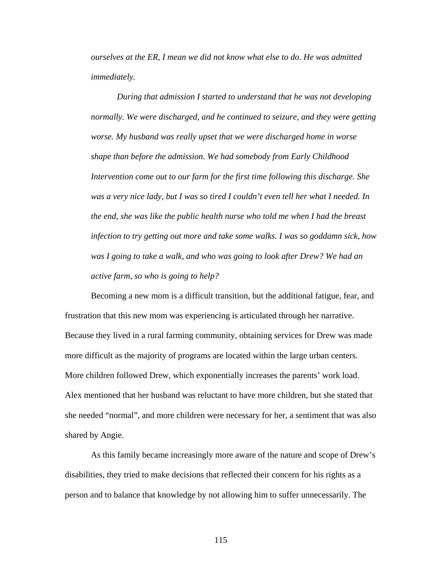*ourselves at the ER, I mean we did not know what else to do. He was admitted immediately.* 

 *During that admission I started to understand that he was not developing normally. We were discharged, and he continued to seizure, and they were getting worse. My husband was really upset that we were discharged home in worse shape than before the admission. We had somebody from Early Childhood Intervention come out to our farm for the first time following this discharge. She was a very nice lady, but I was so tired I couldn't even tell her what I needed. In the end, she was like the public health nurse who told me when I had the breast infection to try getting out more and take some walks. I was so goddamn sick, how was I going to take a walk, and who was going to look after Drew? We had an active farm, so who is going to help?* 

Becoming a new mom is a difficult transition, but the additional fatigue, fear, and frustration that this new mom was experiencing is articulated through her narrative. Because they lived in a rural farming community, obtaining services for Drew was made more difficult as the majority of programs are located within the large urban centers. More children followed Drew, which exponentially increases the parents' work load. Alex mentioned that her husband was reluctant to have more children, but she stated that she needed "normal", and more children were necessary for her, a sentiment that was also shared by Angie.

As this family became increasingly more aware of the nature and scope of Drew's disabilities, they tried to make decisions that reflected their concern for his rights as a person and to balance that knowledge by not allowing him to suffer unnecessarily. The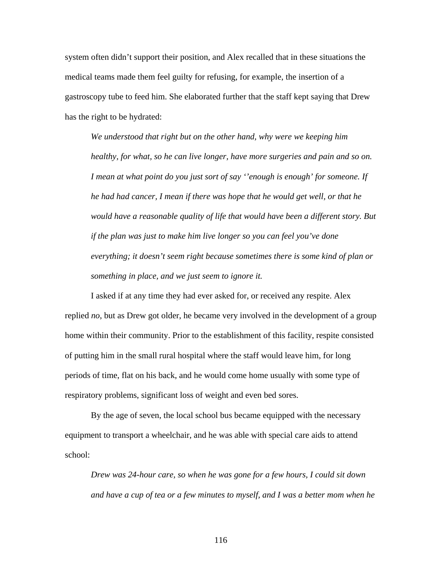system often didn't support their position, and Alex recalled that in these situations the medical teams made them feel guilty for refusing, for example, the insertion of a gastroscopy tube to feed him. She elaborated further that the staff kept saying that Drew has the right to be hydrated:

*We understood that right but on the other hand, why were we keeping him healthy, for what, so he can live longer, have more surgeries and pain and so on. I mean at what point do you just sort of say ''enough is enough' for someone. If he had had cancer, I mean if there was hope that he would get well, or that he would have a reasonable quality of life that would have been a different story. But if the plan was just to make him live longer so you can feel you've done everything; it doesn't seem right because sometimes there is some kind of plan or something in place, and we just seem to ignore it.* 

 I asked if at any time they had ever asked for, or received any respite. Alex replied *no*, but as Drew got older, he became very involved in the development of a group home within their community. Prior to the establishment of this facility, respite consisted of putting him in the small rural hospital where the staff would leave him, for long periods of time, flat on his back, and he would come home usually with some type of respiratory problems, significant loss of weight and even bed sores.

By the age of seven, the local school bus became equipped with the necessary equipment to transport a wheelchair, and he was able with special care aids to attend school:

*Drew was 24-hour care, so when he was gone for a few hours, I could sit down and have a cup of tea or a few minutes to myself, and I was a better mom when he*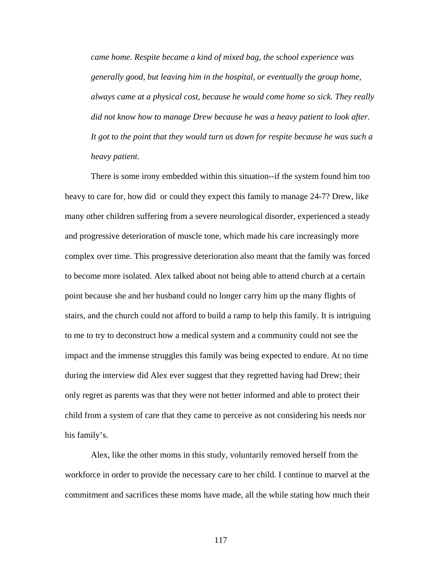*came home. Respite became a kind of mixed bag, the school experience was generally good, but leaving him in the hospital, or eventually the group home, always came at a physical cost, because he would come home so sick. They really did not know how to manage Drew because he was a heavy patient to look after.*  It got to the point that they would turn us down for respite because he was such a *heavy patient.* 

 There is some irony embedded within this situation--if the system found him too heavy to care for, how did or could they expect this family to manage 24-7? Drew, like many other children suffering from a severe neurological disorder, experienced a steady and progressive deterioration of muscle tone, which made his care increasingly more complex over time. This progressive deterioration also meant that the family was forced to become more isolated. Alex talked about not being able to attend church at a certain point because she and her husband could no longer carry him up the many flights of stairs, and the church could not afford to build a ramp to help this family. It is intriguing to me to try to deconstruct how a medical system and a community could not see the impact and the immense struggles this family was being expected to endure. At no time during the interview did Alex ever suggest that they regretted having had Drew; their only regret as parents was that they were not better informed and able to protect their child from a system of care that they came to perceive as not considering his needs nor his family's.

 Alex, like the other moms in this study, voluntarily removed herself from the workforce in order to provide the necessary care to her child. I continue to marvel at the commitment and sacrifices these moms have made, all the while stating how much their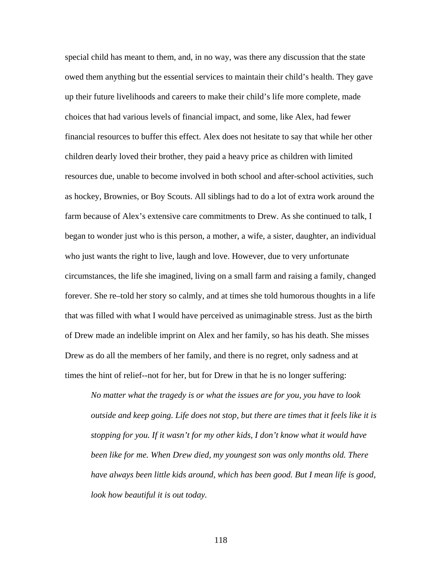special child has meant to them, and, in no way, was there any discussion that the state owed them anything but the essential services to maintain their child's health. They gave up their future livelihoods and careers to make their child's life more complete, made choices that had various levels of financial impact, and some, like Alex, had fewer financial resources to buffer this effect. Alex does not hesitate to say that while her other children dearly loved their brother, they paid a heavy price as children with limited resources due, unable to become involved in both school and after-school activities, such as hockey, Brownies, or Boy Scouts. All siblings had to do a lot of extra work around the farm because of Alex's extensive care commitments to Drew. As she continued to talk, I began to wonder just who is this person, a mother, a wife, a sister, daughter, an individual who just wants the right to live, laugh and love. However, due to very unfortunate circumstances, the life she imagined, living on a small farm and raising a family, changed forever. She re–told her story so calmly, and at times she told humorous thoughts in a life that was filled with what I would have perceived as unimaginable stress. Just as the birth of Drew made an indelible imprint on Alex and her family, so has his death. She misses Drew as do all the members of her family, and there is no regret, only sadness and at times the hint of relief--not for her, but for Drew in that he is no longer suffering:

*No matter what the tragedy is or what the issues are for you, you have to look outside and keep going. Life does not stop, but there are times that it feels like it is stopping for you. If it wasn't for my other kids, I don't know what it would have been like for me. When Drew died, my youngest son was only months old. There have always been little kids around, which has been good. But I mean life is good, look how beautiful it is out today.*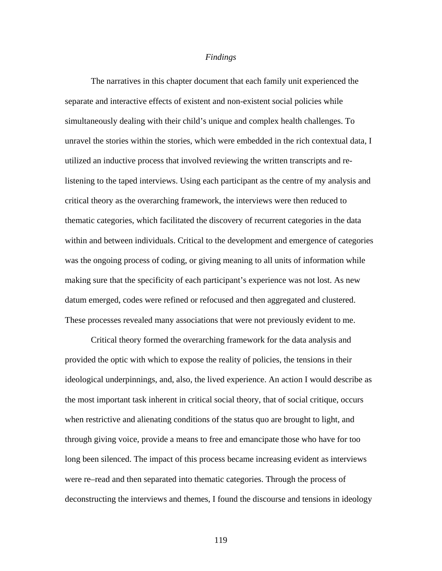### *Findings*

 The narratives in this chapter document that each family unit experienced the separate and interactive effects of existent and non-existent social policies while simultaneously dealing with their child's unique and complex health challenges. To unravel the stories within the stories, which were embedded in the rich contextual data, I utilized an inductive process that involved reviewing the written transcripts and relistening to the taped interviews. Using each participant as the centre of my analysis and critical theory as the overarching framework, the interviews were then reduced to thematic categories, which facilitated the discovery of recurrent categories in the data within and between individuals. Critical to the development and emergence of categories was the ongoing process of coding, or giving meaning to all units of information while making sure that the specificity of each participant's experience was not lost. As new datum emerged, codes were refined or refocused and then aggregated and clustered. These processes revealed many associations that were not previously evident to me.

Critical theory formed the overarching framework for the data analysis and provided the optic with which to expose the reality of policies, the tensions in their ideological underpinnings, and, also, the lived experience. An action I would describe as the most important task inherent in critical social theory, that of social critique, occurs when restrictive and alienating conditions of the status quo are brought to light, and through giving voice, provide a means to free and emancipate those who have for too long been silenced. The impact of this process became increasing evident as interviews were re–read and then separated into thematic categories. Through the process of deconstructing the interviews and themes, I found the discourse and tensions in ideology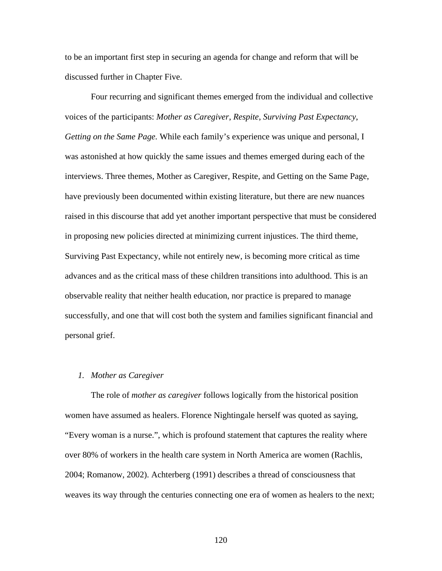to be an important first step in securing an agenda for change and reform that will be discussed further in Chapter Five.

 Four recurring and significant themes emerged from the individual and collective voices of the participants: *Mother as Caregiver*, *Respite*, *Surviving Past Expectancy*, *Getting on the Same Page.* While each family's experience was unique and personal, I was astonished at how quickly the same issues and themes emerged during each of the interviews. Three themes, Mother as Caregiver, Respite, and Getting on the Same Page, have previously been documented within existing literature, but there are new nuances raised in this discourse that add yet another important perspective that must be considered in proposing new policies directed at minimizing current injustices. The third theme, Surviving Past Expectancy, while not entirely new, is becoming more critical as time advances and as the critical mass of these children transitions into adulthood. This is an observable reality that neither health education, nor practice is prepared to manage successfully, and one that will cost both the system and families significant financial and personal grief.

# *1. Mother as Caregiver*

The role of *mother as caregiver* follows logically from the historical position women have assumed as healers. Florence Nightingale herself was quoted as saying, "Every woman is a nurse.", which is profound statement that captures the reality where over 80% of workers in the health care system in North America are women (Rachlis, 2004; Romanow, 2002). Achterberg (1991) describes a thread of consciousness that weaves its way through the centuries connecting one era of women as healers to the next;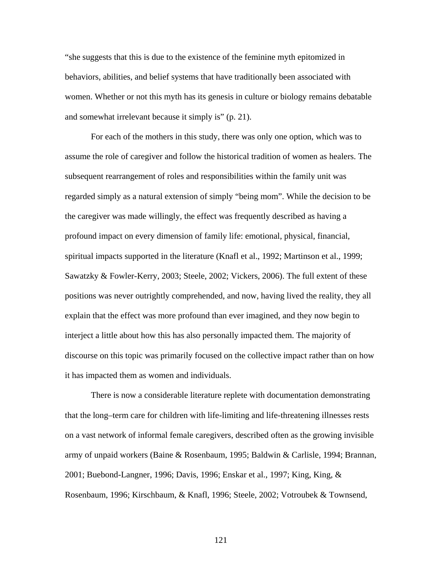"she suggests that this is due to the existence of the feminine myth epitomized in behaviors, abilities, and belief systems that have traditionally been associated with women. Whether or not this myth has its genesis in culture or biology remains debatable and somewhat irrelevant because it simply is" (p. 21).

For each of the mothers in this study, there was only one option, which was to assume the role of caregiver and follow the historical tradition of women as healers. The subsequent rearrangement of roles and responsibilities within the family unit was regarded simply as a natural extension of simply "being mom". While the decision to be the caregiver was made willingly, the effect was frequently described as having a profound impact on every dimension of family life: emotional, physical, financial, spiritual impacts supported in the literature (Knafl et al., 1992; Martinson et al., 1999; Sawatzky & Fowler-Kerry, 2003; Steele, 2002; Vickers, 2006). The full extent of these positions was never outrightly comprehended, and now, having lived the reality, they all explain that the effect was more profound than ever imagined, and they now begin to interject a little about how this has also personally impacted them. The majority of discourse on this topic was primarily focused on the collective impact rather than on how it has impacted them as women and individuals.

There is now a considerable literature replete with documentation demonstrating that the long–term care for children with life-limiting and life-threatening illnesses rests on a vast network of informal female caregivers, described often as the growing invisible army of unpaid workers (Baine & Rosenbaum, 1995; Baldwin & Carlisle, 1994; Brannan, 2001; Buebond-Langner, 1996; Davis, 1996; Enskar et al., 1997; King, King, & Rosenbaum, 1996; Kirschbaum, & Knafl, 1996; Steele, 2002; Votroubek & Townsend,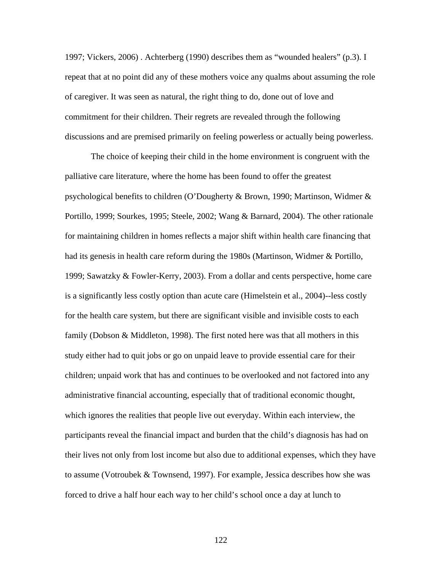1997; Vickers, 2006) . Achterberg (1990) describes them as "wounded healers" (p.3). I repeat that at no point did any of these mothers voice any qualms about assuming the role of caregiver. It was seen as natural, the right thing to do, done out of love and commitment for their children. Their regrets are revealed through the following discussions and are premised primarily on feeling powerless or actually being powerless.

The choice of keeping their child in the home environment is congruent with the palliative care literature, where the home has been found to offer the greatest psychological benefits to children (O'Dougherty & Brown, 1990; Martinson, Widmer & Portillo, 1999; Sourkes, 1995; Steele, 2002; Wang & Barnard, 2004). The other rationale for maintaining children in homes reflects a major shift within health care financing that had its genesis in health care reform during the 1980s (Martinson, Widmer & Portillo, 1999; Sawatzky & Fowler-Kerry, 2003). From a dollar and cents perspective, home care is a significantly less costly option than acute care (Himelstein et al., 2004)--less costly for the health care system, but there are significant visible and invisible costs to each family (Dobson & Middleton, 1998). The first noted here was that all mothers in this study either had to quit jobs or go on unpaid leave to provide essential care for their children; unpaid work that has and continues to be overlooked and not factored into any administrative financial accounting, especially that of traditional economic thought, which ignores the realities that people live out everyday. Within each interview, the participants reveal the financial impact and burden that the child's diagnosis has had on their lives not only from lost income but also due to additional expenses, which they have to assume (Votroubek & Townsend, 1997). For example, Jessica describes how she was forced to drive a half hour each way to her child's school once a day at lunch to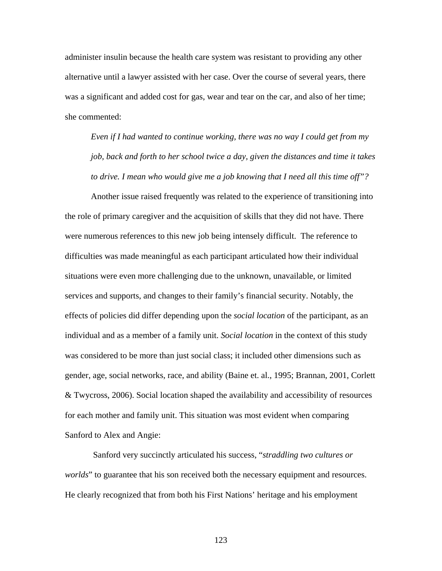administer insulin because the health care system was resistant to providing any other alternative until a lawyer assisted with her case. Over the course of several years, there was a significant and added cost for gas, wear and tear on the car, and also of her time; she commented:

*Even if I had wanted to continue working, there was no way I could get from my job, back and forth to her school twice a day, given the distances and time it takes to drive. I mean who would give me a job knowing that I need all this time off"?* 

Another issue raised frequently was related to the experience of transitioning into the role of primary caregiver and the acquisition of skills that they did not have. There were numerous references to this new job being intensely difficult. The reference to difficulties was made meaningful as each participant articulated how their individual situations were even more challenging due to the unknown, unavailable, or limited services and supports, and changes to their family's financial security. Notably, the effects of policies did differ depending upon the *social location* of the participant, as an individual and as a member of a family unit. *Social location* in the context of this study was considered to be more than just social class; it included other dimensions such as gender, age, social networks, race, and ability (Baine et. al., 1995; Brannan, 2001, Corlett & Twycross, 2006). Social location shaped the availability and accessibility of resources for each mother and family unit. This situation was most evident when comparing Sanford to Alex and Angie:

 Sanford very succinctly articulated his success, "*straddling two cultures or worlds*" to guarantee that his son received both the necessary equipment and resources. He clearly recognized that from both his First Nations' heritage and his employment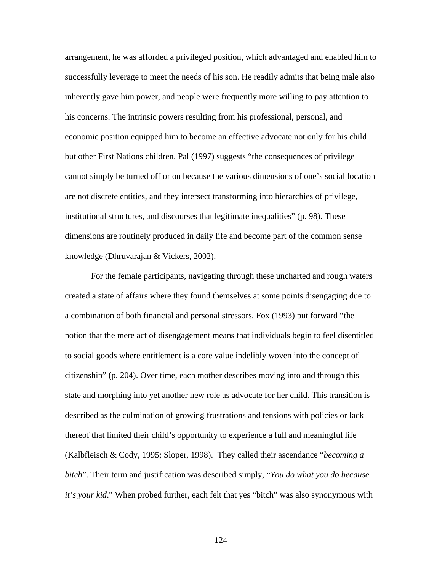arrangement, he was afforded a privileged position, which advantaged and enabled him to successfully leverage to meet the needs of his son. He readily admits that being male also inherently gave him power, and people were frequently more willing to pay attention to his concerns. The intrinsic powers resulting from his professional, personal, and economic position equipped him to become an effective advocate not only for his child but other First Nations children. Pal (1997) suggests "the consequences of privilege cannot simply be turned off or on because the various dimensions of one's social location are not discrete entities, and they intersect transforming into hierarchies of privilege, institutional structures, and discourses that legitimate inequalities" (p. 98). These dimensions are routinely produced in daily life and become part of the common sense knowledge (Dhruvarajan & Vickers, 2002).

 For the female participants, navigating through these uncharted and rough waters created a state of affairs where they found themselves at some points disengaging due to a combination of both financial and personal stressors. Fox (1993) put forward "the notion that the mere act of disengagement means that individuals begin to feel disentitled to social goods where entitlement is a core value indelibly woven into the concept of citizenship" (p. 204). Over time, each mother describes moving into and through this state and morphing into yet another new role as advocate for her child. This transition is described as the culmination of growing frustrations and tensions with policies or lack thereof that limited their child's opportunity to experience a full and meaningful life (Kalbfleisch & Cody, 1995; Sloper, 1998). They called their ascendance "*becoming a bitch*". Their term and justification was described simply, "*You do what you do because it's your kid*." When probed further, each felt that yes "bitch" was also synonymous with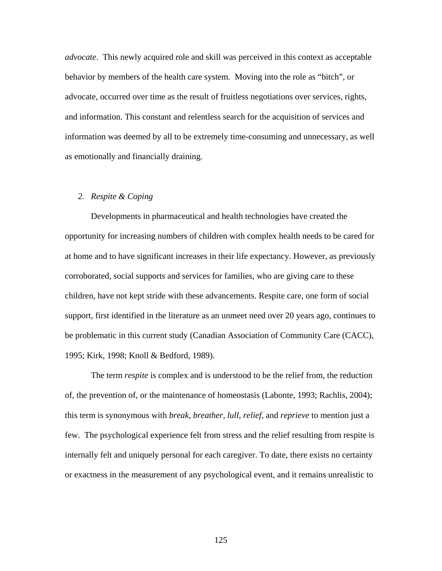*advocate*. This newly acquired role and skill was perceived in this context as acceptable behavior by members of the health care system. Moving into the role as "bitch", or advocate, occurred over time as the result of fruitless negotiations over services, rights, and information. This constant and relentless search for the acquisition of services and information was deemed by all to be extremely time-consuming and unnecessary, as well as emotionally and financially draining.

# *2. Respite & Coping*

Developments in pharmaceutical and health technologies have created the opportunity for increasing numbers of children with complex health needs to be cared for at home and to have significant increases in their life expectancy. However, as previously corroborated, social supports and services for families, who are giving care to these children, have not kept stride with these advancements. Respite care, one form of social support, first identified in the literature as an unmeet need over 20 years ago, continues to be problematic in this current study (Canadian Association of Community Care (CACC), 1995; Kirk, 1998; Knoll & Bedford, 1989).

The term *respite* is complex and is understood to be the relief from, the reduction of, the prevention of, or the maintenance of homeostasis (Labonte, 1993; Rachlis, 2004); this term is synonymous with *break*, *breather*, *lull*, *relief*, and *reprieve* to mention just a few. The psychological experience felt from stress and the relief resulting from respite is internally felt and uniquely personal for each caregiver. To date, there exists no certainty or exactness in the measurement of any psychological event, and it remains unrealistic to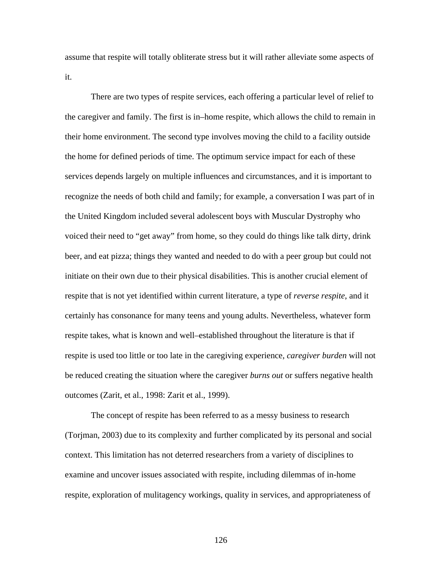assume that respite will totally obliterate stress but it will rather alleviate some aspects of it.

 There are two types of respite services, each offering a particular level of relief to the caregiver and family. The first is in–home respite, which allows the child to remain in their home environment. The second type involves moving the child to a facility outside the home for defined periods of time. The optimum service impact for each of these services depends largely on multiple influences and circumstances, and it is important to recognize the needs of both child and family; for example, a conversation I was part of in the United Kingdom included several adolescent boys with Muscular Dystrophy who voiced their need to "get away" from home, so they could do things like talk dirty, drink beer, and eat pizza; things they wanted and needed to do with a peer group but could not initiate on their own due to their physical disabilities. This is another crucial element of respite that is not yet identified within current literature, a type of *reverse respite*, and it certainly has consonance for many teens and young adults. Nevertheless, whatever form respite takes, what is known and well–established throughout the literature is that if respite is used too little or too late in the caregiving experience, *caregiver burden* will not be reduced creating the situation where the caregiver *burns out* or suffers negative health outcomes (Zarit, et al., 1998: Zarit et al., 1999).

 The concept of respite has been referred to as a messy business to research (Torjman, 2003) due to its complexity and further complicated by its personal and social context. This limitation has not deterred researchers from a variety of disciplines to examine and uncover issues associated with respite, including dilemmas of in-home respite, exploration of mulitagency workings, quality in services, and appropriateness of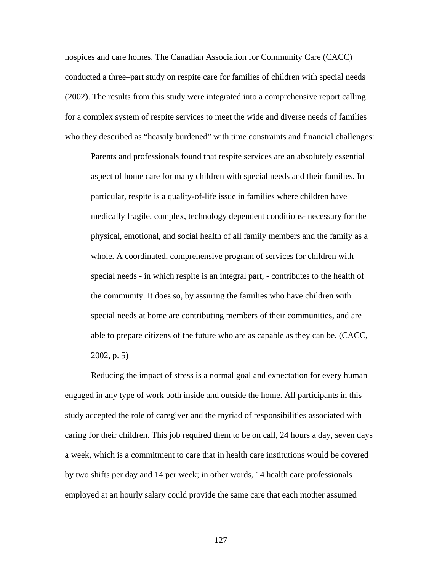hospices and care homes. The Canadian Association for Community Care (CACC) conducted a three–part study on respite care for families of children with special needs (2002). The results from this study were integrated into a comprehensive report calling for a complex system of respite services to meet the wide and diverse needs of families who they described as "heavily burdened" with time constraints and financial challenges:

Parents and professionals found that respite services are an absolutely essential aspect of home care for many children with special needs and their families. In particular, respite is a quality-of-life issue in families where children have medically fragile, complex, technology dependent conditions- necessary for the physical, emotional, and social health of all family members and the family as a whole. A coordinated, comprehensive program of services for children with special needs - in which respite is an integral part, - contributes to the health of the community. It does so, by assuring the families who have children with special needs at home are contributing members of their communities, and are able to prepare citizens of the future who are as capable as they can be. (CACC, 2002, p. 5)

 Reducing the impact of stress is a normal goal and expectation for every human engaged in any type of work both inside and outside the home. All participants in this study accepted the role of caregiver and the myriad of responsibilities associated with caring for their children. This job required them to be on call, 24 hours a day, seven days a week, which is a commitment to care that in health care institutions would be covered by two shifts per day and 14 per week; in other words, 14 health care professionals employed at an hourly salary could provide the same care that each mother assumed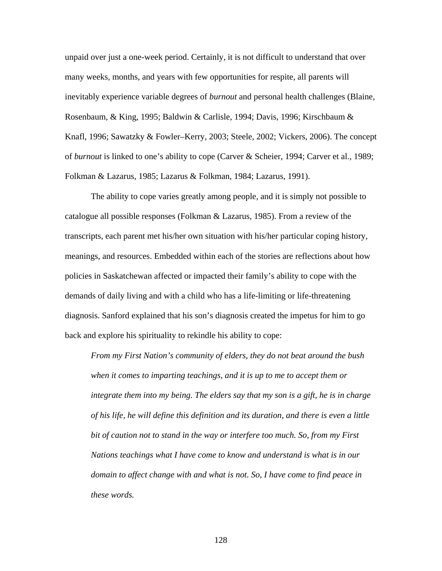unpaid over just a one-week period. Certainly, it is not difficult to understand that over many weeks, months, and years with few opportunities for respite, all parents will inevitably experience variable degrees of *burnout* and personal health challenges (Blaine, Rosenbaum, & King, 1995; Baldwin & Carlisle, 1994; Davis, 1996; Kirschbaum & Knafl, 1996; Sawatzky & Fowler–Kerry, 2003; Steele, 2002; Vickers, 2006). The concept of *burnout* is linked to one's ability to cope (Carver & Scheier, 1994; Carver et al., 1989; Folkman & Lazarus, 1985; Lazarus & Folkman, 1984; Lazarus, 1991).

 The ability to cope varies greatly among people, and it is simply not possible to catalogue all possible responses (Folkman & Lazarus, 1985). From a review of the transcripts, each parent met his/her own situation with his/her particular coping history, meanings, and resources. Embedded within each of the stories are reflections about how policies in Saskatchewan affected or impacted their family's ability to cope with the demands of daily living and with a child who has a life-limiting or life-threatening diagnosis. Sanford explained that his son's diagnosis created the impetus for him to go back and explore his spirituality to rekindle his ability to cope:

*From my First Nation's community of elders, they do not beat around the bush when it comes to imparting teachings, and it is up to me to accept them or integrate them into my being. The elders say that my son is a gift, he is in charge of his life, he will define this definition and its duration, and there is even a little bit of caution not to stand in the way or interfere too much. So, from my First Nations teachings what I have come to know and understand is what is in our domain to affect change with and what is not. So, I have come to find peace in these words.*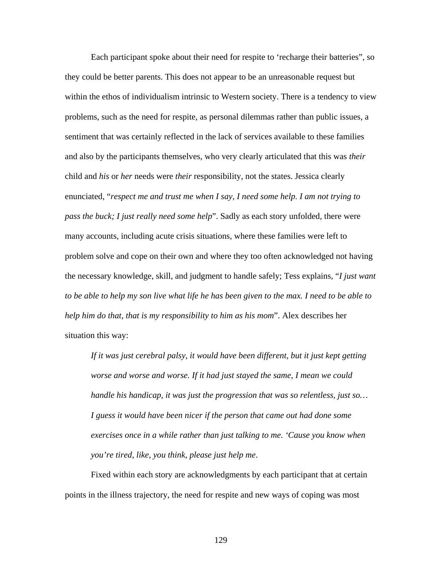Each participant spoke about their need for respite to 'recharge their batteries", so they could be better parents. This does not appear to be an unreasonable request but within the ethos of individualism intrinsic to Western society. There is a tendency to view problems, such as the need for respite, as personal dilemmas rather than public issues, a sentiment that was certainly reflected in the lack of services available to these families and also by the participants themselves, who very clearly articulated that this was *their* child and *his* or *her* needs were *their* responsibility, not the states. Jessica clearly enunciated, "*respect me and trust me when I say, I need some help. I am not trying to pass the buck; I just really need some help*". Sadly as each story unfolded, there were many accounts, including acute crisis situations, where these families were left to problem solve and cope on their own and where they too often acknowledged not having the necessary knowledge, skill, and judgment to handle safely; Tess explains, "*I just want to be able to help my son live what life he has been given to the max. I need to be able to help him do that, that is my responsibility to him as his mom*". Alex describes her situation this way:

*If it was just cerebral palsy, it would have been different, but it just kept getting worse and worse and worse. If it had just stayed the same, I mean we could handle his handicap, it was just the progression that was so relentless, just so… I guess it would have been nicer if the person that came out had done some exercises once in a while rather than just talking to me. 'Cause you know when you're tired, like, you think, please just help me*.

Fixed within each story are acknowledgments by each participant that at certain points in the illness trajectory, the need for respite and new ways of coping was most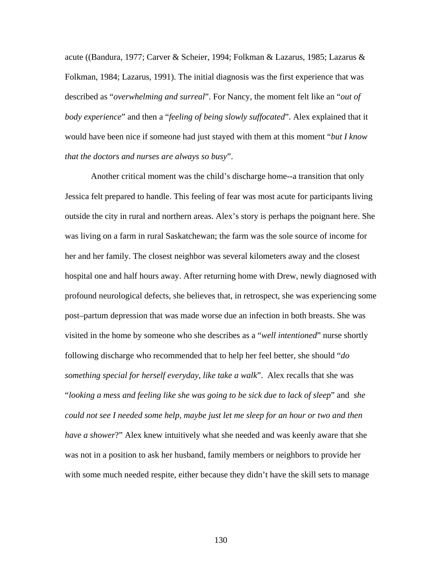acute ((Bandura, 1977; Carver & Scheier, 1994; Folkman & Lazarus, 1985; Lazarus & Folkman, 1984; Lazarus, 1991). The initial diagnosis was the first experience that was described as "*overwhelming and surreal*". For Nancy, the moment felt like an "*out of body experience*" and then a "*feeling of being slowly suffocated*". Alex explained that it would have been nice if someone had just stayed with them at this moment "*but I know that the doctors and nurses are always so busy*".

 Another critical moment was the child's discharge home--a transition that only Jessica felt prepared to handle. This feeling of fear was most acute for participants living outside the city in rural and northern areas. Alex's story is perhaps the poignant here. She was living on a farm in rural Saskatchewan; the farm was the sole source of income for her and her family. The closest neighbor was several kilometers away and the closest hospital one and half hours away. After returning home with Drew, newly diagnosed with profound neurological defects, she believes that, in retrospect, she was experiencing some post–partum depression that was made worse due an infection in both breasts. She was visited in the home by someone who she describes as a "*well intentioned*" nurse shortly following discharge who recommended that to help her feel better, she should "*do something special for herself everyday, like take a walk*". Alex recalls that she was "*looking a mess and feeling like she was going to be sick due to lack of sleep*" and *she could not see I needed some help, maybe just let me sleep for an hour or two and then have a shower*?" Alex knew intuitively what she needed and was keenly aware that she was not in a position to ask her husband, family members or neighbors to provide her with some much needed respite, either because they didn't have the skill sets to manage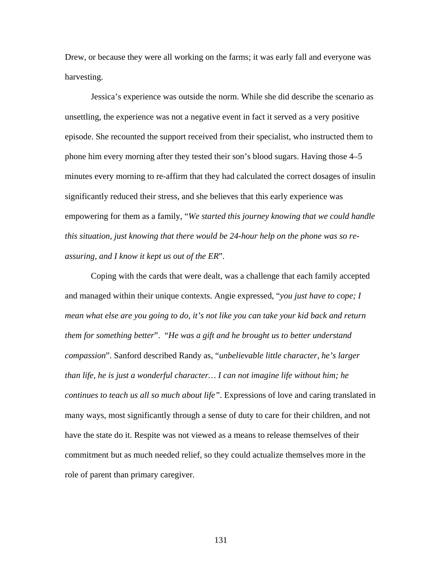Drew, or because they were all working on the farms; it was early fall and everyone was harvesting.

 Jessica's experience was outside the norm. While she did describe the scenario as unsettling, the experience was not a negative event in fact it served as a very positive episode. She recounted the support received from their specialist, who instructed them to phone him every morning after they tested their son's blood sugars. Having those 4–5 minutes every morning to re-affirm that they had calculated the correct dosages of insulin significantly reduced their stress, and she believes that this early experience was empowering for them as a family, "*We started this journey knowing that we could handle this situation, just knowing that there would be 24-hour help on the phone was so reassuring, and I know it kept us out of the ER*".

 Coping with the cards that were dealt, was a challenge that each family accepted and managed within their unique contexts. Angie expressed, "*you just have to cope; I mean what else are you going to do, it's not like you can take your kid back and return them for something better*". "*He was a gift and he brought us to better understand compassion*". Sanford described Randy as, "*unbelievable little character, he's larger than life, he is just a wonderful character… I can not imagine life without him; he continues to teach us all so much about life"*. Expressions of love and caring translated in many ways, most significantly through a sense of duty to care for their children, and not have the state do it. Respite was not viewed as a means to release themselves of their commitment but as much needed relief, so they could actualize themselves more in the role of parent than primary caregiver.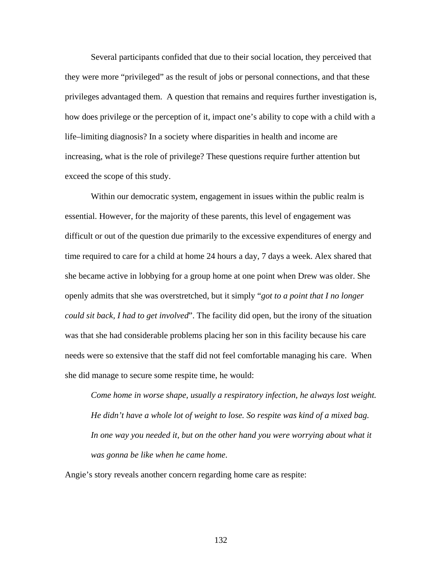Several participants confided that due to their social location, they perceived that they were more "privileged" as the result of jobs or personal connections, and that these privileges advantaged them. A question that remains and requires further investigation is, how does privilege or the perception of it, impact one's ability to cope with a child with a life–limiting diagnosis? In a society where disparities in health and income are increasing, what is the role of privilege? These questions require further attention but exceed the scope of this study.

Within our democratic system, engagement in issues within the public realm is essential. However, for the majority of these parents, this level of engagement was difficult or out of the question due primarily to the excessive expenditures of energy and time required to care for a child at home 24 hours a day, 7 days a week. Alex shared that she became active in lobbying for a group home at one point when Drew was older. She openly admits that she was overstretched, but it simply "*got to a point that I no longer could sit back, I had to get involved*". The facility did open, but the irony of the situation was that she had considerable problems placing her son in this facility because his care needs were so extensive that the staff did not feel comfortable managing his care. When she did manage to secure some respite time, he would:

*Come home in worse shape, usually a respiratory infection, he always lost weight. He didn't have a whole lot of weight to lose. So respite was kind of a mixed bag.*  In one way you needed it, but on the other hand you were worrying about what it *was gonna be like when he came home*.

Angie's story reveals another concern regarding home care as respite: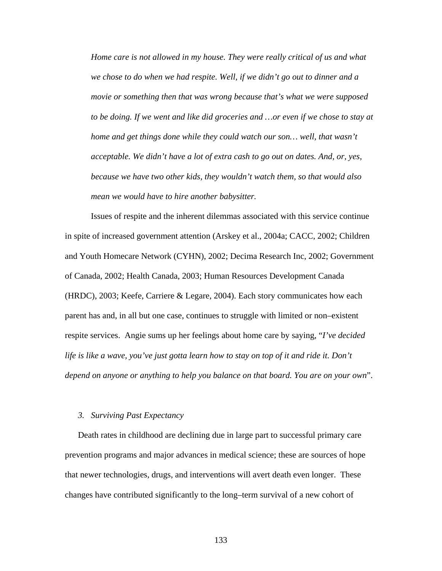*Home care is not allowed in my house. They were really critical of us and what we chose to do when we had respite. Well, if we didn't go out to dinner and a movie or something then that was wrong because that's what we were supposed*  to be doing. If we went and like did groceries and ... or even if we chose to stay at *home and get things done while they could watch our son... well, that wasn't acceptable. We didn't have a lot of extra cash to go out on dates. And, or, yes, because we have two other kids, they wouldn't watch them, so that would also mean we would have to hire another babysitter.* 

 Issues of respite and the inherent dilemmas associated with this service continue in spite of increased government attention (Arskey et al., 2004a; CACC, 2002; Children and Youth Homecare Network (CYHN), 2002; Decima Research Inc, 2002; Government of Canada, 2002; Health Canada, 2003; Human Resources Development Canada (HRDC), 2003; Keefe, Carriere & Legare, 2004). Each story communicates how each parent has and, in all but one case, continues to struggle with limited or non–existent respite services. Angie sums up her feelings about home care by saying, "*I've decided life is like a wave, you've just gotta learn how to stay on top of it and ride it. Don't depend on anyone or anything to help you balance on that board. You are on your own*".

### *3. Surviving Past Expectancy*

Death rates in childhood are declining due in large part to successful primary care prevention programs and major advances in medical science; these are sources of hope that newer technologies, drugs, and interventions will avert death even longer. These changes have contributed significantly to the long–term survival of a new cohort of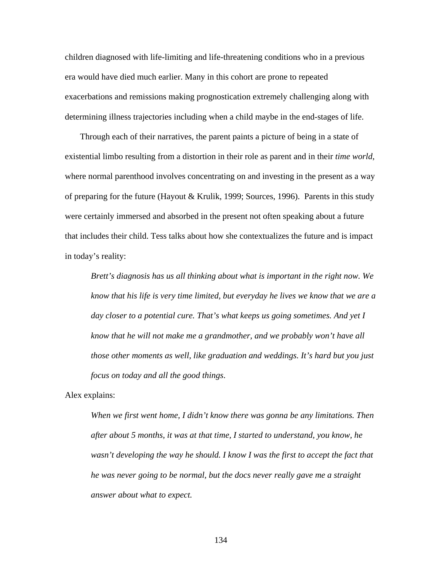children diagnosed with life-limiting and life-threatening conditions who in a previous era would have died much earlier. Many in this cohort are prone to repeated exacerbations and remissions making prognostication extremely challenging along with determining illness trajectories including when a child maybe in the end-stages of life.

 Through each of their narratives, the parent paints a picture of being in a state of existential limbo resulting from a distortion in their role as parent and in their *time world*, where normal parenthood involves concentrating on and investing in the present as a way of preparing for the future (Hayout & Krulik, 1999; Sources, 1996). Parents in this study were certainly immersed and absorbed in the present not often speaking about a future that includes their child. Tess talks about how she contextualizes the future and is impact in today's reality:

*Brett's diagnosis has us all thinking about what is important in the right now. We know that his life is very time limited, but everyday he lives we know that we are a day closer to a potential cure. That's what keeps us going sometimes. And yet I know that he will not make me a grandmother, and we probably won't have all those other moments as well, like graduation and weddings. It's hard but you just focus on today and all the good things*.

Alex explains:

*When we first went home, I didn't know there was gonna be any limitations. Then after about 5 months, it was at that time, I started to understand, you know, he wasn't developing the way he should. I know I was the first to accept the fact that he was never going to be normal, but the docs never really gave me a straight answer about what to expect.*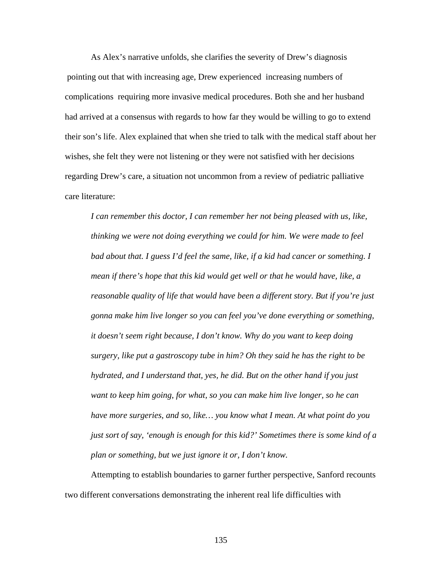As Alex's narrative unfolds, she clarifies the severity of Drew's diagnosis pointing out that with increasing age, Drew experienced increasing numbers of complications requiring more invasive medical procedures. Both she and her husband had arrived at a consensus with regards to how far they would be willing to go to extend their son's life. Alex explained that when she tried to talk with the medical staff about her wishes, she felt they were not listening or they were not satisfied with her decisions regarding Drew's care, a situation not uncommon from a review of pediatric palliative care literature:

*I can remember this doctor, I can remember her not being pleased with us, like, thinking we were not doing everything we could for him. We were made to feel bad about that. I guess I'd feel the same, like, if a kid had cancer or something. I mean if there's hope that this kid would get well or that he would have, like, a reasonable quality of life that would have been a different story. But if you're just gonna make him live longer so you can feel you've done everything or something, it doesn't seem right because, I don't know. Why do you want to keep doing surgery, like put a gastroscopy tube in him? Oh they said he has the right to be hydrated, and I understand that, yes, he did. But on the other hand if you just want to keep him going, for what, so you can make him live longer, so he can have more surgeries, and so, like… you know what I mean. At what point do you just sort of say, 'enough is enough for this kid?' Sometimes there is some kind of a plan or something, but we just ignore it or, I don't know.* 

 Attempting to establish boundaries to garner further perspective, Sanford recounts two different conversations demonstrating the inherent real life difficulties with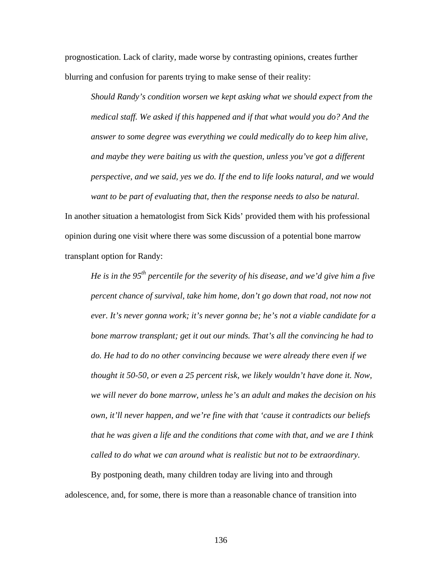prognostication. Lack of clarity, made worse by contrasting opinions, creates further blurring and confusion for parents trying to make sense of their reality:

*Should Randy's condition worsen we kept asking what we should expect from the medical staff. We asked if this happened and if that what would you do? And the answer to some degree was everything we could medically do to keep him alive, and maybe they were baiting us with the question, unless you've got a different perspective, and we said, yes we do. If the end to life looks natural, and we would want to be part of evaluating that, then the response needs to also be natural.* 

In another situation a hematologist from Sick Kids' provided them with his professional opinion during one visit where there was some discussion of a potential bone marrow transplant option for Randy:

*He is in the 95th percentile for the severity of his disease, and we'd give him a five percent chance of survival, take him home, don't go down that road, not now not ever. It's never gonna work; it's never gonna be; he's not a viable candidate for a bone marrow transplant; get it out our minds. That's all the convincing he had to do. He had to do no other convincing because we were already there even if we thought it 50-50, or even a 25 percent risk, we likely wouldn't have done it. Now, we will never do bone marrow, unless he's an adult and makes the decision on his own, it'll never happen, and we're fine with that 'cause it contradicts our beliefs that he was given a life and the conditions that come with that, and we are I think called to do what we can around what is realistic but not to be extraordinary.* 

 By postponing death, many children today are living into and through adolescence, and, for some, there is more than a reasonable chance of transition into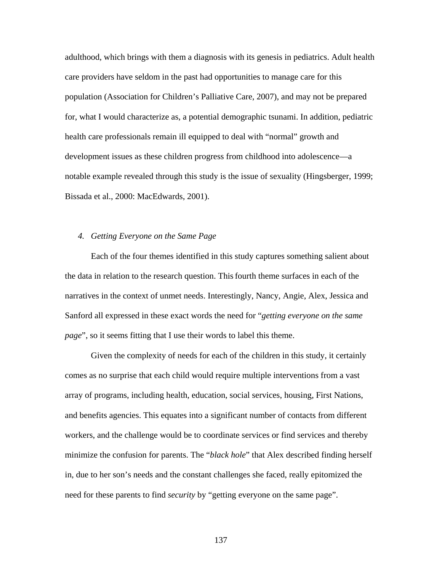adulthood, which brings with them a diagnosis with its genesis in pediatrics. Adult health care providers have seldom in the past had opportunities to manage care for this population (Association for Children's Palliative Care, 2007), and may not be prepared for, what I would characterize as, a potential demographic tsunami. In addition, pediatric health care professionals remain ill equipped to deal with "normal" growth and development issues as these children progress from childhood into adolescence—a notable example revealed through this study is the issue of sexuality (Hingsberger, 1999; Bissada et al., 2000: MacEdwards, 2001).

### *4. Getting Everyone on the Same Page*

Each of the four themes identified in this study captures something salient about the data in relation to the research question. Thisfourth theme surfaces in each of the narratives in the context of unmet needs. Interestingly, Nancy, Angie, Alex, Jessica and Sanford all expressed in these exact words the need for "*getting everyone on the same page*", so it seems fitting that I use their words to label this theme.

 Given the complexity of needs for each of the children in this study, it certainly comes as no surprise that each child would require multiple interventions from a vast array of programs, including health, education, social services, housing, First Nations, and benefits agencies. This equates into a significant number of contacts from different workers, and the challenge would be to coordinate services or find services and thereby minimize the confusion for parents. The "*black hole*" that Alex described finding herself in, due to her son's needs and the constant challenges she faced, really epitomized the need for these parents to find *security* by "getting everyone on the same page".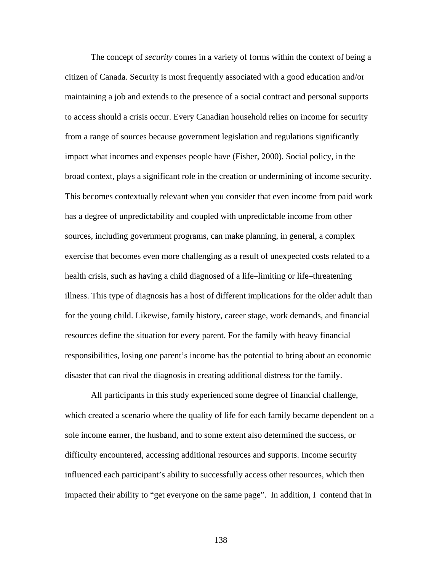The concept of *security* comes in a variety of forms within the context of being a citizen of Canada. Security is most frequently associated with a good education and/or maintaining a job and extends to the presence of a social contract and personal supports to access should a crisis occur. Every Canadian household relies on income for security from a range of sources because government legislation and regulations significantly impact what incomes and expenses people have (Fisher, 2000). Social policy, in the broad context, plays a significant role in the creation or undermining of income security. This becomes contextually relevant when you consider that even income from paid work has a degree of unpredictability and coupled with unpredictable income from other sources, including government programs, can make planning, in general, a complex exercise that becomes even more challenging as a result of unexpected costs related to a health crisis, such as having a child diagnosed of a life–limiting or life–threatening illness. This type of diagnosis has a host of different implications for the older adult than for the young child. Likewise, family history, career stage, work demands, and financial resources define the situation for every parent. For the family with heavy financial responsibilities, losing one parent's income has the potential to bring about an economic disaster that can rival the diagnosis in creating additional distress for the family.

 All participants in this study experienced some degree of financial challenge, which created a scenario where the quality of life for each family became dependent on a sole income earner, the husband, and to some extent also determined the success, or difficulty encountered, accessing additional resources and supports. Income security influenced each participant's ability to successfully access other resources, which then impacted their ability to "get everyone on the same page". In addition, I contend that in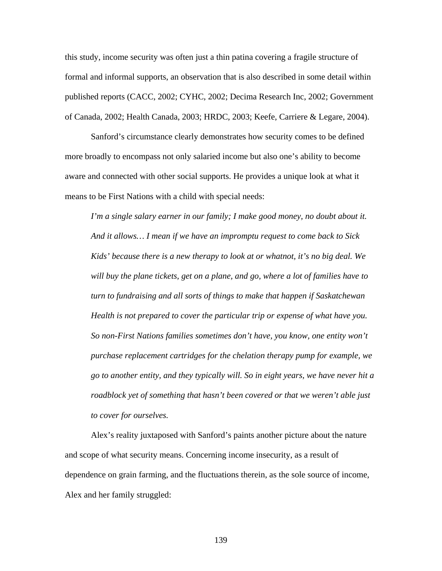this study, income security was often just a thin patina covering a fragile structure of formal and informal supports, an observation that is also described in some detail within published reports (CACC, 2002; CYHC, 2002; Decima Research Inc, 2002; Government of Canada, 2002; Health Canada, 2003; HRDC, 2003; Keefe, Carriere & Legare, 2004).

 Sanford's circumstance clearly demonstrates how security comes to be defined more broadly to encompass not only salaried income but also one's ability to become aware and connected with other social supports. He provides a unique look at what it means to be First Nations with a child with special needs:

*I'm a single salary earner in our family; I make good money, no doubt about it. And it allows… I mean if we have an impromptu request to come back to Sick Kids' because there is a new therapy to look at or whatnot, it's no big deal. We will buy the plane tickets, get on a plane, and go, where a lot of families have to turn to fundraising and all sorts of things to make that happen if Saskatchewan Health is not prepared to cover the particular trip or expense of what have you. So non-First Nations families sometimes don't have, you know, one entity won't purchase replacement cartridges for the chelation therapy pump for example, we go to another entity, and they typically will. So in eight years, we have never hit a roadblock yet of something that hasn't been covered or that we weren't able just to cover for ourselves.* 

 Alex's reality juxtaposed with Sanford's paints another picture about the nature and scope of what security means. Concerning income insecurity, as a result of dependence on grain farming, and the fluctuations therein, as the sole source of income, Alex and her family struggled: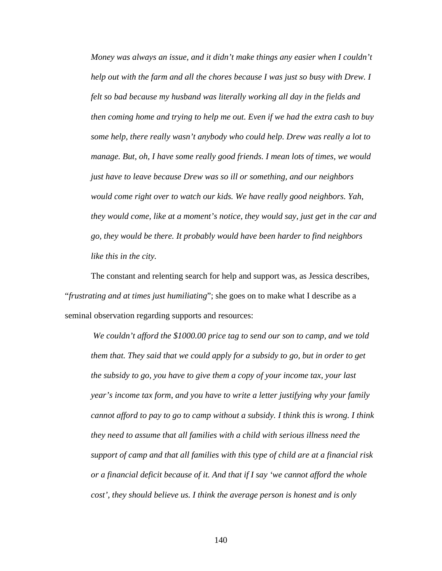*Money was always an issue, and it didn't make things any easier when I couldn't help out with the farm and all the chores because I was just so busy with Drew. I felt so bad because my husband was literally working all day in the fields and then coming home and trying to help me out. Even if we had the extra cash to buy some help, there really wasn't anybody who could help. Drew was really a lot to manage. But, oh, I have some really good friends. I mean lots of times, we would just have to leave because Drew was so ill or something, and our neighbors would come right over to watch our kids. We have really good neighbors. Yah, they would come, like at a moment's notice, they would say, just get in the car and go, they would be there. It probably would have been harder to find neighbors like this in the city.* 

 The constant and relenting search for help and support was, as Jessica describes, "*frustrating and at times just humiliating*"; she goes on to make what I describe as a seminal observation regarding supports and resources:

*We couldn't afford the \$1000.00 price tag to send our son to camp, and we told them that. They said that we could apply for a subsidy to go, but in order to get the subsidy to go, you have to give them a copy of your income tax, your last year's income tax form, and you have to write a letter justifying why your family cannot afford to pay to go to camp without a subsidy. I think this is wrong. I think they need to assume that all families with a child with serious illness need the support of camp and that all families with this type of child are at a financial risk or a financial deficit because of it. And that if I say 'we cannot afford the whole cost', they should believe us. I think the average person is honest and is only*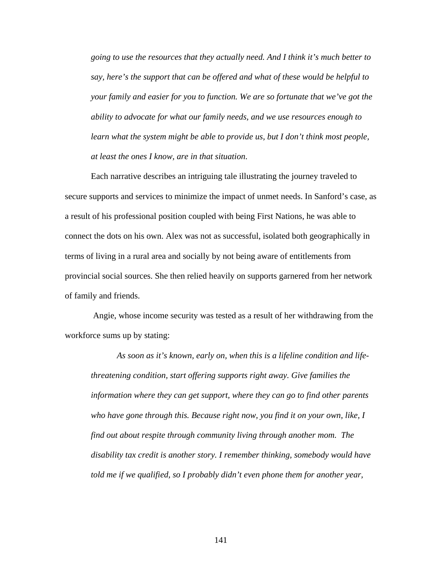*going to use the resources that they actually need. And I think it's much better to say, here's the support that can be offered and what of these would be helpful to your family and easier for you to function. We are so fortunate that we've got the ability to advocate for what our family needs, and we use resources enough to learn what the system might be able to provide us, but I don't think most people, at least the ones I know, are in that situation*.

Each narrative describes an intriguing tale illustrating the journey traveled to secure supports and services to minimize the impact of unmet needs. In Sanford's case, as a result of his professional position coupled with being First Nations, he was able to connect the dots on his own. Alex was not as successful, isolated both geographically in terms of living in a rural area and socially by not being aware of entitlements from provincial social sources. She then relied heavily on supports garnered from her network of family and friends.

 Angie, whose income security was tested as a result of her withdrawing from the workforce sums up by stating:

*As soon as it's known, early on, when this is a lifeline condition and lifethreatening condition, start offering supports right away. Give families the information where they can get support, where they can go to find other parents who have gone through this. Because right now, you find it on your own, like, I find out about respite through community living through another mom. The disability tax credit is another story. I remember thinking, somebody would have told me if we qualified, so I probably didn't even phone them for another year,*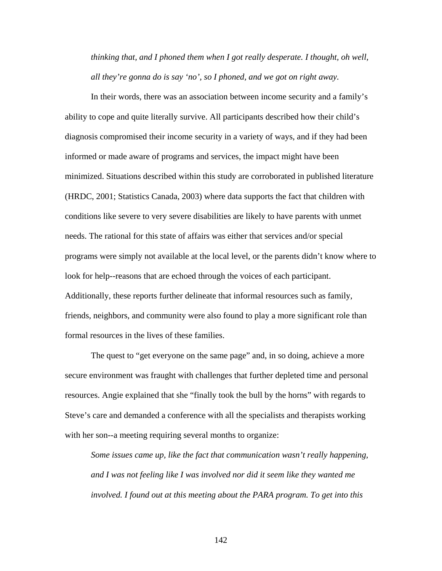*thinking that, and I phoned them when I got really desperate. I thought, oh well, all they're gonna do is say 'no', so I phoned, and we got on right away.* 

 In their words, there was an association between income security and a family's ability to cope and quite literally survive. All participants described how their child's diagnosis compromised their income security in a variety of ways, and if they had been informed or made aware of programs and services, the impact might have been minimized. Situations described within this study are corroborated in published literature (HRDC, 2001; Statistics Canada, 2003) where data supports the fact that children with conditions like severe to very severe disabilities are likely to have parents with unmet needs. The rational for this state of affairs was either that services and/or special programs were simply not available at the local level, or the parents didn't know where to look for help--reasons that are echoed through the voices of each participant. Additionally, these reports further delineate that informal resources such as family, friends, neighbors, and community were also found to play a more significant role than formal resources in the lives of these families.

 The quest to "get everyone on the same page" and, in so doing, achieve a more secure environment was fraught with challenges that further depleted time and personal resources. Angie explained that she "finally took the bull by the horns" with regards to Steve's care and demanded a conference with all the specialists and therapists working with her son--a meeting requiring several months to organize:

*Some issues came up, like the fact that communication wasn't really happening, and I was not feeling like I was involved nor did it seem like they wanted me involved. I found out at this meeting about the PARA program. To get into this*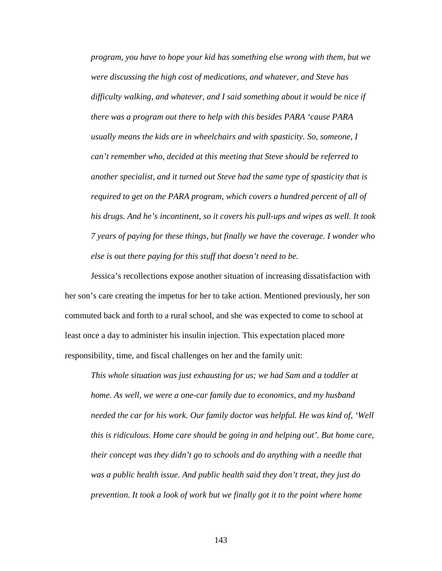*program, you have to hope your kid has something else wrong with them, but we were discussing the high cost of medications, and whatever, and Steve has difficulty walking, and whatever, and I said something about it would be nice if there was a program out there to help with this besides PARA 'cause PARA usually means the kids are in wheelchairs and with spasticity. So, someone, I can't remember who, decided at this meeting that Steve should be referred to another specialist, and it turned out Steve had the same type of spasticity that is required to get on the PARA program, which covers a hundred percent of all of his drugs. And he's incontinent, so it covers his pull-ups and wipes as well. It took 7 years of paying for these things, but finally we have the coverage. I wonder who else is out there paying for this stuff that doesn't need to be.* 

Jessica's recollections expose another situation of increasing dissatisfaction with her son's care creating the impetus for her to take action. Mentioned previously, her son commuted back and forth to a rural school, and she was expected to come to school at least once a day to administer his insulin injection. This expectation placed more responsibility, time, and fiscal challenges on her and the family unit:

*This whole situation was just exhausting for us; we had Sam and a toddler at home. As well, we were a one-car family due to economics, and my husband needed the car for his work. Our family doctor was helpful. He was kind of, 'Well this is ridiculous. Home care should be going in and helping out'. But home care, their concept was they didn't go to schools and do anything with a needle that was a public health issue. And public health said they don't treat, they just do prevention. It took a look of work but we finally got it to the point where home*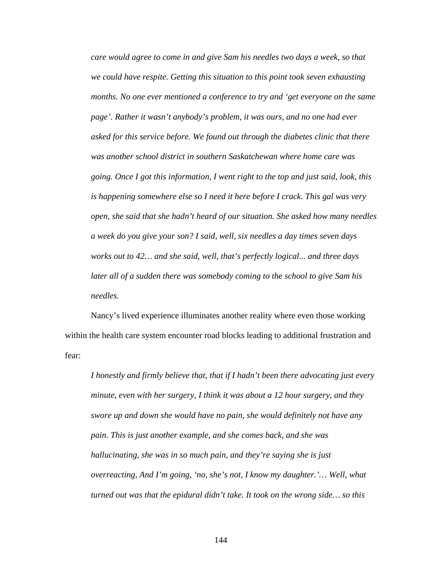*care would agree to come in and give Sam his needles two days a week, so that we could have respite. Getting this situation to this point took seven exhausting months. No one ever mentioned a conference to try and 'get everyone on the same page'. Rather it wasn't anybody's problem, it was ours, and no one had ever asked for this service before. We found out through the diabetes clinic that there was another school district in southern Saskatchewan where home care was going. Once I got this information, I went right to the top and just said, look, this is happening somewhere else so I need it here before I crack. This gal was very open, she said that she hadn't heard of our situation. She asked how many needles a week do you give your son? I said, well, six needles a day times seven days works out to 42… and she said, well, that's perfectly logical... and three days later all of a sudden there was somebody coming to the school to give Sam his needles.* 

Nancy's lived experience illuminates another reality where even those working within the health care system encounter road blocks leading to additional frustration and fear:

*I honestly and firmly believe that, that if I hadn't been there advocating just every minute, even with her surgery, I think it was about a 12 hour surgery, and they swore up and down she would have no pain, she would definitely not have any pain. This is just another example, and she comes back, and she was hallucinating, she was in so much pain, and they're saying she is just overreacting, And I'm going, 'no, she's not, I know my daughter.'… Well, what turned out was that the epidural didn't take. It took on the wrong side… so this*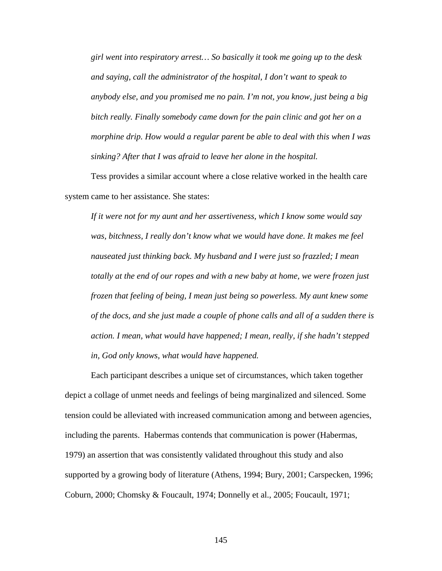*girl went into respiratory arrest… So basically it took me going up to the desk and saying, call the administrator of the hospital, I don't want to speak to anybody else, and you promised me no pain. I'm not, you know, just being a big bitch really. Finally somebody came down for the pain clinic and got her on a morphine drip. How would a regular parent be able to deal with this when I was sinking? After that I was afraid to leave her alone in the hospital.* 

 Tess provides a similar account where a close relative worked in the health care system came to her assistance. She states:

*If it were not for my aunt and her assertiveness, which I know some would say was, bitchness, I really don't know what we would have done. It makes me feel nauseated just thinking back. My husband and I were just so frazzled; I mean totally at the end of our ropes and with a new baby at home, we were frozen just frozen that feeling of being, I mean just being so powerless. My aunt knew some of the docs, and she just made a couple of phone calls and all of a sudden there is action. I mean, what would have happened; I mean, really, if she hadn't stepped in, God only knows, what would have happened.* 

Each participant describes a unique set of circumstances, which taken together depict a collage of unmet needs and feelings of being marginalized and silenced. Some tension could be alleviated with increased communication among and between agencies, including the parents. Habermas contends that communication is power (Habermas, 1979) an assertion that was consistently validated throughout this study and also supported by a growing body of literature (Athens, 1994; Bury, 2001; Carspecken, 1996; Coburn, 2000; Chomsky & Foucault, 1974; Donnelly et al., 2005; Foucault, 1971;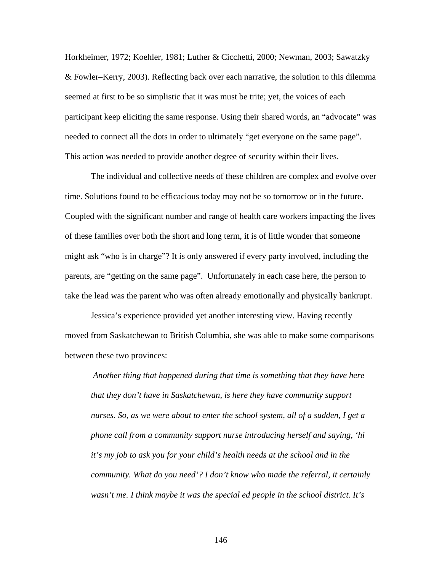Horkheimer, 1972; Koehler, 1981; Luther & Cicchetti, 2000; Newman, 2003; Sawatzky & Fowler–Kerry, 2003). Reflecting back over each narrative, the solution to this dilemma seemed at first to be so simplistic that it was must be trite; yet, the voices of each participant keep eliciting the same response. Using their shared words, an "advocate" was needed to connect all the dots in order to ultimately "get everyone on the same page". This action was needed to provide another degree of security within their lives.

The individual and collective needs of these children are complex and evolve over time. Solutions found to be efficacious today may not be so tomorrow or in the future. Coupled with the significant number and range of health care workers impacting the lives of these families over both the short and long term, it is of little wonder that someone might ask "who is in charge"? It is only answered if every party involved, including the parents, are "getting on the same page". Unfortunately in each case here, the person to take the lead was the parent who was often already emotionally and physically bankrupt.

Jessica's experience provided yet another interesting view. Having recently moved from Saskatchewan to British Columbia, she was able to make some comparisons between these two provinces:

 *Another thing that happened during that time is something that they have here that they don't have in Saskatchewan, is here they have community support nurses. So, as we were about to enter the school system, all of a sudden, I get a phone call from a community support nurse introducing herself and saying, 'hi it's my job to ask you for your child's health needs at the school and in the community. What do you need'? I don't know who made the referral, it certainly wasn't me. I think maybe it was the special ed people in the school district. It's*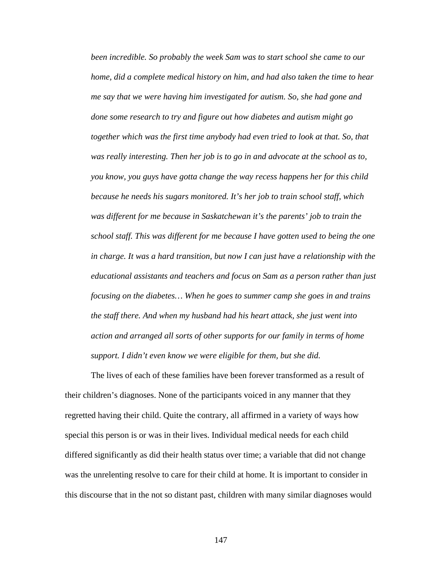*been incredible. So probably the week Sam was to start school she came to our home, did a complete medical history on him, and had also taken the time to hear me say that we were having him investigated for autism. So, she had gone and done some research to try and figure out how diabetes and autism might go together which was the first time anybody had even tried to look at that. So, that was really interesting. Then her job is to go in and advocate at the school as to, you know, you guys have gotta change the way recess happens her for this child because he needs his sugars monitored. It's her job to train school staff, which was different for me because in Saskatchewan it's the parents' job to train the school staff. This was different for me because I have gotten used to being the one in charge. It was a hard transition, but now I can just have a relationship with the educational assistants and teachers and focus on Sam as a person rather than just focusing on the diabetes… When he goes to summer camp she goes in and trains the staff there. And when my husband had his heart attack, she just went into action and arranged all sorts of other supports for our family in terms of home support. I didn't even know we were eligible for them, but she did.* 

 The lives of each of these families have been forever transformed as a result of their children's diagnoses. None of the participants voiced in any manner that they regretted having their child. Quite the contrary, all affirmed in a variety of ways how special this person is or was in their lives. Individual medical needs for each child differed significantly as did their health status over time; a variable that did not change was the unrelenting resolve to care for their child at home. It is important to consider in this discourse that in the not so distant past, children with many similar diagnoses would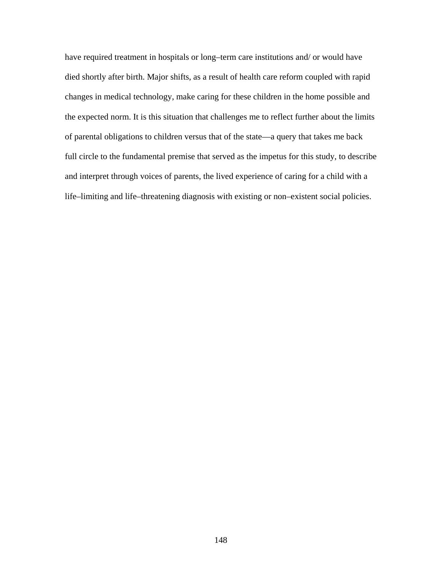have required treatment in hospitals or long–term care institutions and/ or would have died shortly after birth. Major shifts, as a result of health care reform coupled with rapid changes in medical technology, make caring for these children in the home possible and the expected norm. It is this situation that challenges me to reflect further about the limits of parental obligations to children versus that of the state—a query that takes me back full circle to the fundamental premise that served as the impetus for this study, to describe and interpret through voices of parents, the lived experience of caring for a child with a life–limiting and life–threatening diagnosis with existing or non–existent social policies.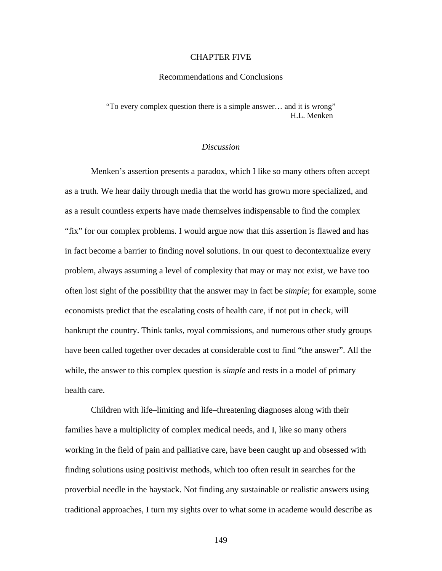### CHAPTER FIVE

### Recommendations and Conclusions

"To every complex question there is a simple answer… and it is wrong" H.L. Menken

# *Discussion*

 Menken's assertion presents a paradox, which I like so many others often accept as a truth. We hear daily through media that the world has grown more specialized, and as a result countless experts have made themselves indispensable to find the complex "fix" for our complex problems. I would argue now that this assertion is flawed and has in fact become a barrier to finding novel solutions. In our quest to decontextualize every problem, always assuming a level of complexity that may or may not exist, we have too often lost sight of the possibility that the answer may in fact be *simple*; for example, some economists predict that the escalating costs of health care, if not put in check, will bankrupt the country. Think tanks, royal commissions, and numerous other study groups have been called together over decades at considerable cost to find "the answer". All the while, the answer to this complex question is *simple* and rests in a model of primary health care.

 Children with life–limiting and life–threatening diagnoses along with their families have a multiplicity of complex medical needs, and I, like so many others working in the field of pain and palliative care, have been caught up and obsessed with finding solutions using positivist methods, which too often result in searches for the proverbial needle in the haystack. Not finding any sustainable or realistic answers using traditional approaches, I turn my sights over to what some in academe would describe as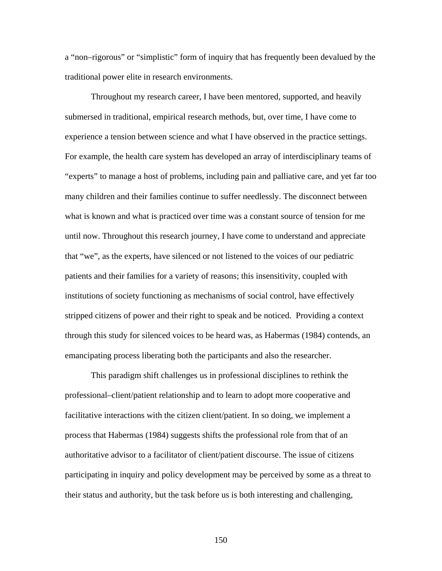a "non–rigorous" or "simplistic" form of inquiry that has frequently been devalued by the traditional power elite in research environments.

 Throughout my research career, I have been mentored, supported, and heavily submersed in traditional, empirical research methods, but, over time, I have come to experience a tension between science and what I have observed in the practice settings. For example, the health care system has developed an array of interdisciplinary teams of "experts" to manage a host of problems, including pain and palliative care, and yet far too many children and their families continue to suffer needlessly. The disconnect between what is known and what is practiced over time was a constant source of tension for me until now. Throughout this research journey, I have come to understand and appreciate that "we", as the experts, have silenced or not listened to the voices of our pediatric patients and their families for a variety of reasons; this insensitivity, coupled with institutions of society functioning as mechanisms of social control, have effectively stripped citizens of power and their right to speak and be noticed. Providing a context through this study for silenced voices to be heard was, as Habermas (1984) contends, an emancipating process liberating both the participants and also the researcher.

 This paradigm shift challenges us in professional disciplines to rethink the professional–client/patient relationship and to learn to adopt more cooperative and facilitative interactions with the citizen client/patient. In so doing, we implement a process that Habermas (1984) suggests shifts the professional role from that of an authoritative advisor to a facilitator of client/patient discourse. The issue of citizens participating in inquiry and policy development may be perceived by some as a threat to their status and authority, but the task before us is both interesting and challenging,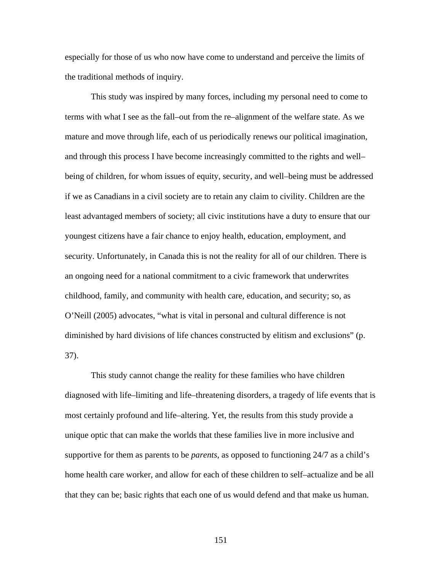especially for those of us who now have come to understand and perceive the limits of the traditional methods of inquiry.

 This study was inspired by many forces, including my personal need to come to terms with what I see as the fall–out from the re–alignment of the welfare state. As we mature and move through life, each of us periodically renews our political imagination, and through this process I have become increasingly committed to the rights and well– being of children, for whom issues of equity, security, and well–being must be addressed if we as Canadians in a civil society are to retain any claim to civility. Children are the least advantaged members of society; all civic institutions have a duty to ensure that our youngest citizens have a fair chance to enjoy health, education, employment, and security. Unfortunately, in Canada this is not the reality for all of our children. There is an ongoing need for a national commitment to a civic framework that underwrites childhood, family, and community with health care, education, and security; so, as O'Neill (2005) advocates, "what is vital in personal and cultural difference is not diminished by hard divisions of life chances constructed by elitism and exclusions" (p. 37).

 This study cannot change the reality for these families who have children diagnosed with life–limiting and life–threatening disorders, a tragedy of life events that is most certainly profound and life–altering. Yet, the results from this study provide a unique optic that can make the worlds that these families live in more inclusive and supportive for them as parents to be *parents,* as opposed to functioning 24/7 as a child's home health care worker, and allow for each of these children to self–actualize and be all that they can be; basic rights that each one of us would defend and that make us human.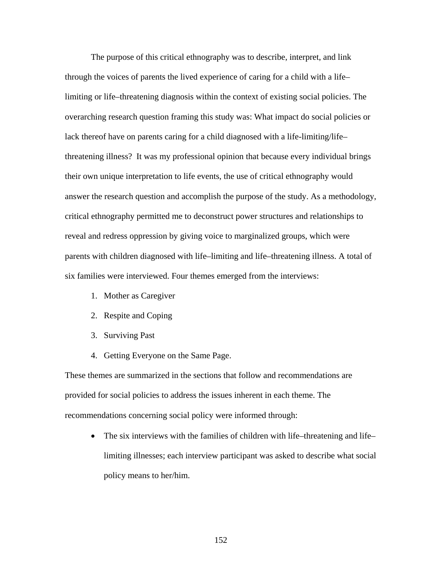The purpose of this critical ethnography was to describe, interpret, and link through the voices of parents the lived experience of caring for a child with a life– limiting or life–threatening diagnosis within the context of existing social policies. The overarching research question framing this study was: What impact do social policies or lack thereof have on parents caring for a child diagnosed with a life-limiting/life– threatening illness? It was my professional opinion that because every individual brings their own unique interpretation to life events, the use of critical ethnography would answer the research question and accomplish the purpose of the study. As a methodology, critical ethnography permitted me to deconstruct power structures and relationships to reveal and redress oppression by giving voice to marginalized groups, which were parents with children diagnosed with life–limiting and life–threatening illness. A total of six families were interviewed. Four themes emerged from the interviews:

- 1. Mother as Caregiver
- 2. Respite and Coping
- 3. Surviving Past
- 4. Getting Everyone on the Same Page.

These themes are summarized in the sections that follow and recommendations are provided for social policies to address the issues inherent in each theme. The recommendations concerning social policy were informed through:

• The six interviews with the families of children with life–threatening and life– limiting illnesses; each interview participant was asked to describe what social policy means to her/him.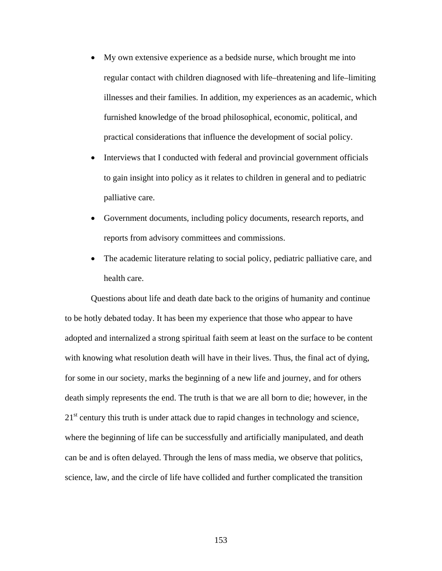- My own extensive experience as a bedside nurse, which brought me into regular contact with children diagnosed with life–threatening and life–limiting illnesses and their families. In addition, my experiences as an academic, which furnished knowledge of the broad philosophical, economic, political, and practical considerations that influence the development of social policy.
- Interviews that I conducted with federal and provincial government officials to gain insight into policy as it relates to children in general and to pediatric palliative care.
- Government documents, including policy documents, research reports, and reports from advisory committees and commissions.
- The academic literature relating to social policy, pediatric palliative care, and health care.

Questions about life and death date back to the origins of humanity and continue to be hotly debated today. It has been my experience that those who appear to have adopted and internalized a strong spiritual faith seem at least on the surface to be content with knowing what resolution death will have in their lives. Thus, the final act of dying, for some in our society, marks the beginning of a new life and journey, and for others death simply represents the end. The truth is that we are all born to die; however, in the  $21<sup>st</sup>$  century this truth is under attack due to rapid changes in technology and science, where the beginning of life can be successfully and artificially manipulated, and death can be and is often delayed. Through the lens of mass media, we observe that politics, science, law, and the circle of life have collided and further complicated the transition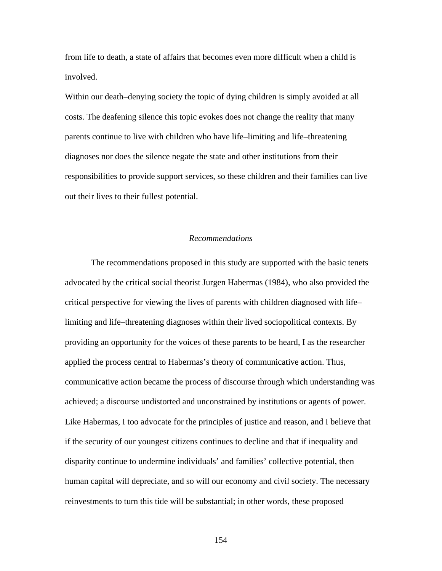from life to death, a state of affairs that becomes even more difficult when a child is involved.

Within our death–denying society the topic of dying children is simply avoided at all costs. The deafening silence this topic evokes does not change the reality that many parents continue to live with children who have life–limiting and life–threatening diagnoses nor does the silence negate the state and other institutions from their responsibilities to provide support services, so these children and their families can live out their lives to their fullest potential.

# *Recommendations*

 The recommendations proposed in this study are supported with the basic tenets advocated by the critical social theorist Jurgen Habermas (1984), who also provided the critical perspective for viewing the lives of parents with children diagnosed with life– limiting and life–threatening diagnoses within their lived sociopolitical contexts. By providing an opportunity for the voices of these parents to be heard, I as the researcher applied the process central to Habermas's theory of communicative action. Thus, communicative action became the process of discourse through which understanding was achieved; a discourse undistorted and unconstrained by institutions or agents of power. Like Habermas, I too advocate for the principles of justice and reason, and I believe that if the security of our youngest citizens continues to decline and that if inequality and disparity continue to undermine individuals' and families' collective potential, then human capital will depreciate, and so will our economy and civil society. The necessary reinvestments to turn this tide will be substantial; in other words, these proposed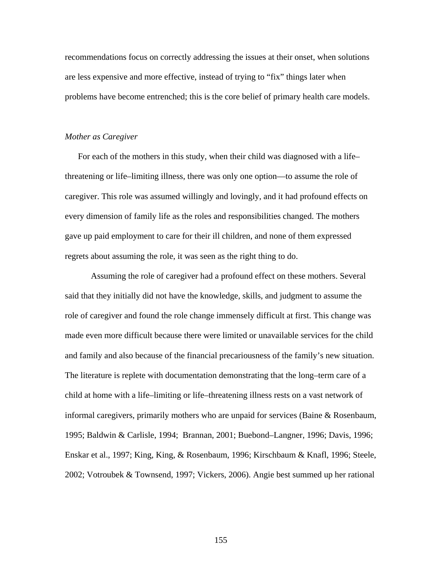recommendations focus on correctly addressing the issues at their onset, when solutions are less expensive and more effective, instead of trying to "fix" things later when problems have become entrenched; this is the core belief of primary health care models.

#### *Mother as Caregiver*

For each of the mothers in this study, when their child was diagnosed with a life– threatening or life–limiting illness, there was only one option—to assume the role of caregiver. This role was assumed willingly and lovingly, and it had profound effects on every dimension of family life as the roles and responsibilities changed. The mothers gave up paid employment to care for their ill children, and none of them expressed regrets about assuming the role, it was seen as the right thing to do.

 Assuming the role of caregiver had a profound effect on these mothers. Several said that they initially did not have the knowledge, skills, and judgment to assume the role of caregiver and found the role change immensely difficult at first. This change was made even more difficult because there were limited or unavailable services for the child and family and also because of the financial precariousness of the family's new situation. The literature is replete with documentation demonstrating that the long–term care of a child at home with a life–limiting or life–threatening illness rests on a vast network of informal caregivers, primarily mothers who are unpaid for services (Baine & Rosenbaum, 1995; Baldwin & Carlisle, 1994; Brannan, 2001; Buebond–Langner, 1996; Davis, 1996; Enskar et al., 1997; King, King, & Rosenbaum, 1996; Kirschbaum & Knafl, 1996; Steele, 2002; Votroubek & Townsend, 1997; Vickers, 2006). Angie best summed up her rational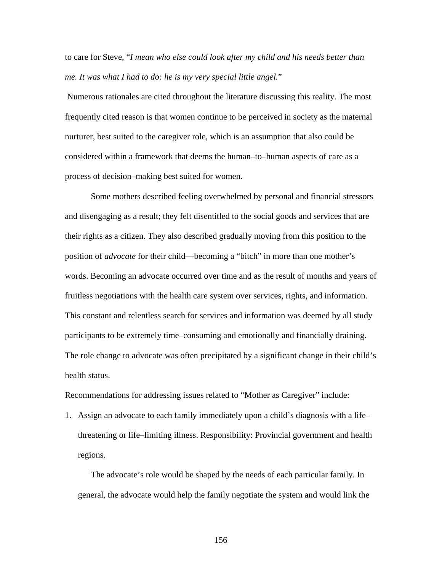to care for Steve, "*I mean who else could look after my child and his needs better than me. It was what I had to do: he is my very special little angel.*"

 Numerous rationales are cited throughout the literature discussing this reality. The most frequently cited reason is that women continue to be perceived in society as the maternal nurturer, best suited to the caregiver role, which is an assumption that also could be considered within a framework that deems the human–to–human aspects of care as a process of decision–making best suited for women.

 Some mothers described feeling overwhelmed by personal and financial stressors and disengaging as a result; they felt disentitled to the social goods and services that are their rights as a citizen. They also described gradually moving from this position to the position of *advocate* for their child—becoming a "bitch" in more than one mother's words. Becoming an advocate occurred over time and as the result of months and years of fruitless negotiations with the health care system over services, rights, and information. This constant and relentless search for services and information was deemed by all study participants to be extremely time–consuming and emotionally and financially draining. The role change to advocate was often precipitated by a significant change in their child's health status.

Recommendations for addressing issues related to "Mother as Caregiver" include:

1. Assign an advocate to each family immediately upon a child's diagnosis with a life– threatening or life–limiting illness. Responsibility: Provincial government and health regions.

The advocate's role would be shaped by the needs of each particular family. In general, the advocate would help the family negotiate the system and would link the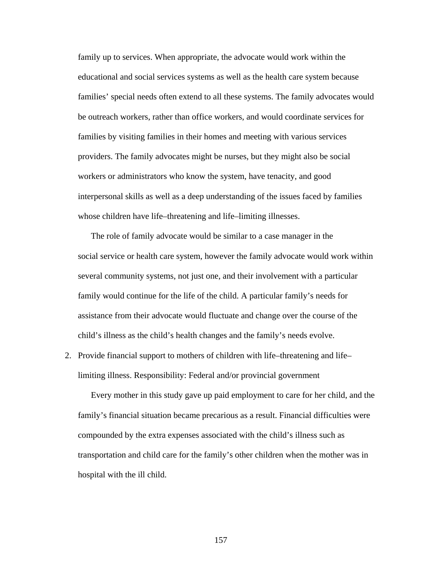family up to services. When appropriate, the advocate would work within the educational and social services systems as well as the health care system because families' special needs often extend to all these systems. The family advocates would be outreach workers, rather than office workers, and would coordinate services for families by visiting families in their homes and meeting with various services providers. The family advocates might be nurses, but they might also be social workers or administrators who know the system, have tenacity, and good interpersonal skills as well as a deep understanding of the issues faced by families whose children have life–threatening and life–limiting illnesses.

 The role of family advocate would be similar to a case manager in the social service or health care system, however the family advocate would work within several community systems, not just one, and their involvement with a particular family would continue for the life of the child. A particular family's needs for assistance from their advocate would fluctuate and change over the course of the child's illness as the child's health changes and the family's needs evolve.

2. Provide financial support to mothers of children with life–threatening and life– limiting illness. Responsibility: Federal and/or provincial government

Every mother in this study gave up paid employment to care for her child, and the family's financial situation became precarious as a result. Financial difficulties were compounded by the extra expenses associated with the child's illness such as transportation and child care for the family's other children when the mother was in hospital with the ill child.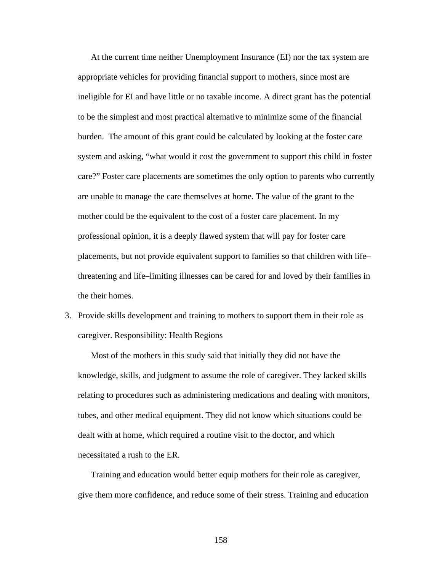At the current time neither Unemployment Insurance (EI) nor the tax system are appropriate vehicles for providing financial support to mothers, since most are ineligible for EI and have little or no taxable income. A direct grant has the potential to be the simplest and most practical alternative to minimize some of the financial burden. The amount of this grant could be calculated by looking at the foster care system and asking, "what would it cost the government to support this child in foster care?" Foster care placements are sometimes the only option to parents who currently are unable to manage the care themselves at home. The value of the grant to the mother could be the equivalent to the cost of a foster care placement. In my professional opinion, it is a deeply flawed system that will pay for foster care placements, but not provide equivalent support to families so that children with life– threatening and life–limiting illnesses can be cared for and loved by their families in the their homes.

3. Provide skills development and training to mothers to support them in their role as caregiver. Responsibility: Health Regions

Most of the mothers in this study said that initially they did not have the knowledge, skills, and judgment to assume the role of caregiver. They lacked skills relating to procedures such as administering medications and dealing with monitors, tubes, and other medical equipment. They did not know which situations could be dealt with at home, which required a routine visit to the doctor, and which necessitated a rush to the ER.

Training and education would better equip mothers for their role as caregiver, give them more confidence, and reduce some of their stress. Training and education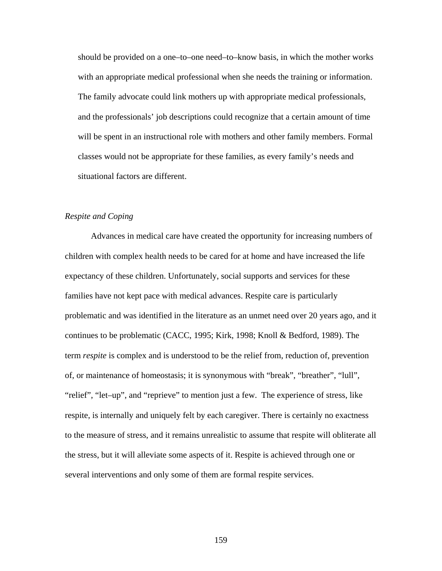should be provided on a one–to–one need–to–know basis, in which the mother works with an appropriate medical professional when she needs the training or information. The family advocate could link mothers up with appropriate medical professionals, and the professionals' job descriptions could recognize that a certain amount of time will be spent in an instructional role with mothers and other family members. Formal classes would not be appropriate for these families, as every family's needs and situational factors are different.

# *Respite and Coping*

 Advances in medical care have created the opportunity for increasing numbers of children with complex health needs to be cared for at home and have increased the life expectancy of these children. Unfortunately, social supports and services for these families have not kept pace with medical advances. Respite care is particularly problematic and was identified in the literature as an unmet need over 20 years ago, and it continues to be problematic (CACC, 1995; Kirk, 1998; Knoll & Bedford, 1989). The term *respite* is complex and is understood to be the relief from, reduction of, prevention of, or maintenance of homeostasis; it is synonymous with "break", "breather", "lull", "relief", "let–up", and "reprieve" to mention just a few. The experience of stress, like respite, is internally and uniquely felt by each caregiver. There is certainly no exactness to the measure of stress, and it remains unrealistic to assume that respite will obliterate all the stress, but it will alleviate some aspects of it. Respite is achieved through one or several interventions and only some of them are formal respite services.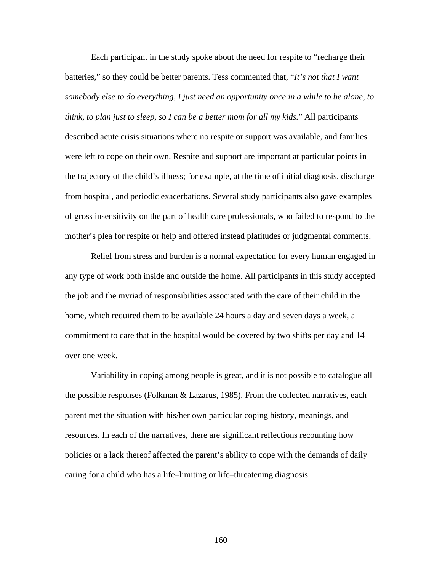Each participant in the study spoke about the need for respite to "recharge their batteries," so they could be better parents. Tess commented that, "*It's not that I want somebody else to do everything, I just need an opportunity once in a while to be alone, to think, to plan just to sleep, so I can be a better mom for all my kids.*" All participants described acute crisis situations where no respite or support was available, and families were left to cope on their own. Respite and support are important at particular points in the trajectory of the child's illness; for example, at the time of initial diagnosis, discharge from hospital, and periodic exacerbations. Several study participants also gave examples of gross insensitivity on the part of health care professionals, who failed to respond to the mother's plea for respite or help and offered instead platitudes or judgmental comments.

 Relief from stress and burden is a normal expectation for every human engaged in any type of work both inside and outside the home. All participants in this study accepted the job and the myriad of responsibilities associated with the care of their child in the home, which required them to be available 24 hours a day and seven days a week, a commitment to care that in the hospital would be covered by two shifts per day and 14 over one week.

 Variability in coping among people is great, and it is not possible to catalogue all the possible responses (Folkman & Lazarus, 1985). From the collected narratives, each parent met the situation with his/her own particular coping history, meanings, and resources. In each of the narratives, there are significant reflections recounting how policies or a lack thereof affected the parent's ability to cope with the demands of daily caring for a child who has a life–limiting or life–threatening diagnosis.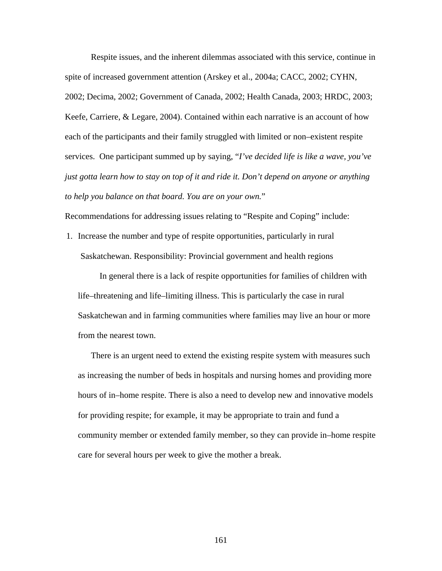Respite issues, and the inherent dilemmas associated with this service, continue in spite of increased government attention (Arskey et al., 2004a; CACC, 2002; CYHN, 2002; Decima, 2002; Government of Canada, 2002; Health Canada, 2003; HRDC, 2003; Keefe, Carriere, & Legare, 2004). Contained within each narrative is an account of how each of the participants and their family struggled with limited or non–existent respite services. One participant summed up by saying, "*I've decided life is like a wave, you've just gotta learn how to stay on top of it and ride it. Don't depend on anyone or anything to help you balance on that board. You are on your own.*"

Recommendations for addressing issues relating to "Respite and Coping" include:

1. Increase the number and type of respite opportunities, particularly in rural Saskatchewan. Responsibility: Provincial government and health regions

 In general there is a lack of respite opportunities for families of children with life–threatening and life–limiting illness. This is particularly the case in rural Saskatchewan and in farming communities where families may live an hour or more from the nearest town.

 There is an urgent need to extend the existing respite system with measures such as increasing the number of beds in hospitals and nursing homes and providing more hours of in–home respite. There is also a need to develop new and innovative models for providing respite; for example, it may be appropriate to train and fund a community member or extended family member, so they can provide in–home respite care for several hours per week to give the mother a break.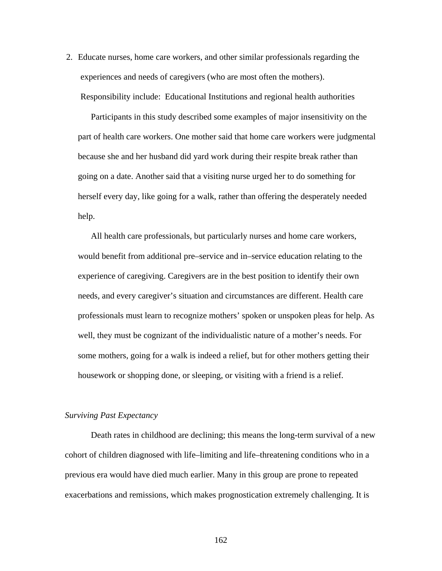2. Educate nurses, home care workers, and other similar professionals regarding the experiences and needs of caregivers (who are most often the mothers). Responsibility include: Educational Institutions and regional health authorities

Participants in this study described some examples of major insensitivity on the part of health care workers. One mother said that home care workers were judgmental because she and her husband did yard work during their respite break rather than going on a date. Another said that a visiting nurse urged her to do something for herself every day, like going for a walk, rather than offering the desperately needed help.

 All health care professionals, but particularly nurses and home care workers, would benefit from additional pre–service and in–service education relating to the experience of caregiving. Caregivers are in the best position to identify their own needs, and every caregiver's situation and circumstances are different. Health care professionals must learn to recognize mothers' spoken or unspoken pleas for help. As well, they must be cognizant of the individualistic nature of a mother's needs. For some mothers, going for a walk is indeed a relief, but for other mothers getting their housework or shopping done, or sleeping, or visiting with a friend is a relief.

### *Surviving Past Expectancy*

Death rates in childhood are declining; this means the long-term survival of a new cohort of children diagnosed with life–limiting and life–threatening conditions who in a previous era would have died much earlier. Many in this group are prone to repeated exacerbations and remissions, which makes prognostication extremely challenging. It is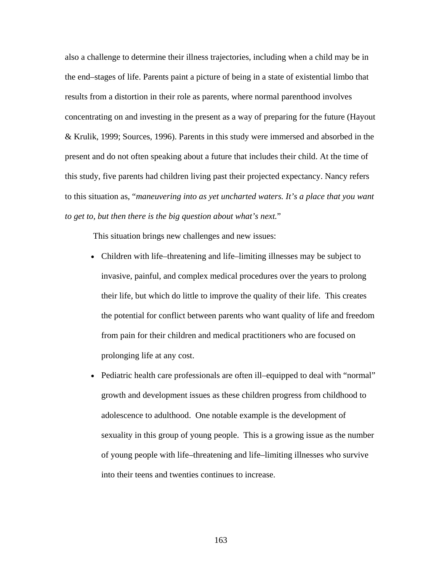also a challenge to determine their illness trajectories, including when a child may be in the end–stages of life. Parents paint a picture of being in a state of existential limbo that results from a distortion in their role as parents, where normal parenthood involves concentrating on and investing in the present as a way of preparing for the future (Hayout & Krulik, 1999; Sources, 1996). Parents in this study were immersed and absorbed in the present and do not often speaking about a future that includes their child. At the time of this study, five parents had children living past their projected expectancy. Nancy refers to this situation as, "*maneuvering into as yet uncharted waters. It's a place that you want to get to, but then there is the big question about what's next.*"

This situation brings new challenges and new issues:

- Children with life–threatening and life–limiting illnesses may be subject to invasive, painful, and complex medical procedures over the years to prolong their life, but which do little to improve the quality of their life. This creates the potential for conflict between parents who want quality of life and freedom from pain for their children and medical practitioners who are focused on prolonging life at any cost.
- Pediatric health care professionals are often ill–equipped to deal with "normal" growth and development issues as these children progress from childhood to adolescence to adulthood. One notable example is the development of sexuality in this group of young people. This is a growing issue as the number of young people with life–threatening and life–limiting illnesses who survive into their teens and twenties continues to increase.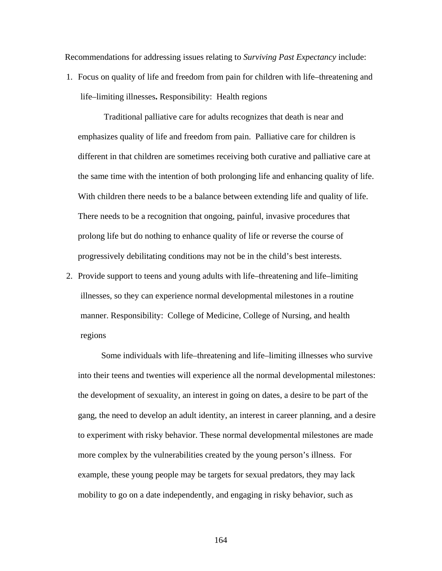Recommendations for addressing issues relating to *Surviving Past Expectancy* include:

1. Focus on quality of life and freedom from pain for children with life–threatening and life–limiting illnesses**.** Responsibility: Health regions

Traditional palliative care for adults recognizes that death is near and emphasizes quality of life and freedom from pain. Palliative care for children is different in that children are sometimes receiving both curative and palliative care at the same time with the intention of both prolonging life and enhancing quality of life. With children there needs to be a balance between extending life and quality of life. There needs to be a recognition that ongoing, painful, invasive procedures that prolong life but do nothing to enhance quality of life or reverse the course of progressively debilitating conditions may not be in the child's best interests.

2. Provide support to teens and young adults with life–threatening and life–limiting illnesses, so they can experience normal developmental milestones in a routine manner. Responsibility: College of Medicine, College of Nursing, and health regions

Some individuals with life–threatening and life–limiting illnesses who survive into their teens and twenties will experience all the normal developmental milestones: the development of sexuality, an interest in going on dates, a desire to be part of the gang, the need to develop an adult identity, an interest in career planning, and a desire to experiment with risky behavior. These normal developmental milestones are made more complex by the vulnerabilities created by the young person's illness. For example, these young people may be targets for sexual predators, they may lack mobility to go on a date independently, and engaging in risky behavior, such as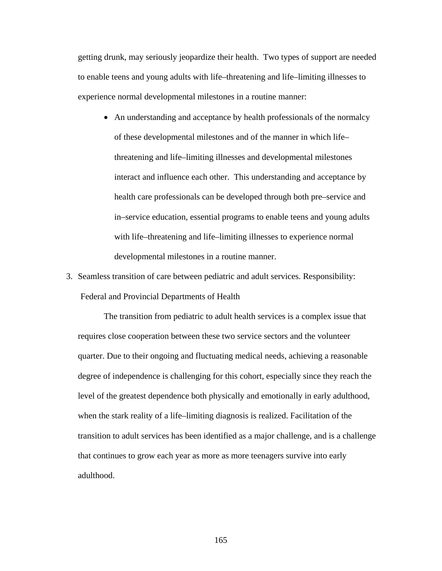getting drunk, may seriously jeopardize their health. Two types of support are needed to enable teens and young adults with life–threatening and life–limiting illnesses to experience normal developmental milestones in a routine manner:

- An understanding and acceptance by health professionals of the normalcy of these developmental milestones and of the manner in which life– threatening and life–limiting illnesses and developmental milestones interact and influence each other. This understanding and acceptance by health care professionals can be developed through both pre–service and in–service education, essential programs to enable teens and young adults with life–threatening and life–limiting illnesses to experience normal developmental milestones in a routine manner.
- 3. Seamless transition of care between pediatric and adult services. Responsibility: Federal and Provincial Departments of Health

The transition from pediatric to adult health services is a complex issue that requires close cooperation between these two service sectors and the volunteer quarter. Due to their ongoing and fluctuating medical needs, achieving a reasonable degree of independence is challenging for this cohort, especially since they reach the level of the greatest dependence both physically and emotionally in early adulthood, when the stark reality of a life–limiting diagnosis is realized. Facilitation of the transition to adult services has been identified as a major challenge, and is a challenge that continues to grow each year as more as more teenagers survive into early adulthood.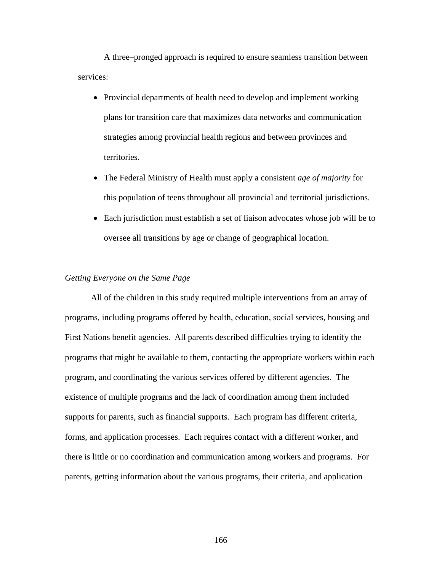A three–pronged approach is required to ensure seamless transition between services:

- Provincial departments of health need to develop and implement working plans for transition care that maximizes data networks and communication strategies among provincial health regions and between provinces and territories.
- The Federal Ministry of Health must apply a consistent *age of majority* for this population of teens throughout all provincial and territorial jurisdictions.
- Each jurisdiction must establish a set of liaison advocates whose job will be to oversee all transitions by age or change of geographical location.

# *Getting Everyone on the Same Page*

All of the children in this study required multiple interventions from an array of programs, including programs offered by health, education, social services, housing and First Nations benefit agencies. All parents described difficulties trying to identify the programs that might be available to them, contacting the appropriate workers within each program, and coordinating the various services offered by different agencies. The existence of multiple programs and the lack of coordination among them included supports for parents, such as financial supports. Each program has different criteria, forms, and application processes. Each requires contact with a different worker, and there is little or no coordination and communication among workers and programs. For parents, getting information about the various programs, their criteria, and application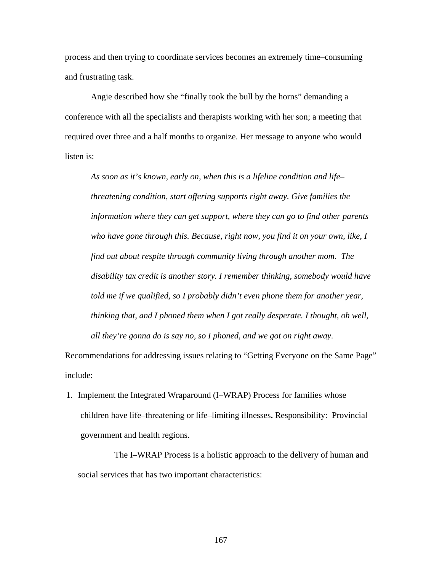process and then trying to coordinate services becomes an extremely time–consuming and frustrating task.

Angie described how she "finally took the bull by the horns" demanding a conference with all the specialists and therapists working with her son; a meeting that required over three and a half months to organize. Her message to anyone who would listen is:

*As soon as it's known, early on, when this is a lifeline condition and life– threatening condition, start offering supports right away. Give families the information where they can get support, where they can go to find other parents who have gone through this. Because, right now, you find it on your own, like, I find out about respite through community living through another mom. The disability tax credit is another story. I remember thinking, somebody would have told me if we qualified, so I probably didn't even phone them for another year, thinking that, and I phoned them when I got really desperate. I thought, oh well, all they're gonna do is say no, so I phoned, and we got on right away.* 

Recommendations for addressing issues relating to "Getting Everyone on the Same Page" include:

1. Implement the Integrated Wraparound (I–WRAP) Process for families whose children have life–threatening or life–limiting illnesses**.** Responsibility: Provincial government and health regions.

The I–WRAP Process is a holistic approach to the delivery of human and social services that has two important characteristics: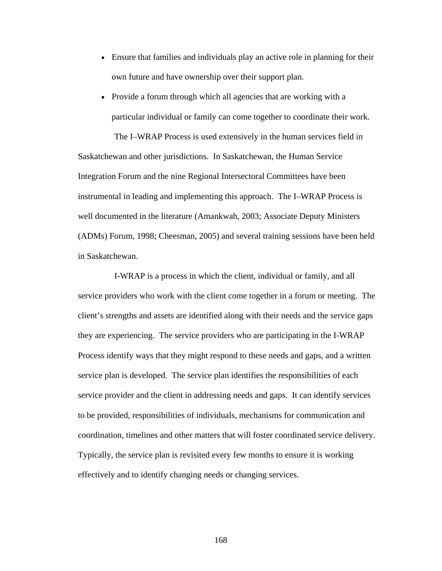- Ensure that families and individuals play an active role in planning for their own future and have ownership over their support plan.
- Provide a forum through which all agencies that are working with a particular individual or family can come together to coordinate their work.

The I–WRAP Process is used extensively in the human services field in Saskatchewan and other jurisdictions. In Saskatchewan, the Human Service Integration Forum and the nine Regional Intersectoral Committees have been instrumental in leading and implementing this approach. The I–WRAP Process is well documented in the literature (Amankwah, 2003; Associate Deputy Ministers (ADMs) Forum, 1998; Cheesman, 2005) and several training sessions have been held in Saskatchewan.

I-WRAP is a process in which the client, individual or family, and all service providers who work with the client come together in a forum or meeting. The client's strengths and assets are identified along with their needs and the service gaps they are experiencing. The service providers who are participating in the I-WRAP Process identify ways that they might respond to these needs and gaps, and a written service plan is developed. The service plan identifies the responsibilities of each service provider and the client in addressing needs and gaps. It can identify services to be provided, responsibilities of individuals, mechanisms for communication and coordination, timelines and other matters that will foster coordinated service delivery. Typically, the service plan is revisited every few months to ensure it is working effectively and to identify changing needs or changing services.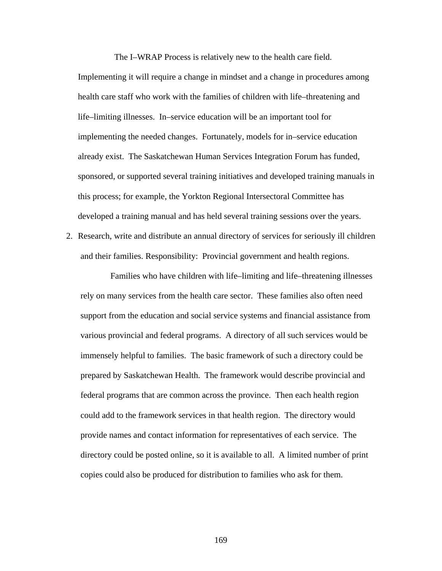The I–WRAP Process is relatively new to the health care field. Implementing it will require a change in mindset and a change in procedures among health care staff who work with the families of children with life–threatening and life–limiting illnesses. In–service education will be an important tool for implementing the needed changes. Fortunately, models for in–service education already exist. The Saskatchewan Human Services Integration Forum has funded, sponsored, or supported several training initiatives and developed training manuals in this process; for example, the Yorkton Regional Intersectoral Committee has developed a training manual and has held several training sessions over the years.

2. Research, write and distribute an annual directory of services for seriously ill children and their families. Responsibility: Provincial government and health regions.

Families who have children with life–limiting and life–threatening illnesses rely on many services from the health care sector. These families also often need support from the education and social service systems and financial assistance from various provincial and federal programs. A directory of all such services would be immensely helpful to families. The basic framework of such a directory could be prepared by Saskatchewan Health. The framework would describe provincial and federal programs that are common across the province. Then each health region could add to the framework services in that health region. The directory would provide names and contact information for representatives of each service. The directory could be posted online, so it is available to all. A limited number of print copies could also be produced for distribution to families who ask for them.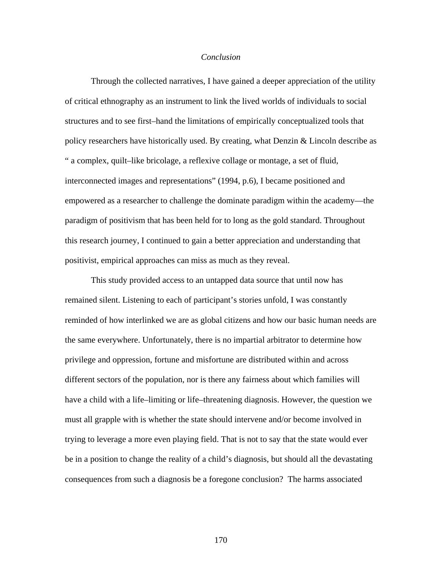### *Conclusion*

 Through the collected narratives, I have gained a deeper appreciation of the utility of critical ethnography as an instrument to link the lived worlds of individuals to social structures and to see first–hand the limitations of empirically conceptualized tools that policy researchers have historically used. By creating, what Denzin & Lincoln describe as " a complex, quilt–like bricolage, a reflexive collage or montage, a set of fluid, interconnected images and representations" (1994, p.6), I became positioned and empowered as a researcher to challenge the dominate paradigm within the academy—the paradigm of positivism that has been held for to long as the gold standard. Throughout this research journey, I continued to gain a better appreciation and understanding that positivist, empirical approaches can miss as much as they reveal.

 This study provided access to an untapped data source that until now has remained silent. Listening to each of participant's stories unfold, I was constantly reminded of how interlinked we are as global citizens and how our basic human needs are the same everywhere. Unfortunately, there is no impartial arbitrator to determine how privilege and oppression, fortune and misfortune are distributed within and across different sectors of the population, nor is there any fairness about which families will have a child with a life–limiting or life–threatening diagnosis. However, the question we must all grapple with is whether the state should intervene and/or become involved in trying to leverage a more even playing field. That is not to say that the state would ever be in a position to change the reality of a child's diagnosis, but should all the devastating consequences from such a diagnosis be a foregone conclusion? The harms associated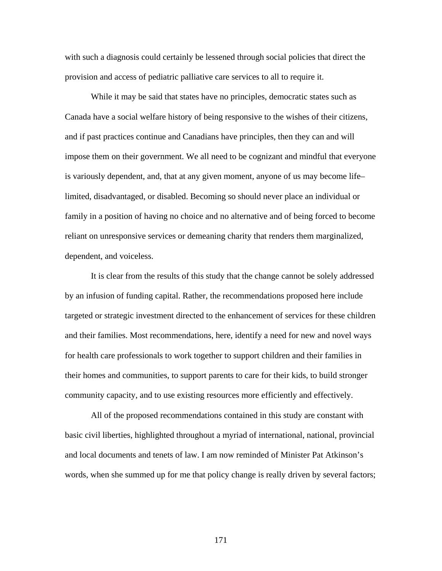with such a diagnosis could certainly be lessened through social policies that direct the provision and access of pediatric palliative care services to all to require it.

 While it may be said that states have no principles, democratic states such as Canada have a social welfare history of being responsive to the wishes of their citizens, and if past practices continue and Canadians have principles, then they can and will impose them on their government. We all need to be cognizant and mindful that everyone is variously dependent, and, that at any given moment, anyone of us may become life– limited, disadvantaged, or disabled. Becoming so should never place an individual or family in a position of having no choice and no alternative and of being forced to become reliant on unresponsive services or demeaning charity that renders them marginalized, dependent, and voiceless.

 It is clear from the results of this study that the change cannot be solely addressed by an infusion of funding capital. Rather, the recommendations proposed here include targeted or strategic investment directed to the enhancement of services for these children and their families. Most recommendations, here, identify a need for new and novel ways for health care professionals to work together to support children and their families in their homes and communities, to support parents to care for their kids, to build stronger community capacity, and to use existing resources more efficiently and effectively.

 All of the proposed recommendations contained in this study are constant with basic civil liberties, highlighted throughout a myriad of international, national, provincial and local documents and tenets of law. I am now reminded of Minister Pat Atkinson's words, when she summed up for me that policy change is really driven by several factors;

171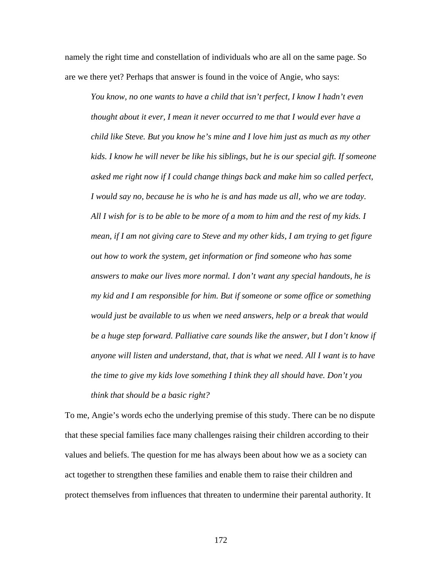namely the right time and constellation of individuals who are all on the same page. So are we there yet? Perhaps that answer is found in the voice of Angie, who says:

*You know, no one wants to have a child that isn't perfect, I know I hadn't even thought about it ever, I mean it never occurred to me that I would ever have a child like Steve. But you know he's mine and I love him just as much as my other kids. I know he will never be like his siblings, but he is our special gift. If someone asked me right now if I could change things back and make him so called perfect, I would say no, because he is who he is and has made us all, who we are today. All I wish for is to be able to be more of a mom to him and the rest of my kids. I mean, if I am not giving care to Steve and my other kids, I am trying to get figure out how to work the system, get information or find someone who has some answers to make our lives more normal. I don't want any special handouts, he is my kid and I am responsible for him. But if someone or some office or something would just be available to us when we need answers, help or a break that would be a huge step forward. Palliative care sounds like the answer, but I don't know if anyone will listen and understand, that, that is what we need. All I want is to have the time to give my kids love something I think they all should have. Don't you think that should be a basic right?* 

To me, Angie's words echo the underlying premise of this study. There can be no dispute that these special families face many challenges raising their children according to their values and beliefs. The question for me has always been about how we as a society can act together to strengthen these families and enable them to raise their children and protect themselves from influences that threaten to undermine their parental authority. It

172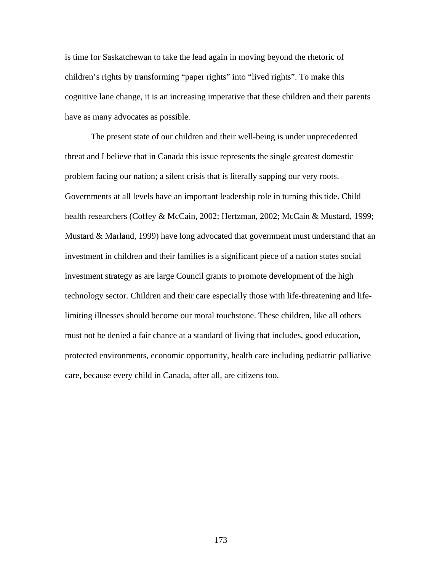is time for Saskatchewan to take the lead again in moving beyond the rhetoric of children's rights by transforming "paper rights" into "lived rights". To make this cognitive lane change, it is an increasing imperative that these children and their parents have as many advocates as possible.

The present state of our children and their well-being is under unprecedented threat and I believe that in Canada this issue represents the single greatest domestic problem facing our nation; a silent crisis that is literally sapping our very roots. Governments at all levels have an important leadership role in turning this tide. Child health researchers (Coffey & McCain, 2002; Hertzman, 2002; McCain & Mustard, 1999; Mustard & Marland, 1999) have long advocated that government must understand that an investment in children and their families is a significant piece of a nation states social investment strategy as are large Council grants to promote development of the high technology sector. Children and their care especially those with life-threatening and lifelimiting illnesses should become our moral touchstone. These children, like all others must not be denied a fair chance at a standard of living that includes, good education, protected environments, economic opportunity, health care including pediatric palliative care, because every child in Canada, after all, are citizens too.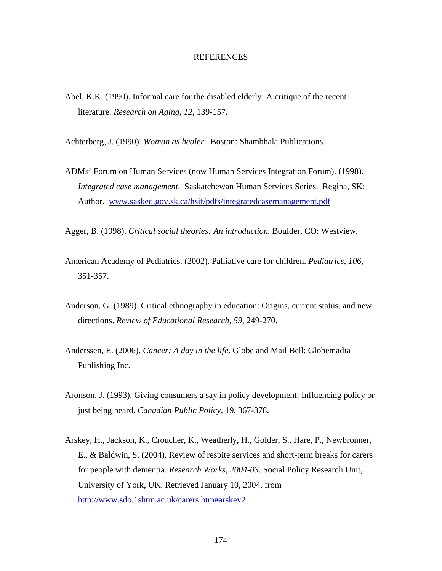## **REFERENCES**

Abel, K.K. (1990). Informal care for the disabled elderly: A critique of the recent literature. *Research on Aging, 12,* 139-157.

Achterberg, J. (1990). *Woman as healer*. Boston: Shambhala Publications.

ADMs' Forum on Human Services (now Human Services Integration Forum). (1998). *Integrated case management*. Saskatchewan Human Services Series. Regina, SK: Author. www.sasked.gov.sk.ca/hsif/pdfs/integratedcasemanagement.pdf

Agger, B. (1998). *Critical social theories: An introduction.* Boulder, CO: Westview.

- American Academy of Pediatrics. (2002). Palliative care for children. *Pediatrics, 106,* 351-357.
- Anderson, G. (1989). Critical ethnography in education: Origins, current status, and new directions. *Review of Educational Research, 59,* 249-270.
- Anderssen, E. (2006). *Cancer: A day in the life*. Globe and Mail Bell: Globemadia Publishing Inc.
- Aronson, J. (1993). Giving consumers a say in policy development: Influencing policy or just being heard. *Canadian Public Policy,* 19, 367-378.
- Arskey, H., Jackson, K., Croucher, K., Weatherly, H., Golder, S., Hare, P., Newbronner, E., & Baldwin, S. (2004). Review of respite services and short-term breaks for carers for people with dementia. *Research Works, 2004-03.* Social Policy Research Unit, University of York, UK. Retrieved January 10, 2004, from <http://www.sdo.1shtm.ac.uk/carers.htm#arskey2>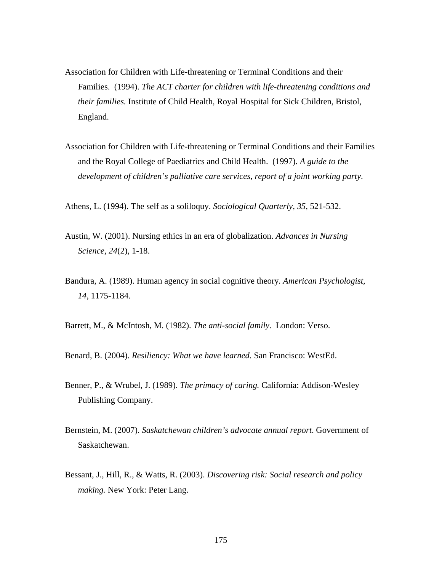- Association for Children with Life-threatening or Terminal Conditions and their Families. (1994). *The ACT charter for children with life-threatening conditions and their families.* Institute of Child Health, Royal Hospital for Sick Children, Bristol, England.
- Association for Children with Life-threatening or Terminal Conditions and their Families and the Royal College of Paediatrics and Child Health. (1997). *A guide to the development of children's palliative care services, report of a joint working party*.

Athens, L. (1994). The self as a soliloquy. *Sociological Quarterly, 35*, 521-532.

- Austin, W. (2001). Nursing ethics in an era of globalization. *Advances in Nursing Science, 24*(2), 1-18.
- Bandura, A. (1989). Human agency in social cognitive theory*. American Psychologist, 14*, 1175-1184.

Barrett, M., & McIntosh, M. (1982). *The anti-social family.* London: Verso.

Benard, B. (2004). *Resiliency: What we have learned.* San Francisco: WestEd.

- Benner, P., & Wrubel, J. (1989). *The primacy of caring.* California: Addison-Wesley Publishing Company.
- Bernstein, M. (2007). *Saskatchewan children's advocate annual report*. Government of Saskatchewan.
- Bessant, J., Hill, R., & Watts, R. (2003). *Discovering risk: Social research and policy making.* New York: Peter Lang.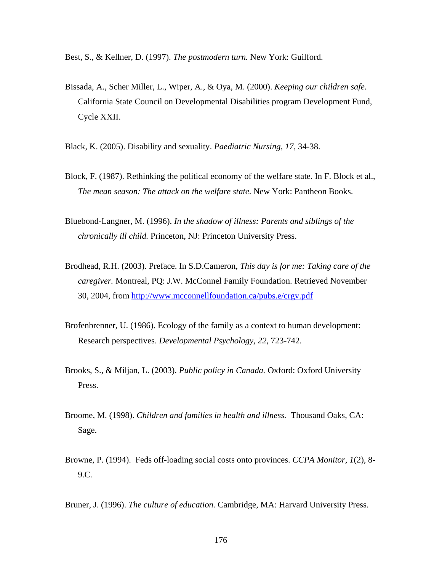Best, S., & Kellner, D. (1997). *The postmodern turn.* New York: Guilford.

- Bissada, A., Scher Miller, L., Wiper, A., & Oya, M. (2000). *Keeping our children safe*. California State Council on Developmental Disabilities program Development Fund, Cycle XXII.
- Black, K. (2005). Disability and sexuality. *Paediatric Nursing, 17,* 34-38.
- Block, F. (1987). Rethinking the political economy of the welfare state. In F. Block et al., *The mean season: The attack on the welfare state*. New York: Pantheon Books.
- Bluebond-Langner, M. (1996). *In the shadow of illness: Parents and siblings of the chronically ill child.* Princeton, NJ: Princeton University Press.
- Brodhead, R.H. (2003). Preface. In S.D.Cameron, *This day is for me: Taking care of the caregiver.* Montreal, PQ: J.W. McConnel Family Foundation. Retrieved November 30, 2004, from<http://www.mcconnellfoundation.ca/pubs.e/crgv.pdf>
- Brofenbrenner, U. (1986). Ecology of the family as a context to human development: Research perspectives. *Developmental Psychology, 22,* 723-742.
- Brooks, S., & Miljan, L. (2003). *Public policy in Canada.* Oxford: Oxford University Press.
- Broome, M. (1998). *Children and families in health and illness.* Thousand Oaks, CA: Sage.
- Browne, P. (1994). Feds off-loading social costs onto provinces. *CCPA Monitor, 1*(2), 8- 9.C.

Bruner, J. (1996). *The culture of education.* Cambridge, MA: Harvard University Press.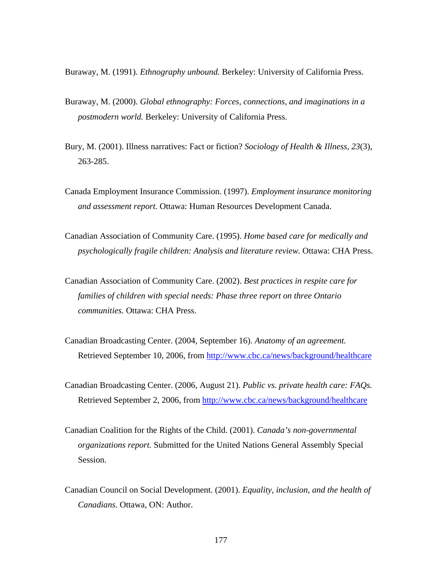Buraway, M. (1991). *Ethnography unbound.* Berkeley: University of California Press.

- Buraway, M. (2000). *Global ethnography: Forces, connections, and imaginations in a postmodern world.* Berkeley: University of California Press.
- Bury, M. (2001). Illness narratives: Fact or fiction? *Sociology of Health & Illness, 23*(3), 263-285.
- Canada Employment Insurance Commission. (1997). *Employment insurance monitoring and assessment report.* Ottawa: Human Resources Development Canada.
- Canadian Association of Community Care. (1995). *Home based care for medically and psychologically fragile children: Analysis and literature review.* Ottawa: CHA Press.
- Canadian Association of Community Care. (2002). *Best practices in respite care for families of children with special needs: Phase three report on three Ontario communities.* Ottawa: CHA Press.
- Canadian Broadcasting Center. (2004, September 16). *Anatomy of an agreement.*  Retrieved September 10, 2006, from<http://www.cbc.ca/news/background/healthcare>
- Canadian Broadcasting Center. (2006, August 21). *Public vs. private health care: FAQs.*  Retrieved September 2, 2006, from<http://www.cbc.ca/news/background/healthcare>
- Canadian Coalition for the Rights of the Child. (2001). *Canada's non-governmental organizations report.* Submitted for the United Nations General Assembly Special Session.
- Canadian Council on Social Development. (2001). *Equality, inclusion, and the health of Canadians.* Ottawa, ON: Author.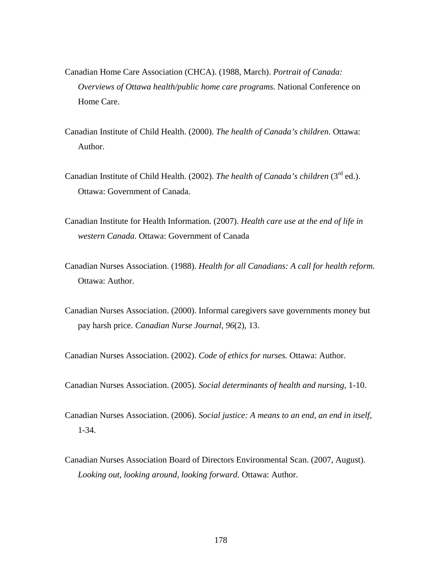- Canadian Home Care Association (CHCA). (1988, March). *Portrait of Canada: Overviews of Ottawa health/public home care programs.* National Conference on Home Care.
- Canadian Institute of Child Health. (2000). *The health of Canada's children*. Ottawa: Author.
- Canadian Institute of Child Health. (2002). *The health of Canada's children* (3<sup>rd</sup> ed.). Ottawa: Government of Canada.
- Canadian Institute for Health Information. (2007). *Health care use at the end of life in western Canada*. Ottawa: Government of Canada
- Canadian Nurses Association. (1988). *Health for all Canadians: A call for health reform.* Ottawa: Author.
- Canadian Nurses Association. (2000). Informal caregivers save governments money but pay harsh price. *Canadian Nurse Journal, 96*(2), 13.

Canadian Nurses Association. (2002). *Code of ethics for nurses.* Ottawa: Author.

Canadian Nurses Association. (2005). *Social determinants of health and nursing,* 1-10.

- Canadian Nurses Association. (2006). *Social justice: A means to an end, an end in itself,* 1-34.
- Canadian Nurses Association Board of Directors Environmental Scan. (2007, August). *Looking out, looking around, looking forward*. Ottawa: Author.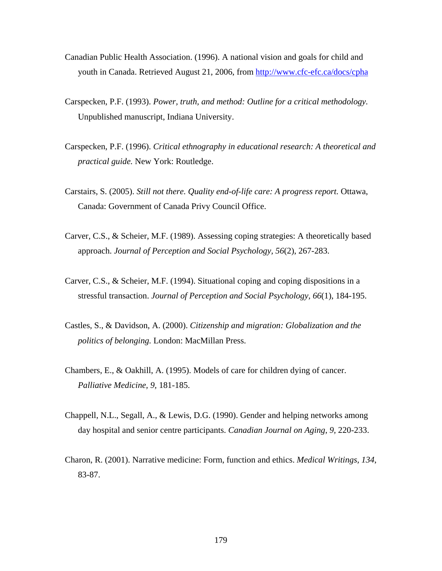- Canadian Public Health Association. (1996). A national vision and goals for child and youth in Canada. Retrieved August 21, 2006, from<http://www.cfc-efc.ca/docs/cpha>
- Carspecken, P.F. (1993). *Power, truth, and method: Outline for a critical methodology.* Unpublished manuscript, Indiana University.
- Carspecken, P.F. (1996). *Critical ethnography in educational research: A theoretical and practical guide.* New York: Routledge.
- Carstairs, S. (2005). *Still not there. Quality end-of-life care: A progress report.* Ottawa, Canada: Government of Canada Privy Council Office.
- Carver, C.S., & Scheier, M.F. (1989). Assessing coping strategies: A theoretically based approach. *Journal of Perception and Social Psychology, 56*(2), 267-283.
- Carver, C.S., & Scheier, M.F. (1994). Situational coping and coping dispositions in a stressful transaction. *Journal of Perception and Social Psychology, 66*(1), 184-195.
- Castles, S., & Davidson, A. (2000). *Citizenship and migration: Globalization and the politics of belonging.* London: MacMillan Press.
- Chambers, E., & Oakhill, A. (1995). Models of care for children dying of cancer. *Palliative Medicine, 9,* 181-185.
- Chappell, N.L., Segall, A., & Lewis, D.G. (1990). Gender and helping networks among day hospital and senior centre participants. *Canadian Journal on Aging*, *9,* 220-233.
- Charon, R. (2001). Narrative medicine: Form, function and ethics. *Medical Writings, 134*, 83-87.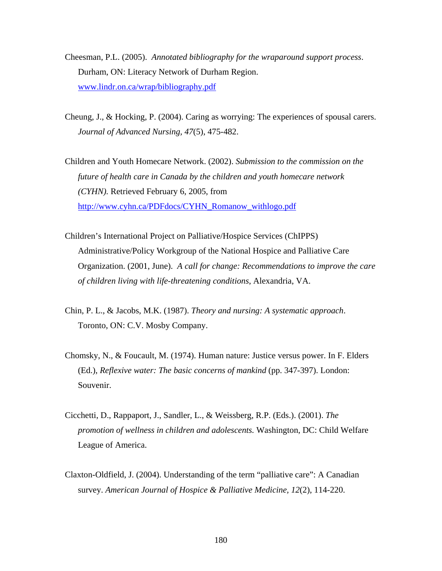- Cheesman, P.L. (2005). *Annotated bibliography for the wraparound support process*. Durham, ON: Literacy Network of Durham Region. [www.lindr.on.ca/wrap/bibliography.pdf](http://www.lindr.on.ca/wrap/bibliography.pdf)
- Cheung, J., & Hocking, P. (2004). Caring as worrying: The experiences of spousal carers. *Journal of Advanced Nursing, 47*(5), 475-482.
- Children and Youth Homecare Network. (2002). *Submission to the commission on the future of health care in Canada by the children and youth homecare network (CYHN).* Retrieved February 6, 2005, from [http://www.cyhn.ca/PDFdocs/CYHN\\_Romanow\\_withlogo.pdf](http://www.cyhn.ca/PDFdocs/CYHN_Romanow_withlogo.pdf)
- Children's International Project on Palliative/Hospice Services (ChIPPS) Administrative/Policy Workgroup of the National Hospice and Palliative Care Organization. (2001, June). *A call for change: Recommendations to improve the care of children living with life-threatening conditions*, Alexandria, VA.
- Chin, P. L., & Jacobs, M.K. (1987). *Theory and nursing: A systematic approach*. Toronto, ON: C.V. Mosby Company.
- Chomsky, N., & Foucault, M. (1974). Human nature: Justice versus power. In F. Elders (Ed.), *Reflexive water: The basic concerns of mankind* (pp. 347-397). London: Souvenir.
- Cicchetti, D., Rappaport, J., Sandler, L., & Weissberg, R.P. (Eds.). (2001). *The promotion of wellness in children and adolescents.* Washington, DC: Child Welfare League of America.
- Claxton-Oldfield, J. (2004). Understanding of the term "palliative care": A Canadian survey. *American Journal of Hospice & Palliative Medicine, 12*(2), 114-220.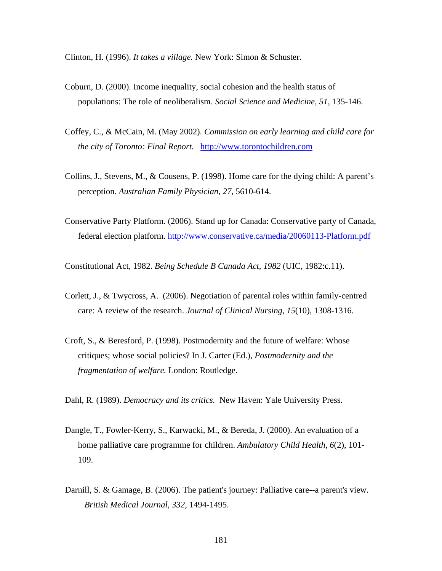Clinton, H. (1996). *It takes a village.* New York: Simon & Schuster.

- Coburn, D. (2000). Income inequality, social cohesion and the health status of populations: The role of neoliberalism. *Social Science and Medicine, 51,* 135-146.
- Coffey, C., & McCain, M. (May 2002). *Commission on early learning and child care for the city of Toronto: Final Report.* [http://www.torontochildren.com](http://www.torontochildren.com/)
- Collins, J., Stevens, M., & Cousens, P. (1998). Home care for the dying child: A parent's perception. *Australian Family Physician, 27,* 5610-614.
- Conservative Party Platform. (2006). Stand up for Canada: Conservative party of Canada, federal election platform. <http://www.conservative.ca/media/20060113-Platform.pdf>

Constitutional Act, 1982. *Being Schedule B Canada Act, 1982* (UIC, 1982:c.11).

- Corlett, J., & Twycross, A. (2006). Negotiation of parental roles within family-centred care: A review of the research. *Journal of Clinical Nursing*, *15*(10), 1308-1316.
- Croft, S., & Beresford, P. (1998). Postmodernity and the future of welfare: Whose critiques; whose social policies? In J. Carter (Ed.), *Postmodernity and the fragmentation of welfare.* London: Routledge.

Dahl, R. (1989). *Democracy and its critics.* New Haven: Yale University Press.

- Dangle, T., Fowler-Kerry, S., Karwacki, M., & Bereda, J. (2000). An evaluation of a home palliative care programme for children. *Ambulatory Child Health, 6*(2), 101- 109.
- Darnill, S. & Gamage, B. (2006). The patient's journey: Palliative care--a parent's view. *British Medical Journal, 332*, 1494-1495.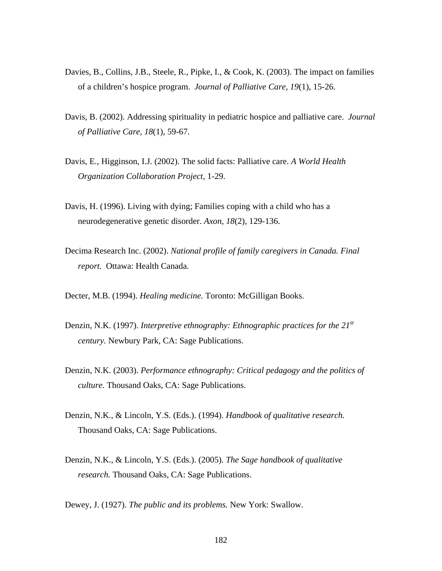- Davies, B., Collins, J.B., Steele, R., Pipke, I., & Cook, K. (2003). The impact on families of a children's hospice program. *Journal of Palliative Care, 19*(1), 15-26.
- Davis, B. (2002). Addressing spirituality in pediatric hospice and palliative care. *Journal of Palliative Care, 18*(1), 59-67.
- Davis, E., Higginson, I.J. (2002). The solid facts: Palliative care. *A World Health Organization Collaboration Project,* 1-29.
- Davis, H. (1996). Living with dying; Families coping with a child who has a neurodegenerative genetic disorder. *Axon*, *18*(2), 129-136.
- Decima Research Inc. (2002). *National profile of family caregivers in Canada. Final report.* Ottawa: Health Canada.
- Decter, M.B. (1994). *Healing medicine.* Toronto: McGilligan Books.
- Denzin, N.K. (1997). *Interpretive ethnography: Ethnographic practices for the 21<sup>st</sup> century.* Newbury Park, CA: Sage Publications.
- Denzin, N.K. (2003). *Performance ethnography: Critical pedagogy and the politics of culture.* Thousand Oaks, CA: Sage Publications.
- Denzin, N.K., & Lincoln, Y.S. (Eds.). (1994). *Handbook of qualitative research.*  Thousand Oaks, CA: Sage Publications.
- Denzin, N.K., & Lincoln, Y.S. (Eds.). (2005). *The Sage handbook of qualitative research.* Thousand Oaks, CA: Sage Publications.

Dewey, J. (1927). *The public and its problems.* New York: Swallow.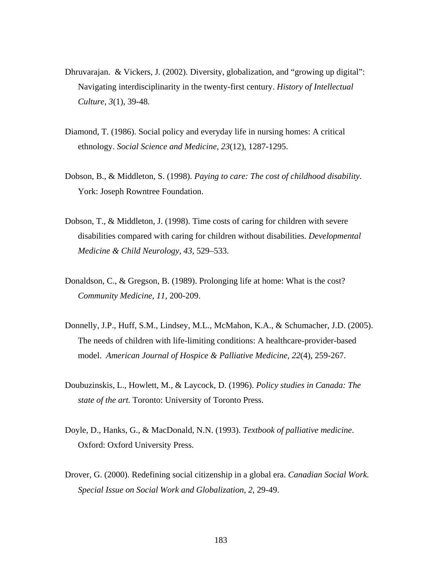- Dhruvarajan. & Vickers, J. (2002). Diversity, globalization, and "growing up digital": Navigating interdisciplinarity in the twenty-first century. *History of Intellectual Culture, 3*(1), 39-48.
- Diamond, T. (1986). Social policy and everyday life in nursing homes: A critical ethnology. *Social Science and Medicine, 23*(12), 1287-1295.
- Dobson, B., & Middleton, S. (1998). *Paying to care: The cost of childhood disability.*  York: Joseph Rowntree Foundation.
- Dobson, T., & Middleton, J. (1998). Time costs of caring for children with severe disabilities compared with caring for children without disabilities. *Developmental Medicine & Child Neurology*, *43,* 529–533.
- Donaldson, C., & Gregson, B. (1989). Prolonging life at home: What is the cost? *Community Medicine, 11*, 200-209.
- Donnelly, J.P., Huff, S.M., Lindsey, M.L., McMahon, K.A., & Schumacher, J.D. (2005). The needs of children with life-limiting conditions: A healthcare-provider-based model. *American Journal of Hospice & Palliative Medicine, 22*(4), 259-267.
- Doubuzinskis, L., Howlett, M., & Laycock, D. (1996). *Policy studies in Canada: The state of the art.* Toronto: University of Toronto Press.
- Doyle, D., Hanks, G., & MacDonald, N.N. (1993). *Textbook of palliative medicine*. Oxford: Oxford University Press.
- Drover, G. (2000). Redefining social citizenship in a global era. *Canadian Social Work. Special Issue on Social Work and Globalization, 2,* 29-49.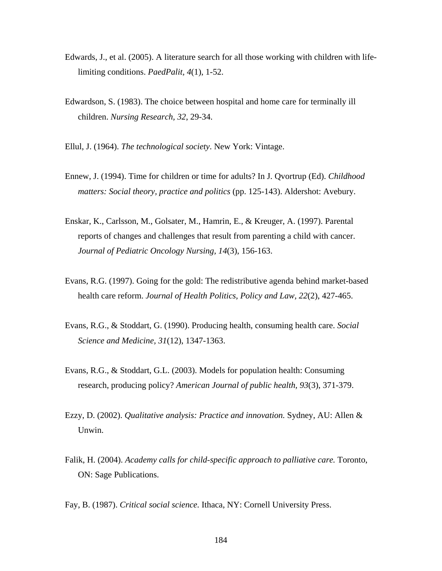- Edwards, J., et al. (2005). A literature search for all those working with children with lifelimiting conditions. *PaedPalit, 4*(1), 1-52.
- Edwardson, S. (1983). The choice between hospital and home care for terminally ill children. *Nursing Research, 32*, 29-34.
- Ellul, J. (1964). *The technological society*. New York: Vintage.
- Ennew, J. (1994). Time for children or time for adults? In J. Qvortrup (Ed). *Childhood matters: Social theory, practice and politics* (pp. 125-143). Aldershot: Avebury.
- Enskar, K., Carlsson, M., Golsater, M., Hamrin, E., & Kreuger, A. (1997). Parental reports of changes and challenges that result from parenting a child with cancer. *Journal of Pediatric Oncology Nursing, 14*(3), 156-163.
- Evans, R.G. (1997). Going for the gold: The redistributive agenda behind market-based health care reform. *Journal of Health Politics, Policy and Law, 22*(2), 427-465.
- Evans, R.G., & Stoddart, G. (1990). Producing health, consuming health care. *Social Science and Medicine, 31*(12), 1347-1363.
- Evans, R.G., & Stoddart, G.L. (2003). Models for population health: Consuming research, producing policy? *American Journal of public health, 93*(3), 371-379.
- Ezzy, D. (2002). *Qualitative analysis: Practice and innovation.* Sydney, AU: Allen & Unwin.
- Falik, H. (2004). *Academy calls for child-specific approach to palliative care.* Toronto, ON: Sage Publications.

Fay, B. (1987). *Critical social science.* Ithaca, NY: Cornell University Press.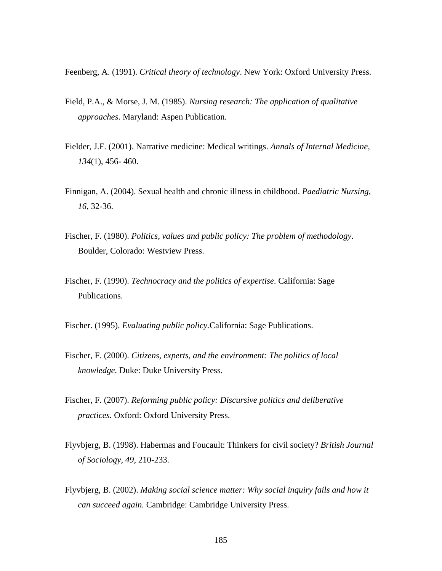Feenberg, A. (1991). *Critical theory of technology*. New York: Oxford University Press.

- Field, P.A., & Morse, J. M. (1985). *Nursing research: The application of qualitative approaches*. Maryland: Aspen Publication.
- Fielder, J.F. (2001). Narrative medicine: Medical writings. *Annals of Internal Medicine, 134*(1), 456- 460.
- Finnigan, A. (2004). Sexual health and chronic illness in childhood. *Paediatric Nursing, 16*, 32-36.
- Fischer, F. (1980). *Politics, values and public policy: The problem of methodology*. Boulder, Colorado: Westview Press.
- Fischer, F. (1990). *Technocracy and the politics of expertise*. California: Sage Publications.

Fischer. (1995). *Evaluating public policy.*California: Sage Publications.

- Fischer, F. (2000). *Citizens, experts, and the environment: The politics of local knowledge.* Duke: Duke University Press.
- Fischer, F. (2007). *Reforming public policy: Discursive politics and deliberative practices.* Oxford: Oxford University Press.
- Flyvbjerg, B. (1998). Habermas and Foucault: Thinkers for civil society? *British Journal of Sociology*, *49*, 210-233.
- Flyvbjerg, B. (2002). *[Making social science matter: Why social inquiry fails and how it](http://www.amazon.com/exec/obidos/tg/detail/-/052177568X/)  [can succeed again.](http://www.amazon.com/exec/obidos/tg/detail/-/052177568X/)* Cambridge: Cambridge University Press.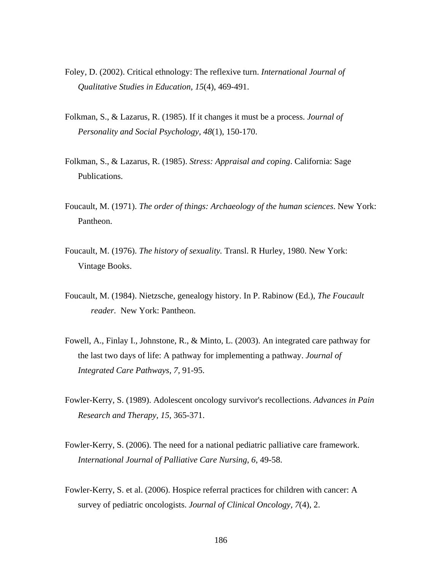- Foley, D. (2002). Critical ethnology: The reflexive turn. *International Journal of Qualitative Studies in Education, 15*(4), 469-491.
- Folkman, S., & Lazarus, R. (1985). If it changes it must be a process. *Journal of Personality and Social Psychology, 48*(1), 150-170.
- Folkman, S., & Lazarus, R. (1985). *Stress: Appraisal and coping*. California: Sage Publications.
- Foucault, M. (1971). *The order of things: Archaeology of the human sciences*. New York: Pantheon.
- Foucault, M. (1976). *The history of sexuality.* Transl. R Hurley, 1980. New York: Vintage Books.
- Foucault, M. (1984). Nietzsche, genealogy history. In P. Rabinow (Ed.), *The Foucault reader.* New York: Pantheon.
- Fowell, A., Finlay I., Johnstone, R., & Minto, L. (2003). An integrated care pathway for the last two days of life: A pathway for implementing a pathway. *Journal of Integrated Care Pathways, 7,* 91-95.
- Fowler-Kerry, S. (1989). Adolescent oncology survivor's recollections. *Advances in Pain Research and Therapy, 15,* 365-371.
- Fowler-Kerry, S. (2006). The need for a national pediatric palliative care framework. *International Journal of Palliative Care Nursing*, *6*, 49-58.
- Fowler-Kerry, S. et al. (2006). Hospice referral practices for children with cancer: A survey of pediatric oncologists. *Journal of Clinical Oncology, 7*(4), 2.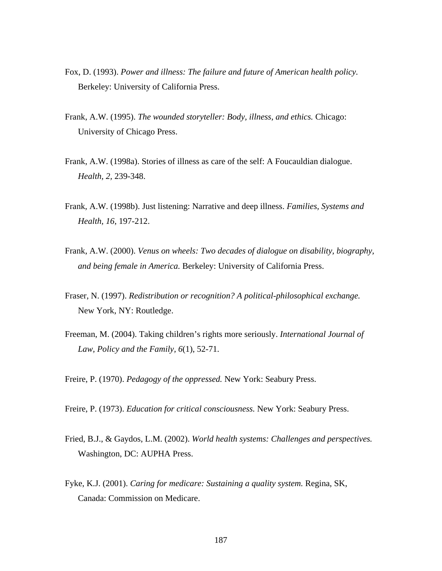- Fox, D. (1993). *Power and illness: The failure and future of American health policy.*  Berkeley: University of California Press.
- Frank, A.W. (1995). *The wounded storyteller: Body, illness, and ethics.* Chicago: University of Chicago Press.
- Frank, A.W. (1998a). Stories of illness as care of the self: A Foucauldian dialogue. *Health, 2,* 239-348.
- Frank, A.W. (1998b). Just listening: Narrative and deep illness. *Families, Systems and Health, 16*, 197-212.
- Frank, A.W. (2000). *Venus on wheels: Two decades of dialogue on disability, biography, and being female in America.* Berkeley: University of California Press.
- Fraser, N. (1997). *Redistribution or recognition? A political-philosophical exchange.*  New York, NY: Routledge.
- Freeman, M. (2004). Taking children's rights more seriously. *International Journal of Law, Policy and the Family, 6*(1), 52-71.
- Freire, P. (1970). *Pedagogy of the oppressed.* New York: Seabury Press.

Freire, P. (1973). *Education for critical consciousness.* New York: Seabury Press.

- Fried, B.J., & Gaydos, L.M. (2002). *World health systems: Challenges and perspectives.*  Washington, DC: AUPHA Press.
- Fyke, K.J. (2001). *Caring for medicare: Sustaining a quality system.* Regina, SK, Canada: Commission on Medicare.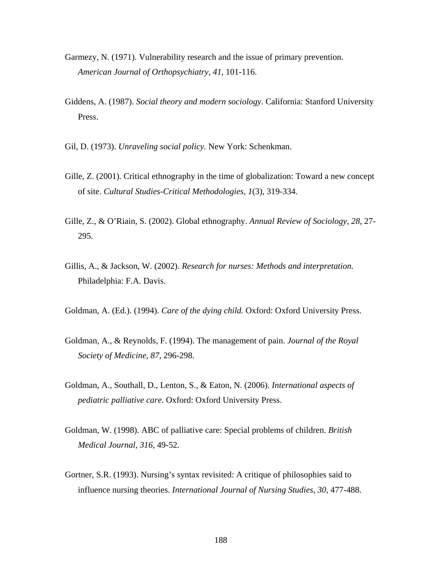- Garmezy, N. (1971). Vulnerability research and the issue of primary prevention. *American Journal of Orthopsychiatry, 41,* 101-116.
- Giddens, A. (1987). *Social theory and modern sociology.* California: Stanford University Press.
- Gil, D. (1973). *Unraveling social policy.* New York: Schenkman.
- Gille, Z. (2001). Critical ethnography in the time of globalization: Toward a new concept of site. *Cultural Studies-Critical Methodologies, 1*(3), 319-334.
- Gille, Z., & O'Riain, S. (2002). Global ethnography. *Annual Review of Sociology, 28*, 27- 295.
- Gillis, A., & Jackson, W. (2002). *Research for nurses: Methods and interpretation.*  Philadelphia: F.A. Davis.
- Goldman, A. (Ed.). (1994). *Care of the dying child.* Oxford: Oxford University Press.
- Goldman, A., & Reynolds, F. (1994). The management of pain. *Journal of the Royal Society of Medicine, 87,* 296-298.
- Goldman, A., Southall, D., Lenton, S., & Eaton, N. (2006). *International aspects of pediatric palliative care*. Oxford: Oxford University Press.
- Goldman, W. (1998). ABC of palliative care: Special problems of children. *British Medical Journal, 316,* 49-52.
- Gortner, S.R. (1993). Nursing's syntax revisited: A critique of philosophies said to influence nursing theories. *International Journal of Nursing Studies, 30*, 477-488.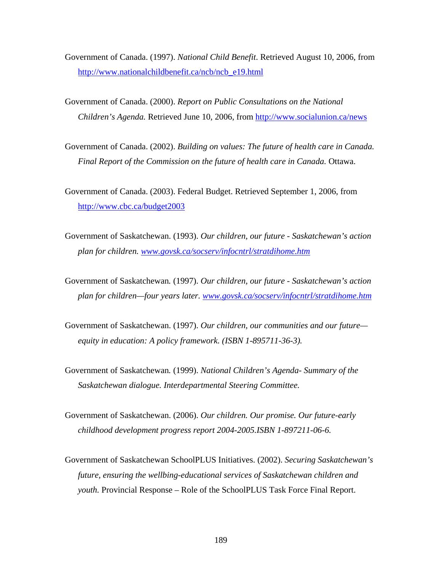Government of Canada. (1997). *National Child Benefit*. Retrieved August 10, 2006, from [http://www.nationalchildbenefit.ca/ncb/ncb\\_e19.html](http://www.nationalchildbenefit.ca/ncb/ncb_e19.html)

- Government of Canada. (2000). *Report on Public Consultations on the National Children's Agenda.* Retrieved June 10, 2006, from <http://www.socialunion.ca/news>
- Government of Canada. (2002). *Building on values: The future of health care in Canada. Final Report of the Commission on the future of health care in Canada.* Ottawa.

Government of Canada. (2003). Federal Budget. Retrieved September 1, 2006, from <http://www.cbc.ca/budget2003>

- Government of Saskatchewan. (1993). *Our children, our future Saskatchewan's action plan for children. [www.govsk.ca/socserv/infocntrl/stratdihome.htm](http://www.govsk.ca/socserv/infocntrl/stratdihome.htm)*
- Government of Saskatchewan*.* (1997). *Our children, our future Saskatchewan's action plan for children—four years later. [www.govsk.ca/socserv/infocntrl/stratdihome.htm](http://www.govsk.ca/socserv/infocntrl/stratdihome.htm)*
- Government of Saskatchewan. (1997). *Our children, our communities and our future equity in education: A policy framework. (ISBN 1-895711-36-3).*
- Government of Saskatchewan*.* (1999). *National Children's Agenda- Summary of the Saskatchewan dialogue. Interdepartmental Steering Committee.*
- Government of Saskatchewan. (2006). *Our children. Our promise. Our future-early childhood development progress report 2004-2005.ISBN 1-897211-06-6.*
- Government of Saskatchewan SchoolPLUS Initiatives. (2002). *Securing Saskatchewan's future, ensuring the wellbing-educational services of Saskatchewan children and youth.* Provincial Response – Role of the SchoolPLUS Task Force Final Report.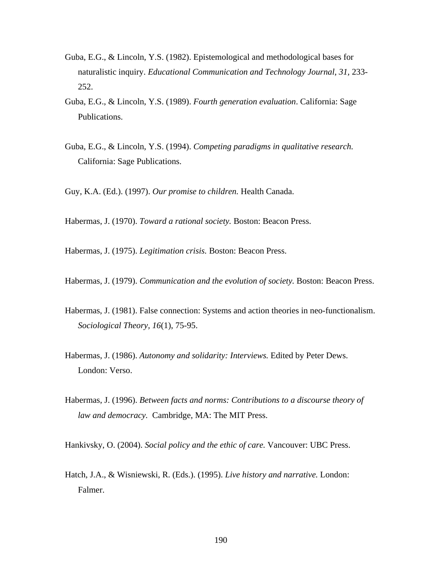- Guba, E.G., & Lincoln, Y.S. (1982). Epistemological and methodological bases for naturalistic inquiry. *Educational Communication and Technology Journal*, *31,* 233- 252.
- Guba, E.G., & Lincoln, Y.S. (1989). *Fourth generation evaluation*. California: Sage Publications.
- Guba, E.G., & Lincoln, Y.S. (1994). *Competing paradigms in qualitative research.*  California: Sage Publications.
- Guy, K.A. (Ed.). (1997). *Our promise to children.* Health Canada.

Habermas, J. (1970). *Toward a rational society.* Boston: Beacon Press.

Habermas, J. (1975). *Legitimation crisis.* Boston: Beacon Press.

- Habermas, J. (1979). *Communication and the evolution of society.* Boston: Beacon Press.
- Habermas, J. (1981). False connection: Systems and action theories in neo-functionalism. *Sociological Theory, 16*(1), 75-95.
- Habermas, J. (1986). *Autonomy and solidarity: Interviews.* Edited by Peter Dews. London: Verso.
- Habermas, J. (1996). *Between facts and norms: Contributions to a discourse theory of law and democracy.* Cambridge, MA: The MIT Press.

Hankivsky, O. (2004). *Social policy and the ethic of care.* Vancouver: UBC Press.

Hatch, J.A., & Wisniewski, R. (Eds.). (1995). *Live history and narrative.* London: Falmer.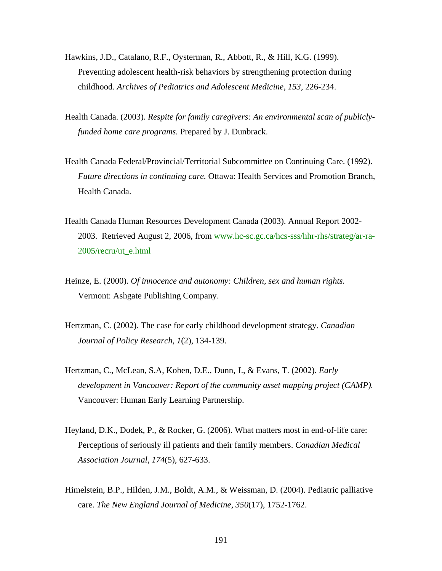- Hawkins, J.D., Catalano, R.F., Oysterman, R., Abbott, R., & Hill, K.G. (1999). Preventing adolescent health-risk behaviors by strengthening protection during childhood. *Archives of Pediatrics and Adolescent Medicine, 153,* 226-234.
- Health Canada. (2003). *Respite for family caregivers: An environmental scan of publiclyfunded home care programs.* Prepared by J. Dunbrack.
- Health Canada Federal/Provincial/Territorial Subcommittee on Continuing Care. (1992). *Future directions in continuing care.* Ottawa: Health Services and Promotion Branch, Health Canada.
- Health Canada Human Resources Development Canada (2003). Annual Report 2002- 2003. Retrieved August 2, 2006, from www.hc-sc.gc.ca/hcs-sss/hhr-rhs/strateg/ar-ra-2005/recru/ut\_e.html
- Heinze, E. (2000). *Of innocence and autonomy: Children, sex and human rights.* Vermont: Ashgate Publishing Company.
- Hertzman, C. (2002). The case for early childhood development strategy. *Canadian Journal of Policy Research*, *1*(2), 134-139.
- Hertzman, C., McLean, S.A, Kohen, D.E., Dunn, J., & Evans, T. (2002). *Early development in Vancouver: Report of the community asset mapping project (CAMP).*  Vancouver: Human Early Learning Partnership.
- Heyland, D.K., Dodek, P., & Rocker, G. (2006). What matters most in end-of-life care: Perceptions of seriously ill patients and their family members. *Canadian Medical Association Journal*, *174*(5), 627-633.
- Himelstein, B.P., Hilden, J.M., Boldt, A.M., & Weissman, D. (2004). Pediatric palliative care. *The New England Journal of Medicine, 350*(17), 1752-1762.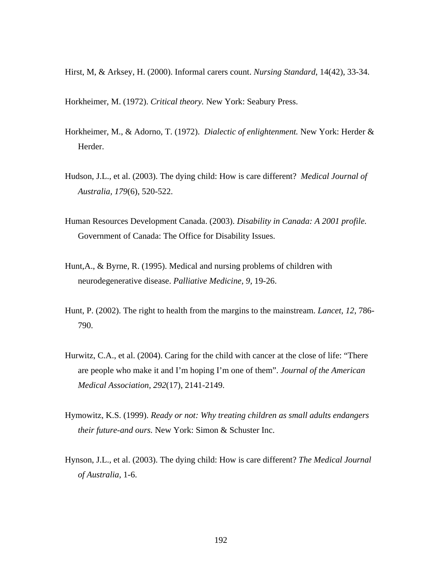Hirst, M, & Arksey, H. (2000). Informal carers count. *Nursing Standard*, 14(42), 33-34.

Horkheimer, M. (1972). *Critical theory.* New York: Seabury Press.

- Horkheimer, M., & Adorno, T. (1972). *Dialectic of enlightenment.* New York: Herder & Herder.
- Hudson, J.L., et al. (2003). The dying child: How is care different? *Medical Journal of Australia, 179*(6), 520-522.
- Human Resources Development Canada. (2003). *Disability in Canada: A 2001 profile.*  Government of Canada: The Office for Disability Issues.
- Hunt,A., & Byrne, R. (1995). Medical and nursing problems of children with neurodegenerative disease. *Palliative Medicine, 9,* 19-26.
- Hunt, P. (2002). The right to health from the margins to the mainstream. *Lancet, 12*, 786- 790.
- Hurwitz, C.A., et al. (2004). Caring for the child with cancer at the close of life: "There are people who make it and I'm hoping I'm one of them". *Journal of the American Medical Association, 292*(17), 2141-2149.
- Hymowitz, K.S. (1999). *Ready or not: Why treating children as small adults endangers their future-and ours.* New York: Simon & Schuster Inc.
- Hynson, J.L., et al. (2003). The dying child: How is care different? *The Medical Journal of Australia,* 1-6.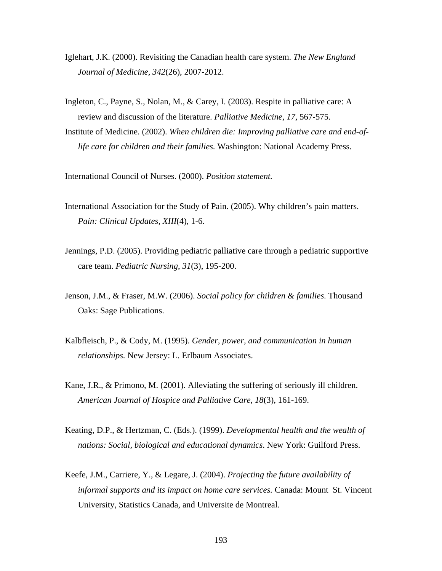- Iglehart, J.K. (2000). Revisiting the Canadian health care system. *The New England Journal of Medicine, 342*(26), 2007-2012.
- Ingleton, C., Payne, S., Nolan, M., & Carey, I. (2003). Respite in palliative care: A review and discussion of the literature. *Palliative Medicine, 17,* 567-575.
- Institute of Medicine. (2002). *When children die: Improving palliative care and end-oflife care for children and their families.* Washington: National Academy Press.

International Council of Nurses. (2000). *Position statement.* 

- International Association for the Study of Pain. (2005). Why children's pain matters. *Pain: Clinical Updates, XIII*(4), 1-6.
- Jennings, P.D. (2005). Providing pediatric palliative care through a pediatric supportive care team. *Pediatric Nursing*, *31*(3), 195-200.
- Jenson, J.M., & Fraser, M.W. (2006). *Social policy for children & families*. Thousand Oaks: Sage Publications.
- Kalbfleisch, P., & Cody, M. (1995). *Gender, power, and communication in human relationships.* New Jersey: L. Erlbaum Associates.
- Kane, J.R., & Primono, M. (2001). Alleviating the suffering of seriously ill children. *American Journal of Hospice and Palliative Care, 18*(3), 161-169.
- Keating, D.P., & Hertzman, C. (Eds.). (1999). *Developmental health and the wealth of nations: Social, biological and educational dynamics*. New York: Guilford Press.
- Keefe, J.M., Carriere, Y., & Legare, J. (2004). *Projecting the future availability of informal supports and its impact on home care services.* Canada: Mount St. Vincent University, Statistics Canada, and Universite de Montreal.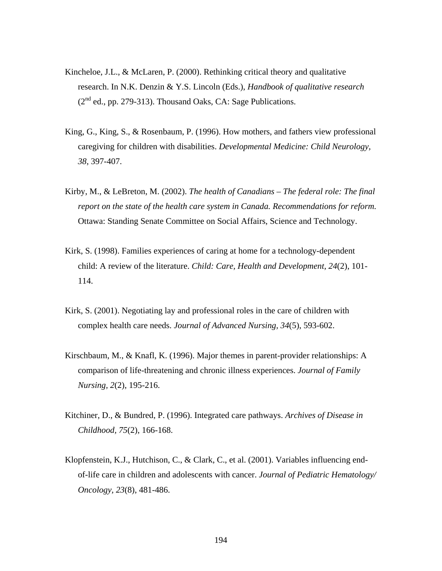- Kincheloe, J.L., & McLaren, P. (2000). Rethinking critical theory and qualitative research. In N.K. Denzin & Y.S. Lincoln (Eds.), *Handbook of qualitative research*  $(2<sup>nd</sup>$  ed., pp. 279-313). Thousand Oaks, CA: Sage Publications.
- King, G., King, S., & Rosenbaum, P. (1996). How mothers, and fathers view professional caregiving for children with disabilities. *Developmental Medicine: Child Neurology, 38*, 397-407.
- Kirby, M., & LeBreton, M. (2002). *The health of Canadians The federal role: The final report on the state of the health care system in Canada. Recommendations for reform.* Ottawa: Standing Senate Committee on Social Affairs, Science and Technology.
- Kirk, S. (1998). Families experiences of caring at home for a technology-dependent child: A review of the literature. *Child: Care, Health and Development, 24*(2), 101- 114.
- Kirk, S. (2001). Negotiating lay and professional roles in the care of children with complex health care needs. *Journal of Advanced Nursing, 34*(5), 593-602.
- Kirschbaum, M., & Knafl, K. (1996). Major themes in parent-provider relationships: A comparison of life-threatening and chronic illness experiences. *Journal of Family Nursing, 2*(2), 195-216.
- Kitchiner, D., & Bundred, P. (1996). Integrated care pathways. *Archives of Disease in Childhood, 75*(2), 166-168.
- Klopfenstein, K.J., Hutchison, C., & Clark, C., et al. (2001). Variables influencing endof-life care in children and adolescents with cancer. *Journal of Pediatric Hematology/ Oncology, 23*(8), 481-486.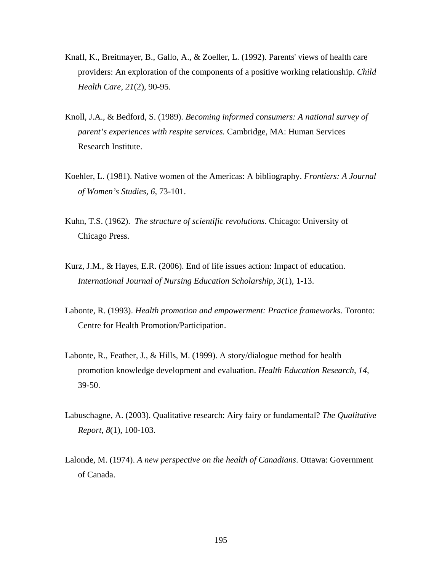- Knafl, K., Breitmayer, B., Gallo, A., & Zoeller, L. (1992). Parents' views of health care providers: An exploration of the components of a positive working relationship. *Child Health Care, 21*(2), 90-95.
- Knoll, J.A., & Bedford, S. (1989). *Becoming informed consumers: A national survey of parent's experiences with respite services.* Cambridge, MA: Human Services Research Institute.
- Koehler, L. (1981). Native women of the Americas: A bibliography. *Frontiers: A Journal of Women's Studies, 6,* 73-101.
- Kuhn, T.S. (1962). *The structure of scientific revolutions*. Chicago: University of Chicago Press.
- Kurz, J.M., & Hayes, E.R. (2006). End of life issues action: Impact of education. *International Journal of Nursing Education Scholarship, 3*(1), 1-13.
- Labonte, R. (1993). *Health promotion and empowerment: Practice frameworks*. Toronto: Centre for Health Promotion/Participation.
- Labonte, R., Feather, J., & Hills, M. (1999). A story/dialogue method for health promotion knowledge development and evaluation. *Health Education Research, 14,* 39-50.
- Labuschagne, A. (2003). Qualitative research: Airy fairy or fundamental? *The Qualitative Report, 8*(1), 100-103.
- Lalonde, M. (1974). *A new perspective on the health of Canadians*. Ottawa: Government of Canada.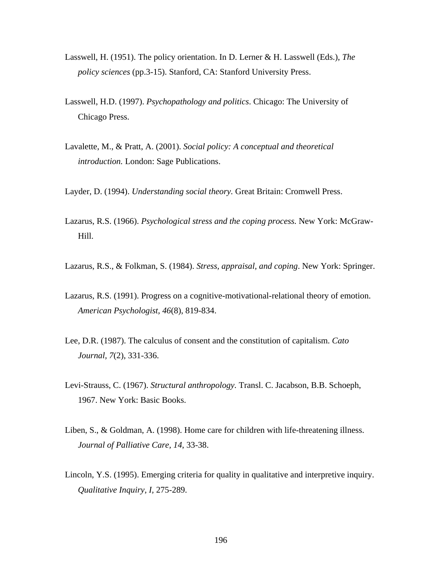- Lasswell, H. (1951). The policy orientation. In D. Lerner & H. Lasswell (Eds.), *The policy sciences* (pp.3-15). Stanford, CA: Stanford University Press.
- Lasswell, H.D. (1997). *Psychopathology and politics*. Chicago: The University of Chicago Press.
- Lavalette, M., & Pratt, A. (2001). *Social policy: A conceptual and theoretical introduction.* London: Sage Publications.
- Layder, D. (1994). *Understanding social theory.* Great Britain: Cromwell Press.
- Lazarus, R.S. (1966). *Psychological stress and the coping process.* New York: McGraw-Hill.
- Lazarus, R.S., & Folkman, S. (1984). *Stress, appraisal, and coping*. New York: Springer.
- Lazarus, R.S. (1991). Progress on a cognitive-motivational-relational theory of emotion. *American Psychologist, 46*(8), 819-834.
- Lee, D.R. (1987). The calculus of consent and the constitution of capitalism. *Cato Journal, 7*(2), 331-336.
- Levi-Strauss, C. (1967). *Structural anthropology.* Transl. C. Jacabson, B.B. Schoeph, 1967. New York: Basic Books.
- Liben, S., & Goldman, A. (1998). Home care for children with life-threatening illness. *Journal of Palliative Care, 14*, 33-38.
- Lincoln, Y.S. (1995). Emerging criteria for quality in qualitative and interpretive inquiry. *Qualitative Inquiry, I,* 275-289.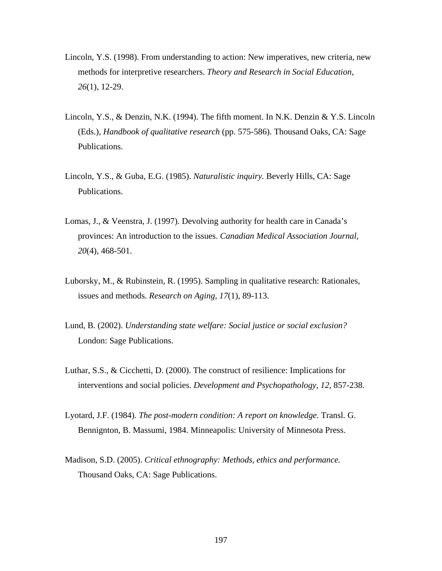- Lincoln, Y.S. (1998). From understanding to action: New imperatives, new criteria, new methods for interpretive researchers. *Theory and Research in Social Education, 26*(1), 12-29.
- Lincoln, Y.S., & Denzin, N.K. (1994). The fifth moment. In N.K. Denzin & Y.S. Lincoln (Eds.), *Handbook of qualitative research* (pp. 575-586). Thousand Oaks, CA: Sage Publications.
- Lincoln, Y.S., & Guba, E.G. (1985). *Naturalistic inquiry.* Beverly Hills, CA: Sage Publications.
- Lomas, J., & Veenstra, J. (1997). Devolving authority for health care in Canada's provinces: An introduction to the issues. *Canadian Medical Association Journal, 20*(4), 468-501.
- Luborsky, M., & Rubinstein, R. (1995). Sampling in qualitative research: Rationales, issues and methods. *Research on Aging, 17*(1), 89-113.
- Lund, B. (2002). *Understanding state welfare: Social justice or social exclusion?* London: Sage Publications.
- Luthar, S.S., & Cicchetti, D. (2000). The construct of resilience: Implications for interventions and social policies. *Development and Psychopathology, 12,* 857-238.
- Lyotard, J.F. (1984). *The post-modern condition: A report on knowledge.* Transl. G. Bennignton, B. Massumi, 1984. Minneapolis: University of Minnesota Press.
- Madison, S.D. (2005). *Critical ethnography: Methods, ethics and performance.* Thousand Oaks, CA: Sage Publications.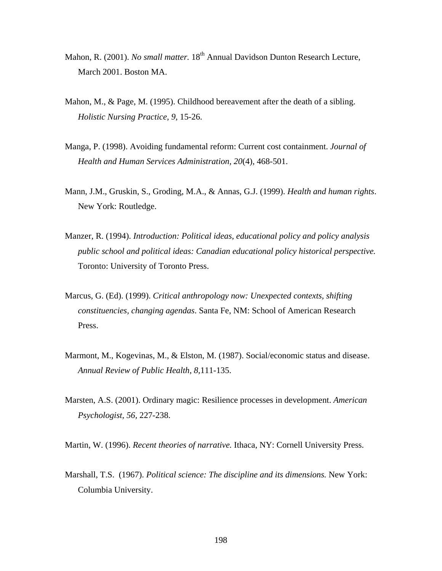- Mahon, R. (2001). *No small matter*. 18<sup>th</sup> Annual Davidson Dunton Research Lecture, March 2001. Boston MA.
- Mahon, M., & Page, M. (1995). Childhood bereavement after the death of a sibling. *Holistic Nursing Practice, 9,* 15-26.
- Manga, P. (1998). Avoiding fundamental reform: Current cost containment. *Journal of Health and Human Services Administration, 20*(4), 468-501.
- Mann, J.M., Gruskin, S., Groding, M.A., & Annas, G.J. (1999). *Health and human rights*. New York: Routledge.
- Manzer, R. (1994). *Introduction: Political ideas, educational policy and policy analysis public school and political ideas: Canadian educational policy historical perspective.*  Toronto: University of Toronto Press.
- Marcus, G. (Ed). (1999). *Critical anthropology now: Unexpected contexts, shifting constituencies, changing agendas*. Santa Fe, NM: School of American Research Press.
- Marmont, M., Kogevinas, M., & Elston, M. (1987). Social/economic status and disease. *Annual Review of Public Health, 8,*111-135.
- Marsten, A.S. (2001). Ordinary magic: Resilience processes in development. *American Psychologist, 56,* 227-238.
- Martin, W. (1996). *Recent theories of narrative.* Ithaca, NY: Cornell University Press.
- Marshall, T.S. (1967). *Political science: The discipline and its dimensions.* New York: Columbia University.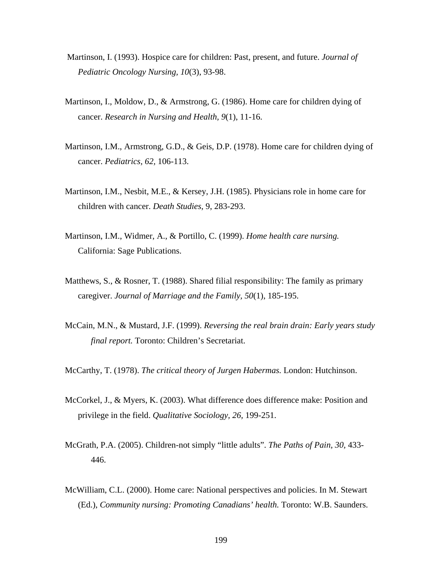- Martinson, I. (1993). Hospice care for children: Past, present, and future. *Journal of Pediatric Oncology Nursing, 10*(3), 93-98.
- Martinson, I., Moldow, D., & Armstrong, G. (1986). Home care for children dying of cancer. *Research in Nursing and Health, 9*(1), 11-16.
- Martinson, I.M., Armstrong, G.D., & Geis, D.P. (1978). Home care for children dying of cancer. *Pediatrics, 62,* 106-113.
- Martinson, I.M., Nesbit, M.E., & Kersey, J.H. (1985). Physicians role in home care for children with cancer. *Death Studies*, 9, 283-293.
- Martinson, I.M., Widmer, A., & Portillo, C. (1999). *Home health care nursing.* California: Sage Publications.
- Matthews, S., & Rosner, T. (1988). Shared filial responsibility: The family as primary caregiver. *Journal of Marriage and the Family, 50*(1), 185-195.
- McCain, M.N., & Mustard, J.F. (1999). *Reversing the real brain drain: Early years study final report.* Toronto: Children's Secretariat.
- McCarthy, T. (1978). *The critical theory of Jurgen Habermas.* London: Hutchinson.
- McCorkel, J., & Myers, K. (2003). What difference does difference make: Position and privilege in the field. *Qualitative Sociology, 26,* 199-251.
- McGrath, P.A. (2005). Children-not simply "little adults". *The Paths of Pain, 30,* 433- 446.
- McWilliam, C.L. (2000). Home care: National perspectives and policies. In M. Stewart (Ed.), *Community nursing: Promoting Canadians' health.* Toronto: W.B. Saunders.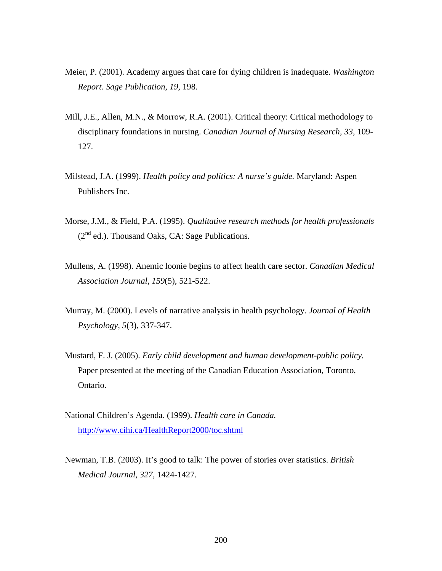- Meier, P. (2001). Academy argues that care for dying children is inadequate. *Washington Report. Sage Publication, 19,* 198.
- Mill, J.E., Allen, M.N., & Morrow, R.A. (2001). Critical theory: Critical methodology to disciplinary foundations in nursing. *Canadian Journal of Nursing Research, 33,* 109- 127.
- Milstead, J.A. (1999). *Health policy and politics: A nurse's guide.* Maryland: Aspen Publishers Inc.
- Morse, J.M., & Field, P.A. (1995). *Qualitative research methods for health professionals*   $(2<sup>nd</sup>$  ed.). Thousand Oaks, CA: Sage Publications.
- Mullens, A. (1998). Anemic loonie begins to affect health care sector. *Canadian Medical Association Journal, 159*(5), 521-522.
- Murray, M. (2000). Levels of narrative analysis in health psychology. *Journal of Health Psychology, 5*(3), 337-347.
- Mustard, F. J. (2005). *Early child development and human development-public policy.*  Paper presented at the meeting of the Canadian Education Association, Toronto, Ontario.
- National Children's Agenda. (1999). *Health care in Canada.* <http://www.cihi.ca/HealthReport2000/toc.shtml>
- Newman, T.B. (2003). It's good to talk: The power of stories over statistics. *British Medical Journal, 327,* 1424-1427.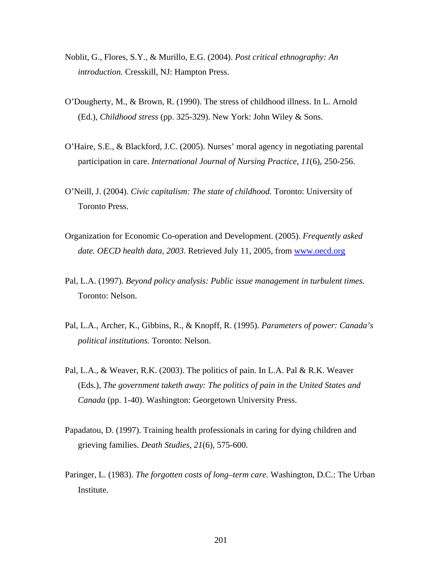- Noblit, G., Flores, S.Y., & Murillo, E.G. (2004). *Post critical ethnography: An introduction.* Cresskill, NJ: Hampton Press.
- O'Dougherty, M., & Brown, R. (1990). The stress of childhood illness. In L. Arnold (Ed.), *Childhood stress* (pp. 325-329). New York: John Wiley & Sons.
- O'Haire, S.E., & Blackford, J.C. (2005). Nurses' moral agency in negotiating parental participation in care. *International Journal of Nursing Practice, 11*(6), 250-256.
- O'Neill, J. (2004). *Civic capitalism: The state of childhood.* Toronto: University of Toronto Press.
- Organization for Economic Co-operation and Development. (2005). *Frequently asked date. OECD health data, 2003.* Retrieved July 11, 2005, from [www.oecd.org](http://www.oecd.org/)
- Pal, L.A. (1997). *Beyond policy analysis: Public issue management in turbulent times.* Toronto: Nelson.
- Pal, L.A., Archer, K., Gibbins, R., & Knopff, R. (1995). *Parameters of power: Canada's political institutions.* Toronto: Nelson.
- Pal, L.A., & Weaver, R.K. (2003). The politics of pain. In L.A. Pal & R.K. Weaver (Eds.), *The government taketh away: The politics of pain in the United States and Canada* (pp. 1-40). Washington: Georgetown University Press.
- Papadatou, D. (1997). Training health professionals in caring for dying children and grieving families. *Death Studies*, *21*(6), 575-600.
- Paringer, L. (1983). *The forgotten costs of long–term care.* Washington, D.C.: The Urban Institute.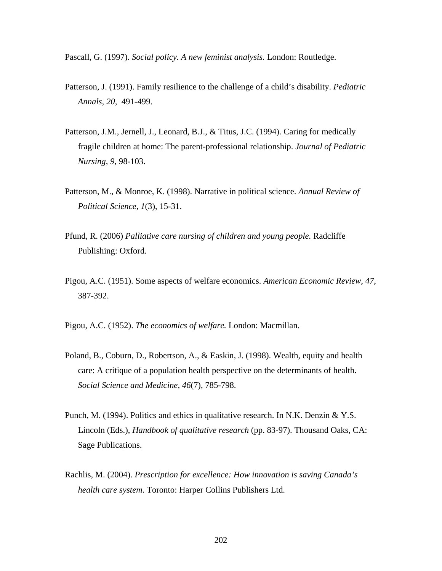Pascall, G. (1997). *Social policy. A new feminist analysis.* London: Routledge.

- Patterson, J. (1991). Family resilience to the challenge of a child's disability. *Pediatric Annals, 20,* 491-499.
- Patterson, J.M., Jernell, J., Leonard, B.J., & Titus, J.C. (1994). Caring for medically fragile children at home: The parent-professional relationship. *Journal of Pediatric Nursing, 9,* 98-103.
- Patterson, M., & Monroe, K. (1998). Narrative in political science. *Annual Review of Political Science, 1*(3), 15-31.
- Pfund, R. (2006) *Palliative care nursing of children and young people.* Radcliffe Publishing: Oxford.
- Pigou, A.C. (1951). Some aspects of welfare economics. *American Economic Review, 47*, 387-392.
- Pigou, A.C. (1952). *The economics of welfare.* London: Macmillan.
- Poland, B., Coburn, D., Robertson, A., & Easkin, J. (1998). Wealth, equity and health care: A critique of a population health perspective on the determinants of health. *Social Science and Medicine, 46*(7), 785-798.
- Punch, M. (1994). Politics and ethics in qualitative research. In N.K. Denzin  $& Y.S.$ Lincoln (Eds.), *Handbook of qualitative research* (pp. 83-97). Thousand Oaks, CA: Sage Publications.
- Rachlis, M. (2004). *Prescription for excellence: How innovation is saving Canada's health care system*. Toronto: Harper Collins Publishers Ltd.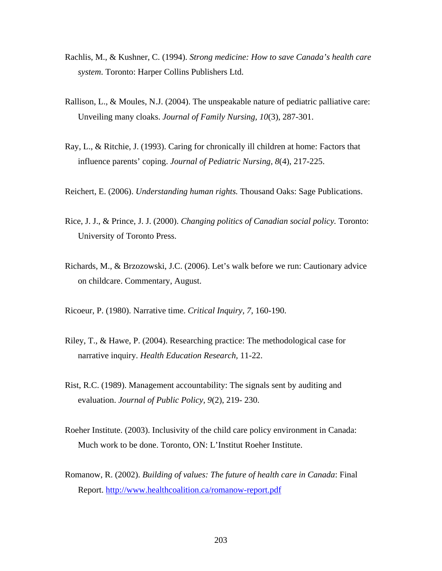- Rachlis, M., & Kushner, C. (1994). *Strong medicine: How to save Canada's health care system*. Toronto: Harper Collins Publishers Ltd.
- Rallison, L., & Moules, N.J. (2004). The unspeakable nature of pediatric palliative care: Unveiling many cloaks. *Journal of Family Nursing, 10*(3), 287-301.
- Ray, L., & Ritchie, J. (1993). Caring for chronically ill children at home: Factors that influence parents' coping. *Journal of Pediatric Nursing, 8*(4), 217-225.
- Reichert, E. (2006). *Understanding human rights.* Thousand Oaks: Sage Publications.
- Rice, J. J., & Prince, J. J. (2000). *Changing politics of Canadian social policy.* Toronto: University of Toronto Press.
- Richards, M., & Brzozowski, J.C. (2006). Let's walk before we run: Cautionary advice on childcare. Commentary, August.
- Ricoeur, P. (1980). Narrative time. *Critical Inquiry, 7,* 160-190.
- Riley, T., & Hawe, P. (2004). Researching practice: The methodological case for narrative inquiry. *Health Education Research,* 11-22.
- Rist, R.C. (1989). Management accountability: The signals sent by auditing and evaluation. *Journal of Public Policy, 9*(2), 219- 230.
- Roeher Institute. (2003). Inclusivity of the child care policy environment in Canada: Much work to be done. Toronto, ON: L'Institut Roeher Institute.
- Romanow, R. (2002). *Building of values: The future of health care in Canada*: Final Report. <http://www.healthcoalition.ca/romanow-report.pdf>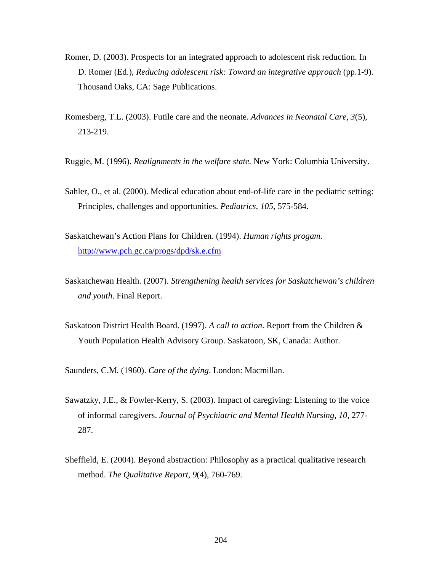- Romer, D. (2003). Prospects for an integrated approach to adolescent risk reduction. In D. Romer (Ed.), *Reducing adolescent risk: Toward an integrative approach* (pp.1-9). Thousand Oaks, CA: Sage Publications.
- Romesberg, T.L. (2003). Futile care and the neonate. *Advances in Neonatal Care, 3*(5), 213-219.
- Ruggie, M. (1996). *Realignments in the welfare state.* New York: Columbia University.
- Sahler, O., et al. (2000). Medical education about end-of-life care in the pediatric setting: Principles, challenges and opportunities. *Pediatrics, 105,* 575-584.
- Saskatchewan's Action Plans for Children. (1994). *Human rights progam.* <http://www.pch.gc.ca/progs/dpd/sk.e.cfm>
- Saskatchewan Health. (2007). *Strengthening health services for Saskatchewan's children and youth*. Final Report.
- Saskatoon District Health Board. (1997). *A call to action*. Report from the Children & Youth Population Health Advisory Group. Saskatoon, SK, Canada: Author.

Saunders, C.M. (1960). *Care of the dying*. London: Macmillan.

- Sawatzky, J.E., & Fowler-Kerry, S. (2003). Impact of caregiving: Listening to the voice of informal caregivers. *Journal of Psychiatric and Mental Health Nursing, 10,* 277- 287.
- Sheffield, E. (2004). Beyond abstraction: Philosophy as a practical qualitative research method. *The Qualitative Report, 9*(4), 760-769.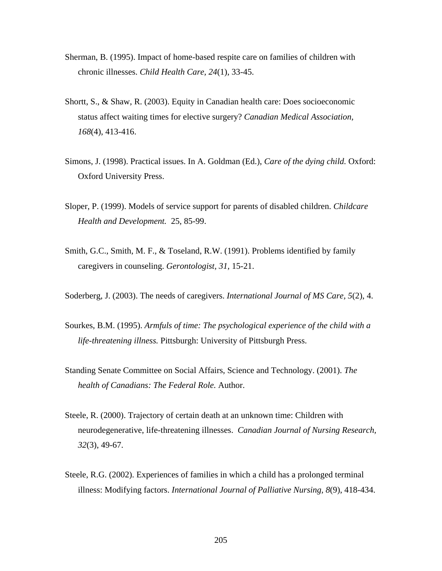- Sherman, B. (1995). Impact of home-based respite care on families of children with chronic illnesses. *Child Health Care, 24*(1), 33-45.
- Shortt, S., & Shaw, R. (2003). Equity in Canadian health care: Does socioeconomic status affect waiting times for elective surgery? *Canadian Medical Association, 168*(4), 413-416.
- Simons, J. (1998). Practical issues. In A. Goldman (Ed.), *Care of the dying child.* Oxford: Oxford University Press.
- Sloper, P. (1999). Models of service support for parents of disabled children. *Childcare Health and Development.* 25, 85-99.
- Smith, G.C., Smith, M. F., & Toseland, R.W. (1991). Problems identified by family caregivers in counseling. *Gerontologist, 31,* 15-21.
- Soderberg, J. (2003). The needs of caregivers. *International Journal of MS Care, 5*(2), 4.
- Sourkes, B.M. (1995). *Armfuls of time: The psychological experience of the child with a life-threatening illness.* Pittsburgh: University of Pittsburgh Press.
- Standing Senate Committee on Social Affairs, Science and Technology. (2001). *The health of Canadians: The Federal Role.* Author.
- Steele, R. (2000). Trajectory of certain death at an unknown time: Children with neurodegenerative, life-threatening illnesses. *Canadian Journal of Nursing Research, 32*(3), 49-67.
- Steele, R.G. (2002). Experiences of families in which a child has a prolonged terminal illness: Modifying factors. *International Journal of Palliative Nursing, 8*(9), 418-434.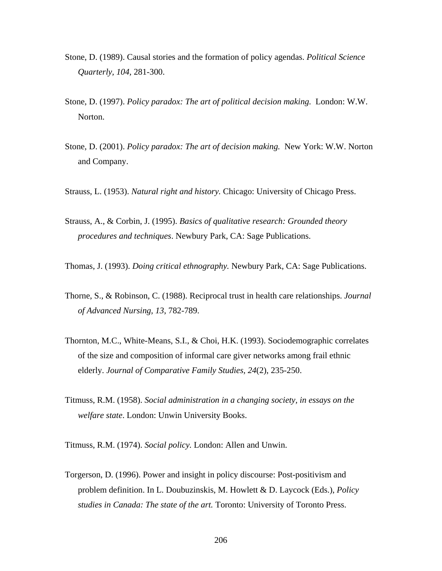- Stone, D. (1989). Causal stories and the formation of policy agendas. *Political Science Quarterly, 104,* 281-300.
- Stone, D. (1997). *Policy paradox: The art of political decision making.* London: W.W. Norton.
- Stone, D. (2001). *Policy paradox: The art of decision making.* New York: W.W. Norton and Company.
- Strauss, L. (1953). *Natural right and history.* Chicago: University of Chicago Press.
- Strauss, A., & Corbin, J. (1995). *Basics of qualitative research: Grounded theory procedures and techniques*. Newbury Park, CA: Sage Publications.
- Thomas, J. (1993). *Doing critical ethnography.* Newbury Park, CA: Sage Publications.
- Thorne, S., & Robinson, C. (1988). Reciprocal trust in health care relationships. *Journal of Advanced Nursing, 13*, 782-789.
- Thornton, M.C., White-Means, S.I., & Choi, H.K. (1993). Sociodemographic correlates of the size and composition of informal care giver networks among frail ethnic elderly. *Journal of Comparative Family Studies, 24*(2), 235-250.
- Titmuss, R.M. (1958). *Social administration in a changing society, in essays on the welfare state*. London: Unwin University Books.
- Titmuss, R.M. (1974). *Social policy.* London: Allen and Unwin.
- Torgerson, D. (1996). Power and insight in policy discourse: Post-positivism and problem definition. In L. Doubuzinskis, M. Howlett & D. Laycock (Eds.), *Policy studies in Canada: The state of the art.* Toronto: University of Toronto Press.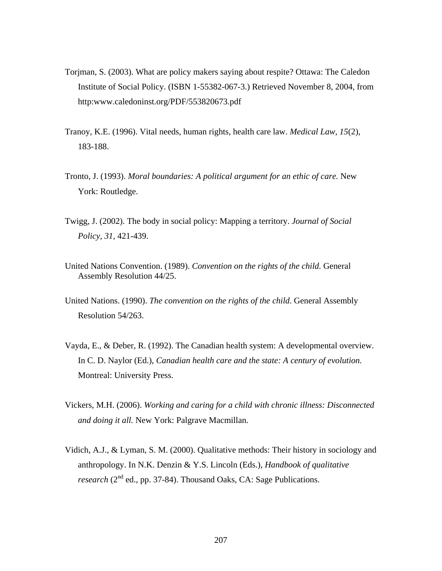- Torjman, S. (2003). What are policy makers saying about respite? Ottawa: The Caledon Institute of Social Policy. (ISBN 1-55382-067-3.) Retrieved November 8, 2004, from http:www.caledoninst.org/PDF/553820673.pdf
- Tranoy, K.E. (1996). Vital needs, human rights, health care law. *Medical Law, 15*(2), 183-188.
- Tronto, J. (1993). *Moral boundaries: A political argument for an ethic of care.* New York: Routledge.
- Twigg, J. (2002). The body in social policy: Mapping a territory. *Journal of Social Policy, 31,* 421-439.
- United Nations Convention. (1989). *Convention on the rights of the child.* General Assembly Resolution 44/25.
- United Nations. (1990). *The convention on the rights of the child*. General Assembly Resolution 54/263.
- Vayda, E., & Deber, R. (1992). The Canadian health system: A developmental overview. In C. D. Naylor (Ed.), *Canadian health care and the state: A century of evolution.*  Montreal: University Press.
- Vickers, M.H. (2006). *Working and caring for a child with chronic illness: Disconnected and doing it all.* New York: Palgrave Macmillan.
- Vidich, A.J., & Lyman, S. M. (2000). Qualitative methods: Their history in sociology and anthropology. In N.K. Denzin & Y.S. Lincoln (Eds.), *Handbook of qualitative research* (2<sup>nd</sup> ed., pp. 37-84). Thousand Oaks, CA: Sage Publications.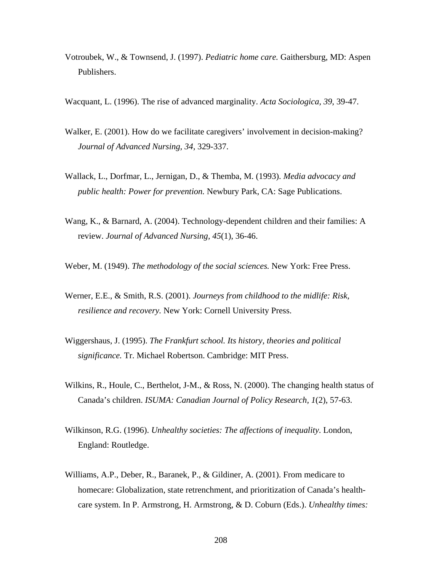- Votroubek, W., & Townsend, J. (1997). *Pediatric home care.* Gaithersburg, MD: Aspen Publishers.
- Wacquant, L. (1996). The rise of advanced marginality. *Acta Sociologica, 39*, 39-47.
- Walker, E. (2001). How do we facilitate caregivers' involvement in decision-making? *Journal of Advanced Nursing, 34,* 329-337.
- Wallack, L., Dorfmar, L., Jernigan, D., & Themba, M. (1993). *Media advocacy and public health: Power for prevention.* Newbury Park, CA: Sage Publications.
- Wang, K., & Barnard, A. (2004). Technology-dependent children and their families: A review. *Journal of Advanced Nursing, 45*(1), 36-46.
- Weber, M. (1949). *The methodology of the social sciences.* New York: Free Press.
- Werner, E.E., & Smith, R.S. (2001). *Journeys from childhood to the midlife: Risk, resilience and recovery.* New York: Cornell University Press.
- Wiggershaus, J. (1995). *The Frankfurt school. Its history, theories and political significance.* Tr. Michael Robertson. Cambridge: MIT Press.
- Wilkins, R., Houle, C., Berthelot, J-M., & Ross, N. (2000). The changing health status of Canada's children. *ISUMA: Canadian Journal of Policy Research, 1*(2), 57-63.
- Wilkinson, R.G. (1996). *Unhealthy societies: The affections of inequality*. London, England: Routledge.
- Williams, A.P., Deber, R., Baranek, P., & Gildiner, A. (2001). From medicare to homecare: Globalization, state retrenchment, and prioritization of Canada's healthcare system. In P. Armstrong, H. Armstrong, & D. Coburn (Eds.). *Unhealthy times:*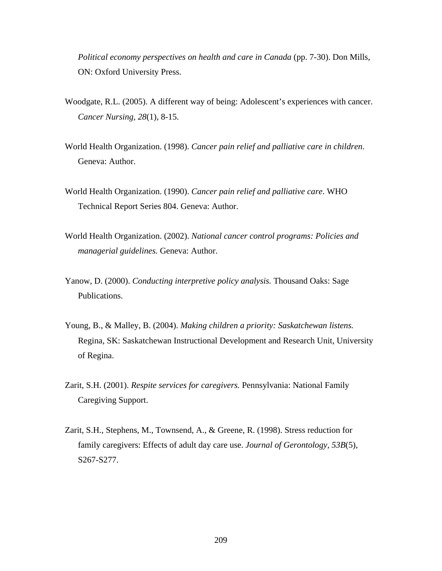*Political economy perspectives on health and care in Canada* (pp. 7-30). Don Mills, ON: Oxford University Press.

- Woodgate, R.L. (2005). A different way of being: Adolescent's experiences with cancer. *Cancer Nursing, 28*(1), 8-15.
- World Health Organization. (1998). *Cancer pain relief and palliative care in children*. Geneva: Author.
- World Health Organization. (1990). *Cancer pain relief and palliative care*. WHO Technical Report Series 804. Geneva: Author.
- World Health Organization. (2002). *National cancer control programs: Policies and managerial guidelines.* Geneva: Author.
- Yanow, D. (2000). *Conducting interpretive policy analysis.* Thousand Oaks: Sage Publications.
- Young, B., & Malley, B. (2004). *Making children a priority: Saskatchewan listens.* Regina, SK: Saskatchewan Instructional Development and Research Unit, University of Regina.
- Zarit, S.H. (2001). *Respite services for caregivers.* Pennsylvania: National Family Caregiving Support.
- Zarit, S.H., Stephens, M., Townsend, A., & Greene, R. (1998). Stress reduction for family caregivers: Effects of adult day care use. *Journal of Gerontology, 53B*(5), S267-S277.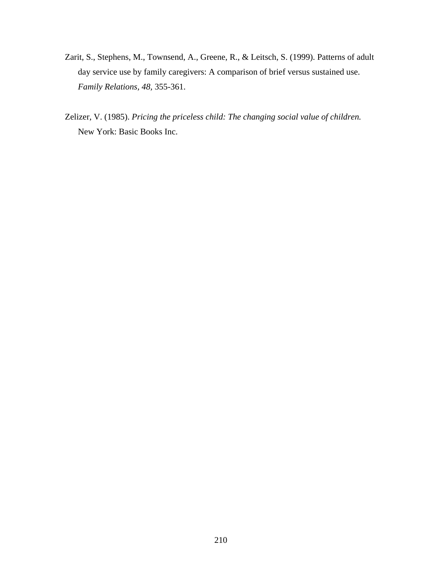- Zarit, S., Stephens, M., Townsend, A., Greene, R., & Leitsch, S. (1999). Patterns of adult day service use by family caregivers: A comparison of brief versus sustained use. *Family Relations, 48,* 355-361.
- Zelizer, V. (1985). *Pricing the priceless child: The changing social value of children.*  New York: Basic Books Inc.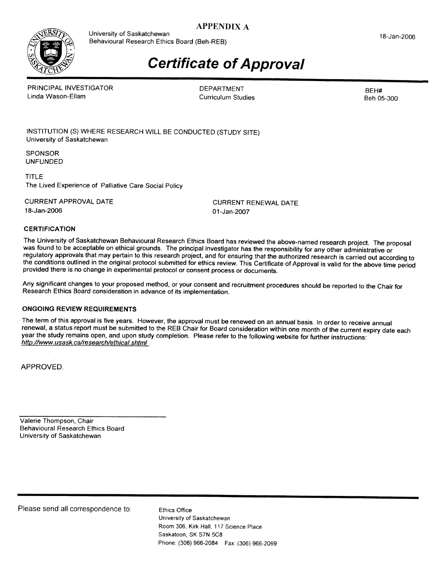# **APPENDIX A**



University of Saskatchewan Behavioural Research Ethics Board (Beh-REB)

#### 18-Jan-2006

# **Certificate of Approval**

PRINCIPAL INVESTIGATOR Linda Wason-Ellam

**DEPARTMENT Curriculum Studies** 

BEH# Beh 05-300

INSTITUTION (S) WHERE RESEARCH WILL BE CONDUCTED (STUDY SITE) University of Saskatchewan

**SPONSOR UNFUNDED** 

**TITLE** The Lived Experience of Palliative Care Social Policy

**CURRENT APPROVAL DATE** 18-Jan-2006

**CURRENT RENEWAL DATE** 01-Jan-2007

#### **CERTIFICATION**

The University of Saskatchewan Behavioural Research Ethics Board has reviewed the above-named research project. The proposal was found to be acceptable on ethical grounds. The principal investigator has the responsibility for any other administrative or regulatory approvals that may pertain to this research project, and for ensuring that the authorized research is carried out according to the conditions outlined in the original protocol submitted for ethics review. This Certificate of Approval is valid for the above time period provided there is no change in experimental protocol or consent process or documents.

Any significant changes to your proposed method, or your consent and recruitment procedures should be reported to the Chair for Research Ethics Board consideration in advance of its implementation.

### **ONGOING REVIEW REQUIREMENTS**

The term of this approval is five years. However, the approval must be renewed on an annual basis. In order to receive annual renewal, a status report must be submitted to the REB Chair for Board consideration within one month of the current expiry date each year the study remains open, and upon study completion. Please refer to the following website for further instructions: http://www.usask.ca/research/ethical.shtml

APPROVED.

Valerie Thompson, Chair **Behavioural Research Ethics Board** University of Saskatchewan

Please send all correspondence to:

**Ethics Office** University of Saskatchewan Room 306, Kirk Hall, 117 Science Place Saskatoon, SK S7N 5C8 Phone: (306) 966-2084 Fax: (306) 966-2069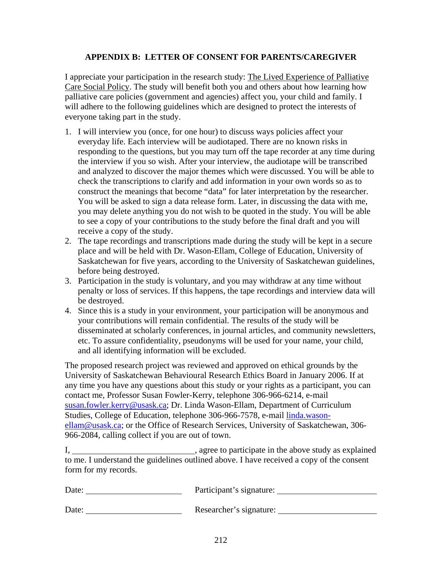# **APPENDIX B: LETTER OF CONSENT FOR PARENTS/CAREGIVER**

I appreciate your participation in the research study: The Lived Experience of Palliative Care Social Policy. The study will benefit both you and others about how learning how palliative care policies (government and agencies) affect you, your child and family. I will adhere to the following guidelines which are designed to protect the interests of everyone taking part in the study.

- 1. I will interview you (once, for one hour) to discuss ways policies affect your everyday life. Each interview will be audiotaped. There are no known risks in responding to the questions, but you may turn off the tape recorder at any time during the interview if you so wish. After your interview, the audiotape will be transcribed and analyzed to discover the major themes which were discussed. You will be able to check the transcriptions to clarify and add information in your own words so as to construct the meanings that become "data" for later interpretation by the researcher. You will be asked to sign a data release form. Later, in discussing the data with me, you may delete anything you do not wish to be quoted in the study. You will be able to see a copy of your contributions to the study before the final draft and you will receive a copy of the study.
- 2. The tape recordings and transcriptions made during the study will be kept in a secure place and will be held with Dr. Wason-Ellam, College of Education, University of Saskatchewan for five years, according to the University of Saskatchewan guidelines, before being destroyed.
- 3. Participation in the study is voluntary, and you may withdraw at any time without penalty or loss of services. If this happens, the tape recordings and interview data will be destroyed.
- 4. Since this is a study in your environment, your participation will be anonymous and your contributions will remain confidential. The results of the study will be disseminated at scholarly conferences, in journal articles, and community newsletters, etc. To assure confidentiality, pseudonyms will be used for your name, your child, and all identifying information will be excluded.

The proposed research project was reviewed and approved on ethical grounds by the University of Saskatchewan Behavioural Research Ethics Board in January 2006. If at any time you have any questions about this study or your rights as a participant, you can contact me, Professor Susan Fowler-Kerry, telephone 306-966-6214, e-mail [susan.fowler.kerry@usask.ca;](mailto:susan.fowler.kerry@usask.ca) Dr. Linda Wason-Ellam, Department of Curriculum Studies, College of Education, telephone 306-966-7578, e-mail [linda.wason](mailto:linda.wason-ellam@usask.ca)[ellam@usask.ca](mailto:linda.wason-ellam@usask.ca); or the Office of Research Services, University of Saskatchewan, 306- 966-2084, calling collect if you are out of town.

I, sagree to participate in the above study as explained to me. I understand the guidelines outlined above. I have received a copy of the consent form for my records.

| Date: | Participant's signature: |
|-------|--------------------------|
| Date: | Researcher's signature:  |